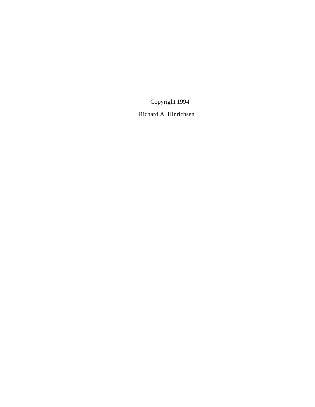© Copyright 1994

Richard A. Hinrichsen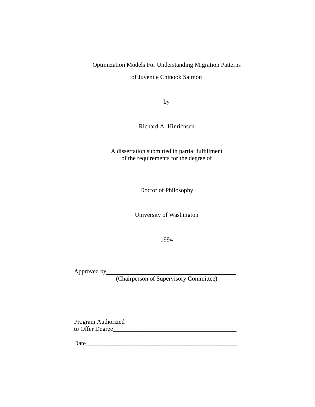# Optimization Models For Understanding Migration Patterns

of Juvenile Chinook Salmon

by

Richard A. Hinrichsen

A dissertation submitted in partial fulfillment of the requirements for the degree of

Doctor of Philosophy

University of Washington

1994

Approved by

(Chairperson of Supervisory Committee)

Program Authorized to Offer Degree

Date\_\_\_\_\_\_\_\_\_\_\_\_\_\_\_\_\_\_\_\_\_\_\_\_\_\_\_\_\_\_\_\_\_\_\_\_\_\_\_\_\_\_\_\_\_\_\_\_\_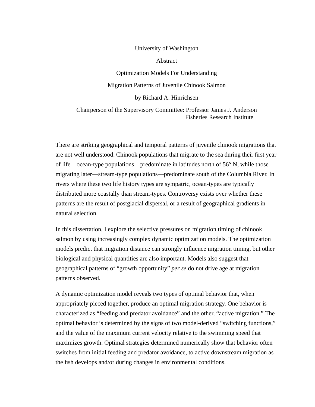#### University of Washington

Abstract

Optimization Models For Understanding

Migration Patterns of Juvenile Chinook Salmon

by Richard A. Hinrichsen

Chairperson of the Supervisory Committee: Professor James J. Anderson Fisheries Research Institute

There are striking geographical and temporal patterns of juvenile chinook migrations that are not well understood. Chinook populations that migrate to the sea during their first year of life—ocean-type populations—predominate in latitudes north of 56° N, while those migrating later—stream-type populations—predominate south of the Columbia River. In rivers where these two life history types are sympatric, ocean-types are typically distributed more coastally than stream-types. Controversy exists over whether these patterns are the result of postglacial dispersal, or a result of geographical gradients in natural selection.

In this dissertation, I explore the selective pressures on migration timing of chinook salmon by using increasingly complex dynamic optimization models. The optimization models predict that migration distance can strongly influence migration timing, but other biological and physical quantities are also important. Models also suggest that geographical patterns of "growth opportunity" *per se* do not drive age at migration patterns observed.

A dynamic optimization model reveals two types of optimal behavior that, when appropriately pieced together, produce an optimal migration strategy. One behavior is characterized as "feeding and predator avoidance" and the other, "active migration." The optimal behavior is determined by the signs of two model-derived "switching functions," and the value of the maximum current velocity relative to the swimming speed that maximizes growth. Optimal strategies determined numerically show that behavior often switches from initial feeding and predator avoidance, to active downstream migration as the fish develops and/or during changes in environmental conditions.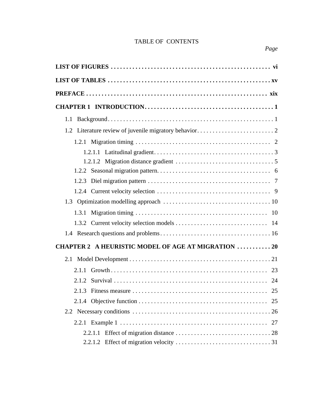| 1.1                                                       |
|-----------------------------------------------------------|
|                                                           |
|                                                           |
|                                                           |
|                                                           |
|                                                           |
| 1.2.3                                                     |
|                                                           |
|                                                           |
|                                                           |
|                                                           |
|                                                           |
| <b>CHAPTER 2 A HEURISTIC MODEL OF AGE AT MIGRATION 20</b> |
|                                                           |
|                                                           |
|                                                           |
| 25                                                        |
| 25                                                        |
|                                                           |
|                                                           |
|                                                           |
|                                                           |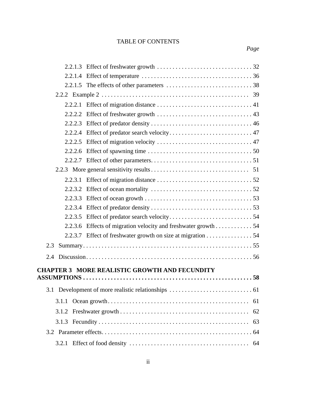|       | 2.2.2.6 Effect of spawning time $\ldots \ldots \ldots \ldots \ldots \ldots \ldots \ldots \ldots \ldots \ldots$ |    |
|-------|----------------------------------------------------------------------------------------------------------------|----|
|       |                                                                                                                |    |
|       |                                                                                                                |    |
|       |                                                                                                                |    |
|       |                                                                                                                |    |
|       |                                                                                                                |    |
|       |                                                                                                                |    |
|       |                                                                                                                |    |
|       | 2.2.3.6 Effects of migration velocity and freshwater growth 54                                                 |    |
|       | 2.2.3.7 Effect of freshwater growth on size at migration 54                                                    |    |
| 2.3   |                                                                                                                |    |
| 2.4   |                                                                                                                |    |
|       |                                                                                                                |    |
|       | <b>CHAPTER 3 MORE REALISTIC GROWTH AND FECUNDITY</b>                                                           |    |
|       |                                                                                                                |    |
|       |                                                                                                                |    |
| 3.1.1 |                                                                                                                |    |
| 3.1.2 |                                                                                                                | 62 |
|       |                                                                                                                | 63 |
|       |                                                                                                                |    |
| 3.2.1 |                                                                                                                |    |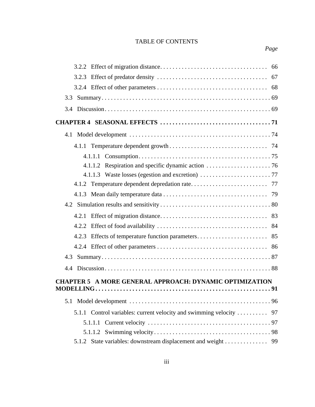| 3.3                                                                 |
|---------------------------------------------------------------------|
|                                                                     |
|                                                                     |
|                                                                     |
|                                                                     |
|                                                                     |
|                                                                     |
|                                                                     |
|                                                                     |
|                                                                     |
|                                                                     |
|                                                                     |
|                                                                     |
|                                                                     |
|                                                                     |
|                                                                     |
|                                                                     |
| <b>CHAPTER 5 A MORE GENERAL APPROACH: DYNAMIC OPTIMIZATION</b>      |
|                                                                     |
|                                                                     |
| 5.1.1 Control variables: current velocity and swimming velocity  97 |
| 5.1.1.1                                                             |
|                                                                     |
| 5.1.2 State variables: downstream displacement and weight 99        |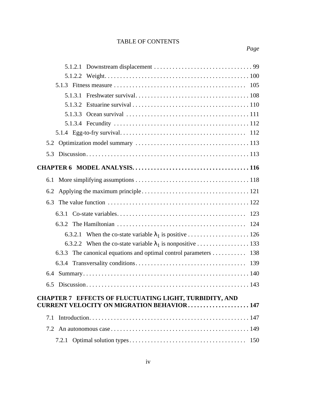| 5.3                                                                 |     |
|---------------------------------------------------------------------|-----|
|                                                                     |     |
|                                                                     |     |
| 6.2                                                                 |     |
| 6.3                                                                 |     |
|                                                                     |     |
| 6.3.2                                                               |     |
| When the co-state variable $\lambda_1$ is positive 126<br>6.3.2.1   |     |
|                                                                     |     |
| The canonical equations and optimal control parameters 138<br>6.3.3 |     |
|                                                                     |     |
|                                                                     |     |
| 6.5                                                                 |     |
| <b>CHAPTER 7 EFFECTS OF FLUCTUATING LIGHT, TURBIDITY, AND</b>       |     |
| <b>CURRENT VELOCITY ON MIGRATION BEHAVIOR147</b>                    |     |
| 7.1                                                                 |     |
|                                                                     |     |
|                                                                     | 150 |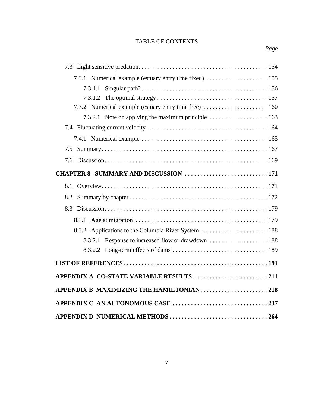| 7.3.1 Numerical example (estuary entry time fixed)  155 |  |
|---------------------------------------------------------|--|
| 7.3.1.1                                                 |  |
|                                                         |  |
| 7.3.2 Numerical example (estuary entry time free)  160  |  |
|                                                         |  |
|                                                         |  |
|                                                         |  |
| 7.5                                                     |  |
| 7.6                                                     |  |
| CHAPTER 8 SUMMARY AND DISCUSSION  171                   |  |
| 8.1                                                     |  |
|                                                         |  |
| 8.3                                                     |  |
| 8.3.1                                                   |  |
|                                                         |  |
|                                                         |  |
|                                                         |  |
|                                                         |  |
| APPENDIX A CO-STATE VARIABLE RESULTS 211                |  |
| APPENDIX B MAXIMIZING THE HAMILTONIAN218                |  |
| APPENDIX C AN AUTONOMOUS CASE 237                       |  |
| APPENDIX D NUMERICAL METHODS 264                        |  |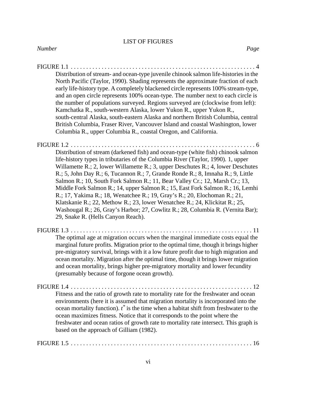| Distribution of stream- and ocean-type juvenile chinook salmon life-histories in the<br>North Pacific (Taylor, 1990). Shading represents the approximate fraction of each<br>early life-history type. A completely blackened circle represents 100% stream-type,<br>and an open circle represents 100% ocean-type. The number next to each circle is<br>the number of populations surveyed. Regions surveyed are (clockwise from left):<br>Kamchatka R., south-western Alaska, lower Yukon R., upper Yukon R.,<br>south-central Alaska, south-eastern Alaska and northern British Columbia, central<br>British Columbia, Fraser River, Vancouver Island and coastal Washington, lower<br>Columbia R., upper Columbia R., coastal Oregon, and California.                                            |
|-----------------------------------------------------------------------------------------------------------------------------------------------------------------------------------------------------------------------------------------------------------------------------------------------------------------------------------------------------------------------------------------------------------------------------------------------------------------------------------------------------------------------------------------------------------------------------------------------------------------------------------------------------------------------------------------------------------------------------------------------------------------------------------------------------|
| $FIGURE 1.2 \ldots$<br>.6                                                                                                                                                                                                                                                                                                                                                                                                                                                                                                                                                                                                                                                                                                                                                                           |
| Distribution of stream (darkened fish) and ocean-type (white fish) chinook salmon<br>life-history types in tributaries of the Columbia River (Taylor, 1990). 1, upper<br>Willamette R.; 2, lower Willamette R.; 3, upper Deschutes R.; 4, lower Deschutes<br>R.; 5, John Day R.; 6, Tucannon R.; 7, Grande Ronde R.; 8, Imnaha R.; 9, Little<br>Salmon R.; 10, South Fork Salmon R.; 11, Bear Valley Cr.; 12, Marsh Cr.; 13,<br>Middle Fork Salmon R.; 14, upper Salmon R.; 15, East Fork Salmon R.; 16, Lemhi<br>R.; 17, Yakima R.; 18, Wenatchee R.; 19, Gray's R.; 20, Elochoman R.; 21,<br>Klatskanie R.; 22, Methow R.; 23, lower Wenatchee R.; 24, Klickitat R.; 25,<br>Washougal R.; 26, Gray's Harbor; 27, Cowlitz R.; 28, Columbia R. (Vernita Bar);<br>29, Snake R. (Hells Canyon Reach). |
| FIGURE $1.3 \ldots \ldots$<br>The optimal age at migration occurs when the marginal immediate costs equal the<br>marginal future profits. Migration prior to the optimal time, though it brings higher<br>pre-migratory survival, brings with it a low future profit due to high migration and<br>ocean mortality. Migration after the optimal time, though it brings lower migration<br>and ocean mortality, brings higher pre-migratory mortality and lower fecundity<br>(presumably because of forgone ocean growth).                                                                                                                                                                                                                                                                            |
| $\ldots$ 12<br>Fitness and the ratio of growth rate to mortality rate for the freshwater and ocean<br>environments (here it is assumed that migration mortality is incorporated into the<br>ocean mortality function). $t^*$ is the time when a habitat shift from freshwater to the                                                                                                                                                                                                                                                                                                                                                                                                                                                                                                                |

ocean maximizes fitness. Notice that it corresponds to the point where the freshwater and ocean ratios of growth rate to mortality rate intersect. This graph is based on the approach of Gilliam (1982).

FIGURE 1.5 . . . . . . . . . . . . . . . . . . . . . . . . . . . . . . . . . . . . . . . . . . . . . . . . . . . . . . . . . . . 16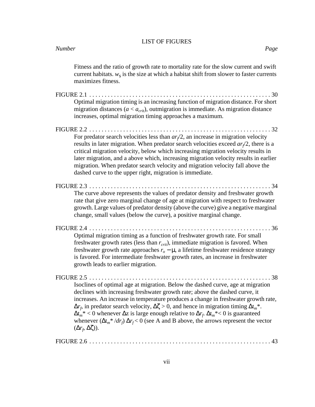|            | Fitness and the ratio of growth rate to mortality rate for the slow current and swift<br>current habitats. $w_s$ is the size at which a habitat shift from slower to faster currents<br>maximizes fitness.                                                                                                                                                                                                                                                                                                                                                                                                                             |
|------------|----------------------------------------------------------------------------------------------------------------------------------------------------------------------------------------------------------------------------------------------------------------------------------------------------------------------------------------------------------------------------------------------------------------------------------------------------------------------------------------------------------------------------------------------------------------------------------------------------------------------------------------|
| FIGURE 2.1 | . .30<br>Optimal migration timing is an increasing function of migration distance. For short<br>migration distances ( $a < a_{\text{crit}}$ ), outmigration is immediate. As migration distance<br>increases, optimal migration timing approaches a maximum.                                                                                                                                                                                                                                                                                                                                                                           |
|            | For predator search velocities less than $ar/2$ , an increase in migration velocity<br>results in later migration. When predator search velocities exceed $ar/2$ , there is a<br>critical migration velocity, below which increasing migration velocity results in<br>later migration, and a above which, increasing migration velocity results in earlier<br>migration. When predator search velocity and migration velocity fall above the<br>dashed curve to the upper right, migration is immediate.                                                                                                                               |
|            | The curve above represents the values of predator density and freshwater growth<br>rate that give zero marginal change of age at migration with respect to freshwater<br>growth. Large values of predator density (above the curve) give a negative marginal<br>change, small values (below the curve), a positive marginal change.                                                                                                                                                                                                                                                                                                    |
|            | Optimal migration timing as a function of freshwater growth rate. For small<br>freshwater growth rates (less than $r_{crit}$ ), immediate migration is favored. When<br>freshwater growth rate approaches $r_o - \mu$ , a lifetime freshwater residence strategy<br>is favored. For intermediate freshwater growth rates, an increase in freshwater<br>growth leads to earlier migration.                                                                                                                                                                                                                                              |
|            | Isoclines of optimal age at migration. Below the dashed curve, age at migration<br>declines with increasing freshwater growth rate; above the dashed curve, it<br>increases. An increase in temperature produces a change in freshwater growth rate,<br>$\Delta r_f$ , in predator search velocity, $\Delta \zeta > 0$ , and hence in migration timing $\Delta t_m^*$ .<br>$\Delta t_m^*$ < 0 whenever $\Delta z$ is large enough relative to $\Delta r_f$ . $\Delta t_m^*$ < 0 is guaranteed<br>whenever $(\Delta t_m^* / dr_f) \Delta r_f < 0$ (see A and B above, the arrows represent the vector<br>$(\Delta r_f, \Delta \zeta)$ . |
|            |                                                                                                                                                                                                                                                                                                                                                                                                                                                                                                                                                                                                                                        |

FIGURE 2.6 . . . . . . . . . . . . . . . . . . . . . . . . . . . . . . . . . . . . . . . . . . . . . . . . . . . . . . . . . . . 43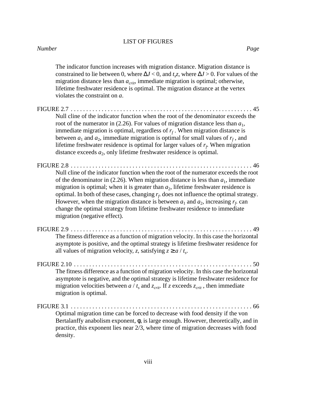#### *Number Page*

| The indicator function increases with migration distance. Migration distance is<br>constrained to lie between 0, where $\Delta J < 0$ , and $t_s z$ , where $\Delta J > 0$ . For values of the<br>migration distance less than $a_{\text{crit}}$ , immediate migration is optimal; otherwise,<br>lifetime freshwater residence is optimal. The migration distance at the vertex<br>violates the constraint on a.                                                                                                                                                                                  |
|---------------------------------------------------------------------------------------------------------------------------------------------------------------------------------------------------------------------------------------------------------------------------------------------------------------------------------------------------------------------------------------------------------------------------------------------------------------------------------------------------------------------------------------------------------------------------------------------------|
| $FIGURE 2.7 \ldots$<br>45<br>Null cline of the indicator function when the root of the denominator exceeds the<br>root of the numerator in (2.26). For values of migration distance less than $a_1$ ,<br>immediate migration is optimal, regardless of $r_f$ . When migration distance is<br>between $a_1$ and $a_2$ , immediate migration is optimal for small values of $r_f$ , and<br>lifetime freshwater residence is optimal for larger values of $r_f$ . When migration<br>distance exceeds $a_2$ , only lifetime freshwater residence is optimal.                                          |
| FIGURE 2.8<br>46<br>Null cline of the indicator function when the root of the numerator exceeds the root<br>of the denominator in (2.26). When migration distance is less than $a_1$ , immediate<br>migration is optimal; when it is greater than $a_2$ , lifetime freshwater residence is<br>optimal. In both of these cases, changing $r_f$ , does not influence the optimal strategy.<br>However, when the migration distance is between $a_1$ and $a_2$ , increasing $r_f$ can<br>change the optimal strategy from lifetime freshwater residence to immediate<br>migration (negative effect). |
| 49<br>The fitness difference as a function of migration velocity. In this case the horizontal<br>asymptote is positive, and the optimal strategy is lifetime freshwater residence for<br>all values of migration velocity, z, satisfying $z \ge a / t_s$ .                                                                                                                                                                                                                                                                                                                                        |
| The fitness difference as a function of migration velocity. In this case the horizontal<br>asymptote is negative, and the optimal strategy is lifetime freshwater residence for<br>migration velocities between $a / t_s$ and $z_{crit}$ . If z exceeds $z_{crit}$ , then immediate<br>migration is optimal.                                                                                                                                                                                                                                                                                      |
| Optimal migration time can be forced to decrease with food density if the von<br>Bertalanffy anabolism exponent, $\phi$ , is large enough. However, theoretically, and in<br>practice, this exponent lies near 2/3, where time of migration decreases with food<br>density.                                                                                                                                                                                                                                                                                                                       |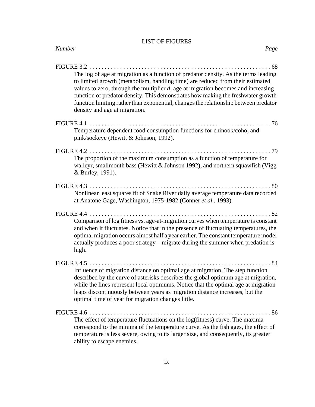| Number<br>Page                                                                                                                                                                                                                                                                                                                                                                                                                                                                                            |  |
|-----------------------------------------------------------------------------------------------------------------------------------------------------------------------------------------------------------------------------------------------------------------------------------------------------------------------------------------------------------------------------------------------------------------------------------------------------------------------------------------------------------|--|
| FIGURE $3.2 \ldots$<br>. 68<br>The log of age at migration as a function of predator density. As the terms leading<br>to limited growth (metabolism, handling time) are reduced from their estimated<br>values to zero, through the multiplier $d$ , age at migration becomes and increasing<br>function of predator density. This demonstrates how making the freshwater growth<br>function limiting rather than exponential, changes the relationship between predator<br>density and age at migration. |  |
| Temperature dependent food consumption functions for chinook/coho, and<br>pink/sockeye (Hewitt & Johnson, 1992).                                                                                                                                                                                                                                                                                                                                                                                          |  |
| The proportion of the maximum consumption as a function of temperature for<br>walleyr, smallmouth bass (Hewitt & Johnson 1992), and northern squawfish (Vigg<br>& Burley, 1991).                                                                                                                                                                                                                                                                                                                          |  |
| Nonlinear least squares fit of Snake River daily average temperature data recorded<br>at Anatone Gage, Washington, 1975-1982 (Conner et al., 1993).                                                                                                                                                                                                                                                                                                                                                       |  |
| Comparison of log fitness vs. age-at-migration curves when temperature is constant<br>and when it fluctuates. Notice that in the presence of fluctuating temperatures, the<br>optimal migration occurs almost half a year earlier. The constant temperature model<br>actually produces a poor strategy—migrate during the summer when predation is<br>high.                                                                                                                                               |  |
| Influence of migration distance on optimal age at migration. The step function<br>described by the curve of asterisks describes the global optimum age at migration,<br>while the lines represent local optimums. Notice that the optimal age at migration<br>leaps discontinuously between years as migration distance increases, but the<br>optimal time of year for migration changes little.                                                                                                          |  |
| The effect of temperature fluctuations on the log(fitness) curve. The maxima<br>correspond to the minima of the temperature curve. As the fish ages, the effect of<br>temperature is less severe, owing to its larger size, and consequently, its greater<br>ability to escape enemies.                                                                                                                                                                                                                   |  |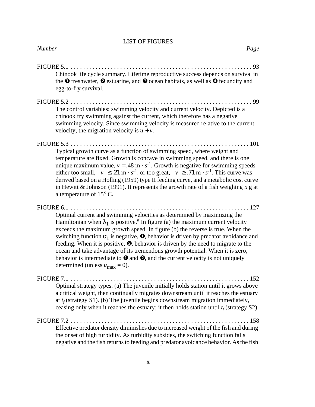| FIGURE 5.1<br>93<br>.<br>Chinook life cycle summary. Lifetime reproductive success depends on survival in<br>the $\bullet$ freshwater, $\bullet$ estuarine, and $\bullet$ ocean habitats, as well as $\bullet$ fecundity and<br>egg-to-fry survival.                                                                                                                                                                                                                                                                                                                                                                                                                                                                     |
|--------------------------------------------------------------------------------------------------------------------------------------------------------------------------------------------------------------------------------------------------------------------------------------------------------------------------------------------------------------------------------------------------------------------------------------------------------------------------------------------------------------------------------------------------------------------------------------------------------------------------------------------------------------------------------------------------------------------------|
| $\ldots$ 99<br>The control variables: swimming velocity and current velocity. Depicted is a<br>chinook fry swimming against the current, which therefore has a negative<br>swimming velocity. Since swimming velocity is measured relative to the current<br>velocity, the migration velocity is $u + v$ .                                                                                                                                                                                                                                                                                                                                                                                                               |
| Typical growth curve as a function of swimming speed, where weight and<br>temperature are fixed. Growth is concave in swimming speed, and there is one<br>unique maximum value, $v = .48 \text{ m} \cdot s^{-1}$ . Growth is negative for swimming speeds<br>either too small, $ v  \le 0.21 \text{ m} \cdot s^{-1}$ , or too great, $ v  \ge 0.71 \text{ m} \cdot s^{-1}$ . This curve was<br>derived based on a Holling (1959) type II feeding curve, and a metabolic cost curve<br>in Hewitt & Johnson (1991). It represents the growth rate of a fish weighing $5 g$ at<br>a temperature of $15^{\circ}$ C.                                                                                                          |
| .127<br>FIGURE 6.1<br>Optimal current and swimming velocities as determined by maximizing the<br>Hamiltonian when $\lambda_1$ is positive. <sup>a</sup> In figure (a) the maximum current velocity<br>exceeds the maximum growth speed. In figure (b) the reverse is true. When the<br>switching function $\sigma_1$ is negative, $\bullet$ , behavior is driven by predator avoidance and<br>feeding. When it is positive, $\Theta$ , behavior is driven by the need to migrate to the<br>ocean and take advantage of its tremendous growth potential. When it is zero,<br>behavior is intermediate to $\bullet$ and $\bullet$ , and the current velocity is not uniquely<br>determined (unless $u_{\text{max}} = 0$ ). |
| FIGURE 7.1<br>152<br>.<br>Optimal strategy types. (a) The juvenile initially holds station until it grows above<br>a critical weight, then continually migrates downstream until it reaches the estuary<br>at $t_f$ (strategy S1). (b) The juvenile begins downstream migration immediately,<br>ceasing only when it reaches the estuary; it then holds station until $t_f$ (strategy S2).                                                                                                                                                                                                                                                                                                                               |
| Effective predator density diminishes due to increased weight of the fish and during<br>the onset of high turbidity. As turbidity subsides, the switching function falls<br>negative and the fish returns to feeding and predator avoidance behavior. As the fish                                                                                                                                                                                                                                                                                                                                                                                                                                                        |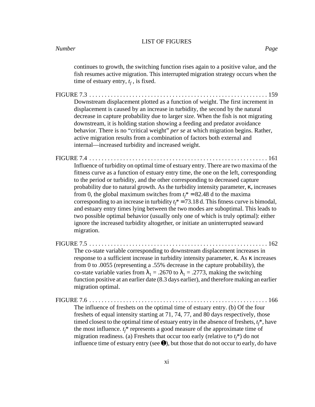continues to growth, the switching function rises again to a positive value, and the fish resumes active migration. This interrupted migration strategy occurs when the time of estuary entry,  $t_f$ , is fixed.

FIGURE 7.3 . . . . . . . . . . . . . . . . . . . . . . . . . . . . . . . . . . . . . . . . . . . . . . . . . . . . . . . . . . 159 Downstream displacement plotted as a function of weight. The first increment in displacement is caused by an increase in turbidity, the second by the natural decrease in capture probability due to larger size. When the fish is not migrating downstream, it is holding station showing a feeding and predator avoidance behavior. There is no "critical weight" *per se* at which migration begins. Rather, active migration results from a combination of factors both external and internal—increased turbidity and increased weight.

FIGURE 7.4 . . . . . . . . . . . . . . . . . . . . . . . . . . . . . . . . . . . . . . . . . . . . . . . . . . . . . . . . . . 161 Influence of turbidity on optimal time of estuary entry. There are two maxima of the fitness curve as a function of estuary entry time, the one on the left, corresponding to the period or turbidity, and the other corresponding to decreased capture probability due to natural growth. As the turbidity intensity parameter, κ, increases from 0, the global maximum switches from  $t_f^* = 82.48$  d to the maxima corresponding to an increase in turbidity  $t_f^* = 73.18$  d. This fitness curve is bimodal, and estuary entry times lying between the two modes are suboptimal. This leads to two possible optimal behavior (usually only one of which is truly optimal): either ignore the increased turbidity altogether, or initiate an uninterrupted seaward migration.

| The co-state variable corresponding to downstream displacement increases in                          |
|------------------------------------------------------------------------------------------------------|
| response to a sufficient increase in turbidity intensity parameter, $\kappa$ . As $\kappa$ increases |
| from 0 to $.0055$ (representing a $.55\%$ decrease in the capture probability), the                  |
| co-state variable varies from $\lambda_1 = .2670$ to $\lambda_1 = .2773$ , making the switching      |
| function positive at an earlier date (8.3 days earlier), and therefore making an earlier             |
| migration optimal.                                                                                   |
|                                                                                                      |

FIGURE 7.6 . . . . . . . . . . . . . . . . . . . . . . . . . . . . . . . . . . . . . . . . . . . . . . . . . . . . . . . . . . 166

The influence of freshets on the optimal time of estuary entry. (b) Of the four freshets of equal intensity starting at 71, 74, 77, and 80 days respectively, those timed closest to the optimal time of estuary entry in the absence of freshets,  $t_f^*$ , have the most influence.  $t_f^*$  represents a good measure of the approximate time of migration readiness. (a) Freshets that occur too early (relative to  $t_f^*$ ) do not influence time of estuary entry (see  $\bullet$ ), but those that do not occur to early, do have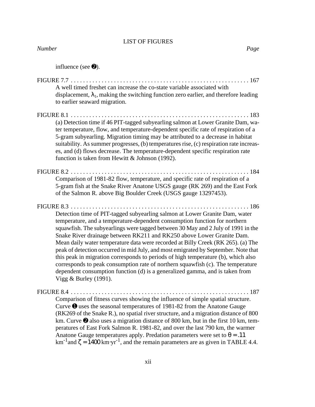| <b>Number</b> | Page |
|---------------|------|
|               |      |

influence (see ➋).

| A well timed freshet can increase the co-state variable associated with<br>displacement, $\lambda_1$ , making the switching function zero earlier, and therefore leading<br>to earlier seaward migration.                                                                                                                                                                                                                                                                                                                                                                                                                                                                                                                                                                           |
|-------------------------------------------------------------------------------------------------------------------------------------------------------------------------------------------------------------------------------------------------------------------------------------------------------------------------------------------------------------------------------------------------------------------------------------------------------------------------------------------------------------------------------------------------------------------------------------------------------------------------------------------------------------------------------------------------------------------------------------------------------------------------------------|
| <b>FIGURE 8.1 </b>                                                                                                                                                                                                                                                                                                                                                                                                                                                                                                                                                                                                                                                                                                                                                                  |
| (a) Detection time if 46 PIT-tagged subyearling salmon at Lower Granite Dam, wa-<br>ter temperature, flow, and temperature-dependent specific rate of respiration of a<br>5-gram subyearling. Migration timing may be attributed to a decrease in habitat<br>suitability. As summer progresses, (b) temperatures rise, (c) respiration rate increas-<br>es, and (d) flows decrease. The temperature-dependent specific respiration rate<br>function is taken from Hewitt & Johnson (1992).                                                                                                                                                                                                                                                                                          |
|                                                                                                                                                                                                                                                                                                                                                                                                                                                                                                                                                                                                                                                                                                                                                                                     |
| Comparison of 1981-82 flow, temperature, and specific rate of respiration of a<br>5-gram fish at the Snake River Anatone USGS gauge (RK 269) and the East Fork<br>of the Salmon R. above Big Boulder Creek (USGS gauge 13297453).                                                                                                                                                                                                                                                                                                                                                                                                                                                                                                                                                   |
|                                                                                                                                                                                                                                                                                                                                                                                                                                                                                                                                                                                                                                                                                                                                                                                     |
| Detection time of PIT-tagged subyearling salmon at Lower Granite Dam, water<br>temperature, and a temperature-dependent consumption function for northern<br>squawfish. The subyearlings were tagged between 30 May and 2 July of 1991 in the<br>Snake River drainage between RK211 and RK250 above Lower Granite Dam.<br>Mean daily water temperature data were recorded at Billy Creek (RK 265). (a) The<br>peak of detection occurred in mid July, and most emigrated by September. Note that<br>this peak in migration corresponds to periods of high temperature (b), which also<br>corresponds to peak consumption rate of northern squawfish (c). The temperature<br>dependent consumption function (d) is a generalized gamma, and is taken from<br>Vigg $&$ Burley (1991). |
|                                                                                                                                                                                                                                                                                                                                                                                                                                                                                                                                                                                                                                                                                                                                                                                     |
| Comparison of fitness curves showing the influence of simple spatial structure.<br>Curve $\bullet$ uses the seasonal temperatures of 1981-82 from the Anatone Gauge<br>(RK269 of the Snake R.), no spatial river structure, and a migration distance of 800<br>km. Curve $\Theta$ also uses a migration distance of 800 km, but in the first 10 km, tem-<br>peratures of East Fork Salmon R. 1981-82, and over the last 790 km, the warmer<br>Anatone Gauge temperatures apply. Predation parameters were set to $\theta = .11$<br>km <sup>-1</sup> and $\zeta$ = 1400 km·yr <sup>-1</sup> , and the remain parameters are as given in TABLE 4.4.                                                                                                                                   |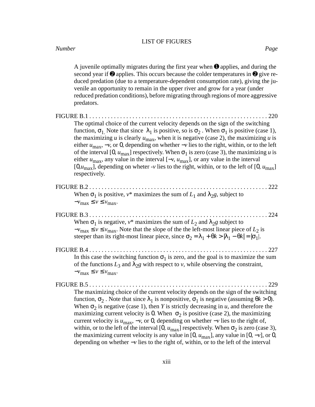A juvenile optimally migrates during the first year when  $\bullet$  applies, and during the second year if  $\Theta$  applies. This occurs because the colder temperatures in  $\Theta$  give reduced predation (due to a temperature-dependent consumption rate), giving the juvenile an opportunity to remain in the upper river and grow for a year (under reduced predation conditions), before migrating through regions of more aggressive predators. FIGURE B.1 . . . . . . . . . . . . . . . . . . . . . . . . . . . . . . . . . . . . . . . . . . . . . . . . . . . . . . . . . . 220 The optimal choice of the current velocity depends on the sign of the switching function,  $\sigma_1$ . Note that since  $\lambda_1$  is positive, so is  $\sigma_2$ . When  $\sigma_1$  is positive (case 1), the maximizing *u* is clearly  $u_{\text{max}}$ , when it is negative (case 2), the maximizing *u* is either  $u_{\text{max}}$ ,  $-v$ , or 0, depending on whether  $-v$  lies to the right, within, or to the left of the interval [0,  $u_{\text{max}}$ ] respectively. When  $\sigma_1$  is zero (case 3), the maximizing *u* is either  $u_{\text{max}}$ , any value in the interval  $[-v, u_{\text{max}}]$ , or any value in the interval  $[0, u_{\text{max}}]$ , depending on wheter -*v* lies to the right, within, or to the left of  $[0, u_{\text{max}}]$ respectively. FIGURE B.2 . . . . . . . . . . . . . . . . . . . . . . . . . . . . . . . . . . . . . . . . . . . . . . . . . . . . . . . . . . 222 When  $\sigma_1$  is positive,  $v^*$  maximizes the sum of  $L_1$  and  $\lambda_2 g$ , subject to  $-v_{\text{max}} \le v \le v_{\text{max}}$ . FIGURE B.3 . . . . . . . . . . . . . . . . . . . . . . . . . . . . . . . . . . . . . . . . . . . . . . . . . . . . . . . . . . 224 When  $\sigma_1$  is negative,  $v^*$  maximizes the sum of  $L_2$  and  $\lambda_2 g$  subject to  $-v_{\text{max}} \le v \le v_{\text{max}}$ . Note that the slope of the the left-most linear piece of  $L_2$  is steeper than its right-most linear piece, since  $\sigma_2 = \lambda_1 + \theta k > |\lambda_1 - \theta k| = |\sigma_1|$ . FIGURE B.4 . . . . . . . . . . . . . . . . . . . . . . . . . . . . . . . . . . . . . . . . . . . . . . . . . . . . . . . . . . 227 In this case the switching function  $\sigma_1$  is zero, and the goal is to maximize the sum of the functions  $L_3$  and  $\lambda_2 g$  with respect to *v*, while observing the constraint,  $-v_{\text{max}} \le v \le v_{\text{max}}$ . FIGURE B.5 . . . . . . . . . . . . . . . . . . . . . . . . . . . . . . . . . . . . . . . . . . . . . . . . . . . . . . . . . . 229 The maximizing choice of the current velocity depends on the sign of the switching function,  $\sigma_2$ . Note that since  $\lambda_1$  is nonpositive,  $\sigma_1$  is negative (assuming  $\theta k > 0$ ). When  $\sigma_2$  is negative (case 1), then *Y* is strictly decreasing in *u*, and therefore the maximizing current velocity is 0. When  $\sigma_2$  is positive (case 2), the maximizing current velocity is  $u_{\text{max}}$ ,  $-v$ , or 0, depending on whether  $-v$  lies to the right of, within, or to the left of the interval [0,  $u_{\text{max}}$ ] respectively. When  $\sigma_2$  is zero (case 3), the maximizing current velocity is any value in [0,  $u_{\text{max}}$ ], any value in [0, -*v*], or 0, depending on whether −*v* lies to the right of, within, or to the left of the interval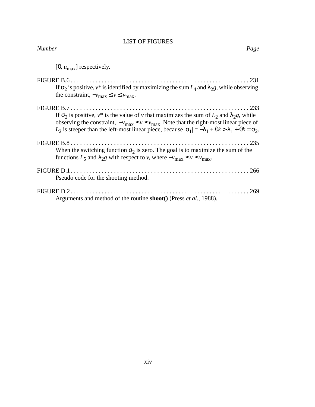[0, *u*max] respectively.

| If $\sigma_2$ is positive, $v^*$ is identified by maximizing the sum $L_4$ and $\lambda_2$ , while observing<br>the constraint, $-v_{\text{max}} \le v \le v_{\text{max}}$ .                                                                                                                                                                                          |
|-----------------------------------------------------------------------------------------------------------------------------------------------------------------------------------------------------------------------------------------------------------------------------------------------------------------------------------------------------------------------|
| If $\sigma_2$ is positive, $v^*$ is the value of v that maximizes the sum of $L_2$ and $\lambda_2 g$ , while<br>observing the constraint, $-v_{\text{max}} \le v \le v_{\text{max}}$ . Note that the right-most linear piece of<br>$L_2$ is steeper than the left-most linear piece, because $ \sigma_1  = -\lambda_1 + \theta k > \lambda_1 + \theta k = \sigma_2$ . |
| When the switching function $\sigma_2$ is zero. The goal is to maximize the sum of the<br>functions $L_5$ and $\lambda_2 g$ with respect to v, where $-v_{\text{max}} \le v \le v_{\text{max}}$ .                                                                                                                                                                     |
| Pseudo code for the shooting method.                                                                                                                                                                                                                                                                                                                                  |
| Arguments and method of the routine <b>shoot</b> () (Press <i>et al.</i> , 1988).                                                                                                                                                                                                                                                                                     |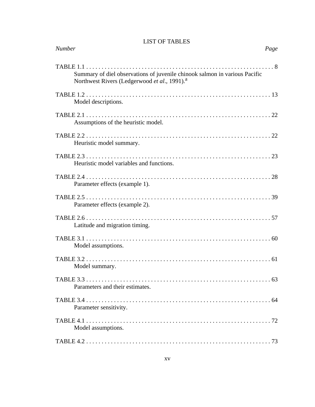| <b>Number</b>                                                                                                                          | Page |
|----------------------------------------------------------------------------------------------------------------------------------------|------|
| Summary of diel observations of juvenile chinook salmon in various Pacific<br>Northwest Rivers (Ledgerwood et al., 1991). <sup>a</sup> |      |
| Model descriptions.                                                                                                                    |      |
| Assumptions of the heuristic model.                                                                                                    |      |
| Heuristic model summary.                                                                                                               |      |
| Heuristic model variables and functions.                                                                                               |      |
| Parameter effects (example 1).                                                                                                         |      |
| Parameter effects (example 2).                                                                                                         |      |
| Latitude and migration timing.                                                                                                         |      |
| Model assumptions.                                                                                                                     |      |
| Model summary.                                                                                                                         |      |
| Parameters and their estimates.                                                                                                        |      |
| Parameter sensitivity.                                                                                                                 |      |
| Model assumptions.                                                                                                                     |      |
|                                                                                                                                        |      |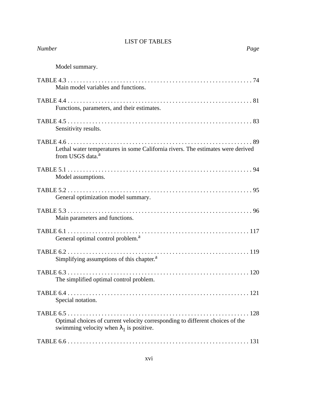| <b>Number</b>                                                                                                                    | Page |
|----------------------------------------------------------------------------------------------------------------------------------|------|
| Model summary.                                                                                                                   |      |
| Main model variables and functions.                                                                                              |      |
| Functions, parameters, and their estimates.                                                                                      |      |
| Sensitivity results.                                                                                                             |      |
| Lethal water temperatures in some California rivers. The estimates were derived<br>from USGS data. <sup>a</sup>                  |      |
| Model assumptions.                                                                                                               |      |
| General optimization model summary.                                                                                              |      |
| Main parameters and functions.                                                                                                   |      |
| General optimal control problem. <sup>a</sup>                                                                                    |      |
| Simplifying assumptions of this chapter. <sup>a</sup>                                                                            |      |
| The simplified optimal control problem.                                                                                          |      |
| Special notation.                                                                                                                |      |
| Optimal choices of current velocity corresponding to different choices of the<br>swimming velocity when $\lambda_1$ is positive. |      |
|                                                                                                                                  |      |
|                                                                                                                                  |      |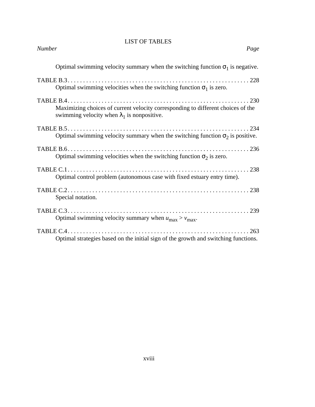| <b>Number</b><br>Page                                                                                                                  |
|----------------------------------------------------------------------------------------------------------------------------------------|
| Optimal swimming velocity summary when the switching function $\sigma_1$ is negative.                                                  |
| Optimal swimming velocities when the switching function $\sigma_1$ is zero.                                                            |
| Maximizing choices of current velocity corresponding to different choices of the<br>swimming velocity when $\lambda_1$ is nonpositive. |
| Optimal swimming velocity summary when the switching function $\sigma_2$ is positive.                                                  |
| Optimal swimming velocities when the switching function $\sigma_2$ is zero.                                                            |
| Optimal control problem (autonomous case with fixed estuary entry time).                                                               |
| Special notation.                                                                                                                      |
| Optimal swimming velocity summary when $u_{\text{max}} > v_{\text{max}}$ .                                                             |
| TABLE $C.4$<br>$\ldots$ 263<br>Optimal strategies based on the initial sign of the growth and switching functions.                     |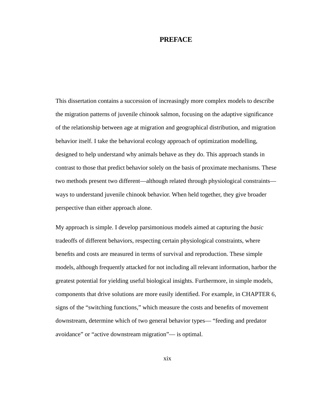### **PREFACE**

This dissertation contains a succession of increasingly more complex models to describe the migration patterns of juvenile chinook salmon, focusing on the adaptive significance of the relationship between age at migration and geographical distribution, and migration behavior itself. I take the behavioral ecology approach of optimization modelling, designed to help understand why animals behave as they do. This approach stands in contrast to those that predict behavior solely on the basis of proximate mechanisms. These two methods present two different—although related through physiological constraints ways to understand juvenile chinook behavior. When held together, they give broader perspective than either approach alone.

My approach is simple. I develop parsimonious models aimed at capturing the *basic* tradeoffs of different behaviors, respecting certain physiological constraints, where benefits and costs are measured in terms of survival and reproduction. These simple models, although frequently attacked for not including all relevant information, harbor the greatest potential for yielding useful biological insights. Furthermore, in simple models, components that drive solutions are more easily identified. For example, in CHAPTER 6, signs of the "switching functions," which measure the costs and benefits of movement downstream, determine which of two general behavior types— "feeding and predator avoidance" or "active downstream migration"— is optimal.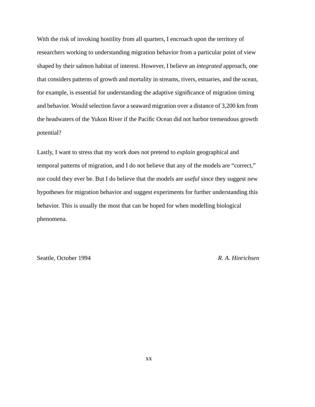With the risk of invoking hostility from all quarters, I encroach upon the territory of researchers working to understanding migration behavior from a particular point of view shaped by their salmon habitat of interest. However, I believe an *integrated* approach, one that considers patterns of growth and mortality in streams, rivers, estuaries, and the ocean, for example, is essential for understanding the adaptive significance of migration timing and behavior. Would selection favor a seaward migration over a distance of 3,200 km from the headwaters of the Yukon River if the Pacific Ocean did not harbor tremendous growth potential?

Lastly, I want to stress that my work does not pretend to *explain* geographical and temporal patterns of migration, and I do not believe that any of the models are "correct," nor could they ever be. But I do believe that the models are *useful* since they suggest new hypotheses for migration behavior and suggest experiments for further understanding this behavior. This is usually the most that can be hoped for when modelling biological phenomena.

Seattle, October 1994 *R. A. Hinrichsen*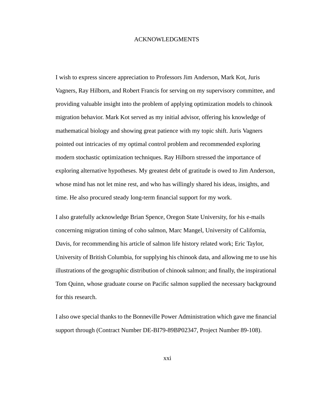#### ACKNOWLEDGMENTS

I wish to express sincere appreciation to Professors Jim Anderson, Mark Kot, Juris Vagners, Ray Hilborn, and Robert Francis for serving on my supervisory committee, and providing valuable insight into the problem of applying optimization models to chinook migration behavior. Mark Kot served as my initial advisor, offering his knowledge of mathematical biology and showing great patience with my topic shift. Juris Vagners pointed out intricacies of my optimal control problem and recommended exploring modern stochastic optimization techniques. Ray Hilborn stressed the importance of exploring alternative hypotheses. My greatest debt of gratitude is owed to Jim Anderson, whose mind has not let mine rest, and who has willingly shared his ideas, insights, and time. He also procured steady long-term financial support for my work.

I also gratefully acknowledge Brian Spence, Oregon State University, for his e-mails concerning migration timing of coho salmon, Marc Mangel, University of California, Davis, for recommending his article of salmon life history related work; Eric Taylor, University of British Columbia, for supplying his chinook data, and allowing me to use his illustrations of the geographic distribution of chinook salmon; and finally, the inspirational Tom Quinn, whose graduate course on Pacific salmon supplied the necessary background for this research.

I also owe special thanks to the Bonneville Power Administration which gave me financial support through (Contract Number DE-BI79-89BP02347, Project Number 89-108).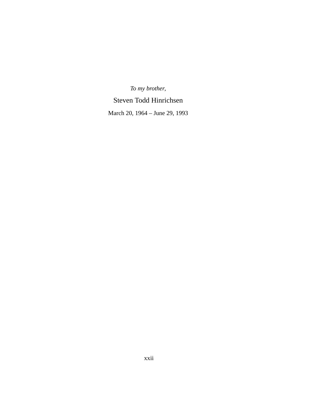# *To my brother*,

# Steven Todd Hinrichsen

March 20, 1964 – June 29, 1993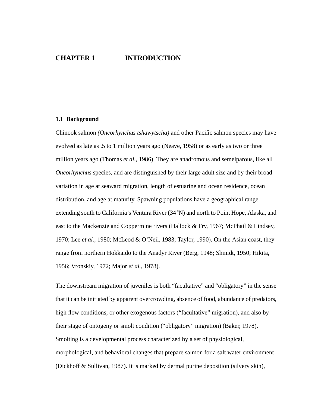# **CHAPTER 1 INTRODUCTION**

#### **1.1 Background**

Chinook salmon *(Oncorhynchus tshawytscha)* and other Pacific salmon species may have evolved as late as .5 to 1 million years ago (Neave, 1958) or as early as two or three million years ago (Thomas *et al.*, 1986). They are anadromous and semelparous, like all *Oncorhynchus* species, and are distinguished by their large adult size and by their broad variation in age at seaward migration, length of estuarine and ocean residence, ocean distribution, and age at maturity. Spawning populations have a geographical range extending south to California's Ventura River (34°N) and north to Point Hope, Alaska, and east to the Mackenzie and Coppermine rivers (Hallock & Fry, 1967; McPhail & Lindsey, 1970; Lee *et al.*, 1980; McLeod & O'Neil, 1983; Taylor, 1990). On the Asian coast, they range from northern Hokkaido to the Anadyr River (Berg, 1948; Shmidt, 1950; Hikita, 1956; Vronskiy, 1972; Major *et al.*, 1978).

The downstream migration of juveniles is both "facultative" and "obligatory" in the sense that it can be initiated by apparent overcrowding, absence of food, abundance of predators, high flow conditions, or other exogenous factors ("facultative" migration), and also by their stage of ontogeny or smolt condition ("obligatory" migration) (Baker, 1978). Smolting is a developmental process characterized by a set of physiological, morphological, and behavioral changes that prepare salmon for a salt water environment (Dickhoff & Sullivan, 1987). It is marked by dermal purine deposition (silvery skin),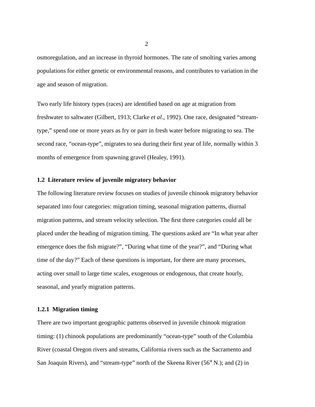osmoregulation, and an increase in thyroid hormones. The rate of smolting varies among populations for either genetic or environmental reasons, and contributes to variation in the age and season of migration.

Two early life history types (races) are identified based on age at migration from freshwater to saltwater (Gilbert, 1913; Clarke *et al*., 1992). One race, designated "streamtype," spend one or more years as fry or parr in fresh water before migrating to sea. The second race, "ocean-type", migrates to sea during their first year of life, normally within 3 months of emergence from spawning gravel (Healey, 1991).

#### **1.2 Literature review of juvenile migratory behavior**

The following literature review focuses on studies of juvenile chinook migratory behavior separated into four categories: migration timing, seasonal migration patterns, diurnal migration patterns, and stream velocity selection. The first three categories could all be placed under the heading of migration timing. The questions asked are "In what year after emergence does the fish migrate?", "During what time of the year?", and "During what time of the day?" Each of these questions is important, for there are many processes, acting over small to large time scales, exogenous or endogenous, that create hourly, seasonal, and yearly migration patterns.

#### **1.2.1 Migration timing**

There are two important geographic patterns observed in juvenile chinook migration timing: (1) chinook populations are predominantly "ocean-type" south of the Columbia River (coastal Oregon rivers and streams, California rivers such as the Sacramento and San Joaquin Rivers), and "stream-type" north of the Skeena River (56° N.); and (2) in

2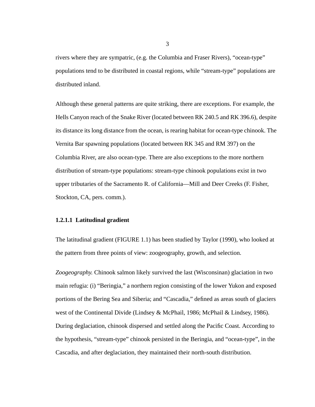rivers where they are sympatric, (e.g. the Columbia and Fraser Rivers), "ocean-type" populations tend to be distributed in coastal regions, while "stream-type" populations are distributed inland.

Although these general patterns are quite striking, there are exceptions. For example, the Hells Canyon reach of the Snake River (located between RK 240.5 and RK 396.6), despite its distance its long distance from the ocean, is rearing habitat for ocean-type chinook. The Vernita Bar spawning populations (located between RK 345 and RM 397) on the Columbia River, are also ocean-type. There are also exceptions to the more northern distribution of stream-type populations: stream-type chinook populations exist in two upper tributaries of the Sacramento R. of California—Mill and Deer Creeks (F. Fisher, Stockton, CA, pers. comm.).

### **1.2.1.1 Latitudinal gradient**

The latitudinal gradient (FIGURE 1.1) has been studied by Taylor (1990), who looked at the pattern from three points of view: zoogeography, growth, and selection.

*Zoogeography.* Chinook salmon likely survived the last (Wisconsinan) glaciation in two main refugia: (i) "Beringia," a northern region consisting of the lower Yukon and exposed portions of the Bering Sea and Siberia; and "Cascadia," defined as areas south of glaciers west of the Continental Divide (Lindsey & McPhail, 1986; McPhail & Lindsey, 1986). During deglaciation, chinook dispersed and settled along the Pacific Coast. According to the hypothesis, "stream-type" chinook persisted in the Beringia, and "ocean-type", in the Cascadia, and after deglaciation, they maintained their north-south distribution.

3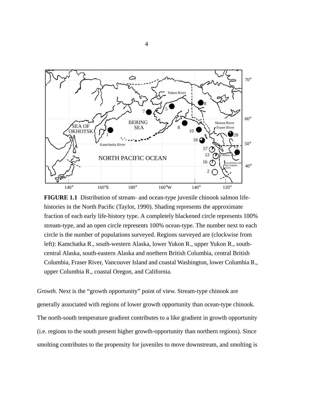

**FIGURE 1.1** Distribution of stream- and ocean-type juvenile chinook salmon lifehistories in the North Pacific (Taylor, 1990). Shading represents the approximate fraction of each early life-history type. A completely blackened circle represents 100% stream-type, and an open circle represents 100% ocean-type. The number next to each circle is the number of populations surveyed. Regions surveyed are (clockwise from left): Kamchatka R., south-western Alaska, lower Yukon R., upper Yukon R., southcentral Alaska, south-eastern Alaska and northern British Columbia, central British Columbia, Fraser River, Vancouver Island and coastal Washington, lower Columbia R., upper Columbia R., coastal Oregon, and California.

*Growth.* Next is the "growth opportunity" point of view. Stream-type chinook are generally associated with regions of lower growth opportunity than ocean-type chinook. The north-south temperature gradient contributes to a like gradient in growth opportunity (i.e. regions to the south present higher growth-opportunity than northern regions). Since smolting contributes to the propensity for juveniles to move downstream, and smolting is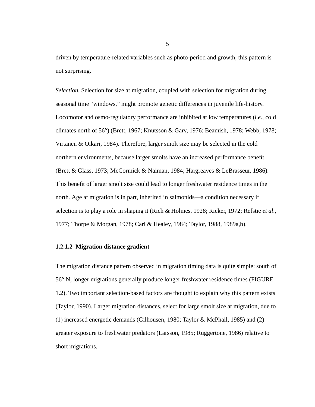driven by temperature-related variables such as photo-period and growth, this pattern is not surprising.

*Selection.* Selection for size at migration, coupled with selection for migration during seasonal time "windows," might promote genetic differences in juvenile life-history. Locomotor and osmo-regulatory performance are inhibited at low temperatures (*i.e*., cold climates north of 56°) (Brett, 1967; Knutsson & Garv, 1976; Beamish, 1978; Webb, 1978; Virtanen & Oikari, 1984). Therefore, larger smolt size may be selected in the cold northern environments, because larger smolts have an increased performance benefit (Brett & Glass, 1973; McCormick & Naiman, 1984; Hargreaves & LeBrasseur, 1986). This benefit of larger smolt size could lead to longer freshwater residence times in the north. Age at migration is in part, inherited in salmonids—a condition necessary if selection is to play a role in shaping it (Rich & Holmes, 1928; Ricker, 1972; Refstie *et al*., 1977; Thorpe & Morgan, 1978; Carl & Healey, 1984; Taylor, 1988, 1989a,b).

#### **1.2.1.2 Migration distance gradient**

The migration distance pattern observed in migration timing data is quite simple: south of 56° N, longer migrations generally produce longer freshwater residence times (FIGURE 1.2). Two important selection-based factors are thought to explain why this pattern exists (Taylor, 1990). Larger migration distances, select for large smolt size at migration, due to (1) increased energetic demands (Gilhousen, 1980; Taylor & McPhail, 1985) and (2) greater exposure to freshwater predators (Larsson, 1985; Ruggertone, 1986) relative to short migrations.

5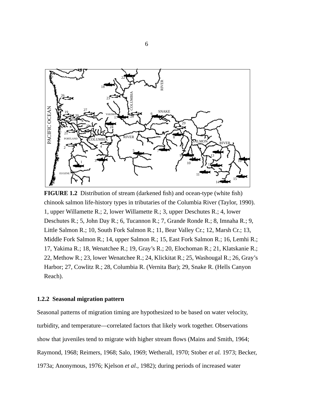

**FIGURE 1.2** Distribution of stream (darkened fish) and ocean-type (white fish) chinook salmon life-history types in tributaries of the Columbia River (Taylor, 1990). 1, upper Willamette R.; 2, lower Willamette R.; 3, upper Deschutes R.; 4, lower Deschutes R.; 5, John Day R.; 6, Tucannon R.; 7, Grande Ronde R.; 8, Imnaha R.; 9, Little Salmon R.; 10, South Fork Salmon R.; 11, Bear Valley Cr.; 12, Marsh Cr.; 13, Middle Fork Salmon R.; 14, upper Salmon R.; 15, East Fork Salmon R.; 16, Lemhi R.; 17, Yakima R.; 18, Wenatchee R.; 19, Gray's R.; 20, Elochoman R.; 21, Klatskanie R.; 22, Methow R.; 23, lower Wenatchee R.; 24, Klickitat R.; 25, Washougal R.; 26, Gray's Harbor; 27, Cowlitz R.; 28, Columbia R. (Vernita Bar); 29, Snake R. (Hells Canyon Reach).

#### **1.2.2 Seasonal migration pattern**

Seasonal patterns of migration timing are hypothesized to be based on water velocity, turbidity, and temperature—correlated factors that likely work together. Observations show that juveniles tend to migrate with higher stream flows (Mains and Smith, 1964; Raymond, 1968; Reimers, 1968; Salo, 1969; Wetherall, 1970; Stober *et al.* 1973; Becker, 1973a; Anonymous, 1976; Kjelson *et al.*, 1982); during periods of increased water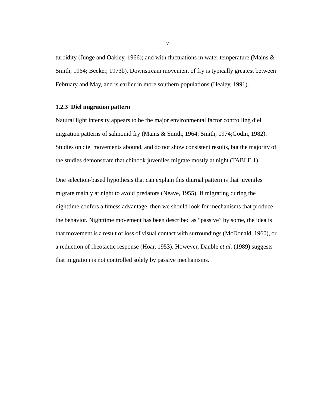turbidity (Junge and Oakley, 1966); and with fluctuations in water temperature (Mains  $\&$ Smith, 1964; Becker, 1973b). Downstream movement of fry is typically greatest between February and May, and is earlier in more southern populations (Healey, 1991).

#### **1.2.3 Diel migration pattern**

Natural light intensity appears to be the major environmental factor controlling diel migration patterns of salmonid fry (Mains & Smith, 1964; Smith, 1974;Godin, 1982). Studies on diel movements abound, and do not show consistent results, but the majority of the studies demonstrate that chinook juveniles migrate mostly at night (TABLE 1).

One selection-based hypothesis that can explain this diurnal pattern is that juveniles migrate mainly at night to avoid predators (Neave, 1955). If migrating during the nighttime confers a fitness advantage, then we should look for mechanisms that produce the behavior. Nighttime movement has been described as "passive" by some, the idea is that movement is a result of loss of visual contact with surroundings (McDonald, 1960), or a reduction of rheotactic response (Hoar, 1953). However, Dauble *et al.* (1989) suggests that migration is not controlled solely by passive mechanisms.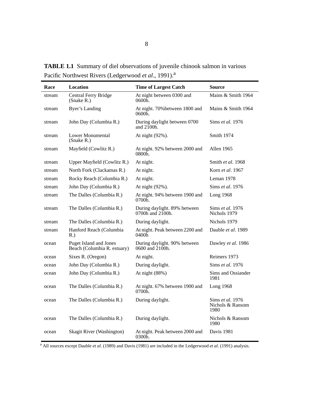| Race   | Location                                                     | <b>Time of Largest Catch</b>                     | <b>Source</b>                                |
|--------|--------------------------------------------------------------|--------------------------------------------------|----------------------------------------------|
| stream | Central Ferry Bridge<br>(Snake R.)                           | At night between 0300 and<br>0600h.              | Mains & Smith 1964                           |
| stream | <b>Byer's Landing</b>                                        | At night. 70% between 1800 and<br>0600h.         | Mains & Smith 1964                           |
| stream | John Day (Columbia R.)                                       | During daylight between 0700<br>and $2100h$ .    | Sims et al. 1976                             |
| stream | Lower Monumental<br>(Snake R.)                               | At night (92%).                                  | Smith 1974                                   |
| stream | Mayfield (Cowlitz R.)                                        | At night. 92% between 2000 and<br>$0800h$ .      | Allen 1965                                   |
| stream | Upper Mayfield (Cowlitz R.)                                  | At night.                                        | Smith et al. 1968                            |
| stream | North Fork (Clackamas R.)                                    | At night.                                        | Korn et al. 1967                             |
| stream | Rocky Reach (Columbia R.)                                    | At night.                                        | Leman 1978                                   |
| stream | John Day (Columbia R.)                                       | At night (92%).                                  | Sims et al. 1976                             |
| stream | The Dalles (Columbia R.)                                     | At night. 94% between 1900 and<br>0700h.         | Long 1968                                    |
| stream | The Dalles (Columbia R.)                                     | During daylight. 89% between<br>0700h and 2100h. | Sims et al. 1976<br>Nichols 1979             |
| stream | The Dalles (Columbia R.)                                     | During daylight.                                 | Nichols 1979                                 |
| stream | Hanford Reach (Columbia<br>R.                                | At night. Peak between 2200 and<br>0400h         | Dauble et al. 1989                           |
| ocean  | <b>Puget Island and Jones</b><br>Beach (Columbia R. estuary) | During daylight. 90% between<br>0600 and 2100h.  | Dawley et al. 1986                           |
| ocean  | Sixes R. (Oregon)                                            | At night.                                        | Reimers 1973                                 |
| ocean  | John Day (Columbia R.)                                       | During daylight.                                 | Sims et al. 1976                             |
| ocean  | John Day (Columbia R.)                                       | At night (88%)                                   | Sims and Ossiander<br>1981                   |
| ocean  | The Dalles (Columbia R.)                                     | At night. 67% between 1900 and<br>0700h.         | Long 1968                                    |
| ocean  | The Dalles (Columbia R.)                                     | During daylight.                                 | Sims et al. 1976<br>Nichols & Ransom<br>1980 |
| ocean  | The Dalles (Columbia R.)                                     | During daylight.                                 | Nichols & Ransom<br>1980                     |
| ocean  | Skagit River (Washington)                                    | At night. Peak between 2000 and<br>0300h.        | Davis 1981                                   |

**TABLE 1.1** Summary of diel observations of juvenile chinook salmon in various Pacific Northwest Rivers (Ledgerwood et al., 1991).<sup>a</sup>

a All sources except Dauble *et al*. (1989) and Davis (1981) are included in the Ledgerwood *et al*. (1991) analysis.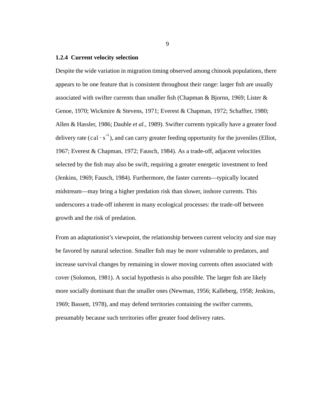#### **1.2.4 Current velocity selection**

Despite the wide variation in migration timing observed among chinook populations, there appears to be one feature that is consistent throughout their range: larger fish are usually associated with swifter currents than smaller fish (Chapman & Bjornn, 1969; Lister & Genoe, 1970; Wickmire & Stevens, 1971; Everest & Chapman, 1972; Schaffter, 1980; Allen & Hassler, 1986; Dauble *et al.*, 1989). Swifter currents typically have a greater food delivery rate (cal  $\cdot$  s<sup>-1</sup>), and can carry greater feeding opportunity for the juveniles (Elliot, 1967; Everest & Chapman, 1972; Fausch, 1984). As a trade-off, adjacent velocities selected by the fish may also be swift, requiring a greater energetic investment to feed (Jenkins, 1969; Fausch, 1984). Furthermore, the faster currents—typically located midstream—may bring a higher predation risk than slower, inshore currents. This underscores a trade-off inherent in many ecological processes: the trade-off between growth and the risk of predation.

From an adaptationist's viewpoint, the relationship between current velocity and size may be favored by natural selection. Smaller fish may be more vulnerable to predators, and increase survival changes by remaining in slower moving currents often associated with cover (Solomon, 1981). A social hypothesis is also possible. The larger fish are likely more socially dominant than the smaller ones (Newman, 1956; Kalleberg, 1958; Jenkins, 1969; Bassett, 1978), and may defend territories containing the swifter currents, presumably because such territories offer greater food delivery rates.

9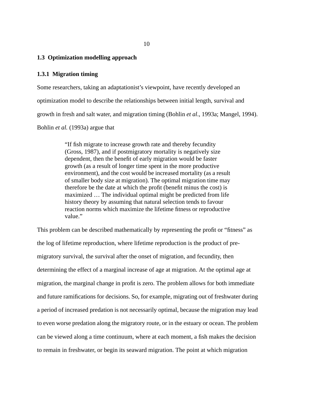#### **1.3 Optimization modelling approach**

#### **1.3.1 Migration timing**

Some researchers, taking an adaptationist's viewpoint, have recently developed an optimization model to describe the relationships between initial length, survival and growth in fresh and salt water, and migration timing (Bohlin *et al*., 1993a; Mangel, 1994). Bohlin *et al.* (1993a) argue that

> "If fish migrate to increase growth rate and thereby fecundity (Gross, 1987), and if postmigratory mortality is negatively size dependent, then the benefit of early migration would be faster growth (as a result of longer time spent in the more productive environment), and the cost would be increased mortality (as a result of smaller body size at migration). The optimal migration time may therefore be the date at which the profit (benefit minus the cost) is maximized … The individual optimal might be predicted from life history theory by assuming that natural selection tends to favour reaction norms which maximize the lifetime fitness or reproductive value."

This problem can be described mathematically by representing the profit or "fitness" as the log of lifetime reproduction, where lifetime reproduction is the product of premigratory survival, the survival after the onset of migration, and fecundity, then determining the effect of a marginal increase of age at migration. At the optimal age at migration, the marginal change in profit is zero. The problem allows for both immediate and future ramifications for decisions. So, for example, migrating out of freshwater during a period of increased predation is not necessarily optimal, because the migration may lead to even worse predation along the migratory route, or in the estuary or ocean. The problem can be viewed along a time continuum, where at each moment, a fish makes the decision to remain in freshwater, or begin its seaward migration. The point at which migration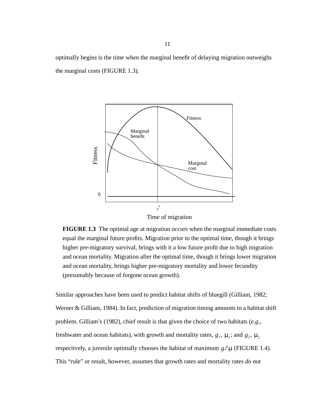optimally begins is the time when the marginal benefit of delaying migration outweighs the marginal costs (FIGURE 1.3).



Time of migration

**FIGURE 1.3** The optimal age at migration occurs when the marginal immediate costs equal the marginal future profits. Migration prior to the optimal time, though it brings higher pre-migratory survival, brings with it a low future profit due to high migration and ocean mortality. Migration after the optimal time, though it brings lower migration and ocean mortality, brings higher pre-migratory mortality and lower fecundity (presumably because of forgone ocean growth).

Similar approaches have been used to predict habitat shifts of bluegill (Gilliam, 1982; Werner & Gilliam, 1984). In fact, prediction of migration timing amounts to a habitat shift problem. Gilliam's (1982), chief result is that given the choice of two habitats (*e.g.*, freshwater and ocean habitats), with growth and mortality rates,  $g_1$ ,  $\mu_1$ ; and  $g_2$ ,  $\mu_2$ respectively, a juvenile optimally chooses the habitat of maximum  $g/\mu$  (FIGURE 1.4). This "rule" or result, however, assumes that growth rates and mortality rates *do not*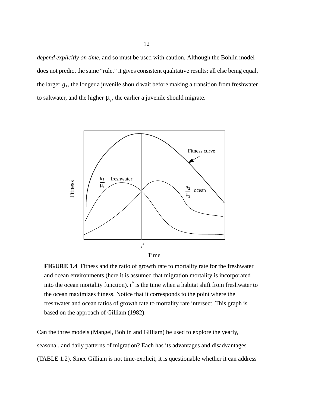*depend explicitly on time*, and so must be used with caution. Although the Bohlin model does not predict the same "rule," it gives consistent qualitative results: all else being equal, the larger  $g_1$ , the longer a juvenile should wait before making a transition from freshwater to saltwater, and the higher  $\mu_2$ , the earlier a juvenile should migrate.



**FIGURE 1.4** Fitness and the ratio of growth rate to mortality rate for the freshwater and ocean environments (here it is assumed that migration mortality is incorporated into the ocean mortality function). *t\** is the time when a habitat shift from freshwater to the ocean maximizes fitness. Notice that it corresponds to the point where the freshwater and ocean ratios of growth rate to mortality rate intersect. This graph is based on the approach of Gilliam (1982).

Can the three models (Mangel, Bohlin and Gilliam) be used to explore the yearly, seasonal, and daily patterns of migration? Each has its advantages and disadvantages (TABLE 1.2). Since Gilliam is not time-explicit, it is questionable whether it can address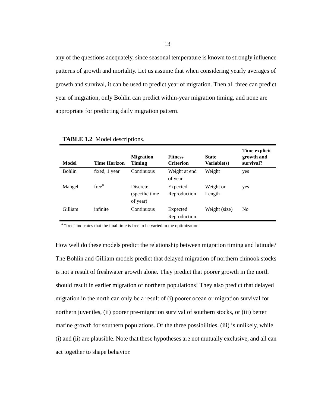any of the questions adequately, since seasonal temperature is known to strongly influence patterns of growth and mortality. Let us assume that when considering yearly averages of growth and survival, it can be used to predict year of migration. Then all three can predict year of migration, only Bohlin can predict within-year migration timing, and none are appropriate for predicting daily migration pattern.

| Model         | <b>Time Horizon</b> | <b>Migration</b><br>Timing                     | <b>Fitness</b><br><b>Criterion</b> | <b>State</b><br>Variable(s) | Time explicit<br>growth and<br>survival? |
|---------------|---------------------|------------------------------------------------|------------------------------------|-----------------------------|------------------------------------------|
| <b>Bohlin</b> | fixed, 1 year       | Continuous                                     | Weight at end<br>of year           | Weight                      | yes                                      |
| Mangel        | free <sup>a</sup>   | <b>Discrete</b><br>(specific time)<br>of year) | Expected<br>Reproduction           | Weight or<br>Length         | yes                                      |
| Gilliam       | infinite            | Continuous                                     | Expected<br>Reproduction           | Weight (size)               | N <sub>0</sub>                           |

**TABLE 1.2** Model descriptions.

<sup>a</sup> "free" indicates that the final time is free to be varied in the optimization.

How well do these models predict the relationship between migration timing and latitude? The Bohlin and Gilliam models predict that delayed migration of northern chinook stocks is not a result of freshwater growth alone. They predict that poorer growth in the north should result in earlier migration of northern populations! They also predict that delayed migration in the north can only be a result of (i) poorer ocean or migration survival for northern juveniles, (ii) poorer pre-migration survival of southern stocks, or (iii) better marine growth for southern populations. Of the three possibilities, (iii) is unlikely, while (i) and (ii) are plausible. Note that these hypotheses are not mutually exclusive, and all can act together to shape behavior.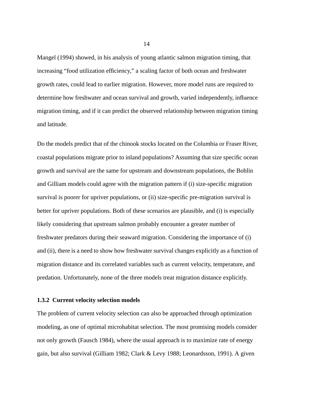Mangel (1994) showed, in his analysis of young atlantic salmon migration timing, that increasing "food utilization efficiency," a scaling factor of both ocean and freshwater growth rates, could lead to earlier migration. However, more model runs are required to determine how freshwater and ocean survival and growth, varied independently, influence migration timing, and if it can predict the observed relationship between migration timing and latitude.

Do the models predict that of the chinook stocks located on the Columbia or Fraser River, coastal populations migrate prior to inland populations? Assuming that size specific ocean growth and survival are the same for upstream and downstream populations, the Bohlin and Gilliam models could agree with the migration pattern if (i) size-specific migration survival is poorer for upriver populations, or (ii) size-specific pre-migration survival is better for upriver populations. Both of these scenarios are plausible, and (i) is especially likely considering that upstream salmon probably encounter a greater number of freshwater predators during their seaward migration. Considering the importance of (i) and (ii), there is a need to show how freshwater survival changes explicitly as a function of migration distance and its correlated variables such as current velocity, temperature, and predation. Unfortunately, none of the three models treat migration distance explicitly.

## **1.3.2 Current velocity selection models**

The problem of current velocity selection can also be approached through optimization modeling, as one of optimal microhabitat selection. The most promising models consider not only growth (Fausch 1984), where the usual approach is to maximize rate of energy gain, but also survival (Gilliam 1982; Clark & Levy 1988; Leonardsson, 1991). A given

14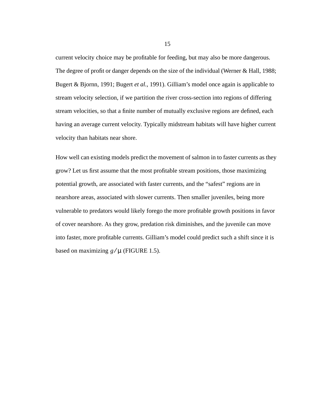current velocity choice may be profitable for feeding, but may also be more dangerous. The degree of profit or danger depends on the size of the individual (Werner & Hall, 1988; Bugert & Bjornn, 1991; Bugert *et al.*, 1991). Gilliam's model once again is applicable to stream velocity selection, if we partition the river cross-section into regions of differing stream velocities, so that a finite number of mutually exclusive regions are defined, each having an average current velocity. Typically midstream habitats will have higher current velocity than habitats near shore.

How well can existing models predict the movement of salmon in to faster currents as they grow? Let us first assume that the most profitable stream positions, those maximizing potential growth, are associated with faster currents, and the "safest" regions are in nearshore areas, associated with slower currents. Then smaller juveniles, being more vulnerable to predators would likely forego the more profitable growth positions in favor of cover nearshore. As they grow, predation risk diminishes, and the juvenile can move into faster, more profitable currents. Gilliam's model could predict such a shift since it is based on maximizing  $g/\mu$  (FIGURE 1.5).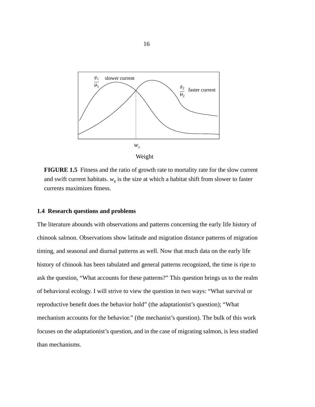

**FIGURE 1.5** Fitness and the ratio of growth rate to mortality rate for the slow current and swift current habitats.  $w_s$  is the size at which a habitat shift from slower to faster currents maximizes fitness.

## **1.4 Research questions and problems**

The literature abounds with observations and patterns concerning the early life history of chinook salmon. Observations show latitude and migration distance patterns of migration timing, and seasonal and diurnal patterns as well. Now that much data on the early life history of chinook has been tabulated and general patterns recognized, the time is ripe to ask the question, "What accounts for these patterns?" This question brings us to the realm of behavioral ecology. I will strive to view the question in two ways: "What survival or reproductive benefit does the behavior hold" (the adaptationist's question); "What mechanism accounts for the behavior." (the mechanist's question). The bulk of this work focuses on the adaptationist's question, and in the case of migrating salmon, is less studied than mechanisms.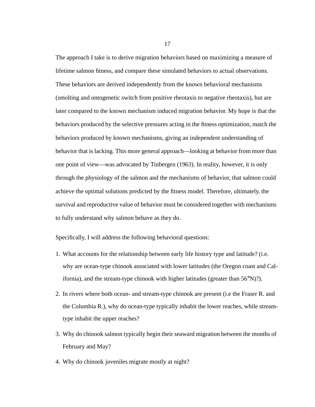The approach I take is to derive migration behaviors based on maximizing a measure of lifetime salmon fitness, and compare these simulated behaviors to actual observations. These behaviors are derived independently from the known behavioral mechanisms (smolting and ontogenetic switch from positive rheotaxis to negative rheotaxis), but are later compared to the known mechanism induced migration behavior. My hope is that the behaviors produced by the selective pressures acting in the fitness optimization, match the behaviors produced by known mechanisms, giving an independent understanding of behavior that is lacking. This more general approach—looking at behavior from more than one point of view—was advocated by Tinbergen (1963). In reality, however, it is only through the physiology of the salmon and the mechanisms of behavior, that salmon could achieve the optimal solutions predicted by the fitness model. Therefore, ultimately, the survival and reproductive value of behavior must be considered together with mechanisms to fully understand why salmon behave as they do.

Specifically, I will address the following behavioral questions:

- 1. What accounts for the relationship between early life history type and latitude? (i.e. why are ocean-type chinook associated with lower latitudes (the Oregon coast and California), and the stream-type chinook with higher latitudes (greater than 56°N)?).
- 2. In rivers where both ocean- and stream-type chinook are present (i.e the Fraser R. and the Columbia R.), why do ocean-type typically inhabit the lower reaches, while streamtype inhabit the upper reaches?
- 3. Why do chinook salmon typically begin their seaward migration between the months of February and May?
- 4. Why do chinook juveniles migrate mostly at night?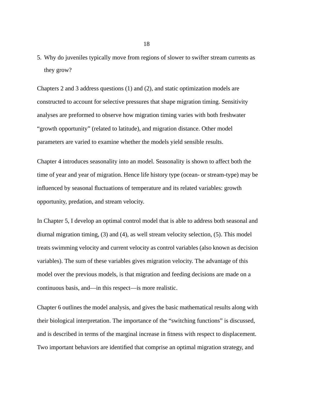5. Why do juveniles typically move from regions of slower to swifter stream currents as they grow?

Chapters 2 and 3 address questions (1) and (2), and static optimization models are constructed to account for selective pressures that shape migration timing. Sensitivity analyses are preformed to observe how migration timing varies with both freshwater "growth opportunity" (related to latitude), and migration distance. Other model parameters are varied to examine whether the models yield sensible results.

Chapter 4 introduces seasonality into an model. Seasonality is shown to affect both the time of year and year of migration. Hence life history type (ocean- or stream-type) may be influenced by seasonal fluctuations of temperature and its related variables: growth opportunity, predation, and stream velocity.

In Chapter 5, I develop an optimal control model that is able to address both seasonal and diurnal migration timing, (3) and (4), as well stream velocity selection, (5). This model treats swimming velocity and current velocity as control variables (also known as decision variables). The sum of these variables gives migration velocity. The advantage of this model over the previous models, is that migration and feeding decisions are made on a continuous basis, and—in this respect—is more realistic.

Chapter 6 outlines the model analysis, and gives the basic mathematical results along with their biological interpretation. The importance of the "switching functions" is discussed, and is described in terms of the marginal increase in fitness with respect to displacement. Two important behaviors are identified that comprise an optimal migration strategy, and

18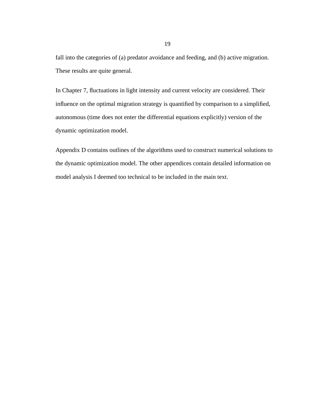fall into the categories of (a) predator avoidance and feeding, and (b) active migration. These results are quite general.

In Chapter 7, fluctuations in light intensity and current velocity are considered. Their influence on the optimal migration strategy is quantified by comparison to a simplified, autonomous (time does not enter the differential equations explicitly) version of the dynamic optimization model.

Appendix D contains outlines of the algorithms used to construct numerical solutions to the dynamic optimization model. The other appendices contain detailed information on model analysis I deemed too technical to be included in the main text.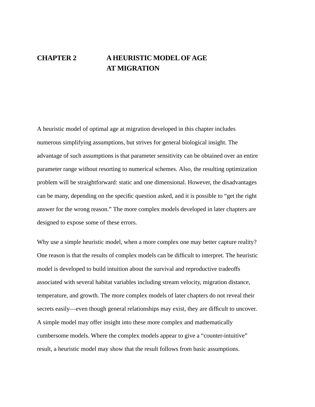# **CHAPTER 2 A HEURISTIC MODEL OF AGE AT MIGRATION**

A heuristic model of optimal age at migration developed in this chapter includes numerous simplifying assumptions, but strives for general biological insight. The advantage of such assumptions is that parameter sensitivity can be obtained over an entire parameter range without resorting to numerical schemes. Also, the resulting optimization problem will be straightforward: static and one dimensional. However, the disadvantages can be many, depending on the specific question asked, and it is possible to "get the right answer for the wrong reason." The more complex models developed in later chapters are designed to expose some of these errors.

Why use a simple heuristic model, when a more complex one may better capture reality? One reason is that the results of complex models can be difficult to interpret. The heuristic model is developed to build intuition about the survival and reproductive tradeoffs associated with several habitat variables including stream velocity, migration distance, temperature, and growth. The more complex models of later chapters do not reveal their secrets easily—even though general relationships may exist, they are difficult to uncover. A simple model may offer insight into these more complex and mathematically cumbersome models. Where the complex models appear to give a "counter-intuitive" result, a heuristic model may show that the result follows from basic assumptions.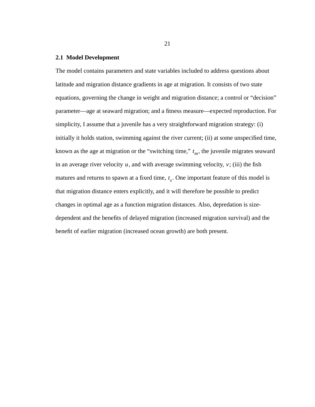# **2.1 Model Development**

The model contains parameters and state variables included to address questions about latitude and migration distance gradients in age at migration. It consists of two state equations, governing the change in weight and migration distance; a control or "decision" parameter—age at seaward migration; and a fitness measure—expected reproduction. For simplicity, I assume that a juvenile has a very straightforward migration strategy: (i) initially it holds station, swimming against the river current; (ii) at some unspecified time, known as the age at migration or the "switching time,"  $t_m$ , the juvenile migrates seaward in an average river velocity  $u$ , and with average swimming velocity,  $v$ ; (iii) the fish matures and returns to spawn at a fixed time,  $t<sub>s</sub>$ . One important feature of this model is that migration distance enters explicitly, and it will therefore be possible to predict changes in optimal age as a function migration distances. Also, depredation is sizedependent and the benefits of delayed migration (increased migration survival) and the benefit of earlier migration (increased ocean growth) are both present.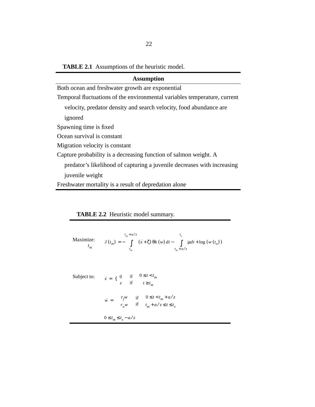**TABLE 2.1** Assumptions of the heuristic model.

| <b>Assumption</b>                                                         |  |  |
|---------------------------------------------------------------------------|--|--|
| Both ocean and freshwater growth are exponential                          |  |  |
| Temporal fluctuations of the environmental variables temperature, current |  |  |
| velocity, predator density and search velocity, food abundance are        |  |  |
| ignored                                                                   |  |  |
| Spawning time is fixed                                                    |  |  |
| Ocean survival is constant                                                |  |  |
| Migration velocity is constant                                            |  |  |
| Capture probability is a decreasing function of salmon weight. A          |  |  |
| predator's likelihood of capturing a juvenile decreases with increasing   |  |  |
| juvenile weight                                                           |  |  |
| Freshwater mortality is a result of depredation alone                     |  |  |

**TABLE 2.2** Heuristic model summary.

$$
\text{Maximize:} \qquad \qquad J(t_m) = -\int\limits_{t_m}^{t_m + a/z} (x + \zeta) \, \theta k(w) \, dt - \int\limits_{t_m + a/z}^{t_s} \mu dt + \log \left( w(t_o) \right)
$$

| Subject to: $\dot{x} = \begin{cases} 0 & \text{if } 0 \le t < t_m \\ z & \text{if } t \ge t_m \end{cases}$                                          |
|-----------------------------------------------------------------------------------------------------------------------------------------------------|
| $\dot{w} = \left\{ \begin{array}{ll} r_f w & \mbox{if} & 0 \leq t < t_m + a/z \\ r_o w & \mbox{if} & t_m + a/z \leq t \leq t_s \end{array} \right.$ |
| $0 \le t_m \le t_s - a/z$                                                                                                                           |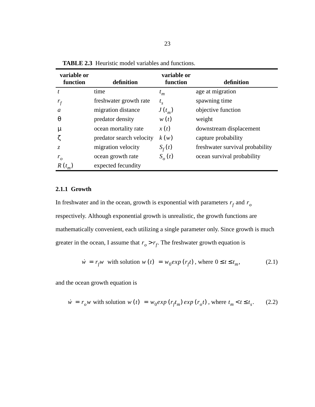| variable or<br>function | definition               | variable or<br>function | definition                      |
|-------------------------|--------------------------|-------------------------|---------------------------------|
| t                       | time                     | $t_m$                   | age at migration                |
| $r_f$                   | freshwater growth rate   | $t_{s}$                 | spawning time                   |
| a                       | migration distance       | $J(t_m)$                | objective function              |
| θ                       | predator density         | w(t)                    | weight                          |
| μ                       | ocean mortality rate     | x(t)                    | downstream displacement         |
|                         | predator search velocity | k(w)                    | capture probability             |
| Z.                      | migration velocity       | $S_f(t)$                | freshwater survival probability |
| $r_{o}$                 | ocean growth rate        | $S_{\alpha}(t)$         | ocean survival probability      |
| $R(t_m)$                | expected fecundity       |                         |                                 |

**TABLE 2.3** Heuristic model variables and functions.

# **2.1.1 Growth**

In freshwater and in the ocean, growth is exponential with parameters  $r_f$  and  $r_o$ respectively. Although exponential growth is unrealistic, the growth functions are mathematically convenient, each utilizing a single parameter only. Since growth is much greater in the ocean, I assume that  $r_o > r_f$ . The freshwater growth equation is

$$
\dot{w} = r_f w \text{ with solution } w(t) = w_0 \exp(r_f t), \text{ where } 0 \le t \le t_m,
$$
\n(2.1)

and the ocean growth equation is

$$
\dot{w} = r_0 w \text{ with solution } w(t) = w_0 \exp\left(r_f t_m\right) \exp\left(r_0 t\right), \text{ where } t_m < t \le t_s. \tag{2.2}
$$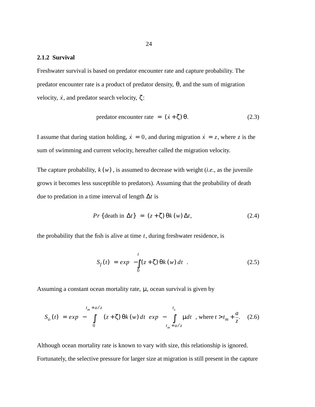# **2.1.2 Survival**

Freshwater survival is based on predator encounter rate and capture probability. The predator encounter rate is a product of predator density,  $\theta$ , and the sum of migration velocity,  $\dot{x}$ , and predator search velocity,  $\zeta$ :

$$
predator encounter rate = (x + \zeta) \theta.
$$
 (2.3)

I assume that during station holding,  $\dot{x} = 0$ , and during migration  $\dot{x} = z$ , where z is the sum of swimming and current velocity, hereafter called the migration velocity.

The capture probability,  $k(w)$ , is assumed to decrease with weight (*i.e.*, as the juvenile grows it becomes less susceptible to predators). Assuming that the probability of death due to predation in a time interval of length  $\Delta t$  is

$$
Pr\{\text{death in } \Delta t\} = (z + \zeta) \Theta k(w) \Delta t, \tag{2.4}
$$

the probability that the fish is alive at time  $t$ , during freshwater residence, is

$$
S_f(t) = exp\left(-\int_0^t (z + \zeta) \theta k(w) dt\right).
$$
 (2.5)

Assuming a constant ocean mortality rate,  $\mu$ , ocean survival is given by

$$
S_o(t) = exp\left(-\int_0^{t_m + a/z} (z + \zeta) \theta k(w) dt\right) exp\left(-\int_{t_m + a/z}^{t_s} \mu dt\right), \text{ where } t > t_m + \frac{a}{z}.
$$
 (2.6)

Although ocean mortality rate is known to vary with size, this relationship is ignored. Fortunately, the selective pressure for larger size at migration is still present in the capture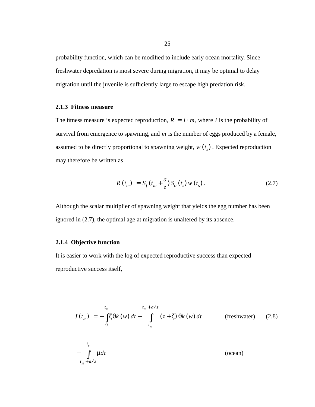probability function, which can be modified to include early ocean mortality. Since freshwater depredation is most severe during migration, it may be optimal to delay migration until the juvenile is sufficiently large to escape high predation risk.

## **2.1.3 Fitness measure**

The fitness measure is expected reproduction,  $R = l \cdot m$ , where *l* is the probability of survival from emergence to spawning, and  $m$  is the number of eggs produced by a female, assumed to be directly proportional to spawning weight,  $w(t<sub>s</sub>)$ . Expected reproduction may therefore be written as

$$
R(t_m) = S_f(t_m + \frac{a}{z}) S_o(t_s) w(t_s).
$$
 (2.7)

Although the scalar multiplier of spawning weight that yields the egg number has been ignored in (2.7), the optimal age at migration is unaltered by its absence.

# **2.1.4 Objective function**

It is easier to work with the log of expected reproductive success than expected reproductive success itself,

$$
J(t_m) = -\int_0^{t_m} \zeta \theta k(w) dt - \int_{t_m}^{t_m + a/z} (z + \zeta) \theta k(w) dt
$$
 (freshwater) (2.8)  

$$
-\int_{t_m + a/z}^{t_s} \mu dt
$$
 (ocean)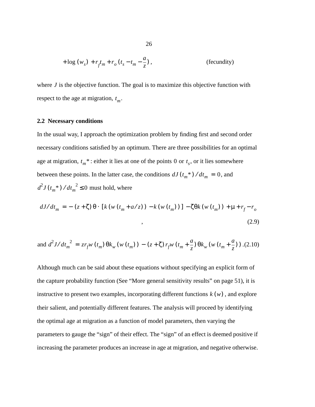$$
+ \log (w_s) + r_f t_m + r_o (t_s - t_m - \frac{a}{z}),
$$
 (fecundity)

where  $J$  is the objective function. The goal is to maximize this objective function with respect to the age at migration,  $t_m$ .

#### **2.2 Necessary conditions**

In the usual way, I approach the optimization problem by finding first and second order necessary conditions satisfied by an optimum. There are three possibilities for an optimal age at migration,  $t_m^*$ : either it lies at one of the points 0 or  $t_s$ , or it lies somewhere between these points. In the latter case, the conditions  $dJ(t_m^*)/dt_m = 0$ , and  $d^2J(t_m^*)/dt_m^2 \leq 0$  must hold, where

$$
dJ/dt_m = -(z+\zeta)\theta \cdot [k(w(t_m + a/z)) - k(w(t_m))] - \zeta \theta k(w(t_m)) + \mu + r_f - r_o
$$
\n
$$
\tag{2.9}
$$

and 
$$
d^2 J/dt_m^2 = z r_f w(t_m) \theta k_w (w(t_m)) - (z + \zeta) r_f w (t_m + \frac{a}{z}) \theta k_w (w(t_m + \frac{a}{z}))
$$
.(2.10)

Although much can be said about these equations without specifying an explicit form of the capture probability function (See "More general sensitivity results" on page 51), it is instructive to present two examples, incorporating different functions  $k(w)$ , and explore their salient, and potentially different features. The analysis will proceed by identifying the optimal age at migration as a function of model parameters, then varying the parameters to gauge the "sign" of their effect. The "sign" of an effect is deemed positive if increasing the parameter produces an increase in age at migration, and negative otherwise.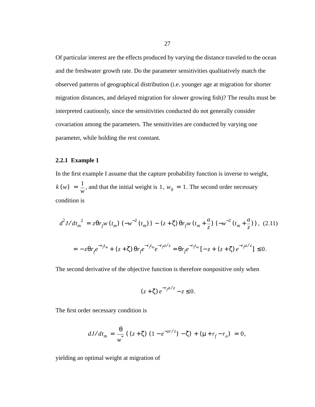Of particular interest are the effects produced by varying the distance traveled to the ocean and the freshwater growth rate. Do the parameter sensitivities qualitatively match the observed patterns of geographical distribution (i.e. younger age at migration for shorter migration distances, and delayed migration for slower growing fish)? The results must be interpreted cautiously, since the sensitivities conducted do not generally consider covariation among the parameters. The sensitivities are conducted by varying one parameter, while holding the rest constant.

## **2.2.1 Example 1**

In the first example I assume that the capture probability function is inverse to weight,  $k(w) = \frac{1}{w}$ , and that the initial weight is 1,  $w_0 = 1$ . The second order necessary condition is

$$
d^{2}J/dt_{m}^{2} = z\theta r_{f}w(t_{m})\left(-w^{-2}(t_{m})\right) - (z+\zeta)\theta r_{f}w(t_{m}+\frac{a}{z})\left(-w^{-2}(t_{m}+\frac{a}{z})\right), (2.11)
$$

$$
= -z\theta r_{f}e^{-r_{f}t_{m}} + (z+\zeta)\theta r_{f}e^{-r_{f}t_{m}}e^{-r_{f}a/z} = \theta r_{f}e^{-r_{f}t_{m}}\left[-z+(z+\zeta)e^{-r_{f}a/z}\right] \leq 0.
$$

The second derivative of the objective function is therefore nonpositive only when

$$
(z+\zeta)e^{-r_f a/z}-z\leq 0.
$$

The first order necessary condition is

$$
dJ/dt_m = \frac{\theta}{w} \left( \left( z + \zeta \right) \left( 1 - e^{-ar/z} \right) - \zeta \right) + \left( \mu + r_f - r_o \right) = 0,
$$

yielding an optimal weight at migration of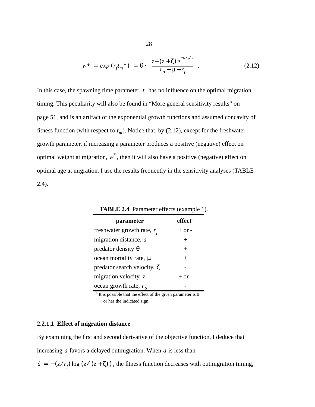$$
w^* = exp (r_f t_m^*) = \theta \cdot \left( \frac{z - (z + \zeta) e^{-ar_f/z}}{r_o - \mu - r_f} \right).
$$
 (2.12)

In this case, the spawning time parameter,  $t_s$  has no influence on the optimal migration timing. This peculiarity will also be found in "More general sensitivity results" on page 51, and is an artifact of the exponential growth functions and assumed concavity of fitness function (with respect to  $t_m$ ). Notice that, by (2.12), except for the freshwater growth parameter, if increasing a parameter produces a positive (negative) effect on optimal weight at migration,  $w^*$ , then it will also have a positive (negative) effect on optimal age at migration. I use the results frequently in the sensitivity analyses (TABLE 2.4).

| parameter                         | effect <sup>a</sup> |
|-----------------------------------|---------------------|
| freshwater growth rate, $r_f$     | $+$ or $-$          |
| migration distance, a             | $^{+}$              |
| predator density $\theta$         | $^{+}$              |
| ocean mortality rate, $\mu$       | $^{+}$              |
| predator search velocity, $\zeta$ |                     |
| migration velocity, $z$           | $+$ or $-$          |
| ocean growth rate, $ro$           |                     |

**TABLE 2.4** Parameter effects (example 1).

<sup>a</sup> It is possible that the effect of the given parameter is 0 or has the indicated sign.

## **2.2.1.1 Effect of migration distance**

By examining the first and second derivative of the objective function, I deduce that

increasing  $a$  favors a delayed outmigration. When  $a$  is less than

 $\tilde{a} = -(z/r_f) \log (z/(z+\zeta))$ , the fitness function decreases with outmigration timing,

28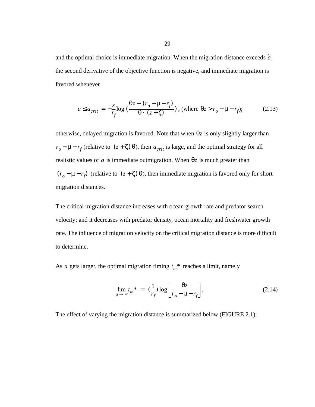and the optimal choice is immediate migration. When the migration distance exceeds  $\tilde{a}$ , the second derivative of the objective function is negative, and immediate migration is favored whenever

$$
a \le a_{crit} = -\frac{z}{r_f} \log \left( \frac{\theta z - (r_o - \mu - r_f)}{\theta \cdot (z + \zeta)} \right), \text{ (where } \theta z > r_o - \mu - r_f); \tag{2.13}
$$

otherwise, delayed migration is favored. Note that when θz is only slightly larger than  $r_o - \mu - r_f$  (relative to  $(z + \zeta) \theta$ ), then  $a_{crit}$  is large, and the optimal strategy for all realistic values of a is immediate outmigration. When  $\theta$ *z* is much greater than  $(r_o - \mu - r_f)$  (relative to  $(z + \zeta) \theta$ ), then immediate migration is favored only for short migration distances.

The critical migration distance increases with ocean growth rate and predator search velocity; and it decreases with predator density, ocean mortality and freshwater growth rate. The influence of migration velocity on the critical migration distance is more difficult to determine.

As *a* gets larger, the optimal migration timing  $t_m^*$  reaches a limit, namely

$$
\lim_{a \to \infty} t_m^* = \left(\frac{1}{r_f}\right) \log \left[\frac{\theta z}{r_o - \mu - r_f}\right].\tag{2.14}
$$

The effect of varying the migration distance is summarized below (FIGURE 2.1):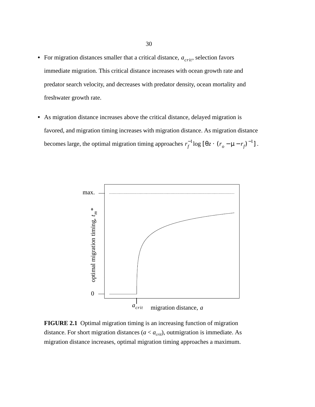- For migration distances smaller that a critical distance,  $a_{crit}$ , selection favors immediate migration. This critical distance increases with ocean growth rate and predator search velocity, and decreases with predator density, ocean mortality and freshwater growth rate.
- **•** As migration distance increases above the critical distance, delayed migration is favored, and migration timing increases with migration distance. As migration distance becomes large, the optimal migration timing approaches  $r_f^{-1} \log [\theta z \cdot (r_o - \mu - r_f)^{-1}]$ .



**FIGURE 2.1** Optimal migration timing is an increasing function of migration distance. For short migration distances  $(a < a<sub>crit</sub>)$ , outmigration is immediate. As migration distance increases, optimal migration timing approaches a maximum.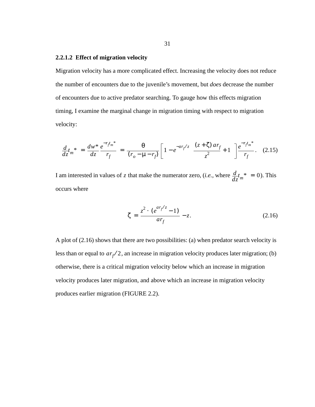## **2.2.1.2 Effect of migration velocity**

Migration velocity has a more complicated effect. Increasing the velocity does not reduce the number of encounters due to the juvenile's movement, but *does* decrease the number of encounters due to active predator searching. To gauge how this effects migration timing, I examine the marginal change in migration timing with respect to migration velocity:

$$
\frac{d}{dz}t_m^* = \frac{dw^*}{dz}\frac{e^{-r_f t_m^*}}{r_f} = \frac{\theta}{(r_o - \mu - r_f)} \left[1 - e^{-ar_f/z} \left(\frac{(z + \zeta) ar_f}{z^2} + 1\right)\right] \frac{e^{-r_f t_m^*}}{r_f}.
$$
 (2.15)

I am interested in values of z that make the numerator zero, (*i.e.*, where  $\frac{d}{dz}t_m^* = 0$ ). This occurs where

$$
\zeta = \frac{z^2 \cdot (e^{ar_f/z} - 1)}{ar_f} - z.
$$
 (2.16)

A plot of (2.16) shows that there are two possibilities: (a) when predator search velocity is less than or equal to  $ar_f/2$ , an increase in migration velocity produces later migration; (b) otherwise, there is a critical migration velocity below which an increase in migration velocity produces later migration, and above which an increase in migration velocity produces earlier migration (FIGURE 2.2).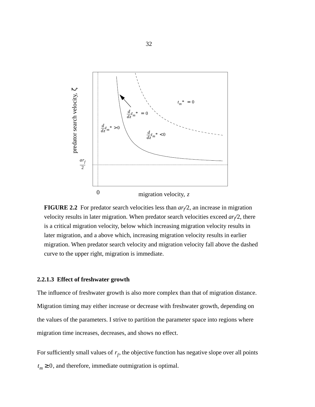

**FIGURE 2.2** For predator search velocities less than  $ar/2$ , an increase in migration velocity results in later migration. When predator search velocities exceed  $ar/2$ , there is a critical migration velocity, below which increasing migration velocity results in later migration, and a above which, increasing migration velocity results in earlier migration. When predator search velocity and migration velocity fall above the dashed curve to the upper right, migration is immediate.

### **2.2.1.3 Effect of freshwater growth**

The influence of freshwater growth is also more complex than that of migration distance. Migration timing may either increase or decrease with freshwater growth, depending on the values of the parameters. I strive to partition the parameter space into regions where migration time increases, decreases, and shows no effect.

For sufficiently small values of  $r_f$ , the objective function has negative slope over all points  $t_m \geq 0$ , and therefore, immediate outmigration is optimal.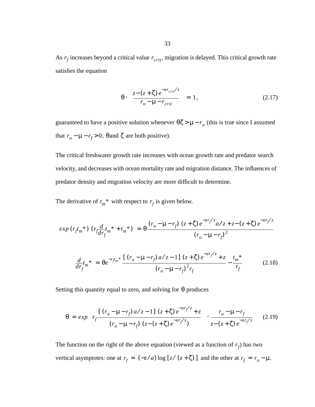As  $r_f$  increases beyond a critical value  $r_{crit}$ , migration is delayed. This critical growth rate satisfies the equation

$$
\theta \cdot \left( \frac{z - (z + \zeta) e^{-ar_{\text{crit}}/z}}{r_o - \mu - r_{\text{crit}}} \right) = 1, \tag{2.17}
$$

guaranteed to have a positive solution whenever  $\theta \zeta > \mu - r_o$  (this is true since I assumed that  $r_o - \mu - r_f > 0$ ,  $\theta$  and  $\zeta$  are both positive).

The critical freshwater growth rate increases with ocean growth rate and predator search velocity, and decreases with ocean mortality rate and migration distance. The influences of predator density and migration velocity are more difficult to determine.

The derivative of  $t_m^*$  with respect to  $r_f$  is given below.

$$
\exp\left(r_f t_m^*\right) \left(r_f \frac{d}{dr_f} t_m^* + t_m^*\right) = \theta \frac{\left(r_o - \mu - r_f\right) \left(z + \zeta\right) e^{-ar_f/z} a/z + z - \left(z + \zeta\right) e^{-ar_f/z}}{\left(r_o - \mu - r_f\right)^2}
$$
\n
$$
\frac{d}{dr_f} t_m^* = \theta e^{-r_f t_m^*} \frac{\left[\left(r_o - \mu - r_f\right) a/z - 1\right] \left(z + \zeta\right) e^{-ar_f/z} + z}{\left(r_o - \mu - r_f\right)^2 r_f} - \frac{t_m^*}{r_f} \tag{2.18}
$$

Setting this quantity equal to zero, and solving for  $\theta$  produces

$$
\theta = exp \left\{ r_f \frac{\left[ (r_o - \mu - r_f) a / z - 1 \right] (z + \zeta) e^{-a r_f / z} + z}{(r_o - \mu - r_f) (z - (z + \zeta) e^{-a r_f / z})} \right\} \cdot \frac{r_o - \mu - r_f}{z - (z + \zeta) e^{-a r_f / z}} \qquad (2.19)
$$

The function on the right of the above equation (viewed as a function of  $r_f$ ) has two vertical asymptotes: one at  $r_f = (-z/a) \log [z/(z+\zeta)]$  and the other at  $r_f = r_o - \mu$ .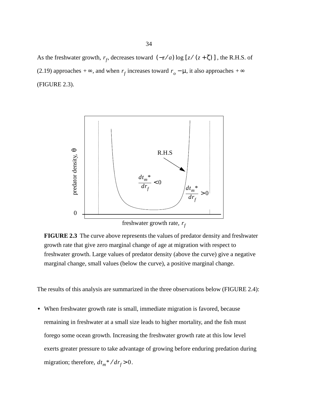As the freshwater growth,  $r_f$ , decreases toward  $(-z/a) \log [z/(z+\zeta)]$ , the R.H.S. of (2.19) approaches + $\infty$ , and when  $r_f$  increases toward  $r_o - \mu$ , it also approaches + $\infty$ (FIGURE 2.3).



**FIGURE 2.3** The curve above represents the values of predator density and freshwater growth rate that give zero marginal change of age at migration with respect to freshwater growth. Large values of predator density (above the curve) give a negative marginal change, small values (below the curve), a positive marginal change.

The results of this analysis are summarized in the three observations below (FIGURE 2.4):

**•** When freshwater growth rate is small, immediate migration is favored, because remaining in freshwater at a small size leads to higher mortality, and the fish must forego some ocean growth. Increasing the freshwater growth rate at this low level exerts greater pressure to take advantage of growing before enduring predation during migration; therefore,  $dt_m * / dr_f > 0$ .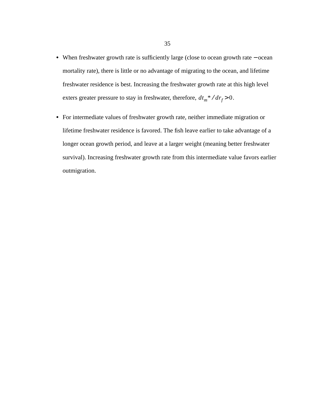- **•** When freshwater growth rate is sufficiently large (close to ocean growth rate − ocean mortality rate), there is little or no advantage of migrating to the ocean, and lifetime freshwater residence is best. Increasing the freshwater growth rate at this high level exters greater pressure to stay in freshwater, therefore,  $dt_m * / d r_f > 0$ .
- **•** For intermediate values of freshwater growth rate, neither immediate migration or lifetime freshwater residence is favored. The fish leave earlier to take advantage of a longer ocean growth period, and leave at a larger weight (meaning better freshwater survival). Increasing freshwater growth rate from this intermediate value favors earlier outmigration.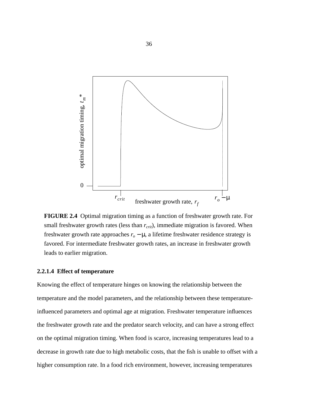

**FIGURE 2.4** Optimal migration timing as a function of freshwater growth rate. For small freshwater growth rates (less than  $r_{crit}$ ), immediate migration is favored. When freshwater growth rate approaches  $r<sub>o</sub> - \mu$ , a lifetime freshwater residence strategy is favored. For intermediate freshwater growth rates, an increase in freshwater growth leads to earlier migration.

## **2.2.1.4 Effect of temperature**

Knowing the effect of temperature hinges on knowing the relationship between the temperature and the model parameters, and the relationship between these temperatureinfluenced parameters and optimal age at migration. Freshwater temperature influences the freshwater growth rate and the predator search velocity, and can have a strong effect on the optimal migration timing. When food is scarce, increasing temperatures lead to a decrease in growth rate due to high metabolic costs, that the fish is unable to offset with a higher consumption rate. In a food rich environment, however, increasing temperatures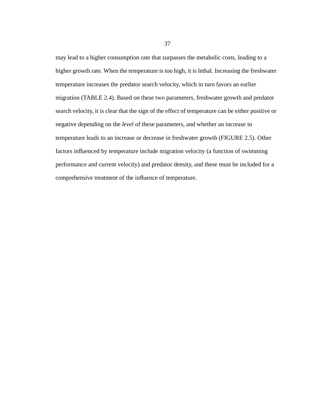may lead to a higher consumption rate that surpasses the metabolic costs, leading to a higher growth rate. When the temperature is too high, it is lethal. Increasing the freshwater temperature increases the predator search velocity, which in turn favors an earlier migration (TABLE 2.4). Based on these two parameters, freshwater growth and predator search velocity, it is clear that the sign of the effect of temperature can be either positive or negative depending on the *level* of these parameters, and whether an increase in temperature leads to an increase or decrease in freshwater growth (FIGURE 2.5). Other factors influenced by temperature include migration velocity (a function of swimming performance and current velocity) and predator density, and these must be included for a comprehensive treatment of the influence of temperature.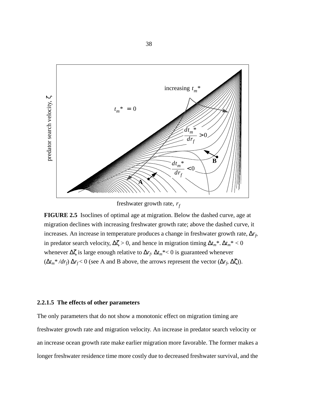

freshwater growth rate,  $r_f$ 

**FIGURE 2.5** Isoclines of optimal age at migration. Below the dashed curve, age at migration declines with increasing freshwater growth rate; above the dashed curve, it increases. An increase in temperature produces a change in freshwater growth rate,  $\Delta r_f$ , in predator search velocity,  $\Delta \zeta > 0$ , and hence in migration timing  $\Delta t_m^*$ .  $\Delta t_m^* < 0$ whenever Δζ is large enough relative to  $\Delta r_f$ .  $\Delta t_m^*$  < 0 is guaranteed whenever  $(\Delta t_m^* / dr_f) \Delta r_f < 0$  (see A and B above, the arrows represent the vector  $(\Delta r_f, \Delta \zeta)$ ).

# **2.2.1.5 The effects of other parameters**

The only parameters that do not show a monotonic effect on migration timing are freshwater growth rate and migration velocity. An increase in predator search velocity or an increase ocean growth rate make earlier migration more favorable. The former makes a longer freshwater residence time more costly due to decreased freshwater survival, and the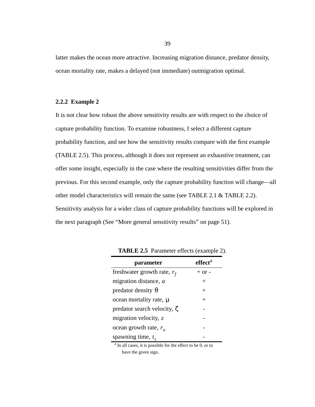latter makes the ocean more attractive. Increasing migration distance, predator density, ocean mortality rate, makes a delayed (not immediate) outmigration optimal.

### **2.2.2 Example 2**

It is not clear how robust the above sensitivity results are with respect to the choice of capture probability function. To examine robustness, I select a different capture probability function, and see how the sensitivity results compare with the first example (TABLE 2.5). This process, although it does not represent an exhaustive treatment, can offer some insight, especially in the case where the resulting sensitivities differ from the previous. For this second example, only the capture probability function will change—all other model characteristics will remain the same (see TABLE 2.1 & TABLE 2.2). Sensitivity analysis for a wider class of capture probability functions will be explored in the next paragraph (See "More general sensitivity results" on page 51).

| parameter                         | effect <sup>a</sup> |
|-----------------------------------|---------------------|
| freshwater growth rate, $r_f$     | $+$ or $-$          |
| migration distance, a             | $^{+}$              |
| predator density $\theta$         | $^{+}$              |
| ocean mortality rate, μ           | $^{+}$              |
| predator search velocity, $\zeta$ |                     |
| migration velocity, $z$           |                     |
| ocean growth rate, $r_{o}$        |                     |
| spawning time, $t_s$              |                     |

**TABLE 2.5** Parameter effects (example 2).

<sup>a</sup> In all cases, it is possible for the effect to be 0, or to have the given sign.

39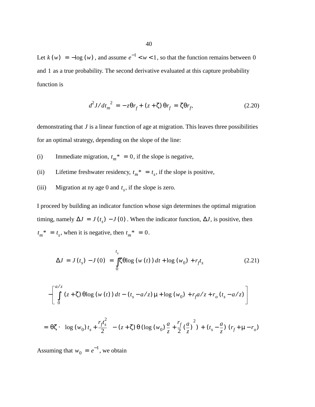Let  $k(w) = -\log(w)$ , and assume  $e^{-1} < w < 1$ , so that the function remains between 0 and 1 as a true probability. The second derivative evaluated at this capture probability function is

$$
d^2J/dt_m^2 = -z\theta r_f + (z+\zeta)\theta r_f = \zeta\theta r_f, \qquad (2.20)
$$

demonstrating that *J* is a linear function of age at migration. This leaves three possibilities for an optimal strategy, depending on the slope of the line:

- (i) Immediate migration,  $t_m^* = 0$ , if the slope is negative,
- (ii) Lifetime freshwater residency,  $t_m^* = t_s$ , if the slope is positive,
- (iii) Migration at ny age 0 and  $t_s$ , if the slope is zero.

I proceed by building an indicator function whose sign determines the optimal migration timing, namely  $\Delta J = J(t_s) - J(0)$ . When the indicator function,  $\Delta J$ , is positive, then  $t_m^* = t_s$ , when it is negative, then  $t_m^* = 0$ .

$$
\Delta J = J(t_s) - J(0) = \int_{0}^{t_s} \zeta \theta \log (w(t)) dt + \log (w_0) + r_f t_s
$$
 (2.21)

$$
-\left[\int_{0}^{a/z} (z+\zeta) \theta \log (w(t)) dt - (t_s - a/z) \mu + \log (w_0) + r_f a/z + r_o (t_s - a/z)\right]
$$

$$
= \theta \zeta \cdot \left( \log (w_0) t_s + \frac{r_f t_s^2}{2} \right) - (z + \zeta) \theta (\log (w_0) \frac{a}{z} + \frac{r_f}{2} (\frac{a}{z})^2) + (t_s - \frac{a}{z}) (r_f + \mu - r_o)
$$

Assuming that  $w_0 = e^{-1}$ , we obtain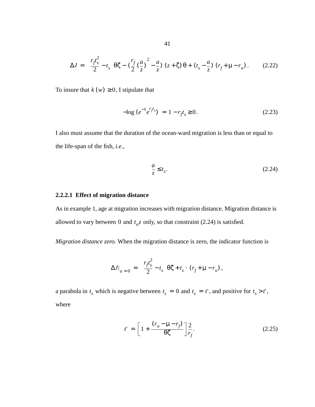$$
\Delta J = \left(\frac{r_f t_s^2}{2} - t_s\right) \theta \zeta - \left(\frac{r_f}{2} \left(\frac{a}{z}\right)^2 - \frac{a}{z}\right) (z + \zeta) \theta + (t_s - \frac{a}{z}) (r_f + \mu - r_o). \tag{2.22}
$$

To insure that  $k(w) \geq 0$ , I stipulate that

$$
-\log\left(e^{-1}e^{r_f t_s}\right) = 1 - r_f t_s \ge 0. \tag{2.23}
$$

I also must assume that the duration of the ocean-ward migration is less than or equal to the life-span of the fish, *i.e.*,

$$
\frac{a}{z} \le t_s. \tag{2.24}
$$

# **2.2.2.1 Effect of migration distance**

As in example 1, age at migration increases with migration distance. Migration distance is allowed to vary between 0 and  $t_o z$  only, so that constraint (2.24) is satisfied.

*Migration distance zero.* When the migration distance is zero, the indicator function is

$$
\Delta J|_{a=0} = \left(\frac{r_f t_s^2}{2} - t_s\right) \Theta \zeta + t_s \cdot (r_f + \mu - r_o) ,
$$

a parabola in  $t_s$  which is negative between  $t_s = 0$  and  $t_s = t'$ , and positive for  $t_s > t'$ , where

$$
t' = \left[1 + \frac{(r_o - \mu - r_f)}{\theta \zeta}\right] \frac{2}{r_f}.
$$
 (2.25)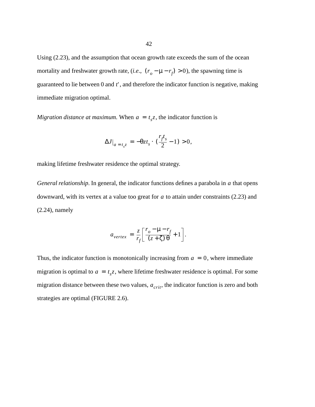Using (2.23), and the assumption that ocean growth rate exceeds the sum of the ocean mortality and freshwater growth rate,  $(i.e., (r_o - \mu - r_f) > 0)$ , the spawning time is guaranteed to lie between  $0$  and  $t'$ , and therefore the indicator function is negative, making immediate migration optimal.

*Migration distance at maximum.* When  $a = t_s z$ , the indicator function is

$$
\Delta J\big|_{a=t_s z} = -\theta z t_s \cdot \left(\frac{r_f t_s}{2} - 1\right) > 0,
$$

making lifetime freshwater residence the optimal strategy.

*General relationship*. In general, the indicator functions defines a parabola in a that opens downward, with its vertex at a value too great for a to attain under constraints (2.23) and (2.24), namely

$$
a_{vertex} = \frac{z}{r_f} \left[ \frac{r_o - \mu - r_f}{(z + \zeta) \theta} + 1 \right].
$$

Thus, the indicator function is monotonically increasing from  $a = 0$ , where immediate migration is optimal to  $a = t_s z$ , where lifetime freshwater residence is optimal. For some migration distance between these two values,  $a_{crit}$ , the indicator function is zero and both strategies are optimal (FIGURE 2.6).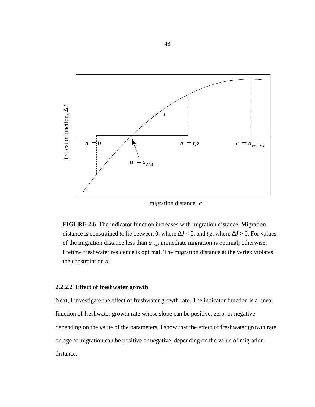

migration distance, *a*

**FIGURE 2.6** The indicator function increases with migration distance. Migration distance is constrained to lie between 0, where  $\Delta J < 0$ , and  $t_s z$ , where  $\Delta J > 0$ . For values of the migration distance less than *acrit*, immediate migration is optimal; otherwise, lifetime freshwater residence is optimal. The migration distance at the vertex violates the constraint on *a*.

## **2.2.2.2 Effect of freshwater growth**

Next, I investigate the effect of freshwater growth rate. The indicator function is a linear function of freshwater growth rate whose slope can be positive, zero, or negative depending on the value of the parameters. I show that the effect of freshwater growth rate on age at migration can be positive or negative, depending on the value of migration distance.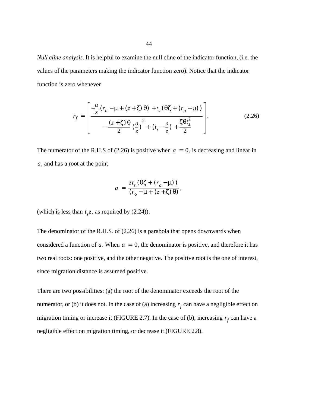*Null cline analysis.* It is helpful to examine the null cline of the indicator function, (i.e. the values of the parameters making the indicator function zero). Notice that the indicator function is zero whenever

$$
r_{f} = \left[ \frac{-\frac{a}{z} (r_{o} - \mu + (z + \zeta) \theta) + t_{s} (\theta \zeta + (r_{o} - \mu))}{-\frac{(z + \zeta) \theta}{2} (\frac{a}{z})^{2} + (t_{s} - \frac{a}{z}) + \frac{\zeta \theta t_{s}^{2}}{2}} \right].
$$
 (2.26)

The numerator of the R.H.S of  $(2.26)$  is positive when  $a = 0$ , is decreasing and linear in , and has a root at the point *a*

$$
a = \frac{zt_s(\theta\zeta + (r_o - \mu))}{(r_o - \mu + (z + \zeta)\theta)},
$$

(which is less than  $t_s z$ , as required by  $(2.24)$ ).

The denominator of the R.H.S. of (2.26) is a parabola that opens downwards when considered a function of  $a$ . When  $a = 0$ , the denominator is positive, and therefore it has two real roots: one positive, and the other negative. The positive root is the one of interest, since migration distance is assumed positive.

There are two possibilities: (a) the root of the denominator exceeds the root of the numerator, or (b) it does not. In the case of (a) increasing  $r_f$  can have a negligible effect on migration timing or increase it (FIGURE 2.7). In the case of (b), increasing  $r_f$  can have a negligible effect on migration timing, or decrease it (FIGURE 2.8).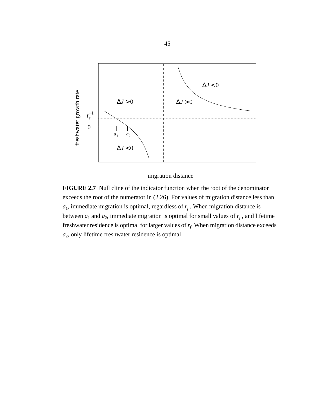

migration distance

**FIGURE 2.7** Null cline of the indicator function when the root of the denominator exceeds the root of the numerator in (2.26). For values of migration distance less than  $a_1$ , immediate migration is optimal, regardless of  $r_f$ . When migration distance is between  $a_1$  and  $a_2$ , immediate migration is optimal for small values of  $r_f$ , and lifetime freshwater residence is optimal for larger values of  $r_f$ . When migration distance exceeds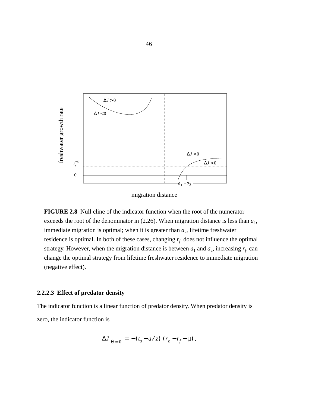

migration distance

**FIGURE 2.8** Null cline of the indicator function when the root of the numerator exceeds the root of the denominator in  $(2.26)$ . When migration distance is less than  $a_1$ , immediate migration is optimal; when it is greater than  $a_2$ , lifetime freshwater residence is optimal. In both of these cases, changing  $r_f$  does not influence the optimal strategy. However, when the migration distance is between  $a_1$  and  $a_2$ , increasing  $r_f$  can change the optimal strategy from lifetime freshwater residence to immediate migration (negative effect).

## **2.2.2.3 Effect of predator density**

The indicator function is a linear function of predator density. When predator density is zero, the indicator function is

$$
\Delta J|_{\theta=0} = -(t_s - a/z) (r_o - r_f - \mu),
$$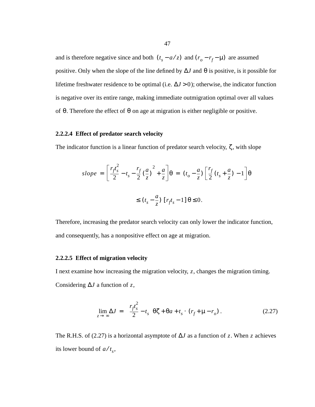and is therefore negative since and both  $(t_s - a/z)$  and  $(r_o - r_f - \mu)$  are assumed positive. Only when the slope of the line defined by  $\Delta J$  and  $\theta$  is positive, is it possible for lifetime freshwater residence to be optimal (i.e.  $\Delta J > 0$ ); otherwise, the indicator function is negative over its entire range, making immediate outmigration optimal over all values of  $\theta$ . Therefore the effect of  $\theta$  on age at migration is either negligible or positive.

# **2.2.2.4 Effect of predator search velocity**

The indicator function is a linear function of predator search velocity,  $\zeta$ , with slope

$$
slope = \left[\frac{r_f t_s^2}{2} - t_s - \frac{r_f}{2} \left(\frac{a}{z}\right)^2 + \frac{a}{z}\right] \theta = (t_o - \frac{a}{z}) \left[\frac{r_f}{2} (t_s + \frac{a}{z}) - 1\right] \theta
$$
  

$$
\le (t_s - \frac{a}{z}) \left[r_f t_s - 1\right] \theta \le 0.
$$

Therefore, increasing the predator search velocity can only lower the indicator function, and consequently, has a nonpositive effect on age at migration.

#### **2.2.2.5 Effect of migration velocity**

I next examine how increasing the migration velocity, z, changes the migration timing. Considering  $\Delta J$  a function of z,

$$
\lim_{z \to \infty} \Delta J = \left(\frac{r_f t_s^2}{2} - t_s\right) \Theta \zeta + \Theta a + t_s \cdot (r_f + \mu - r_o) \,. \tag{2.27}
$$

The R.H.S. of (2.27) is a horizontal asymptote of  $\Delta J$  as a function of z. When z achieves its lower bound of  $a/t_s$ ,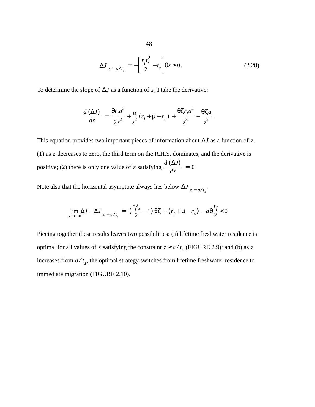$$
\Delta J\big|_{z = a/t_s} = -\bigg[\frac{r_f t_s^2}{2} - t_s\bigg]\theta z \ge 0. \tag{2.28}
$$

To determine the slope of  $\Delta J$  as a function of z, I take the derivative:

$$
\frac{d\left(\Delta J\right)}{dz} = \frac{\theta r_f a^2}{2z^2} + \frac{a}{z^2} \left(r_f + \mu - r_o\right) + \frac{\theta \zeta r_f a^2}{z^3} - \frac{\theta \zeta a}{z^2}.
$$

This equation provides two important pieces of information about  $\Delta J$  as a function of z.  $(1)$  as z decreases to zero, the third term on the R.H.S. dominates, and the derivative is positive; (2) there is only one value of z satisfying  $\frac{d^2(2\pi)}{1} = 0$ .  $d \left( \Delta J \right)$  $\frac{d^2y}{dz^2} = 0$ 

Note also that the horizontal asymptote always lies below  $\Delta J\big|_{z = a/t_s}$ .

$$
\lim_{z \to \infty} \Delta J - \Delta J \big|_{z = a/t_s} = \left(\frac{r_f t_s}{2} - 1\right) \theta \zeta + \left(r_f + \mu - r_o\right) - a \theta \frac{r_f}{2} < 0
$$

Piecing together these results leaves two possibilities: (a) lifetime freshwater residence is optimal for all values of z satisfying the constraint  $z \ge a/t_s$  (FIGURE 2.9); and (b) as z increases from  $a/t<sub>s</sub>$ , the optimal strategy switches from lifetime freshwater residence to immediate migration (FIGURE 2.10).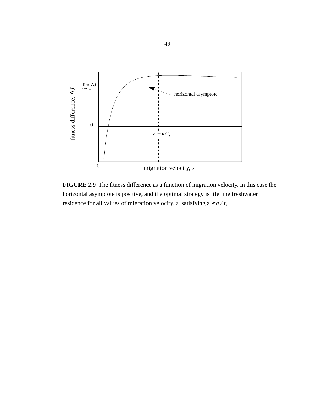

**FIGURE 2.9** The fitness difference as a function of migration velocity. In this case the horizontal asymptote is positive, and the optimal strategy is lifetime freshwater residence for all values of migration velocity, *z*, satisfying  $z \ge a / t_s$ .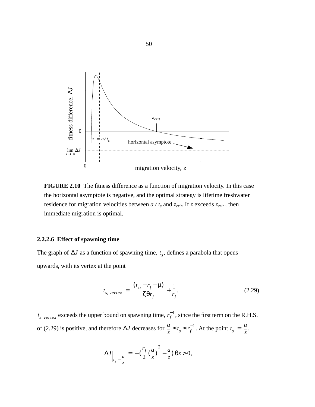

**FIGURE 2.10** The fitness difference as a function of migration velocity. In this case the horizontal asymptote is negative, and the optimal strategy is lifetime freshwater residence for migration velocities between  $a / t_s$  and  $z_{\text{crit}}$ . If  $z$  exceeds  $z_{\text{crit}}$ , then immediate migration is optimal.

#### **2.2.2.6 Effect of spawning time**

The graph of  $\Delta J$  as a function of spawning time,  $t_s$ , defines a parabola that opens upwards, with its vertex at the point

$$
t_{s, \, vertex} = \frac{(r_o - r_f - \mu)}{\zeta \theta r_f} + \frac{1}{r_f}.
$$
 (2.29)

 $t_{s, \, vertex}$  exceeds the upper bound on spawning time,  $r_f^{-1}$ , since the first term on the R.H.S. of (2.29) is positive, and therefore  $\Delta J$  decreases for  $\frac{a}{z} \le t_s \le r_f^{-1}$ . At the point  $t_s = \frac{a}{z}$ ,

$$
\Delta J\Big|_{t_s=\frac{a}{z}} = -\left(\frac{r_f}{2}\left(\frac{a}{z}\right)^2 - \frac{a}{z}\right)\theta z > 0,
$$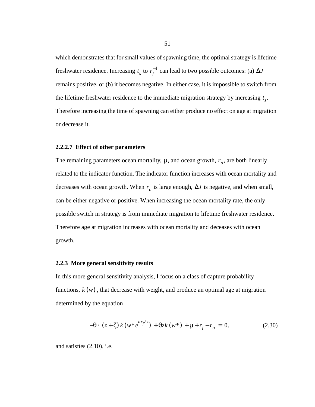which demonstrates that for small values of spawning time, the optimal strategy is lifetime freshwater residence. Increasing  $t_s$  to  $r_f^{-1}$  can lead to two possible outcomes: (a)  $\Delta J$ remains positive, or (b) it becomes negative. In either case, it is impossible to switch from the lifetime freshwater residence to the immediate migration strategy by increasing  $t_s$ . Therefore increasing the time of spawning can either produce no effect on age at migration or decrease it.

#### **2.2.2.7 Effect of other parameters**

The remaining parameters ocean mortality,  $\mu$ , and ocean growth,  $r<sub>o</sub>$ , are both linearly related to the indicator function. The indicator function increases with ocean mortality and decreases with ocean growth. When  $r_o$  is large enough,  $\Delta J$  is negative, and when small, can be either negative or positive. When increasing the ocean mortality rate, the only possible switch in strategy is from immediate migration to lifetime freshwater residence. Therefore age at migration increases with ocean mortality and deceases with ocean growth.

#### **2.2.3 More general sensitivity results**

In this more general sensitivity analysis, I focus on a class of capture probability functions,  $k(w)$ , that decrease with weight, and produce an optimal age at migration determined by the equation

$$
-\theta \cdot (z + \zeta) k (w^* e^{ar_f z}) + \theta z k (w^*) + \mu + r_f - r_o = 0, \qquad (2.30)
$$

and satisfies (2.10), i.e.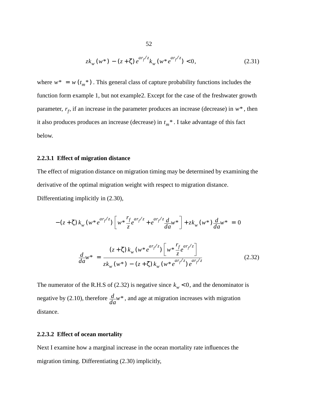$$
zk_w(w^*) - (z + \zeta) e^{ar_f/z} k_w(w^* e^{ar_f/z}) < 0,
$$
\n(2.31)

where  $w^* = w(t_m^*)$ . This general class of capture probability functions includes the function form example 1, but not example2. Except for the case of the freshwater growth parameter,  $r_f$ , if an increase in the parameter produces an increase (decrease) in  $w^*$ , then it also produces produces an increase (decrease) in  $t_m^*$ . I take advantage of this fact below.

### **2.2.3.1 Effect of migration distance**

The effect of migration distance on migration timing may be determined by examining the derivative of the optimal migration weight with respect to migration distance. Differentiating implicitly in (2.30),

$$
-(z+\zeta) k_w (w^* e^{ar_f/z}) \left[ w^* \frac{r_f}{z} e^{ar_f/z} + e^{ar_f/z} \frac{d}{da} w^* \right] + z k_w (w^*) \frac{d}{da} w^* = 0
$$
  

$$
\frac{d}{da} w^* = \frac{(z+\zeta) k_w (w^* e^{ar_f/z}) \left[ w^* \frac{r_f}{z} e^{ar_f/z} \right]}{z k_w (w^*) - (z+\zeta) k_w (w^* e^{ar_f/z}) e^{ar_f/z}} \tag{2.32}
$$

The numerator of the R.H.S of (2.32) is negative since  $k_w < 0$ , and the denominator is negative by (2.10), therefore  $\frac{d}{da}w^*$ , and age at migration increases with migration distance.

# **2.2.3.2 Effect of ocean mortality**

Next I examine how a marginal increase in the ocean mortality rate influences the migration timing. Differentiating (2.30) implicitly,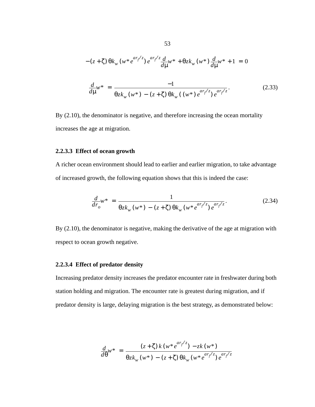$$
-(z+\zeta)\theta k_w(w*e^{ar_f/z})e^{ar_f/z}\frac{d}{d\mu}w^* + \theta z k_w(w^*)\frac{d}{d\mu}w^* + 1 = 0
$$
  

$$
\frac{d}{d\mu}w^* = \frac{-1}{\theta z k_w(w^*) - (z+\zeta)\theta k_w((w^*)e^{ar_f/z})e^{ar_f/z}}.
$$
(2.33)

By (2.10), the denominator is negative, and therefore increasing the ocean mortality increases the age at migration.

#### **2.2.3.3 Effect of ocean growth**

A richer ocean environment should lead to earlier and earlier migration, to take advantage of increased growth, the following equation shows that this is indeed the case:

$$
\frac{d}{dr_o} w^* = \frac{1}{\theta z k_w (w^*) - (z + \zeta) \theta k_w (w^* e^{ar_f/z}) e^{ar_f/z}}.
$$
\n(2.34)

By (2.10), the denominator is negative, making the derivative of the age at migration with respect to ocean growth negative.

# **2.2.3.4 Effect of predator density**

Increasing predator density increases the predator encounter rate in freshwater during both station holding and migration. The encounter rate is greatest during migration, and if predator density is large, delaying migration is the best strategy, as demonstrated below:

$$
\frac{d}{d\theta}w^* = \frac{(z+\zeta) k (w^* e^{ar_f/z}) - zk (w^*)}{\theta z k_w (w^*) - (z+\zeta) \theta k_w (w^* e^{ar_f/z}) e^{ar_f/z}}
$$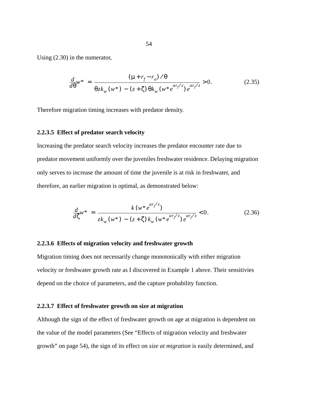Using (2.30) in the numerator,

$$
\frac{d}{d\theta}w^* = \frac{(\mu + r_f - r_o) / \theta}{\theta z k_w (w^*) - (z + \zeta) \theta k_w (w^* e^{ar_f/z}) e^{ar_f/z}} > 0.
$$
\n(2.35)

Therefore migration timing increases with predator density.

#### **2.2.3.5 Effect of predator search velocity**

Increasing the predator search velocity increases the predator encounter rate due to predator movement uniformly over the juveniles freshwater residence. Delaying migration only serves to increase the amount of time the juvenile is at risk in freshwater, and therefore, an earlier migration is optimal, as demonstrated below:

$$
\frac{d}{d\zeta}w^* = \frac{k(w^*e^{ar_f/z})}{zk_w(w^*) - (z+\zeta)k_w(w^*e^{ar_f/z})e^{ar_f/z}} < 0.
$$
\n(2.36)

#### **2.2.3.6 Effects of migration velocity and freshwater growth**

Migration timing does not necessarily change monotonically with either migration velocity or freshwater growth rate as I discovered in Example 1 above. Their sensitivies depend on the choice of parameters, and the capture probability function.

#### **2.2.3.7 Effect of freshwater growth on size at migration**

Although the sign of the effect of freshwater growth on age at migration is dependent on the value of the model parameters (See "Effects of migration velocity and freshwater growth" on page 54), the sign of its effect on *size at migration* is easily determined, and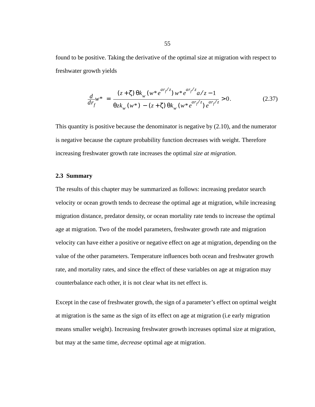found to be positive. Taking the derivative of the optimal size at migration with respect to freshwater growth yields

$$
\frac{d}{dr_{f}}w^{*} = \frac{(z+\zeta)\theta k_{w}(w^{*}e^{ar_{f}/z})w^{*}e^{ar_{f}/z}a/z - 1}{\theta z k_{w}(w^{*}) - (z+\zeta)\theta k_{w}(w^{*}e^{ar_{f}/z})e^{ar_{f}/z}} > 0.
$$
\n(2.37)

This quantity is positive because the denominator is negative by (2.10), and the numerator is negative because the capture probability function decreases with weight. Therefore increasing freshwater growth rate increases the optimal *size at migration*.

#### **2.3 Summary**

The results of this chapter may be summarized as follows: increasing predator search velocity or ocean growth tends to decrease the optimal age at migration, while increasing migration distance, predator density, or ocean mortality rate tends to increase the optimal age at migration. Two of the model parameters, freshwater growth rate and migration velocity can have either a positive or negative effect on age at migration, depending on the value of the other parameters. Temperature influences both ocean and freshwater growth rate, and mortality rates, and since the effect of these variables on age at migration may counterbalance each other, it is not clear what its net effect is.

Except in the case of freshwater growth, the sign of a parameter's effect on optimal weight at migration is the same as the sign of its effect on age at migration (i.e early migration means smaller weight). Increasing freshwater growth increases optimal size at migration, but may at the same time, *decrease* optimal age at migration.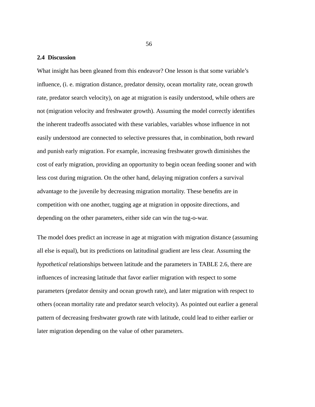## **2.4 Discussion**

What insight has been gleaned from this endeavor? One lesson is that some variable's influence, (i. e. migration distance, predator density, ocean mortality rate, ocean growth rate, predator search velocity), on age at migration is easily understood, while others are not (migration velocity and freshwater growth). Assuming the model correctly identifies the inherent tradeoffs associated with these variables, variables whose influence in not easily understood are connected to selective pressures that, in combination, both reward and punish early migration. For example, increasing freshwater growth diminishes the cost of early migration, providing an opportunity to begin ocean feeding sooner and with less cost during migration. On the other hand, delaying migration confers a survival advantage to the juvenile by decreasing migration mortality. These benefits are in competition with one another, tugging age at migration in opposite directions, and depending on the other parameters, either side can win the tug-o-war.

The model does predict an increase in age at migration with migration distance (assuming all else is equal), but its predictions on latitudinal gradient are less clear. Assuming the *hypothetical* relationships between latitude and the parameters in TABLE 2.6, there are influences of increasing latitude that favor earlier migration with respect to some parameters (predator density and ocean growth rate), and later migration with respect to others (ocean mortality rate and predator search velocity). As pointed out earlier a general pattern of decreasing freshwater growth rate with latitude, could lead to either earlier or later migration depending on the value of other parameters.

56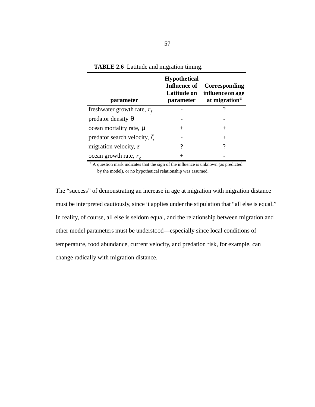| parameter                         | <b>Hypothetical</b><br><b>Influence of</b><br><b>Latitude on</b><br>parameter | Corresponding<br>influence on age<br>at migration <sup>a</sup> |
|-----------------------------------|-------------------------------------------------------------------------------|----------------------------------------------------------------|
| freshwater growth rate, $r_f$     |                                                                               |                                                                |
| predator density $\theta$         |                                                                               |                                                                |
| ocean mortality rate, $\mu$       | $^+$                                                                          | $^{+}$                                                         |
| predator search velocity, $\zeta$ |                                                                               | $^{+}$                                                         |
| migration velocity, $z$           | ?                                                                             | ?                                                              |
| ocean growth rate, $r_a$          |                                                                               |                                                                |

**TABLE 2.6** Latitude and migration timing.

<sup>a</sup> A question mark indicates that the sign of the influence is unknown (as predicted by the model), or no hypothetical relationship was assumed.

The "success" of demonstrating an increase in age at migration with migration distance must be interpreted cautiously, since it applies under the stipulation that "all else is equal." In reality, of course, all else is seldom equal, and the relationship between migration and other model parameters must be understood—especially since local conditions of temperature, food abundance, current velocity, and predation risk, for example, can change radically with migration distance.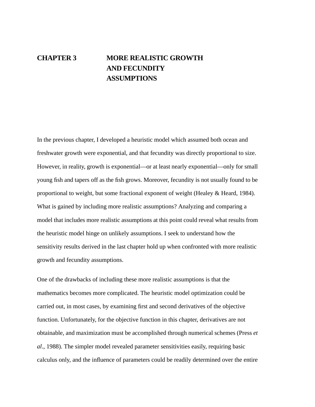# **CHAPTER 3 MORE REALISTIC GROWTH AND FECUNDITY ASSUMPTIONS**

In the previous chapter, I developed a heuristic model which assumed both ocean and freshwater growth were exponential, and that fecundity was directly proportional to size. However, in reality, growth is exponential—or at least nearly exponential—only for small young fish and tapers off as the fish grows. Moreover, fecundity is not usually found to be proportional to weight, but some fractional exponent of weight (Healey & Heard, 1984). What is gained by including more realistic assumptions? Analyzing and comparing a model that includes more realistic assumptions at this point could reveal what results from the heuristic model hinge on unlikely assumptions. I seek to understand how the sensitivity results derived in the last chapter hold up when confronted with more realistic growth and fecundity assumptions.

One of the drawbacks of including these more realistic assumptions is that the mathematics becomes more complicated. The heuristic model optimization could be carried out, in most cases, by examining first and second derivatives of the objective function. Unfortunately, for the objective function in this chapter, derivatives are not obtainable, and maximization must be accomplished through numerical schemes (Press *et al*., 1988). The simpler model revealed parameter sensitivities easily, requiring basic calculus only, and the influence of parameters could be readily determined over the entire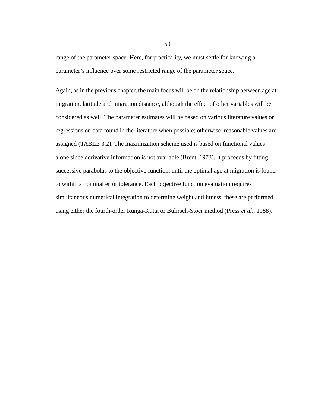range of the parameter space. Here, for practicality, we must settle for knowing a parameter's influence over some restricted range of the parameter space.

Again, as in the previous chapter, the main focus will be on the relationship between age at migration, latitude and migration distance, although the effect of other variables will be considered as well. The parameter estimates will be based on various literature values or regressions on data found in the literature when possible; otherwise, reasonable values are assigned (TABLE 3.2). The maximization scheme used is based on functional values alone since derivative information is not available (Brent, 1973). It proceeds by fitting successive parabolas to the objective function, until the optimal age at migration is found to within a nominal error tolerance. Each objective function evaluation requires simultaneous numerical integration to determine weight and fitness, these are performed using either the fourth-order Runga-Kutta or Bulirsch-Stoer method (Press *et al*., 1988).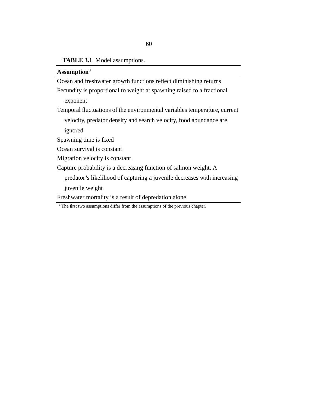# **TABLE 3.1** Model assumptions.

| Assumption <sup>a</sup>                                                   |
|---------------------------------------------------------------------------|
| Ocean and freshwater growth functions reflect diminishing returns         |
| Fecundity is proportional to weight at spawning raised to a fractional    |
| exponent                                                                  |
| Temporal fluctuations of the environmental variables temperature, current |
| velocity, predator density and search velocity, food abundance are        |
| ignored                                                                   |
| Spawning time is fixed                                                    |
| Ocean survival is constant                                                |
| Migration velocity is constant                                            |
| Capture probability is a decreasing function of salmon weight. A          |
| predator's likelihood of capturing a juvenile decreases with increasing   |
| juvenile weight                                                           |
| Freshwater mortality is a result of depredation alone                     |

<sup>a</sup> The first two assumptions differ from the assumptions of the previous chapter.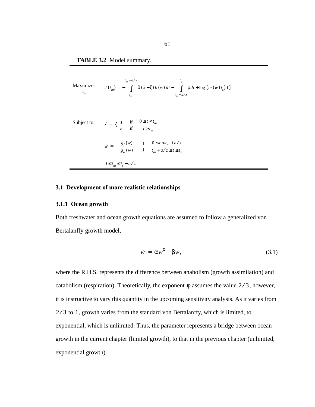**TABLE 3.2** Model summary.

Maximize:  
\n
$$
J(t_m) = -\int_{t_m}^{t_m + a/z} \theta(\dot{x} + \zeta) k(w) dt - \int_{t_m + a/z}^{t_s} \mu dt + \log [m(w(t_s))]
$$
\n
$$
J(t_m) = -\int_{t_m}^{t_m + a/z} \theta(\dot{x} + \zeta) k(w) dt - \int_{t_m + a/z}^{t_s} \mu dt + \log [m(w(t_s))]
$$
\n
$$
\dot{x} = \begin{cases} 0 & \text{if } 0 \le t < t_m \\ z & \text{if } t \ge t_m \end{cases}
$$
\n
$$
\dot{w} = \begin{cases} g_f(w) & \text{if } 0 \le t < t_m + a/z \\ g_o(w) & \text{if } t_m + a/z \le t \le t_s \end{cases}
$$
\n
$$
0 \le t_m \le t_s - a/z
$$

# **3.1 Development of more realistic relationships**

#### **3.1.1 Ocean growth**

Both freshwater and ocean growth equations are assumed to follow a generalized von Bertalanffy growth model,

$$
\dot{w} = \alpha w^{\phi} - \beta w, \qquad (3.1)
$$

where the R.H.S. represents the difference between anabolism (growth assimilation) and catabolism (respiration). Theoretically, the exponent  $\phi$  assumes the value  $2/3$ , however, it is instructive to vary this quantity in the upcoming sensitivity analysis. As it varies from  $2/3$  to 1, growth varies from the standard von Bertalanffy, which is limited, to exponential, which is unlimited. Thus, the parameter represents a bridge between ocean growth in the current chapter (limited growth), to that in the previous chapter (unlimited, exponential growth).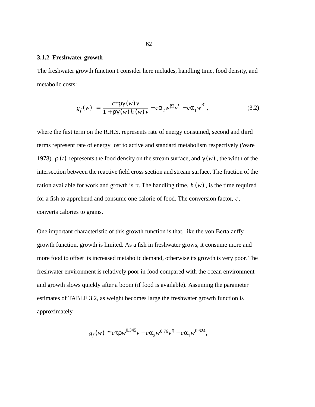#### **3.1.2 Freshwater growth**

The freshwater growth function I consider here includes, handling time, food density, and metabolic costs:

$$
g_f(w) = \frac{c \tau \rho \gamma(w) v}{1 + \rho \gamma(w) h(w) v} - c \alpha_2 w^{\beta 2} v^{\eta} - c \alpha_1 w^{\beta 1},
$$
 (3.2)

where the first term on the R.H.S. represents rate of energy consumed, second and third terms represent rate of energy lost to active and standard metabolism respectively (Ware 1978).  $\rho(t)$  represents the food density on the stream surface, and  $\gamma(w)$ , the width of the intersection between the reactive field cross section and stream surface. The fraction of the ration available for work and growth is  $\tau$ . The handling time,  $h(w)$ , is the time required for a fish to apprehend and consume one calorie of food. The conversion factor,  $c$ , converts calories to grams.

One important characteristic of this growth function is that, like the von Bertalanffy growth function, growth is limited. As a fish in freshwater grows, it consume more and more food to offset its increased metabolic demand, otherwise its growth is very poor. The freshwater environment is relatively poor in food compared with the ocean environment and growth slows quickly after a boom (if food is available). Assuming the parameter estimates of TABLE 3.2, as weight becomes large the freshwater growth function is approximately

$$
g_f(w) \cong c \tau \rho w^{0.345} v - c \alpha_2 w^{0.76} v^{\eta} - c \alpha_1 w^{0.624},
$$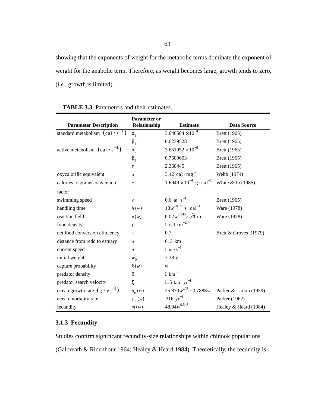showing that the exponents of weight for the metabolic terms dominate the exponent of weight for the anabolic term. Therefore, as weight becomes large, growth tends to zero, (*i.e*., growth is limited).

| <b>Parameter Description</b>                                      | <b>Parameter or</b><br>Relationship | <b>Estimate</b>                               | <b>Data Source</b>     |
|-------------------------------------------------------------------|-------------------------------------|-----------------------------------------------|------------------------|
| standard metabolism $\left(\text{cal} \cdot \text{s}^{-1}\right)$ | $\alpha_{1}$                        | $3.646584 \times 10^{-4}$                     | Brett (1965)           |
|                                                                   | $\beta_1$                           | 0.6239528                                     | Brett (1965)           |
| active metabolism $\left(\text{cal} \cdot \text{s}^{-1}\right)$   | $\alpha_{2}$                        | $3.651952 \times 10^{-3}$                     | Brett (1965)           |
|                                                                   | $\beta_2$                           | 0.7609603                                     | Brett (1965)           |
|                                                                   | η                                   | 2.360445                                      | Brett (1965)           |
| oxycalorific equivalent                                           | q                                   | 3.42 cal $mg^{-1}$                            | Webb (1974)            |
| calories to grams conversion                                      | $\boldsymbol{c}$                    | $1.6949 \times 10^{-4}$ g · cal <sup>-1</sup> | White & Li (1985)      |
| factor                                                            |                                     |                                               |                        |
| swimming speed                                                    | $\boldsymbol{\nu}$                  | $0.6~{\rm m\cdot s}^{-1}$                     | Brett (1965)           |
| handling time                                                     | h(w)                                | $18w^{-0.69}$ s · cal <sup>-1</sup>           | Ware (1978)            |
| reaction field                                                    | $\gamma(w)$                         | $0.02w^{0.345}/\sqrt{\pi}$ m                  | Ware (1978)            |
| food density                                                      | ρ                                   | 1 cal $\cdot$ m <sup>-2</sup>                 |                        |
| net food conversion efficiency                                    | τ                                   | 0.7                                           | Brett & Groves (1979)  |
| distance from redd to estuary                                     | a                                   | 613 km                                        |                        |
| current speed                                                     | $\mathfrak u$                       | $1 \text{ m} \cdot \text{s}^{-1}$             |                        |
| initial weight                                                    | $w_0$                               | $3.38$ g                                      |                        |
| capture probability                                               | k(w)                                | $w^{-1}$                                      |                        |
| predator density                                                  | $\theta$                            | $1 \text{ km}^{-1}$                           |                        |
| predator search velocity                                          | ζ                                   | 115 km $\cdot$ yr <sup>-1</sup>               |                        |
| ocean growth rate $(g \cdot yr^{-1})$                             | $g_{o}(w)$                          | $25.870w^{2/3} - 0.7888w$                     | Parker & Larkin (1959) |
| ocean mortality rate                                              | $\mu$ <sub>o</sub> $(w)$            | .316 $yr^{-1}$                                | Parker (1962)          |
| fecundity                                                         | m(w)                                | $48.94w^{0.548}$                              | Healey & Heard (1984)  |

| <b>TABLE 3.3</b> Parameters and their estimates. |
|--------------------------------------------------|
|--------------------------------------------------|

# **3.1.3 Fecundity**

Studies confirm significant fecundity-size relationships within chinook populations (Galbreath & Ridenhour 1964; Healey & Heard 1984). Theoretically, the fecundity is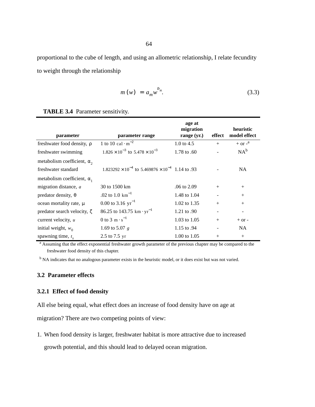proportional to the cube of length, and using an allometric relationship, I relate fecundity to weight through the relationship

$$
m(w) = a_m w^{b_m}.
$$
 (3.3)

#### **TABLE 3.4** Parameter sensitivity.

| parameter                          | parameter range                                                    | age at<br>migration<br>range (yr.) | effect | heuristic<br>model effect |
|------------------------------------|--------------------------------------------------------------------|------------------------------------|--------|---------------------------|
| freshwater food density, p         | 1 to 10 cal $\cdot$ m <sup>-2</sup>                                | 1.0 to $4.5$                       | $^{+}$ | $+$ or $-$ <sup>a</sup>   |
| freshwater swimming                | $1.826 \times 10^{-3}$ to $5.478 \times 10^{-3}$                   | 1.78 to .60                        |        | $NA^b$                    |
| metabolism coefficient, $\alpha$ , |                                                                    |                                    |        |                           |
| freshwater standard                | $1.823292 \times 10^{-4}$ to $5.469876 \times 10^{-4}$ 1.14 to .93 |                                    |        | NA.                       |
| metabolism coefficient, $\alpha_1$ |                                                                    |                                    |        |                           |
| migration distance, a              | 30 to 1500 km                                                      | .06 to 2.09                        | $+$    | $+$                       |
| predator density, $\theta$         | .02 to 1.0 $km^{-1}$                                               | 1.48 to 1.04                       |        | $+$                       |
| ocean mortality rate, $\mu$        | 0.00 to 3.16 $yr^{-1}$                                             | 1.02 to 1.35                       | $+$    | $+$                       |
| predator search velocity, $\zeta$  | 86.25 to 143.75 km $\cdot$ yr <sup>-1</sup>                        | 1.21 to .90                        |        |                           |
| current velocity, u                | 0 to 3 m $\cdot$ s <sup>-1</sup>                                   | 1.03 to $1.05$                     | $+$    | $+$ or $-$                |
| initial weight, $w_0$              | 1.69 to 5.07 $g$                                                   | 1.15 to .94                        |        | NA.                       |
| spawning time, $t_{s}$             | 2.5 to 7.5 yr                                                      | 1.00 to 1.05                       | $^{+}$ | $^{+}$                    |

<sup>a</sup> Assuming that the effect exponential freshwater growth parameter of the previous chapter may be compared to the freshwater food density of this chapter.

<sup>b</sup> NA indicates that no analogous parameter exists in the heuristic model, or it does exist but was not varied.

# **3.2 Parameter effects**

### **3.2.1 Effect of food density**

All else being equal, what effect does an increase of food density have on age at

migration? There are two competing points of view:

1. When food density is larger, freshwater habitat is more attractive due to increased

growth potential, and this should lead to delayed ocean migration.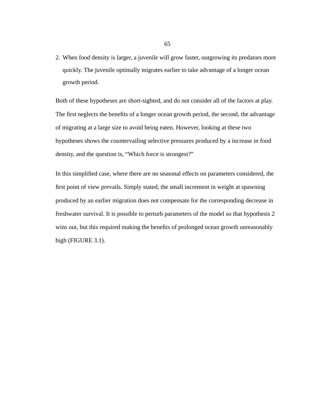2. When food density is larger, a juvenile will grow faster, outgrowing its predators more quickly. The juvenile optimally migrates earlier to take advantage of a longer ocean growth period.

Both of these hypotheses are short-sighted, and do not consider all of the factors at play. The first neglects the benefits of a longer ocean growth period, the second, the advantage of migrating at a large size to avoid being eaten. However, looking at these two hypotheses shows the countervailing selective pressures produced by a increase in food density, and the question is, "Which force is strongest?"

In this simplified case, where there are no seasonal effects on parameters considered, the first point of view prevails. Simply stated, the small increment in weight at spawning produced by an earlier migration does not compensate for the corresponding decrease in freshwater survival. It is possible to perturb parameters of the model so that hypothesis 2 wins out, but this required making the benefits of prolonged ocean growth unreasonably high (FIGURE 3.1).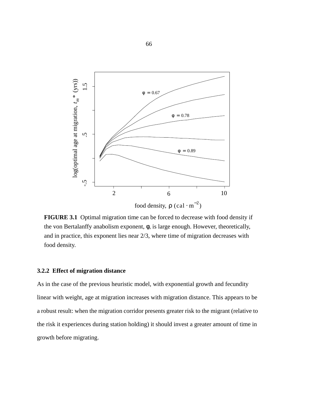

**FIGURE 3.1** Optimal migration time can be forced to decrease with food density if the von Bertalanffy anabolism exponent, φ, is large enough. However, theoretically, and in practice, this exponent lies near 2/3, where time of migration decreases with food density.

#### **3.2.2 Effect of migration distance**

As in the case of the previous heuristic model, with exponential growth and fecundity linear with weight, age at migration increases with migration distance. This appears to be a robust result: when the migration corridor presents greater risk to the migrant (relative to the risk it experiences during station holding) it should invest a greater amount of time in growth before migrating.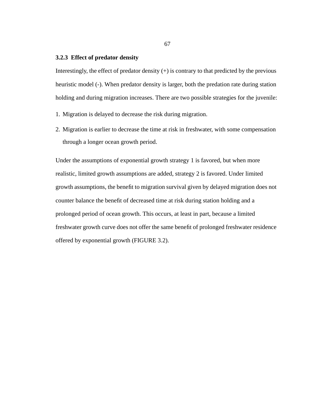### **3.2.3 Effect of predator density**

Interestingly, the effect of predator density  $(+)$  is contrary to that predicted by the previous heuristic model (-). When predator density is larger, both the predation rate during station holding and during migration increases. There are two possible strategies for the juvenile:

- 1. Migration is delayed to decrease the risk during migration.
- 2. Migration is earlier to decrease the time at risk in freshwater, with some compensation through a longer ocean growth period.

Under the assumptions of exponential growth strategy 1 is favored, but when more realistic, limited growth assumptions are added, strategy 2 is favored. Under limited growth assumptions, the benefit to migration survival given by delayed migration does not counter balance the benefit of decreased time at risk during station holding and a prolonged period of ocean growth. This occurs, at least in part, because a limited freshwater growth curve does not offer the same benefit of prolonged freshwater residence offered by exponential growth (FIGURE 3.2).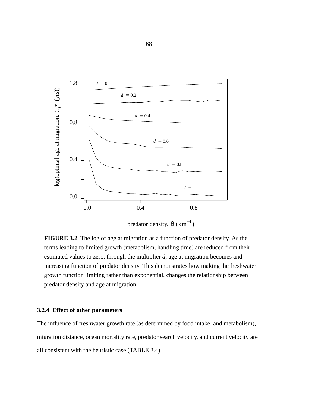

**FIGURE 3.2** The log of age at migration as a function of predator density. As the terms leading to limited growth (metabolism, handling time) are reduced from their estimated values to zero, through the multiplier *d*, age at migration becomes and increasing function of predator density. This demonstrates how making the freshwater growth function limiting rather than exponential, changes the relationship between predator density and age at migration.

# **3.2.4 Effect of other parameters**

The influence of freshwater growth rate (as determined by food intake, and metabolism), migration distance, ocean mortality rate, predator search velocity, and current velocity are all consistent with the heuristic case (TABLE 3.4).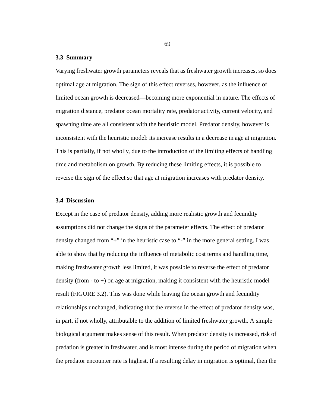#### **3.3 Summary**

Varying freshwater growth parameters reveals that as freshwater growth increases, so does optimal age at migration. The sign of this effect reverses, however, as the influence of limited ocean growth is decreased—becoming more exponential in nature. The effects of migration distance, predator ocean mortality rate, predator activity, current velocity, and spawning time are all consistent with the heuristic model. Predator density, however is inconsistent with the heuristic model: its increase results in a decrease in age at migration. This is partially, if not wholly, due to the introduction of the limiting effects of handling time and metabolism on growth. By reducing these limiting effects, it is possible to reverse the sign of the effect so that age at migration increases with predator density.

#### **3.4 Discussion**

Except in the case of predator density, adding more realistic growth and fecundity assumptions did not change the signs of the parameter effects. The effect of predator density changed from "+" in the heuristic case to "-" in the more general setting. I was able to show that by reducing the influence of metabolic cost terms and handling time, making freshwater growth less limited, it was possible to reverse the effect of predator density (from  $-$  to  $+$ ) on age at migration, making it consistent with the heuristic model result (FIGURE 3.2). This was done while leaving the ocean growth and fecundity relationships unchanged, indicating that the reverse in the effect of predator density was, in part, if not wholly, attributable to the addition of limited freshwater growth. A simple biological argument makes sense of this result. When predator density is increased, risk of predation is greater in freshwater, and is most intense during the period of migration when the predator encounter rate is highest. If a resulting delay in migration is optimal, then the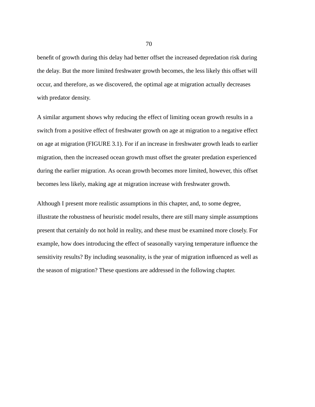benefit of growth during this delay had better offset the increased depredation risk during the delay. But the more limited freshwater growth becomes, the less likely this offset will occur, and therefore, as we discovered, the optimal age at migration actually decreases with predator density.

A similar argument shows why reducing the effect of limiting ocean growth results in a switch from a positive effect of freshwater growth on age at migration to a negative effect on age at migration (FIGURE 3.1). For if an increase in freshwater growth leads to earlier migration, then the increased ocean growth must offset the greater predation experienced during the earlier migration. As ocean growth becomes more limited, however, this offset becomes less likely, making age at migration increase with freshwater growth.

Although I present more realistic assumptions in this chapter, and, to some degree, illustrate the robustness of heuristic model results, there are still many simple assumptions present that certainly do not hold in reality, and these must be examined more closely. For example, how does introducing the effect of seasonally varying temperature influence the sensitivity results? By including seasonality, is the year of migration influenced as well as the season of migration? These questions are addressed in the following chapter.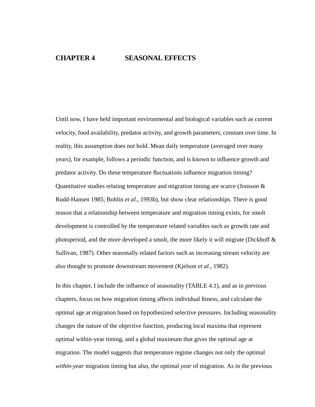# **CHAPTER 4 SEASONAL EFFECTS**

Until now, I have held important environmental and biological variables such as current velocity, food availability, predator activity, and growth parameters, constant over time. In reality, this assumption does not hold. Mean daily temperature (averaged over many years), for example, follows a periodic function, and is known to influence growth and predator activity. Do these temperature fluctuations influence migration timing? Quantitative studies relating temperature and migration timing are scarce (Jonsson & Rudd-Hansen 1985; Bohlin *et al.*, 1993b), but show clear relationships. There is good reason that a relationship between temperature and migration timing exists, for smolt development is controlled by the temperature related variables such as growth rate and photoperiod, and the more developed a smolt, the more likely it will migrate (Dickhoff  $\&$ Sullivan, 1987). Other seasonally related factors such as increasing stream velocity are also thought to promote downstream movement (Kjelson *et al*., 1982).

In this chapter, I include the influence of seasonality (TABLE 4.1), and as in previous chapters, focus on how migration timing affects individual fitness, and calculate the optimal age at migration based on hypothesized selective pressures. Including seasonality changes the nature of the objective function, producing local maxima that represent optimal within-year timing, and a global maximum that gives the optimal age at migration. The model suggests that temperature regime changes not only the optimal *within-year* migration timing but also, the optimal *year* of migration. As in the previous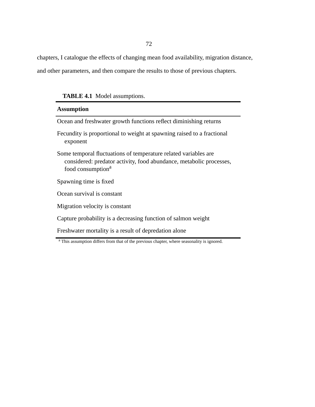chapters, I catalogue the effects of changing mean food availability, migration distance,

and other parameters, and then compare the results to those of previous chapters.

**TABLE 4.1** Model assumptions.

| <b>Assumption</b>                                                                                                                                                       |
|-------------------------------------------------------------------------------------------------------------------------------------------------------------------------|
| Ocean and freshwater growth functions reflect diminishing returns                                                                                                       |
| Fecundity is proportional to weight at spawning raised to a fractional<br>exponent                                                                                      |
| Some temporal fluctuations of temperature related variables are<br>considered: predator activity, food abundance, metabolic processes,<br>food consumption <sup>a</sup> |
| Spawning time is fixed                                                                                                                                                  |
| Ocean survival is constant                                                                                                                                              |
| Migration velocity is constant                                                                                                                                          |
| Capture probability is a decreasing function of salmon weight                                                                                                           |
| Freshwater mortality is a result of depredation alone                                                                                                                   |

<sup>&</sup>lt;sup>a</sup> This assumption differs from that of the previous chapter, where seasonality is ignored.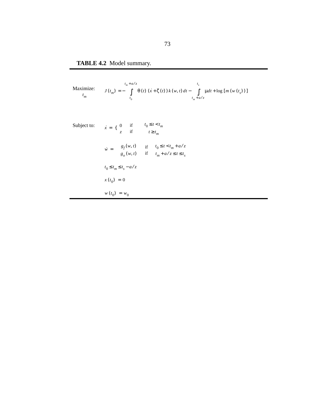# **TABLE 4.2** Model summary.

Maximize:  
\n
$$
J(t_m) = -\int_{t_0}^{t_m + a/z} \theta(t) \left(\dot{x} + \zeta(t)\right) k(w, t) dt - \int_{t_m + a/z}^{t_s} \mu dt + \log [m(w(t_s))]
$$
\n
$$
= \int_{t_0}^{t_m + a/z} \theta(t) \left(\dot{x} + \zeta(t)\right) k(w, t) dt - \int_{t_m + a/z}^{t_s} \mu dt + \log [m(w(t_s))]
$$
\n
$$
\dot{x} = \begin{cases} 0 & \text{if } t_0 \le t < t_m \\ z & \text{if } t \ge t_m \end{cases}
$$
\n
$$
\dot{w} = \begin{cases} g_f(w, t) & \text{if } t_m + a/z \le t \le t_s \\ g_o(w, t) & \text{if } t_m + a/z \le t \le t_s \end{cases}
$$
\n
$$
t_0 \le t_m \le t_s - a/z
$$
\n
$$
x(t_0) = 0
$$
\n
$$
w(t_0) = w_0
$$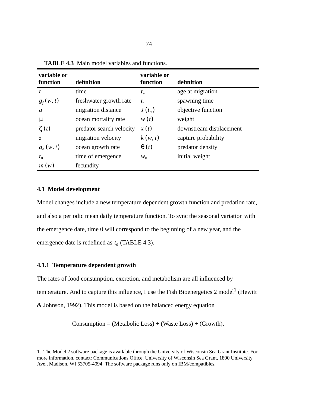| variable or<br>function | definition               | variable or<br>function | definition              |
|-------------------------|--------------------------|-------------------------|-------------------------|
| t                       | time                     | $t_m$                   | age at migration        |
| $g_f(w, t)$             | freshwater growth rate   | $t_{s}$                 | spawning time           |
| a                       | migration distance       | $J(t_m)$                | objective function      |
| μ                       | ocean mortality rate     | w(t)                    | weight                  |
| $\zeta(t)$              | predator search velocity | x(t)                    | downstream displacement |
| Z.                      | migration velocity       | k(w, t)                 | capture probability     |
| $g_{\rho}(w, t)$        | ocean growth rate        | $\theta(t)$             | predator density        |
| $t_{0}$                 | time of emergence        | $W_0$                   | initial weight          |
| m(w)                    | fecundity                |                         |                         |

**TABLE 4.3** Main model variables and functions.

# **4.1 Model development**

Model changes include a new temperature dependent growth function and predation rate, and also a periodic mean daily temperature function. To sync the seasonal variation with the emergence date, time 0 will correspond to the beginning of a new year, and the emergence date is redefined as  $t_0$  (TABLE 4.3).

#### **4.1.1 Temperature dependent growth**

The rates of food consumption, excretion, and metabolism are all influenced by temperature. And to capture this influence, I use the Fish Bioenergetics  $2 \text{ model}^1$  (Hewitt & Johnson, 1992). This model is based on the balanced energy equation

 $Consumption = (Metabolic Loss) + (Waste Loss) + (Growth),$ 

<sup>1.</sup> The Model 2 software package is available through the University of Wisconsin Sea Grant Institute. For more information, contact: Communications Office, University of Wisconsin Sea Grant, 1800 University Ave., Madison, WI 53705-4094. The software package runs only on IBM/compatibles.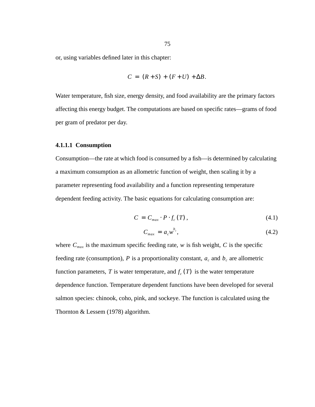or, using variables defined later in this chapter:

$$
C = (R+S) + (F+U) + \Delta B.
$$

Water temperature, fish size, energy density, and food availability are the primary factors affecting this energy budget. The computations are based on specific rates—grams of food per gram of predator per day.

#### **4.1.1.1 Consumption**

Consumption—the rate at which food is consumed by a fish—is determined by calculating a maximum consumption as an allometric function of weight, then scaling it by a parameter representing food availability and a function representing temperature dependent feeding activity. The basic equations for calculating consumption are:

$$
C = C_{max} \cdot P \cdot f_c(T), \qquad (4.1)
$$

$$
C_{max} = a_c w^{b_c}, \qquad (4.2)
$$

where  $C_{max}$  is the maximum specific feeding rate, w is fish weight, C is the specific feeding rate (consumption), P is a proportionality constant,  $a_c$  and  $b_c$  are allometric function parameters, T is water temperature, and  $f_c(T)$  is the water temperature dependence function. Temperature dependent functions have been developed for several salmon species: chinook, coho, pink, and sockeye. The function is calculated using the Thornton & Lessem (1978) algorithm.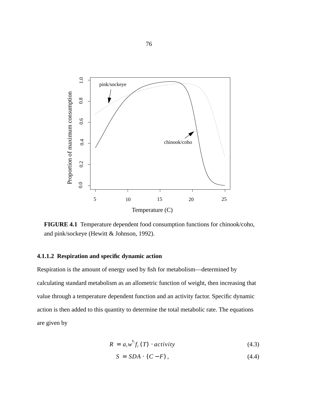

**FIGURE 4.1** Temperature dependent food consumption functions for chinook/coho, and pink/sockeye (Hewitt & Johnson, 1992).

# **4.1.1.2 Respiration and specific dynamic action**

Respiration is the amount of energy used by fish for metabolism—determined by calculating standard metabolism as an allometric function of weight, then increasing that value through a temperature dependent function and an activity factor. Specific dynamic action is then added to this quantity to determine the total metabolic rate. The equations are given by

$$
R = ar wb fr (T) \cdot activity \qquad (4.3)
$$

$$
S = SDA \cdot (C - F), \qquad (4.4)
$$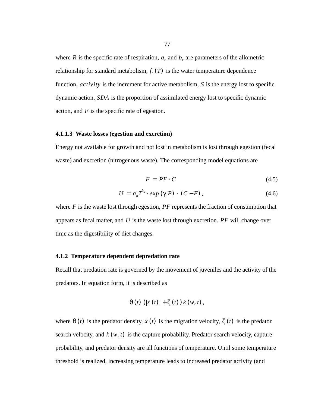where R is the specific rate of respiration,  $a_r$  and  $b_r$  are parameters of the allometric relationship for standard metabolism,  $f_r(T)$  is the water temperature dependence function, *activity* is the increment for active metabolism, S is the energy lost to specific dynamic action, SDA is the proportion of assimilated energy lost to specific dynamic action, and  $F$  is the specific rate of egestion.

#### **4.1.1.3 Waste losses (egestion and excretion)**

Energy not available for growth and not lost in metabolism is lost through egestion (fecal waste) and excretion (nitrogenous waste). The corresponding model equations are

$$
F = PF \cdot C \tag{4.5}
$$

$$
U = au Tbu \cdot exp(\gammau P) \cdot (C - F), \qquad (4.6)
$$

where  $F$  is the waste lost through egestion,  $PF$  represents the fraction of consumption that appears as fecal matter, and  $U$  is the waste lost through excretion.  $PF$  will change over time as the digestibility of diet changes.

#### **4.1.2 Temperature dependent depredation rate**

Recall that predation rate is governed by the movement of juveniles and the activity of the predators. In equation form, it is described as

$$
\theta(t) \left( \left| \dot{x}(t) \right| + \zeta(t) \right) k(w,t),
$$

where  $\theta(t)$  is the predator density,  $\dot{x}(t)$  is the migration velocity,  $\zeta(t)$  is the predator search velocity, and  $k(w, t)$  is the capture probability. Predator search velocity, capture probability, and predator density are all functions of temperature. Until some temperature threshold is realized, increasing temperature leads to increased predator activity (and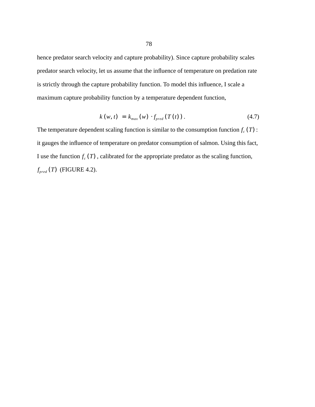hence predator search velocity and capture probability). Since capture probability scales predator search velocity, let us assume that the influence of temperature on predation rate is strictly through the capture probability function. To model this influence, I scale a maximum capture probability function by a temperature dependent function,

$$
k(w, t) = k_{max}(w) \cdot f_{pred}(T(t)). \qquad (4.7)
$$

The temperature dependent scaling function is similar to the consumption function  $f_c(T)$ : it gauges the influence of temperature on predator consumption of salmon. Using this fact, I use the function  $f_c(T)$ , calibrated for the appropriate predator as the scaling function,  $f_{pred}(T)$  (FIGURE 4.2).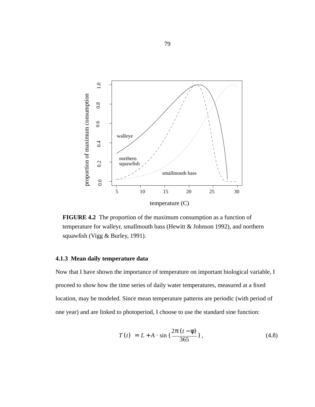

**FIGURE 4.2** The proportion of the maximum consumption as a function of temperature for walleyr, smallmouth bass (Hewitt & Johnson 1992), and northern squawfish (Vigg & Burley, 1991).

# **4.1.3 Mean daily temperature data**

Now that I have shown the importance of temperature on important biological variable, I proceed to show how the time series of daily water temperatures, measured at a fixed location, may be modeled. Since mean temperature patterns are periodic (with period of one year) and are linked to photoperiod, I choose to use the standard sine function:

$$
T(t) = L + A \cdot \sin\left(\frac{2\pi (t - \phi)}{365}\right),\tag{4.8}
$$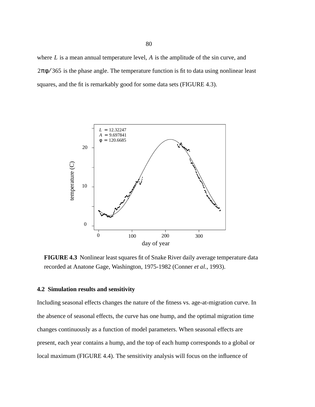where  $L$  is a mean annual temperature level,  $A$  is the amplitude of the sin curve, and  $2\pi\phi/365$  is the phase angle. The temperature function is fit to data using nonlinear least squares, and the fit is remarkably good for some data sets (FIGURE 4.3).



**FIGURE 4.3** Nonlinear least squares fit of Snake River daily average temperature data recorded at Anatone Gage, Washington, 1975-1982 (Conner *et al.*, 1993).

# **4.2 Simulation results and sensitivity**

Including seasonal effects changes the nature of the fitness vs. age-at-migration curve. In the absence of seasonal effects, the curve has one hump, and the optimal migration time changes continuously as a function of model parameters. When seasonal effects are present, each year contains a hump, and the top of each hump corresponds to a global or local maximum (FIGURE 4.4). The sensitivity analysis will focus on the influence of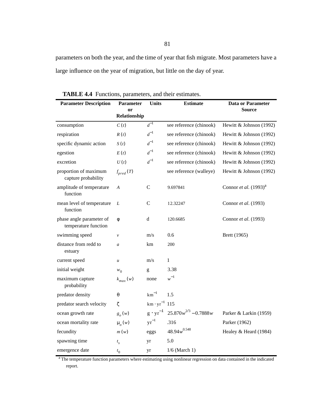parameters on both the year, and the time of year that fish migrate. Most parameters have a large influence on the year of migration, but little on the day of year.

| <b>Parameter Description</b>                     | Parameter          | <b>Units</b>       | <b>Estimate</b>           | <b>Data or Parameter</b>          |
|--------------------------------------------------|--------------------|--------------------|---------------------------|-----------------------------------|
|                                                  | or<br>Relationship |                    |                           | <b>Source</b>                     |
| consumption                                      | C(t)               | $d^{-1}$           | see reference (chinook)   | Hewitt & Johnson (1992)           |
| respiration                                      | R(t)               | $d^{-1}$           | see reference (chinook)   | Hewitt & Johnson (1992)           |
| specific dynamic action                          | S(t)               | $d^{-1}$           | see reference (chinook)   | Hewitt & Johnson (1992)           |
| egestion                                         | E(t)               | $d^{-1}$           | see reference (chinook)   | Hewitt & Johnson (1992)           |
| excretion                                        | U(t)               | $d^{-1}$           | see reference (chinook)   | Hewitt & Johnson (1992)           |
| proportion of maximum<br>capture probability     | $f_{pred}(T)$      |                    | see reference (walleye)   | Hewitt & Johnson (1992)           |
| amplitude of temperature<br>function             | A                  | $\mathbf C$        | 9.697841                  | Connor et al. (1993) <sup>a</sup> |
| mean level of temperature<br>function            | L                  | $\mathcal{C}$      | 12.32247                  | Connor et al. (1993)              |
| phase angle parameter of<br>temperature function | φ                  | $\mathbf d$        | 120.6685                  | Connor et al. (1993)              |
| swimming speed                                   | $\mathcal V$       | m/s                | 0.6                       | Brett (1965)                      |
| distance from redd to<br>estuary                 | $\boldsymbol{a}$   | km                 | 200                       |                                   |
| current speed                                    | $\boldsymbol{u}$   | m/s                | 1                         |                                   |
| initial weight                                   | $w_0$              | g                  | 3.38                      |                                   |
| maximum capture<br>probability                   | $k_{max}(w)$       | none               | $w^{-1}$                  |                                   |
| predator density                                 | $\theta$           | $km^{-1}$          | 1.5                       |                                   |
| predator search velocity                         | ζ                  | $km \cdot yr^{-1}$ | 115                       |                                   |
| ocean growth rate                                | $g_{o}(w)$         | $g \cdot yr^{-1}$  | $25.870w^{2/3} - 0.7888w$ | Parker & Larkin (1959)            |
| ocean mortality rate                             | $\mu_{\rho}(w)$    | $\rm yr^{-1}$      | .316                      | Parker (1962)                     |
| fecundity                                        | m(w)               | eggs               | $48.94w^{0.548}$          | Healey & Heard (1984)             |
| spawning time                                    | $t_{s}$            | yr                 | 5.0                       |                                   |
| emergence date                                   | $t_{0}$            | yr                 | $1/6$ (March 1)           |                                   |

**TABLE 4.4** Functions, parameters, and their estimates.

<sup>a</sup> The temperature function parameters where estimating using nonlinear regression on data contained in the indicated report.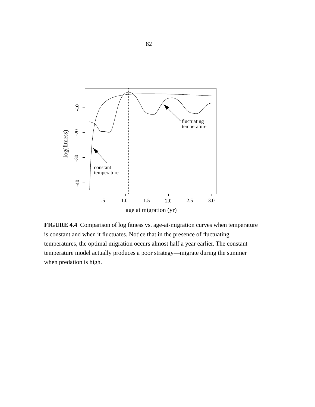

**FIGURE 4.4** Comparison of log fitness vs. age-at-migration curves when temperature is constant and when it fluctuates. Notice that in the presence of fluctuating temperatures, the optimal migration occurs almost half a year earlier. The constant temperature model actually produces a poor strategy—migrate during the summer when predation is high.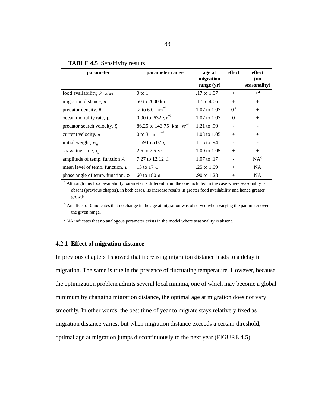| parameter                             | parameter range                             | age at<br>migration<br>range $(yr)$ | effect         | effect<br>(no)<br>seasonality) |
|---------------------------------------|---------------------------------------------|-------------------------------------|----------------|--------------------------------|
| food availability, <i>Pvalue</i>      | $0$ to $1$                                  | .17 to 1.07                         | $+$            | $+^a$                          |
| migration distance, a                 | 50 to 2000 km                               | .17 to 4.06                         | $+$            | $+$                            |
| predator density, $\theta$            | .2 to 6.0 $\text{km}^{-1}$                  | $1.07$ to $1.07$                    | 0 <sup>b</sup> | $+$                            |
| ocean mortality rate, $\mu$           | 0.00 to .632 $yr^{-1}$                      | $1.07$ to $1.07$                    | $\Omega$       | $^{+}$                         |
| predator search velocity, $\zeta$     | 86.25 to 143.75 km $\cdot$ yr <sup>-1</sup> | 1.21 to .90                         |                |                                |
| current velocity, $u$                 | 0 to 3 $\text{m} \cdot \text{s}^{-1}$       | 1.03 to 1.05                        | $+$            | $^{+}$                         |
| initial weight, $w_0$                 | 1.69 to 5.07 $g$                            | 1.15 to .94                         | -              | $\overline{\phantom{a}}$       |
| spawning time, $t_{\rm s}$            | 2.5 to 7.5 yr                               | $1.00 \text{ to } 1.05$             | $+$            | $+$                            |
| amplitude of temp. function A         | 7.27 to 12.12 C                             | 1.07 to .17                         |                | $NA^c$                         |
| mean level of temp. function, L       | 13 to 17 C                                  | .25 to 1.09                         | $+$            | NA.                            |
| phase angle of temp. function, $\phi$ | 60 to 180 d                                 | .90 to 1.23                         | $+$            | NA.                            |

# **TABLE 4.5** Sensitivity results.

<sup>a</sup> Although this food availability parameter is different from the one included in the case where seasonality is absent (previous chapter), in both cases, its increase results in greater food availability and hence greater growth.

<sup>b</sup> An effect of 0 indicates that no change in the age at migration was observed when varying the parameter over the given range.

 $\rm^c$  NA indicates that no analogous parameter exists in the model where seasonality is absent.

# **4.2.1 Effect of migration distance**

In previous chapters I showed that increasing migration distance leads to a delay in migration. The same is true in the presence of fluctuating temperature. However, because the optimization problem admits several local minima, one of which may become a global minimum by changing migration distance, the optimal age at migration does not vary smoothly. In other words, the best time of year to migrate stays relatively fixed as migration distance varies, but when migration distance exceeds a certain threshold, optimal age at migration jumps discontinuously to the next year (FIGURE 4.5).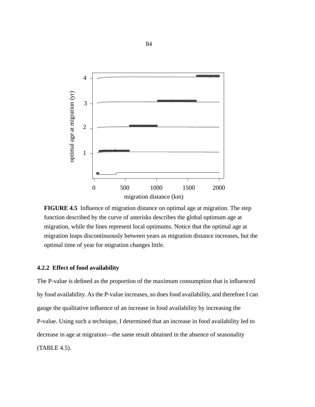

**FIGURE 4.5** Influence of migration distance on optimal age at migration. The step function described by the curve of asterisks describes the global optimum age at migration, while the lines represent local optimums. Notice that the optimal age at migration leaps discontinuously between years as migration distance increases, but the optimal time of year for migration changes little.

#### **4.2.2 Effect of food availability**

The P-value is defined as the proportion of the maximum consumption that is influenced by food availability. As the P-value increases, so does food availability, and therefore I can gauge the qualitative influence of an increase in food availability by increasing the P-value. Using such a technique, I determined that an increase in food availability led to decrease in age at migration—the same result obtained in the absence of seasonality (TABLE 4.5).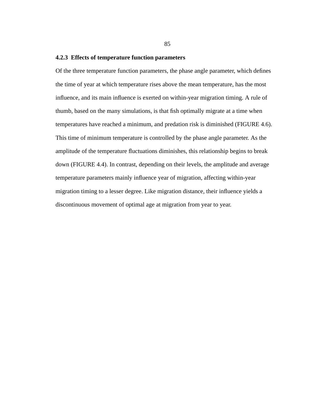#### **4.2.3 Effects of temperature function parameters**

Of the three temperature function parameters, the phase angle parameter, which defines the time of year at which temperature rises above the mean temperature, has the most influence, and its main influence is exerted on within-year migration timing. A rule of thumb, based on the many simulations, is that fish optimally migrate at a time when temperatures have reached a minimum, and predation risk is diminished (FIGURE 4.6). This time of minimum temperature is controlled by the phase angle parameter. As the amplitude of the temperature fluctuations diminishes, this relationship begins to break down (FIGURE 4.4). In contrast, depending on their levels, the amplitude and average temperature parameters mainly influence year of migration, affecting within-year migration timing to a lesser degree. Like migration distance, their influence yields a discontinuous movement of optimal age at migration from year to year.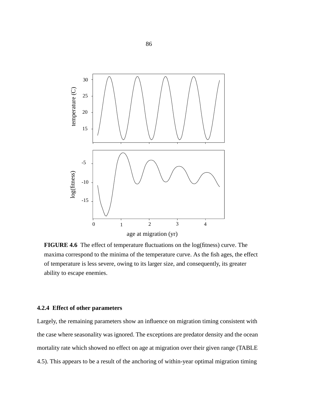

**FIGURE 4.6** The effect of temperature fluctuations on the log(fitness) curve. The maxima correspond to the minima of the temperature curve. As the fish ages, the effect of temperature is less severe, owing to its larger size, and consequently, its greater ability to escape enemies.

# **4.2.4 Effect of other parameters**

Largely, the remaining parameters show an influence on migration timing consistent with the case where seasonality was ignored. The exceptions are predator density and the ocean mortality rate which showed no effect on age at migration over their given range (TABLE 4.5). This appears to be a result of the anchoring of within-year optimal migration timing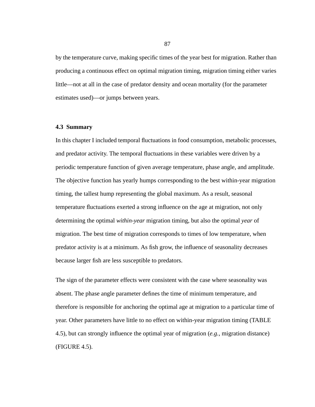by the temperature curve, making specific times of the year best for migration. Rather than producing a continuous effect on optimal migration timing, migration timing either varies little—not at all in the case of predator density and ocean mortality (for the parameter estimates used)—or jumps between years.

#### **4.3 Summary**

In this chapter I included temporal fluctuations in food consumption, metabolic processes, and predator activity. The temporal fluctuations in these variables were driven by a periodic temperature function of given average temperature, phase angle, and amplitude. The objective function has yearly humps corresponding to the best within-year migration timing, the tallest hump representing the global maximum. As a result, seasonal temperature fluctuations exerted a strong influence on the age at migration, not only determining the optimal *within-year* migration timing, but also the optimal *year* of migration. The best time of migration corresponds to times of low temperature, when predator activity is at a minimum. As fish grow, the influence of seasonality decreases because larger fish are less susceptible to predators.

The sign of the parameter effects were consistent with the case where seasonality was absent. The phase angle parameter defines the time of minimum temperature, and therefore is responsible for anchoring the optimal age at migration to a particular time of year. Other parameters have little to no effect on within-year migration timing (TABLE 4.5), but can strongly influence the optimal year of migration (*e.g.*, migration distance) (FIGURE 4.5).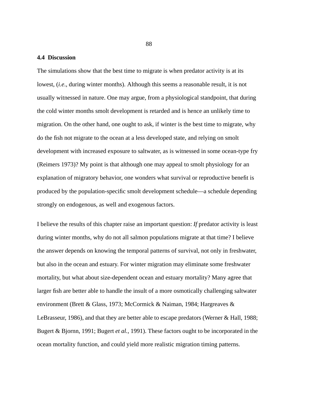## **4.4 Discussion**

The simulations show that the best time to migrate is when predator activity is at its lowest, (*i.e*., during winter months). Although this seems a reasonable result, it is not usually witnessed in nature. One may argue, from a physiological standpoint, that during the cold winter months smolt development is retarded and is hence an unlikely time to migration. On the other hand, one ought to ask, if winter is the best time to migrate, why do the fish not migrate to the ocean at a less developed state, and relying on smolt development with increased exposure to saltwater, as is witnessed in some ocean-type fry (Reimers 1973)? My point is that although one may appeal to smolt physiology for an explanation of migratory behavior, one wonders what survival or reproductive benefit is produced by the population-specific smolt development schedule—a schedule depending strongly on endogenous, as well and exogenous factors.

I believe the results of this chapter raise an important question: *If* predator activity is least during winter months, why do not all salmon populations migrate at that time? I believe the answer depends on knowing the temporal patterns of survival, not only in freshwater, but also in the ocean and estuary. For winter migration may eliminate some freshwater mortality, but what about size-dependent ocean and estuary mortality? Many agree that larger fish are better able to handle the insult of a more osmotically challenging saltwater environment (Brett & Glass, 1973; McCormick & Naiman, 1984; Hargreaves & LeBrasseur, 1986), and that they are better able to escape predators (Werner & Hall, 1988; Bugert & Bjornn, 1991; Bugert *et al.*, 1991). These factors ought to be incorporated in the ocean mortality function, and could yield more realistic migration timing patterns.

88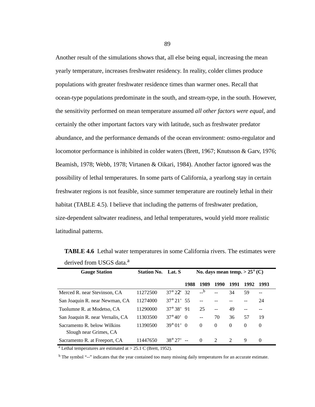Another result of the simulations shows that, all else being equal, increasing the mean yearly temperature, increases freshwater residency. In reality, colder climes produce populations with greater freshwater residence times than warmer ones. Recall that ocean-type populations predominate in the south, and stream-type, in the south. However, the sensitivity performed on mean temperature assumed *all other factors were equal*, and certainly the other important factors vary with latitude, such as freshwater predator abundance, and the performance demands of the ocean environment: osmo-regulator and locomotor performance is inhibited in colder waters (Brett, 1967; Knutsson & Garv, 1976; Beamish, 1978; Webb, 1978; Virtanen & Oikari, 1984). Another factor ignored was the possibility of lethal temperatures. In some parts of California, a yearlong stay in certain freshwater regions is not feasible, since summer temperature are routinely lethal in their habitat (TABLE 4.5). I believe that including the patterns of freshwater predation, size-dependent saltwater readiness, and lethal temperatures, would yield more realistic latitudinal patterns.

| <b>Gauge Station</b>                                  | <b>Station No.</b> | Lat. S              | No. days mean temp. $> 25^{\circ}$ (C) |          |                             |               |          |          |
|-------------------------------------------------------|--------------------|---------------------|----------------------------------------|----------|-----------------------------|---------------|----------|----------|
|                                                       |                    |                     | 1988                                   | 1989     | 1990                        | 1991          | 1992     | 1993     |
| Merced R. near Stevinson, CA                          | 11272500           | $37^{\circ} 22' 32$ |                                        | $-$ b    |                             | 34            | 59       | --       |
| San Joaquin R. near Newman, CA                        | 11274000           | $37^{\circ}$ 21' 55 |                                        |          |                             |               |          | 24       |
| Tuolumne R. at Modetso, CA                            | 11290000           | $37^{\circ} 38' 91$ |                                        | 25       | $-$                         | 49            |          |          |
| San Joaquin R. near Vernalis, CA                      | 11303500           | $37^{\circ}40'$     | - 0                                    | $- -$    | 70                          | 36            | 57       | 19       |
| Sacramento R. below Wilkins<br>Slough near Grimes, CA | 11390500           | $39^{\circ} 01' 0$  |                                        | $\theta$ | $\Omega$                    | $\Omega$      | $\Omega$ | $\Omega$ |
| Sacramento R. at Freeport, CA                         | 11447650           | $38^{\circ} 27'$    |                                        | $\Omega$ | $\mathcal{D}_{\mathcal{L}}$ | $\mathcal{D}$ | 9        | $\Omega$ |

**TABLE 4.6** Lethal water temperatures in some California rivers. The estimates were derived from USGS data.<sup>a</sup>

<sup>a</sup> Lethal temperatures are estimated at  $> 25.1$  C (Brett, 1952).

<sup>b</sup> The symbol "--" indicates that the year contained too many missing daily temperatures for an accurate estimate.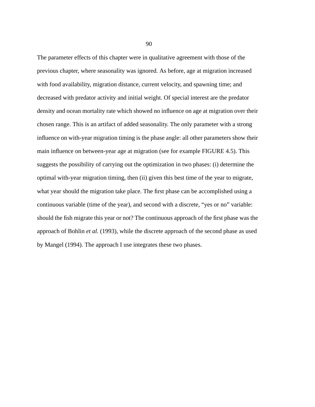The parameter effects of this chapter were in qualitative agreement with those of the previous chapter, where seasonality was ignored. As before, age at migration increased with food availability, migration distance, current velocity, and spawning time; and decreased with predator activity and initial weight. Of special interest are the predator density and ocean mortality rate which showed no influence on age at migration over their chosen range. This is an artifact of added seasonality. The only parameter with a strong influence on with-year migration timing is the phase angle: all other parameters show their main influence on between-year age at migration (see for example FIGURE 4.5). This suggests the possibility of carrying out the optimization in two phases: (i) determine the optimal with-year migration timing, then (ii) given this best time of the year to migrate, what year should the migration take place. The first phase can be accomplished using a continuous variable (time of the year), and second with a discrete, "yes or no" variable: should the fish migrate this year or not? The continuous approach of the first phase was the approach of Bohlin *et al.* (1993), while the discrete approach of the second phase as used by Mangel (1994). The approach I use integrates these two phases.

90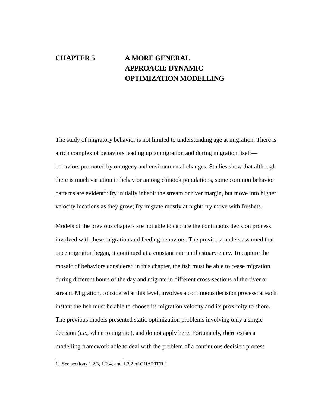# **CHAPTER 5 A MORE GENERAL APPROACH: DYNAMIC OPTIMIZATION MODELLING**

The study of migratory behavior is not limited to understanding age at migration. There is a rich complex of behaviors leading up to migration and during migration itself behaviors promoted by ontogeny and environmental changes. Studies show that although there is much variation in behavior among chinook populations, some common behavior patterns are evident<sup>1</sup>: fry initially inhabit the stream or river margin, but move into higher velocity locations as they grow; fry migrate mostly at night; fry move with freshets.

Models of the previous chapters are not able to capture the continuous decision process involved with these migration and feeding behaviors. The previous models assumed that once migration began, it continued at a constant rate until estuary entry. To capture the mosaic of behaviors considered in this chapter, the fish must be able to cease migration during different hours of the day and migrate in different cross-sections of the river or stream. Migration, considered at this level, involves a continuous decision process: at each instant the fish must be able to choose its migration velocity and its proximity to shore. The previous models presented static optimization problems involving only a single decision (*i.e.*, when to migrate), and do not apply here. Fortunately, there exists a modelling framework able to deal with the problem of a continuous decision process

<sup>1.</sup> See sections 1.2.3, 1.2.4, and 1.3.2 of CHAPTER 1.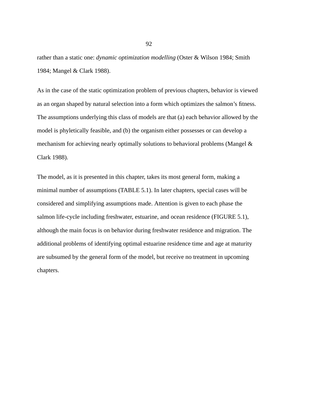rather than a static one: *dynamic optimization modelling* (Oster & Wilson 1984; Smith 1984; Mangel & Clark 1988).

As in the case of the static optimization problem of previous chapters, behavior is viewed as an organ shaped by natural selection into a form which optimizes the salmon's fitness. The assumptions underlying this class of models are that (a) each behavior allowed by the model is phyletically feasible, and (b) the organism either possesses or can develop a mechanism for achieving nearly optimally solutions to behavioral problems (Mangel & Clark 1988).

The model, as it is presented in this chapter, takes its most general form, making a minimal number of assumptions (TABLE 5.1). In later chapters, special cases will be considered and simplifying assumptions made. Attention is given to each phase the salmon life-cycle including freshwater, estuarine, and ocean residence (FIGURE 5.1), although the main focus is on behavior during freshwater residence and migration. The additional problems of identifying optimal estuarine residence time and age at maturity are subsumed by the general form of the model, but receive no treatment in upcoming chapters.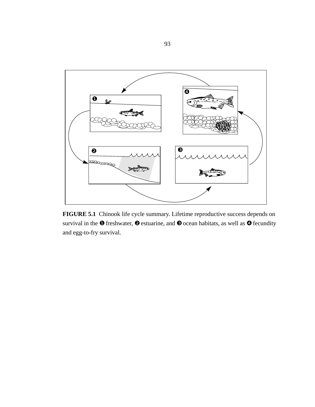

**FIGURE 5.1** Chinook life cycle summary. Lifetime reproductive success depends on survival in the  $\bullet$  freshwater,  $\bullet$  estuarine, and  $\bullet$  ocean habitats, as well as  $\bullet$  fecundity and egg-to-fry survival.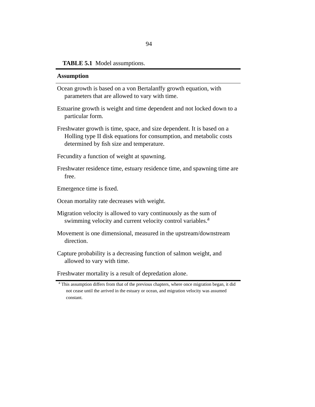#### **TABLE 5.1** Model assumptions.

#### **Assumption**

- Ocean growth is based on a von Bertalanffy growth equation, with parameters that are allowed to vary with time.
- Estuarine growth is weight and time dependent and not locked down to a particular form.
- Freshwater growth is time, space, and size dependent. It is based on a Holling type II disk equations for consumption, and metabolic costs determined by fish size and temperature.
- Fecundity a function of weight at spawning.
- Freshwater residence time, estuary residence time, and spawning time are free.
- Emergence time is fixed.
- Ocean mortality rate decreases with weight.
- Migration velocity is allowed to vary continuously as the sum of swimming velocity and current velocity control variables.<sup>a</sup>
- Movement is one dimensional, measured in the upstream/downstream direction.
- Capture probability is a decreasing function of salmon weight, and allowed to vary with time.

Freshwater mortality is a result of depredation alone.

<sup>&</sup>lt;sup>a</sup> This assumption differs from that of the previous chapters, where once migration began, it did not cease until the arrived in the estuary or ocean, and migration velocity was assumed constant.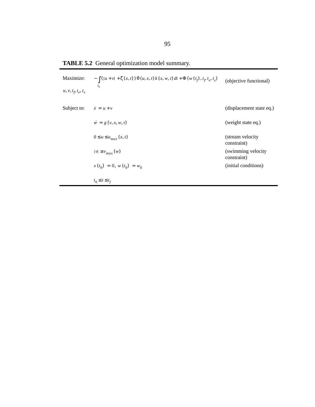| Maximize:<br>$u, v, t_p, t_e, t_s$ | $-\int ( u + v  + \zeta(x, t)) \theta(u, x, t) k(x, w, t) dt + \Phi(w(t_f), t_f, t_e, t_s)$<br>$t_{0}$ | (objective functional)             |
|------------------------------------|--------------------------------------------------------------------------------------------------------|------------------------------------|
| Subject to:                        | $\dot{x} = u + v$                                                                                      | (displacement state eq.)           |
|                                    | $\dot{w} = g(v, x, w, t)$                                                                              | (weight state eq.)                 |
|                                    | $0 \le u \le u_{max}(x, t)$                                                                            | (stream velocity)<br>constraint)   |
|                                    | $ v  \ge v_{max}(w)$                                                                                   | (swimming velocity)<br>constraint) |
|                                    | $x(t_0) = 0, w(t_0) = w_0$                                                                             | (initial conditions)               |
|                                    | $t_0 \leq t \leq t_f$                                                                                  |                                    |

**TABLE 5.2** General optimization model summary.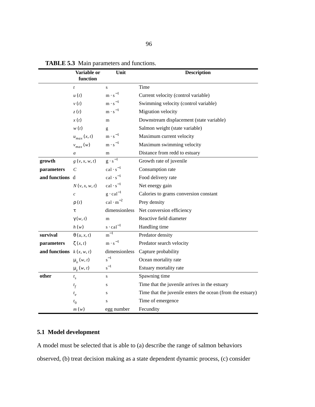|                            | Variable or<br>function     | Unit                        | <b>Description</b>                                         |  |  |
|----------------------------|-----------------------------|-----------------------------|------------------------------------------------------------|--|--|
|                            | $\boldsymbol{t}$            | S                           | Time                                                       |  |  |
|                            | u(t)                        | $m \cdot s^{-1}$            | Current velocity (control variable)                        |  |  |
|                            | v(t)                        | $m \cdot s^{-1}$            | Swimming velocity (control variable)                       |  |  |
|                            | z(t)                        | $m \cdot s^{-1}$            | Migration velocity                                         |  |  |
|                            | x(t)                        | m                           | Downstream displacement (state variable)                   |  |  |
|                            | w(t)                        | g                           | Salmon weight (state variable)                             |  |  |
|                            | $u_{max}\left(x,t\right)$   | $m \cdot s^{-1}$            | Maximum current velocity                                   |  |  |
|                            | $v_{max}(w)$                | $m \cdot s^{-1}$            | Maximum swimming velocity                                  |  |  |
|                            | a                           | m                           | Distance from redd to estuary                              |  |  |
| growth                     | g(v, x, w, t)               | $\overline{g \cdot s^{-1}}$ | Growth rate of juvenile                                    |  |  |
| parameters                 | $\mathcal{C}$               | $cal \cdot s^{-1}$          | Consumption rate                                           |  |  |
| and functions d            |                             | $cal \cdot s^{-1}$          | Food delivery rate                                         |  |  |
|                            | N(v, x, w, t)               | $cal \cdot s^{-1}$          | Net energy gain                                            |  |  |
|                            | $\mathcal{C}_{\mathcal{C}}$ | $g \cdot caI^{-1}$          | Calories to grams conversion constant                      |  |  |
|                            | $\rho(t)$                   | cal $\cdot$ m <sup>-2</sup> | Prey density                                               |  |  |
|                            | τ                           | dimensionless               | Net conversion efficiency                                  |  |  |
|                            | $\gamma(w, t)$              | m                           | Reactive field diameter                                    |  |  |
|                            | h(w)                        | $s \cdot ca1^{-1}$          | Handling time                                              |  |  |
| survival                   | $\theta(u, x, t)$           | $\rm m^{\overline{-1}}$     | Predator density                                           |  |  |
| parameters                 | $\zeta(x,t)$                | $m \cdot s^{-1}$            | Predator search velocity                                   |  |  |
| and functions $k(x, w, t)$ |                             | dimensionless               | Capture probability                                        |  |  |
|                            | $\mu_{\alpha}(w, t)$        | $s^{-1}$                    | Ocean mortality rate                                       |  |  |
|                            | $\mu_e(w, t)$               | $s^{-1}$                    | Estuary mortality rate                                     |  |  |
| other                      | $t_{\rm s}$                 | ${\bf S}$                   | Spawning time                                              |  |  |
|                            | $t_f$                       | $\mathbf S$                 | Time that the juvenile arrives in the estuary              |  |  |
|                            | $t_e$                       | S                           | Time that the juvenile enters the ocean (from the estuary) |  |  |
|                            | $t_{0}$                     | S                           | Time of emergence                                          |  |  |
|                            | m(w)                        | egg number                  | Fecundity                                                  |  |  |

**TABLE 5.3** Main parameters and functions.

# **5.1 Model development**

A model must be selected that is able to (a) describe the range of salmon behaviors observed, (b) treat decision making as a state dependent dynamic process, (c) consider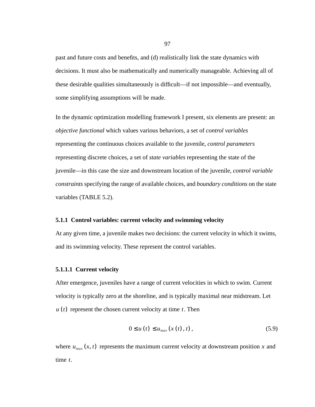past and future costs and benefits, and (d) realistically link the state dynamics with decisions. It must also be mathematically and numerically manageable. Achieving all of these desirable qualities simultaneously is difficult—if not impossible—and eventually, some simplifying assumptions will be made.

In the dynamic optimization modelling framework I present, six elements are present: an *objective functional* which values various behaviors, a set of *control variables* representing the continuous choices available to the juvenile, *control parameters* representing discrete choices, a set of *state variables* representing the state of the juvenile—in this case the size and downstream location of the juvenile, *control variable constraints* specifying the range of available choices, and *boundary conditions* on the state variables (TABLE 5.2).

#### **5.1.1 Control variables: current velocity and swimming velocity**

At any given time, a juvenile makes two decisions: the current velocity in which it swims, and its swimming velocity. These represent the control variables.

#### **5.1.1.1 Current velocity**

After emergence, juveniles have a range of current velocities in which to swim. Current velocity is typically zero at the shoreline, and is typically maximal near midstream. Let  $u(t)$  represent the chosen current velocity at time  $t$ . Then

$$
0 \le u(t) \le u_{max}(x(t),t), \qquad (5.9)
$$

where  $u_{max}(x, t)$  represents the maximum current velocity at downstream position x and time  $t$ .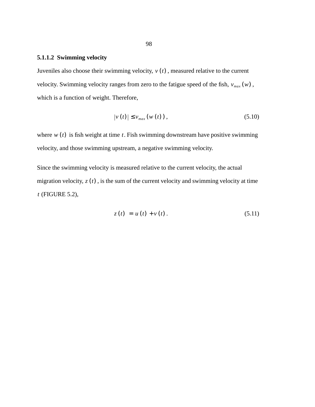# **5.1.1.2 Swimming velocity**

Juveniles also choose their swimming velocity,  $v(t)$ , measured relative to the current velocity. Swimming velocity ranges from zero to the fatigue speed of the fish,  $v_{max}(w)$ , which is a function of weight. Therefore,

$$
|v(t)| \le v_{max}(w(t)), \qquad (5.10)
$$

where  $w(t)$  is fish weight at time  $t$ . Fish swimming downstream have positive swimming velocity, and those swimming upstream, a negative swimming velocity.

Since the swimming velocity is measured relative to the current velocity, the actual migration velocity,  $z(t)$ , is the sum of the current velocity and swimming velocity at time (FIGURE 5.2), *t*

$$
z(t) = u(t) + v(t). \t\t(5.11)
$$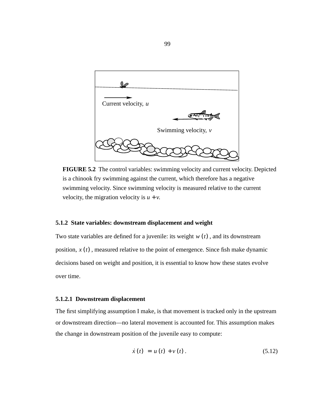

**FIGURE 5.2** The control variables: swimming velocity and current velocity. Depicted is a chinook fry swimming against the current, which therefore has a negative swimming velocity. Since swimming velocity is measured relative to the current velocity, the migration velocity is  $u + v$ .

#### **5.1.2 State variables: downstream displacement and weight**

Two state variables are defined for a juvenile: its weight  $w(t)$ , and its downstream position,  $x(t)$ , measured relative to the point of emergence. Since fish make dynamic decisions based on weight and position, it is essential to know how these states evolve over time.

#### **5.1.2.1 Downstream displacement**

The first simplifying assumption I make, is that movement is tracked only in the upstream or downstream direction—no lateral movement is accounted for. This assumption makes the change in downstream position of the juvenile easy to compute:

$$
\dot{x}(t) = u(t) + v(t). \tag{5.12}
$$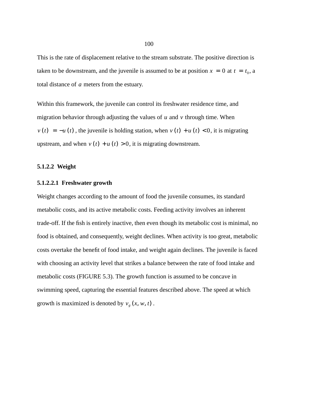This is the rate of displacement relative to the stream substrate. The positive direction is taken to be downstream, and the juvenile is assumed to be at position  $x = 0$  at  $t = t_0$ , a total distance of a meters from the estuary.

Within this framework, the juvenile can control its freshwater residence time, and migration behavior through adjusting the values of  $u$  and  $v$  through time. When  $v(t) = -u(t)$ , the juvenile is holding station, when  $v(t) + u(t) < 0$ , it is migrating upstream, and when  $v(t) + u(t) > 0$ , it is migrating downstream.

#### **5.1.2.2 Weight**

#### **5.1.2.2.1 Freshwater growth**

Weight changes according to the amount of food the juvenile consumes, its standard metabolic costs, and its active metabolic costs. Feeding activity involves an inherent trade-off. If the fish is entirely inactive, then even though its metabolic cost is minimal, no food is obtained, and consequently, weight declines. When activity is too great, metabolic costs overtake the benefit of food intake, and weight again declines. The juvenile is faced with choosing an activity level that strikes a balance between the rate of food intake and metabolic costs (FIGURE 5.3). The growth function is assumed to be concave in swimming speed, capturing the essential features described above. The speed at which growth is maximized is denoted by  $v_g(x, w, t)$ .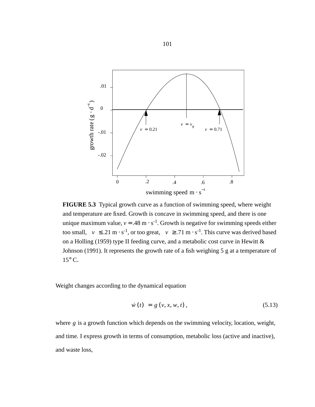

**FIGURE 5.3** Typical growth curve as a function of swimming speed, where weight and temperature are fixed. Growth is concave in swimming speed, and there is one unique maximum value,  $v = .48 \text{ m} \cdot \text{s}^{-1}$ . Growth is negative for swimming speeds either too small,  $|v| \le 0.21 \text{ m} \cdot \text{s}^{-1}$ , or too great,  $|v| \ge 0.71 \text{ m} \cdot \text{s}^{-1}$ . This curve was derived based on a Holling (1959) type II feeding curve, and a metabolic cost curve in Hewitt & Johnson (1991). It represents the growth rate of a fish weighing 5 g at a temperature of  $15^{\circ}$  C.

Weight changes according to the dynamical equation

$$
\dot{w}(t) = g(v, x, w, t), \tag{5.13}
$$

where  $g$  is a growth function which depends on the swimming velocity, location, weight, and time. I express growth in terms of consumption, metabolic loss (active and inactive), and waste loss,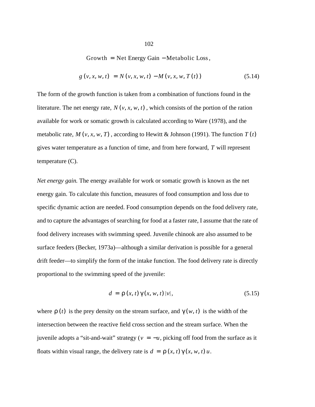Growth = Net Energy Gain - Metabolic Loss,

$$
g(v, x, w, t) = N(v, x, w, t) - M(v, x, w, T(t))
$$
\n(5.14)

The form of the growth function is taken from a combination of functions found in the literature. The net energy rate,  $N(v, x, w, t)$ , which consists of the portion of the ration available for work or somatic growth is calculated according to Ware (1978), and the metabolic rate,  $M(v, x, w, T)$ , according to Hewitt & Johnson (1991). The function  $T(t)$ gives water temperature as a function of time, and from here forward, T will represent temperature (C).

*Net energy gain.* The energy available for work or somatic growth is known as the net energy gain. To calculate this function, measures of food consumption and loss due to specific dynamic action are needed. Food consumption depends on the food delivery rate, and to capture the advantages of searching for food at a faster rate, I assume that the rate of food delivery increases with swimming speed. Juvenile chinook are also assumed to be surface feeders (Becker, 1973a)—although a similar derivation is possible for a general drift feeder—to simplify the form of the intake function. The food delivery rate is directly proportional to the swimming speed of the juvenile:

$$
d = \rho(x, t) \gamma(x, w, t) |v|,
$$
\n(5.15)

where  $\rho(t)$  is the prey density on the stream surface, and  $\gamma(w, t)$  is the width of the intersection between the reactive field cross section and the stream surface. When the juvenile adopts a "sit-and-wait" strategy ( $v = -u$ , picking off food from the surface as it floats within visual range, the delivery rate is  $d = \rho(x, t) \gamma(x, w, t) u$ .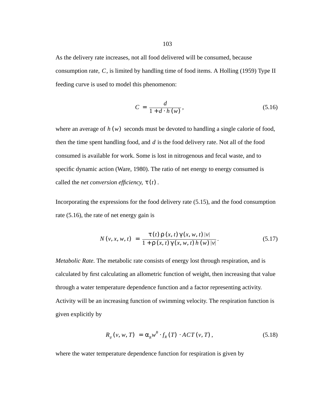As the delivery rate increases, not all food delivered will be consumed, because consumption rate, C, is limited by handling time of food items. A Holling (1959) Type II feeding curve is used to model this phenomenon:

$$
C = \frac{d}{1 + d \cdot h(w)},\tag{5.16}
$$

where an average of  $h(w)$  seconds must be devoted to handling a single calorie of food, then the time spent handling food, and  $d$  is the food delivery rate. Not all of the food consumed is available for work. Some is lost in nitrogenous and fecal waste, and to specific dynamic action (Ware, 1980). The ratio of net energy to energy consumed is called the *net conversion efficiency*,  $\tau(t)$ .

Incorporating the expressions for the food delivery rate (5.15), and the food consumption rate (5.16), the rate of net energy gain is

$$
N(v, x, w, t) = \frac{\tau(t) \rho(x, t) \gamma(x, w, t) |v|}{1 + \rho(x, t) \gamma(x, w, t) h(w) |v|}.
$$
 (5.17)

*Metabolic Rate.* The metabolic rate consists of energy lost through respiration, and is calculated by first calculating an allometric function of weight, then increasing that value through a water temperature dependence function and a factor representing activity. Activity will be an increasing function of swimming velocity. The respiration function is given explicitly by

$$
R_g(v, w, T) = \alpha_R w^B \cdot f_R(T) \cdot ACT(v, T), \qquad (5.18)
$$

where the water temperature dependence function for respiration is given by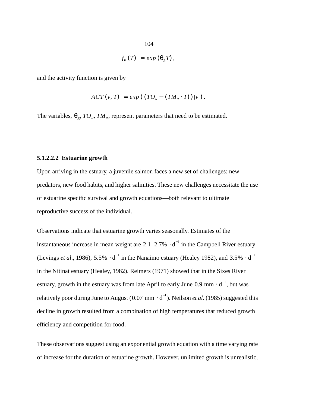$$
f_R(T) = exp(\theta_R T),
$$

and the activity function is given by

$$
ACT(v, T) = exp((TOR - (TMR \cdot T))|v|).
$$

The variables,  $\theta_R$ ,  $TO_R$ ,  $TM_R$ , represent parameters that need to be estimated.

#### **5.1.2.2.2 Estuarine growth**

Upon arriving in the estuary, a juvenile salmon faces a new set of challenges: new predators, new food habits, and higher salinities. These new challenges necessitate the use of estuarine specific survival and growth equations—both relevant to ultimate reproductive success of the individual.

Observations indicate that estuarine growth varies seasonally. Estimates of the instantaneous increase in mean weight are  $2.1-2.7\% \cdot d^{-1}$  in the Campbell River estuary (Levings *et al.*, 1986), 5.5%  $\cdot$  d<sup>-1</sup> in the Nanaimo estuary (Healey 1982), and 3.5%  $\cdot$  d<sup>-1</sup> in the Nitinat estuary (Healey, 1982). Reimers (1971) showed that in the Sixes River estuary, growth in the estuary was from late April to early June 0.9 mm  $\cdot d^{-1}$ , but was relatively poor during June to August (0.07 mm  $\cdot$  d<sup>-1</sup>). Neilson *et al*. (1985) suggested this decline in growth resulted from a combination of high temperatures that reduced growth efficiency and competition for food.

These observations suggest using an exponential growth equation with a time varying rate of increase for the duration of estuarine growth. However, unlimited growth is unrealistic,

$$
104 \\
$$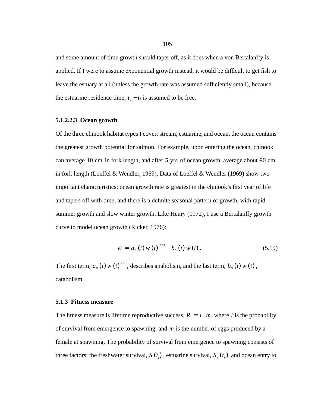and some amount of time growth should taper off, as it does when a von Bertalanffy is applied. If I were to assume exponential growth instead, it would be difficult to get fish to leave the estuary at all (unless the growth rate was assumed sufficiently small), because the estuarine residence time,  $t_e - t_f$  is assumed to be free.

#### **5.1.2.2.3 Ocean growth**

Of the three chinook habitat types I cover: stream, estuarine, and ocean, the ocean contains the greatest growth potential for salmon. For example, upon entering the ocean, chinook can average 10 cm in fork length, and after 5 yrs of ocean growth, average about 90 cm in fork length (Loeffel & Wendler, 1969). Data of Loeffel & Wendler (1969) show two important characteristics: ocean growth rate is greatest in the chinook's first year of life and tapers off with time, and there is a definite seasonal pattern of growth, with rapid summer growth and slow winter growth. Like Henry (1972), I use a Bertalanffy growth curve to model ocean growth (Ricker, 1976):

$$
\dot{w} = a_o(t) w(t)^{2/3} - b_o(t) w(t). \qquad (5.19)
$$

The first term,  $a_o(t) w(t)^{2/3}$ , describes anabolism, and the last term,  $b_o(t) w(t)$ , catabolism.

#### **5.1.3 Fitness measure**

The fitness measure is lifetime reproductive success,  $R = l \cdot m$ , where l is the probability of survival from emergence to spawning, and m is the number of eggs produced by a female at spawning. The probability of survival from emergence to spawning consists of three factors: the freshwater survival,  $S(t_f)$ , estuarine survival,  $S_e(t_e)$  and ocean entry to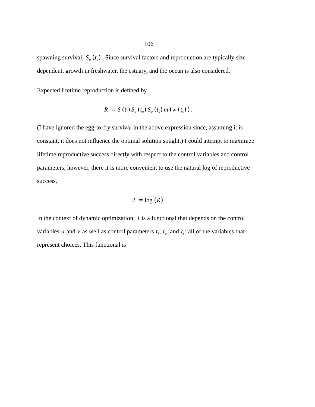spawning survival,  $S_o(t_s)$ . Since survival factors and reproduction are typically size dependent, growth in freshwater, the estuary, and the ocean is also considered.

Expected lifetime reproduction is defined by

$$
R = S(t_{f}) S_{e}(t_{e}) S_{o}(t_{s}) m(w(t_{s})).
$$

(I have ignored the egg-to-fry survival in the above expression since, assuming it is constant, it does not influence the optimal solution sought.) I could attempt to maximize lifetime reproductive success directly with respect to the control variables and control parameters, however, there it is more convenient to use the natural log of reproductive success,

$$
J=\log(R).
$$

In the context of dynamic optimization,  $J$  is a functional that depends on the control variables u and v as well as control parameters  $t_f$ ,  $t_e$ , and  $t_s$ : all of the variables that represent choices. This functional is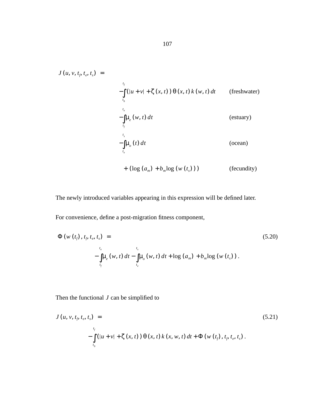$$
J(u, v, t_{\beta}, t_{\epsilon}, t_{s}) =
$$
  
\n
$$
-\int_{t_{0}}^{t_{f}} (|u + v| + \zeta(x, t)) \theta(x, t) k(w, t) dt
$$
 (freshwater)  
\n
$$
-\int_{t_{\epsilon}}^{t_{\epsilon}} u_{\epsilon}(w, t) dt
$$
 (estuary)  
\n
$$
-\int_{t_{\epsilon}}^{t_{s}} u_{\epsilon}(t) dt
$$
 (ocean)  
\n
$$
+ (\log (a_{m}) + b_{m} \log (w(t_{s})))
$$
 (fecundity)

The newly introduced variables appearing in this expression will be defined later.

For convenience, define a post-migration fitness component,

$$
\Phi(w(t_f), t_f, t_e, t_s) =
$$
\n
$$
-\int_{t_e}^{t_e} \mu_e(w, t) dt - \int_{t_e}^{t_s} \mu_o(w, t) dt + \log (a_m) + b_m \log (w(t_s)).
$$
\n(5.20)

Then the functional  $J$  can be simplified to

$$
J(u, v, t_{\beta}, t_{e}, t_{s}) =
$$
\n
$$
- \int_{t_{0}}^{t_{f}} (|u + v| + \zeta(x, t)) \theta(x, t) k(x, w, t) dt + \Phi(w(t_{f}), t_{\beta}, t_{e}, t_{s}).
$$
\n(5.21)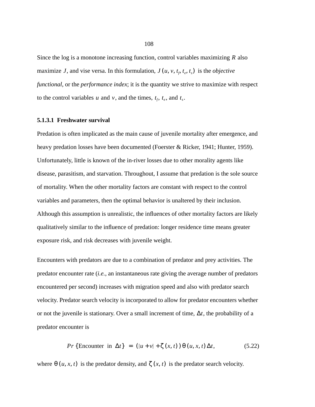Since the log is a monotone increasing function, control variables maximizing  *also* maximize *J*, and vise versa. In this formulation,  $J(u, v, t_f, t_e, t_s)$  is the *objective functional*, or the *performance index*; it is the quantity we strive to maximize with respect to the control variables u and v, and the times,  $t_f$ ,  $t_e$ , and  $t_s$ .

#### **5.1.3.1 Freshwater survival**

Predation is often implicated as the main cause of juvenile mortality after emergence, and heavy predation losses have been documented (Foerster & Ricker, 1941; Hunter, 1959). Unfortunately, little is known of the in-river losses due to other morality agents like disease, parasitism, and starvation. Throughout, I assume that predation is the sole source of mortality. When the other mortality factors are constant with respect to the control variables and parameters, then the optimal behavior is unaltered by their inclusion. Although this assumption is unrealistic, the influences of other mortality factors are likely qualitatively similar to the influence of predation: longer residence time means greater exposure risk, and risk decreases with juvenile weight.

Encounters with predators are due to a combination of predator and prey activities. The predator encounter rate (*i.e.*, an instantaneous rate giving the average number of predators encountered per second) increases with migration speed and also with predator search velocity. Predator search velocity is incorporated to allow for predator encounters whether or not the juvenile is stationary. Over a small increment of time,  $\Delta t$ , the probability of a predator encounter is

$$
Pr\{\text{Encoder in } \Delta t\} = (|u + v| + \zeta(x, t)) \Theta(u, x, t) \Delta t, \tag{5.22}
$$

where  $\theta(u, x, t)$  is the predator density, and  $\zeta(x, t)$  is the predator search velocity.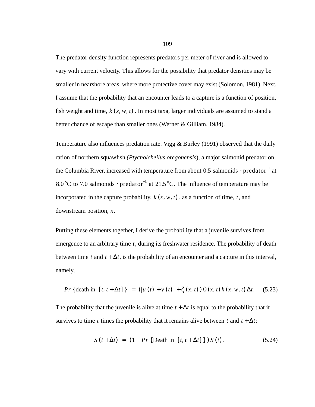The predator density function represents predators per meter of river and is allowed to vary with current velocity. This allows for the possibility that predator densities may be smaller in nearshore areas, where more protective cover may exist (Solomon, 1981). Next, I assume that the probability that an encounter leads to a capture is a function of position, fish weight and time,  $k(x, w, t)$ . In most taxa, larger individuals are assumed to stand a better chance of escape than smaller ones (Werner & Gilliam, 1984).

Temperature also influences predation rate. Vigg & Burley (1991) observed that the daily ration of northern squawfish *(Ptycholcheilus oregonensis*), a major salmonid predator on the Columbia River, increased with temperature from about 0.5 salmonids  $\cdot$  predator $^{-1}$  at 8.0°C to 7.0 salmonids · predator<sup>-1</sup> at 21.5°C. The influence of temperature may be incorporated in the capture probability,  $k(x, w, t)$ , as a function of time,  $t$ , and downstream position,  $x$ .

Putting these elements together, I derive the probability that a juvenile survives from emergence to an arbitrary time t, during its freshwater residence. The probability of death between time t and  $t + \Delta t$ , is the probability of an encounter and a capture in this interval, namely,

$$
Pr\{\text{death in } [t, t + \Delta t] \} = (|u(t) + v(t)| + \zeta(x, t)) \theta(x, t) k(x, w, t) \Delta t. \quad (5.23)
$$

The probability that the juvenile is alive at time  $t + \Delta t$  is equal to the probability that it survives to time t times the probability that it remains alive between t and  $t + \Delta t$ :

$$
S(t + \Delta t) = (1 - Pr \{ Death in [t, t + \Delta t] \}) S(t).
$$
 (5.24)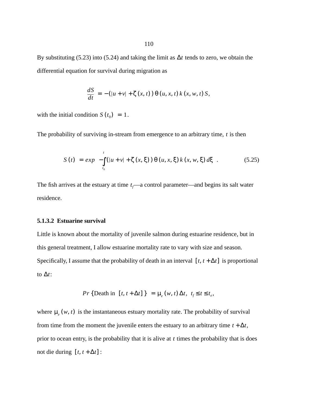By substituting (5.23) into (5.24) and taking the limit as  $\Delta t$  tends to zero, we obtain the differential equation for survival during migration as

$$
\frac{dS}{dt} = -\left(|u + v| + \zeta(x, t)\right) \Theta(u, x, t) k(x, w, t) S,
$$

with the initial condition  $S(t_0) = 1$ .

The probability of surviving in-stream from emergence to an arbitrary time,  $t$  is then

$$
S(t) = exp\left(-\int_{t_0}^t (|u + v| + \zeta(x, \xi)) \theta(u, x, \xi) k(x, w, \xi) d\xi\right).
$$
 (5.25)

The fish arrives at the estuary at time  $t_f$ —a control parameter—and begins its salt water residence.

# **5.1.3.2 Estuarine survival**

Little is known about the mortality of juvenile salmon during estuarine residence, but in this general treatment, I allow estuarine mortality rate to vary with size and season. Specifically, I assume that the probability of death in an interval  $[t, t + \Delta t]$  is proportional to  $\Delta t$ :

$$
Pr\{\text{Death in } [t, t + \Delta t] \} = \mu_e(w, t) \Delta t, t_f \le t \le t_e,
$$

where  $\mu_e(w, t)$  is the instantaneous estuary mortality rate. The probability of survival from time from the moment the juvenile enters the estuary to an arbitrary time  $t + \Delta t$ , prior to ocean entry, is the probability that it is alive at  $t$  times the probability that is does not die during  $[t, t + \Delta t]$ :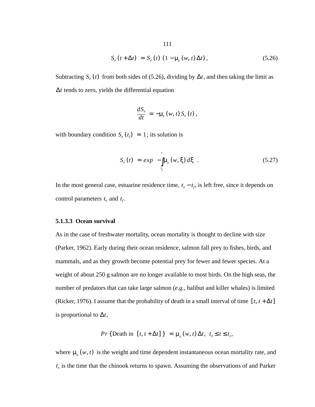$$
S_e(t + \Delta t) = S_e(t) (1 - \mu_e(w, t) \Delta t), \qquad (5.26)
$$

Subtracting  $S_e(t)$  from both sides of (5.26), dividing by  $\Delta t$ , and then taking the limit as ∆*t* tends to zero, yields the differential equation

$$
\frac{dS_e}{dt} = -\mu_e(w, t) S_e(t),
$$

with boundary condition  $S_e(t_f) = 1$ ; its solution is

$$
S_e(t) = exp\left(-\int_{t_f}^t \mu_e(w, \xi) d\xi\right). \tag{5.27}
$$

In the most general case, estuarine residence time,  $t_e - t_f$ , is left free, since it depends on control parameters  $t_e$  and  $t_f$ .

#### **5.1.3.3 Ocean survival**

As in the case of freshwater mortality, ocean mortality is thought to decline with size (Parker, 1962). Early during their ocean residence, salmon fall prey to fishes, birds, and mammals, and as they growth become potential prey for fewer and fewer species. At a weight of about 250 g salmon are no longer available to most birds. On the high seas, the number of predators that can take large salmon (*e.g.*, halibut and killer whales) is limited (Ricker, 1976). I assume that the probability of death in a small interval of time  $[t, t + \Delta t]$ is proportional to  $\Delta t$ ,

$$
Pr\{\text{Death in } [t, t + \Delta t] \} = \mu_o(w, t) \Delta t, t_e \leq t \leq t_s,
$$

where  $\mu_o(w, t)$  is the weight and time dependent instantaneous ocean mortality rate, and  $t_s$  is the time that the chinook returns to spawn. Assuming the observations of and Parker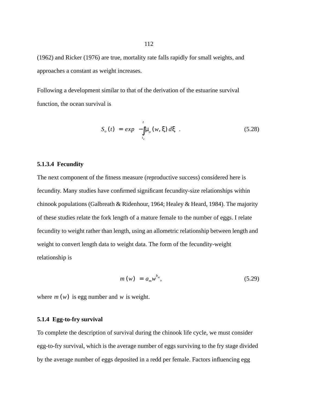(1962) and Ricker (1976) are true, mortality rate falls rapidly for small weights, and approaches a constant as weight increases.

Following a development similar to that of the derivation of the estuarine survival function, the ocean survival is

$$
S_o(t) = exp\left(-\int_{t_c}^{t} \mu_o(w, \xi) d\xi\right).
$$
 (5.28)

#### **5.1.3.4 Fecundity**

The next component of the fitness measure (reproductive success) considered here is fecundity. Many studies have confirmed significant fecundity-size relationships within chinook populations (Galbreath & Ridenhour, 1964; Healey & Heard, 1984). The majority of these studies relate the fork length of a mature female to the number of eggs. I relate fecundity to weight rather than length, using an allometric relationship between length and weight to convert length data to weight data. The form of the fecundity-weight relationship is

$$
m(w) = a_m w^{b_m}, \qquad (5.29)
$$

where  $m(w)$  is egg number and  $w$  is weight.

## **5.1.4 Egg-to-fry survival**

To complete the description of survival during the chinook life cycle, we must consider egg-to-fry survival, which is the average number of eggs surviving to the fry stage divided by the average number of eggs deposited in a redd per female. Factors influencing egg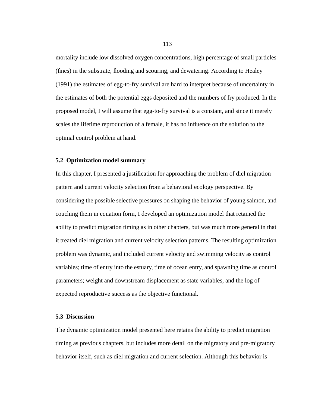mortality include low dissolved oxygen concentrations, high percentage of small particles (fines) in the substrate, flooding and scouring, and dewatering. According to Healey (1991) the estimates of egg-to-fry survival are hard to interpret because of uncertainty in the estimates of both the potential eggs deposited and the numbers of fry produced. In the proposed model, I will assume that egg-to-fry survival is a constant, and since it merely scales the lifetime reproduction of a female, it has no influence on the solution to the optimal control problem at hand.

#### **5.2 Optimization model summary**

In this chapter, I presented a justification for approaching the problem of diel migration pattern and current velocity selection from a behavioral ecology perspective. By considering the possible selective pressures on shaping the behavior of young salmon, and couching them in equation form, I developed an optimization model that retained the ability to predict migration timing as in other chapters, but was much more general in that it treated diel migration and current velocity selection patterns. The resulting optimization problem was dynamic, and included current velocity and swimming velocity as control variables; time of entry into the estuary, time of ocean entry, and spawning time as control parameters; weight and downstream displacement as state variables, and the log of expected reproductive success as the objective functional.

# **5.3 Discussion**

The dynamic optimization model presented here retains the ability to predict migration timing as previous chapters, but includes more detail on the migratory and pre-migratory behavior itself, such as diel migration and current selection. Although this behavior is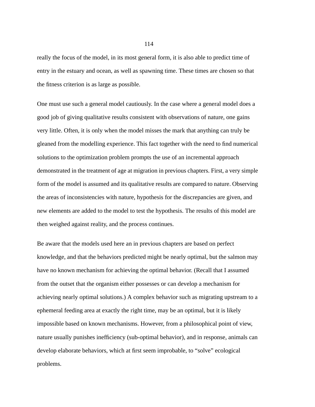really the focus of the model, in its most general form, it is also able to predict time of entry in the estuary and ocean, as well as spawning time. These times are chosen so that the fitness criterion is as large as possible.

One must use such a general model cautiously. In the case where a general model does a good job of giving qualitative results consistent with observations of nature, one gains very little. Often, it is only when the model misses the mark that anything can truly be gleaned from the modelling experience. This fact together with the need to find numerical solutions to the optimization problem prompts the use of an incremental approach demonstrated in the treatment of age at migration in previous chapters. First, a very simple form of the model is assumed and its qualitative results are compared to nature. Observing the areas of inconsistencies with nature, hypothesis for the discrepancies are given, and new elements are added to the model to test the hypothesis. The results of this model are then weighed against reality, and the process continues.

Be aware that the models used here an in previous chapters are based on perfect knowledge, and that the behaviors predicted might be nearly optimal, but the salmon may have no known mechanism for achieving the optimal behavior. (Recall that I assumed from the outset that the organism either possesses or can develop a mechanism for achieving nearly optimal solutions.) A complex behavior such as migrating upstream to a ephemeral feeding area at exactly the right time, may be an optimal, but it is likely impossible based on known mechanisms. However, from a philosophical point of view, nature usually punishes inefficiency (sub-optimal behavior), and in response, animals can develop elaborate behaviors, which at first seem improbable, to "solve" ecological problems.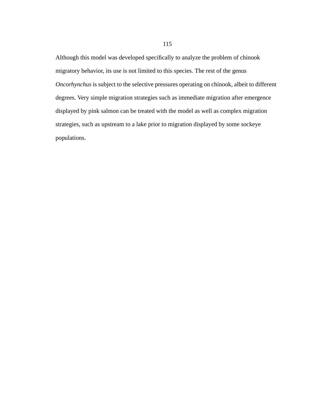Although this model was developed specifically to analyze the problem of chinook migratory behavior, its use is not limited to this species. The rest of the genus *Oncorhynchus* is subject to the selective pressures operating on chinook, albeit to different degrees. Very simple migration strategies such as immediate migration after emergence displayed by pink salmon can be treated with the model as well as complex migration strategies, such as upstream to a lake prior to migration displayed by some sockeye populations.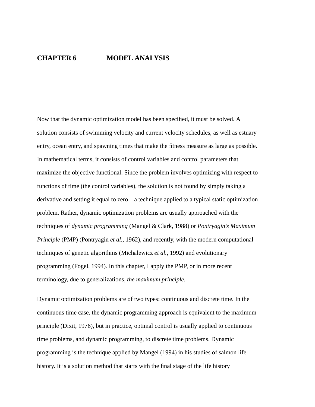Now that the dynamic optimization model has been specified, it must be solved. A solution consists of swimming velocity and current velocity schedules, as well as estuary entry, ocean entry, and spawning times that make the fitness measure as large as possible. In mathematical terms, it consists of control variables and control parameters that maximize the objective functional. Since the problem involves optimizing with respect to functions of time (the control variables), the solution is not found by simply taking a derivative and setting it equal to zero—a technique applied to a typical static optimization problem. Rather, dynamic optimization problems are usually approached with the techniques of *dynamic programming* (Mangel & Clark, 1988) or *Pontryagin's Maximum Principle* (PMP) (Pontryagin *et al.*, 1962), and recently, with the modern computational techniques of genetic algorithms (Michalewicz *et al.*, 1992) and evolutionary programming (Fogel, 1994). In this chapter, I apply the PMP, or in more recent terminology, due to generalizations, *the maximum principle*.

Dynamic optimization problems are of two types: continuous and discrete time. In the continuous time case, the dynamic programming approach is equivalent to the maximum principle (Dixit, 1976), but in practice, optimal control is usually applied to continuous time problems, and dynamic programming, to discrete time problems. Dynamic programming is the technique applied by Mangel (1994) in his studies of salmon life history. It is a solution method that starts with the final stage of the life history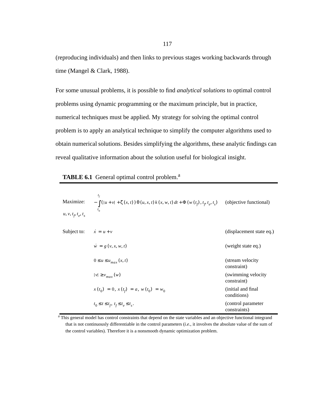(reproducing individuals) and then links to previous stages working backwards through time (Mangel & Clark, 1988).

For some unusual problems, it is possible to find *analytical solutions* to optimal control problems using dynamic programming or the maximum principle, but in practice, numerical techniques must be applied. My strategy for solving the optimal control problem is to apply an analytical technique to simplify the computer algorithms used to obtain numerical solutions. Besides simplifying the algorithms, these analytic findings can reveal qualitative information about the solution useful for biological insight.

| Maximize:<br>$u, v, t_p, t_e, t_s$ | $t_f$<br>$-\int ( u + v  + \zeta(x, t)) \theta(u, x, t) k(x, w, t) dt + \Phi(w(t_f), t_f, t_g, t_s)$<br>$t_{0}$ | (objective functional)             |
|------------------------------------|-----------------------------------------------------------------------------------------------------------------|------------------------------------|
| Subject to:                        | $\dot{x} = u + v$                                                                                               | (displacement state eq.)           |
|                                    | $\dot{w} = g(v, x, w, t)$                                                                                       | (weight state eq.)                 |
|                                    | $0 \le u \le u_{max}(x, t)$                                                                                     | (stream velocity<br>constraint)    |
|                                    | $ v  \ge v_{max}(w)$                                                                                            | (swimming velocity<br>constraint)  |
|                                    | $x(t_0) = 0, x(t_f) = a, w(t_0) = w_0$                                                                          | (initial and final)<br>conditions) |
|                                    | $t_0 \leq t \leq t_f, t_f \leq t_e \leq t_s.$                                                                   | (control parameter<br>constraints) |

|  | <b>TABLE 6.1</b> General optimal control problem. <sup>a</sup> |  |  |  |  |
|--|----------------------------------------------------------------|--|--|--|--|
|--|----------------------------------------------------------------|--|--|--|--|

<sup>a</sup> This general model has control constraints that depend on the state variables and an objective functional integrand that is not continuously differentiable in the control parameters (*i.e*., it involves the absolute value of the sum of the control variables). Therefore it is a nonsmooth dynamic optimization problem.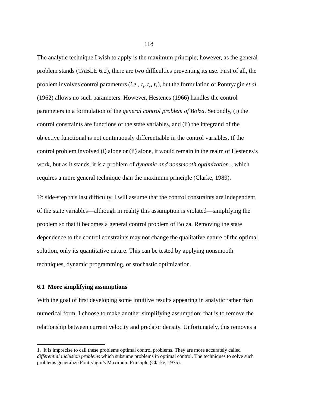The analytic technique I wish to apply is the maximum principle; however, as the general problem stands (TABLE 6.2), there are two difficulties preventing its use. First of all, the problem involves control parameters (*i.e.*,  $t_f$ ,  $t_e$ ,  $t_s$ ), but the formulation of Pontryagin *et al.* (1962) allows no such parameters. However, Hestenes (1966) handles the control parameters in a formulation of the *general control problem of Bolza*. Secondly, (i) the control constraints are functions of the state variables, and (ii) the integrand of the objective functional is not continuously differentiable in the control variables. If the control problem involved (i) alone or (ii) alone, it would remain in the realm of Hestenes's work, but as it stands, it is a problem of *dynamic and nonsmooth optimization*<sup>1</sup>, which requires a more general technique than the maximum principle (Clarke, 1989).

To side-step this last difficulty, I will assume that the control constraints are independent of the state variables—although in reality this assumption is violated—simplifying the problem so that it becomes a general control problem of Bolza. Removing the state dependence to the control constraints may not change the qualitative nature of the optimal solution, only its quantitative nature. This can be tested by applying nonsmooth techniques, dynamic programming, or stochastic optimization.

#### **6.1 More simplifying assumptions**

With the goal of first developing some intuitive results appearing in analytic rather than numerical form, I choose to make another simplifying assumption: that is to remove the relationship between current velocity and predator density. Unfortunately, this removes a

<sup>1.</sup> It is imprecise to call these problems optimal control problems. They are more accurately called *differential inclusion problems* which subsume problems in optimal control. The techniques to solve such problems generalize Pontryagin's Maximum Principle (Clarke, 1975).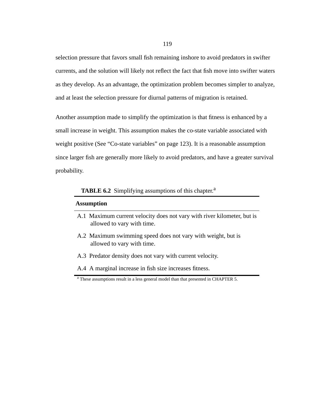selection pressure that favors small fish remaining inshore to avoid predators in swifter currents, and the solution will likely not reflect the fact that fish move into swifter waters as they develop. As an advantage, the optimization problem becomes simpler to analyze, and at least the selection pressure for diurnal patterns of migration is retained.

Another assumption made to simplify the optimization is that fitness is enhanced by a small increase in weight. This assumption makes the co-state variable associated with weight positive (See "Co-state variables" on page 123). It is a reasonable assumption since larger fish are generally more likely to avoid predators, and have a greater survival probability.

**TABLE 6.2** Simplifying assumptions of this chapter.<sup>a</sup>

#### **Assumption**

- A.1 Maximum current velocity does not vary with river kilometer, but is allowed to vary with time.
- A.2 Maximum swimming speed does not vary with weight, but is allowed to vary with time.
- A.3 Predator density does not vary with current velocity.
- A.4 A marginal increase in fish size increases fitness.

<sup>&</sup>lt;sup>a</sup> These assumptions result in a less general model than that presented in CHAPTER 5.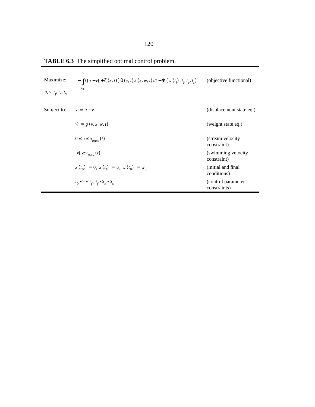| Maximize:<br>$u, v, t_p, t_e, t_s$ | $t_f$<br>$-\int (  u + v  + \zeta(x, t)) \theta(x, t) k(x, w, t) dt + \Phi(w(t_f), t_f, t_e, t_s)$<br>$t_{0}$ | (objective functional)             |
|------------------------------------|---------------------------------------------------------------------------------------------------------------|------------------------------------|
| Subject to:                        | $\dot{x} = u + v$                                                                                             | (displacement state eq.)           |
|                                    | $\dot{w} = g(v, x, w, t)$                                                                                     | (weight state eq.)                 |
|                                    | $0 \le u \le u_{max}(t)$                                                                                      | (stream velocity<br>constraint)    |
|                                    | $ v  \ge v_{max}(t)$                                                                                          | (swimming velocity<br>constraint)  |
|                                    | $x(t_0) = 0, x(t_f) = a, w(t_0) = w_0$                                                                        | (initial and final)<br>conditions) |
|                                    | $t_0 \le t \le t_f, t_f \le t_e \le t_s.$                                                                     | (control parameter<br>constraints) |

**TABLE 6.3** The simplified optimal control problem.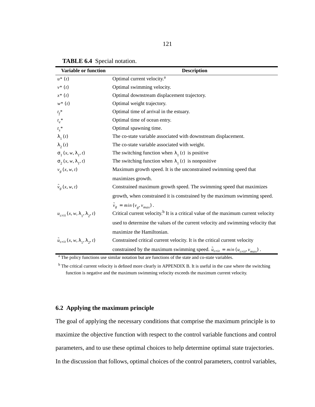| Variable or function                              | <b>Description</b>                                                                             |
|---------------------------------------------------|------------------------------------------------------------------------------------------------|
| $u^*(t)$                                          | Optimal current velocity. <sup>a</sup>                                                         |
| $v^*(t)$                                          | Optimal swimming velocity.                                                                     |
| $x^*$ $(t)$                                       | Optimal downstream displacement trajectory.                                                    |
| $w^*(t)$                                          | Optimal weight trajectory.                                                                     |
| $t_f^*$                                           | Optimal time of arrival in the estuary.                                                        |
| $t_e^*$                                           | Optimal time of ocean entry.                                                                   |
| $t_s^*$                                           | Optimal spawning time.                                                                         |
| $\lambda_1(t)$                                    | The co-state variable associated with downstream displacement.                                 |
| $\lambda_2(t)$                                    | The co-state variable associated with weight.                                                  |
| $\sigma_1(x, w, \lambda_1, t)$                    | The switching function when $\lambda_1(t)$ is positive                                         |
| $\sigma_{2}(x, w, \lambda_{1}, t)$                | The switching function when $\lambda_1(t)$ is nonpositive                                      |
| $v_g(x, w, t)$                                    | Maximum growth speed. It is the unconstrained swimming speed that                              |
|                                                   | maximizes growth.                                                                              |
| $\tilde{v}_g(x, w, t)$                            | Constrained maximum growth speed. The swimming speed that maximizes                            |
|                                                   | growth, when constrained it is constrained by the maximum swimming speed.                      |
|                                                   | $\tilde{v}_g = min(v_g, v_{max})$ .                                                            |
| $u_{crit}(x, w, \lambda_1, \lambda_2, t)$         | Critical current velocity. <sup>b</sup> It is a critical value of the maximum current velocity |
|                                                   | used to determine the values of the current velocity and swimming velocity that                |
|                                                   | maximize the Hamiltonian.                                                                      |
| $\tilde{u}_{crit}(x, w, \lambda_1, \lambda_2, t)$ | Constrained critical current velocity. It is the critical current velocity                     |
|                                                   | constrained by the maximum swimming speed. $\tilde{u}_{crit} = min(u_{crit}, v_{max})$ .       |

**TABLE 6.4** Special notation.

<sup>a</sup> The policy functions use similar notation but are functions of the state and co-state variables.

<sup>b</sup> The critical current velocity is defined more clearly in APPENDIX B. It is useful in the case where the switching function is negative and the maximum swimming velocity exceeds the maximum current velocity.

# **6.2 Applying the maximum principle**

The goal of applying the necessary conditions that comprise the maximum principle is to maximize the objective function with respect to the control variable functions and control parameters, and to use these optimal choices to help determine optimal state trajectories. In the discussion that follows, optimal choices of the control parameters, control variables,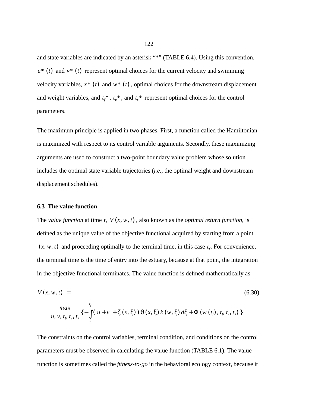and state variables are indicated by an asterisk "\*" (TABLE 6.4). Using this convention,  $u^*$  (*t*) and  $v^*$  (*t*) represent optimal choices for the current velocity and swimming velocity variables,  $x^*$  (t) and  $w^*$  (t), optimal choices for the downstream displacement and weight variables, and  $t_f^*$ ,  $t_e^*$ , and  $t_s^*$  represent optimal choices for the control parameters.

The maximum principle is applied in two phases. First, a function called the Hamiltonian is maximized with respect to its control variable arguments. Secondly, these maximizing arguments are used to construct a two-point boundary value problem whose solution includes the optimal state variable trajectories (*i.e*., the optimal weight and downstream displacement schedules).

# **6.3 The value function**

The *value function* at time  $t$ ,  $V(x, w, t)$ , also known as the *optimal return function*, is defined as the unique value of the objective functional acquired by starting from a point  $(x, w, t)$  and proceeding optimally to the terminal time, in this case  $t_f$ . For convenience, the terminal time is the time of entry into the estuary, because at that point, the integration in the objective functional terminates. The value function is defined mathematically as

$$
V(x, w, t) = (6.30)
$$

$$
\max_{u, v, t_{\beta}, t_{e}, t_{s}} \left\{ -\int_{t}^{t_{f}} \left( |u + v| + \zeta(x, \xi) \right) \theta(x, \xi) k(w, \xi) d\xi + \Phi(w(t_{f}), t_{\beta}, t_{e}, t_{s}) \right\}.
$$

The constraints on the control variables, terminal condition, and conditions on the control parameters must be observed in calculating the value function (TABLE 6.1). The value function is sometimes called the *fitness-to-go* in the behavioral ecology context, because it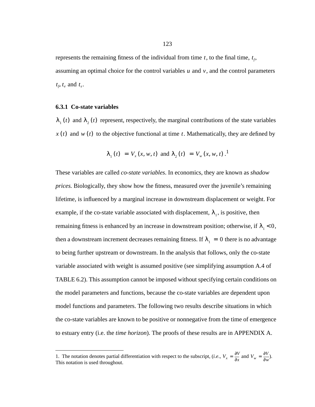represents the remaining fitness of the individual from time  $t$ , to the final time,  $t_f$ , assuming an optimal choice for the control variables  $u$  and  $v$ , and the control parameters  $t_f$ ,  $t_e$  and  $t_s$ .

#### **6.3.1 Co-state variables**

 $\lambda_1(t)$  and  $\lambda_2(t)$  represent, respectively, the marginal contributions of the state variables  $x(t)$  and  $w(t)$  to the objective functional at time  $t$ . Mathematically, they are defined by

$$
\lambda_1(t) = V_x(x, w, t)
$$
 and  $\lambda_2(t) = V_w(x, w, t)$ .<sup>1</sup>

These variables are called *co-state variables*. In economics, they are known as *shadow prices.* Biologically, they show how the fitness, measured over the juvenile's remaining lifetime, is influenced by a marginal increase in downstream displacement or weight. For example, if the co-state variable associated with displacement,  $\lambda_1$ , is positive, then remaining fitness is enhanced by an increase in downstream position; otherwise, if  $\lambda_1 < 0$ , then a downstream increment decreases remaining fitness. If  $\lambda_1 = 0$  there is no advantage to being further upstream or downstream. In the analysis that follows, only the co-state variable associated with weight is assumed positive (see simplifying assumption A.4 of TABLE 6.2). This assumption cannot be imposed without specifying certain conditions on the model parameters and functions, because the co-state variables are dependent upon model functions and parameters. The following two results describe situations in which the co-state variables are known to be positive or nonnegative from the time of emergence to estuary entry (i.e. the *time horizon*). The proofs of these results are in APPENDIX A.

<sup>1.</sup> The notation denotes partial differentiation with respect to the subscript, (*i.e.*,  $V_r = \frac{\sigma}{2}$  and  $V_w = \frac{\sigma}{2}$ ). 1. The notation denotes partial differentiation with respect to the subscript, (*i.e.*,  $V_x = \frac{\partial V}{\partial x}$  and  $V_w = \frac{\partial V}{\partial w}$ <br>This notation is used throughout.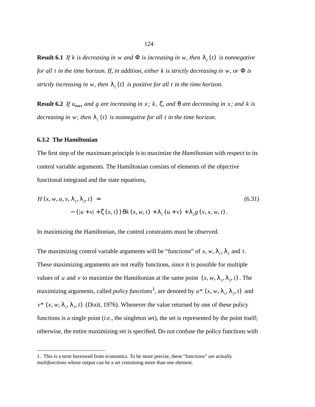**Result 6.1** If k is decreasing in w and  $\Phi$  is increasing in w, then  $\lambda_2(t)$  is nonnegative *for all t in the time horizon. If, in addition, either k is strictly decreasing in w, or*  $\Phi$  *is strictly increasing in w, then*  $\lambda_2(t)$  *is positive for all t in the time horizon.* 

**Result 6.2** If  $u_{max}$  and g are increasing in x; k,  $\zeta$ , and  $\theta$  are decreasing in x; and k is *decreasing in w; then*  $\lambda_1(t)$  *is nonnegative for all t in the time horizon.* 

#### **6.3.2 The Hamiltonian**

The first step of the maximum principle is to maximize the *Hamiltonian* with respect to its control variable arguments. The Hamiltonian consists of elements of the objective functional integrand and the state equations,

$$
H(x, w, u, v, \lambda_{1}, \lambda_{2}, t) =
$$
\n
$$
-(|u + v| + \zeta(x, t)) \Theta k(x, w, t) + \lambda_{1}(u + v) + \lambda_{2} g(v, x, w, t).
$$
\n(6.31)

In maximizing the Hamiltonian, the control constraints must be observed.

The maximizing control variable arguments will be "functions" of x, w,  $\lambda_1$ ,  $\lambda_2$  and t. These maximizing arguments are not really functions, since it is possible for multiple values of u and v to maximize the Hamiltonian at the same point  $(x, w, \lambda_1, \lambda_2, t)$ . The maximizing arguments, called *policy functions*<sup>1</sup>, are denoted by  $u^* (x, w, \lambda_1, \lambda_2, t)$  and  $v^*$  (*x*, *w*,  $\lambda_1$ ,  $\lambda_2$ , *t*) (Dixit, 1976). Whenever the value returned by one of these policy functions is a single point *(i.e., the singleton set), the set is represented by the point itself*; otherwise, the entire maximizing set is specified. Do not confuse the policy functions with

<sup>1.</sup> This is a term borrowed from economics. To be more precise, these "functions" are actually *multifunctions* whose output can be a set containing more than one element.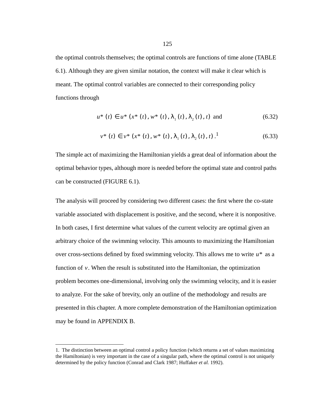the optimal controls themselves; the optimal controls are functions of time alone (TABLE 6.1). Although they are given similar notation, the context will make it clear which is meant. The optimal control variables are connected to their corresponding policy functions through

$$
u^*(t) \in u^*(x^*(t), w^*(t), \lambda_1(t), \lambda_2(t), t) \text{ and } (6.32)
$$

$$
v^*(t) \in v^*(x^*(t), w^*(t), \lambda_1(t), \lambda_2(t), t).^{1}
$$
\n(6.33)

The simple act of maximizing the Hamiltonian yields a great deal of information about the optimal behavior types, although more is needed before the optimal state and control paths can be constructed (FIGURE 6.1).

The analysis will proceed by considering two different cases: the first where the co-state variable associated with displacement is positive, and the second, where it is nonpositive. In both cases, I first determine what values of the current velocity are optimal given an arbitrary choice of the swimming velocity. This amounts to maximizing the Hamiltonian over cross-sections defined by fixed swimming velocity. This allows me to write  $u^*$  as a function of  $v$ . When the result is substituted into the Hamiltonian, the optimization problem becomes one-dimensional, involving only the swimming velocity, and it is easier to analyze. For the sake of brevity, only an outline of the methodology and results are presented in this chapter. A more complete demonstration of the Hamiltonian optimization may be found in APPENDIX B.

<sup>1.</sup> The distinction between an optimal control a policy function (which returns a set of values maximizing the Hamiltonian) is very important in the case of a singular path, where the optimal control is not uniquely determined by the policy function (Conrad and Clark 1987; Huffaker *et al.* 1992).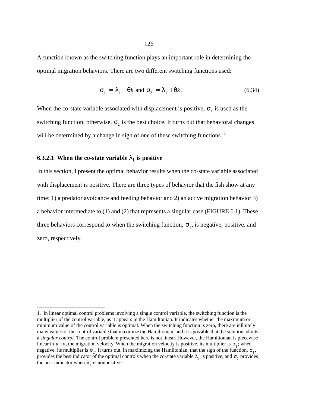A function known as the switching function plays an important role in determining the optimal migration behaviors. There are two different switching functions used:

$$
\sigma_1 = \lambda_1 - \theta k \text{ and } \sigma_2 = \lambda_1 + \theta k. \tag{6.34}
$$

When the co-state variable associated with displacement is positive,  $\sigma_1$  is used as the switching function; otherwise,  $\sigma_2$  is the best choice. It turns out that behavioral changes will be determined by a change in sign of one of these switching functions.<sup>1</sup>

# **6.3.2.1** When the co-state variable  $\lambda_1$  is positive

In this section, I present the optimal behavior results when the co-state variable associated with displacement is positive. There are three types of behavior that the fish show at any time: 1) a predator avoidance and feeding behavior and 2) an active migration behavior 3) a behavior intermediate to (1) and (2) that represents a singular case (FIGURE 6.1). These three behaviors correspond to when the switching function,  $\sigma_1$ , is negative, positive, and zero, respectively.

<sup>1.</sup> In linear optimal control problems involving a single control variable, the switching function is the multiplier of the control variable, as it appears in the Hamiltonian. It indicates whether the maximum or minimum value of the control variable is optimal. When the switching function is zero, there are infinitely many values of the control variable that maximize the Hamiltonian, and it is possible that the solution admits a *singular control*. The control problem presented here is not linear. However, the Hamiltonian is piecewise linear in  $u + v$ , the migration velocity. When the migration velocity is positive, its multiplier is  $\sigma_1$ ; when negative, its multiplier is  $\sigma_2$ . It turns out, in maximizing the Hamiltonian, that the sign of the function,  $\sigma_1$ , provides the best indicator of the optimal controls when the co-state variable  $\lambda_1$  is positive, and  $\sigma_2$  provides the best indicator when  $\lambda_1$  is nonpositive.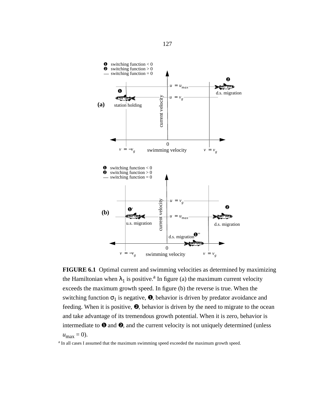

**FIGURE 6.1** Optimal current and swimming velocities as determined by maximizing the Hamiltonian when  $\lambda_1$  is positive.<sup>a</sup> In figure (a) the maximum current velocity exceeds the maximum growth speed. In figure (b) the reverse is true. When the switching function  $\sigma_1$  is negative,  $\bullet$ , behavior is driven by predator avoidance and feeding. When it is positive, ❷, behavior is driven by the need to migrate to the ocean and take advantage of its tremendous growth potential. When it is zero, behavior is intermediate to  $\bullet$  and  $\bullet$ , and the current velocity is not uniquely determined (unless  $u_{\text{max}} = 0$ ).

<sup>a</sup> In all cases I assumed that the maximum swimming speed exceeded the maximum growth speed.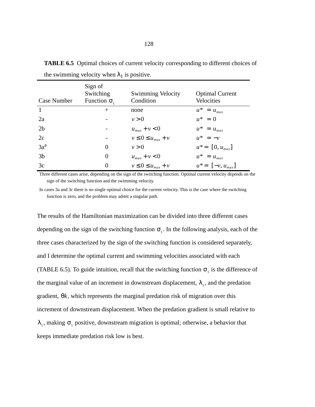| Case Number    | Sign of<br>Switching<br>Function $\sigma_1$ | <b>Swimming Velocity</b><br>Condition | <b>Optimal Current</b><br>Velocities |
|----------------|---------------------------------------------|---------------------------------------|--------------------------------------|
| $\mathbf{1}$   | $^{+}$                                      | none                                  | $u^* = u_{max}$                      |
| 2a             |                                             | v > 0                                 | $u^* = 0$                            |
| 2 <sub>b</sub> |                                             | $u_{max} + v < 0$                     | $u^* = u_{max}$                      |
| 2c             |                                             | $v \leq 0 \leq u_{max} + v$           | $u^* = -v$                           |
| $3a^a$         | $\theta$                                    | v > 0                                 | $u^* = [0, u_{max}]$                 |
| 3 <sub>b</sub> | $\theta$                                    | $u_{max} + v < 0$                     | $u^* = u_{max}$                      |
| 3c             | 0                                           | $v \leq 0 \leq u_{max} + v$           | $u^* = [-v, u_{max}]$                |

**TABLE 6.5** Optimal choices of current velocity corresponding to different choices of the swimming velocity when  $\lambda_1$  is positive.

Three different cases arise, depending on the sign of the switching function. Optimal current velocity depends on the sign of the switching function and the swimming velocity.

In cases 3a and 3c there is no single optimal choice for the current velocity. This is the case where the switching function is zero, and the problem may admit a singular path.

The results of the Hamiltonian maximization can be divided into three different cases depending on the sign of the switching function  $\sigma_1$ . In the following analysis, each of the three cases characterized by the sign of the switching function is considered separately, and I determine the optimal current and swimming velocities associated with each (TABLE 6.5). To guide intuition, recall that the switching function  $\sigma_1$  is the difference of the marginal value of an increment in downstream displacement,  $\lambda_1$ , and the predation gradient,  $\theta k$ , which represents the marginal predation risk of migration over this increment of downstream displacement. When the predation gradient is small relative to  $\lambda_1$ , making  $\sigma_1$  positive, downstream migration is optimal; otherwise, a behavior that keeps immediate predation risk low is best.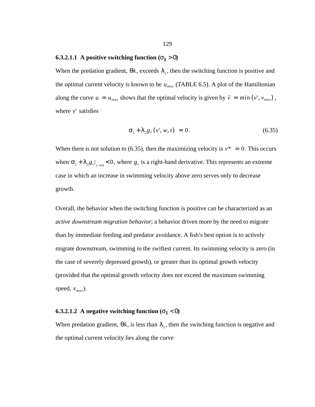#### **6.3.2.1.1** A positive switching function  $(\sigma_1 > 0)$

When the predation gradient,  $\theta k$ , exceeds  $\lambda_1$ , then the switching function is positive and the optimal current velocity is known to be  $u_{max}$  (TABLE 6.5). A plot of the Hamiltonian along the curve  $u = u_{max}$  shows that the optimal velocity is given by  $\bar{v} = min(v', v_{max})$ , where v' satisfies

$$
\sigma_1 + \lambda_2 g_v(v', w, t) = 0. \tag{6.35}
$$

When there is not solution to (6.35), then the maximizing velocity is  $v^* = 0$ . This occurs when  $\sigma_1 + \lambda_2 g_v \big|_{v=0} < 0$ , where  $g_v$  is a right-hand derivative. This represents an extreme case in which an increase in swimming velocity above zero serves only to decrease growth.

Overall, the behavior when the switching function is positive can be characterized as an *active downstream migration behavior*; a behavior driven more by the need to migrate than by immediate feeding and predator avoidance. A fish's best option is to actively migrate downstream, swimming in the swiftest current. Its swimming velocity is zero (in the case of severely depressed growth), or greater than its optimal growth velocity (provided that the optimal growth velocity does not exceed the maximum swimming speed,  $v_{max}$ ).

# **6.3.2.1.2** A negative switching function  $(\sigma_1 < 0)$

When predation gradient,  $\theta k$ , is less than  $\lambda_1$ , then the switching function is negative and the optimal current velocity lies along the curve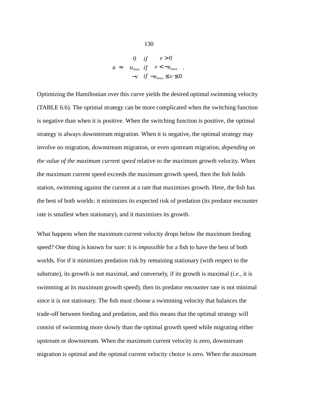$$
u = \begin{cases} 0 & \text{if } v > 0\\ u_{\text{max}} & \text{if } v < -u_{\text{max}}\\ -v & \text{if } -u_{\text{max}} \le v \le 0 \end{cases}
$$

.

Optimizing the Hamiltonian over this curve yields the desired optimal swimming velocity (TABLE 6.6). The optimal strategy can be more complicated when the switching function is negative than when it is positive. When the switching function is positive, the optimal strategy is always downstream migration. When it is negative, the optimal strategy may involve no migration, downstream migration, or even upstream migration, *depending on the value of the maximum current speed* relative to the maximum growth velocity. When the maximum current speed exceeds the maximum growth speed, then the fish holds station, swimming against the current at a rate that maximizes growth. Here, the fish has the best of both worlds: it minimizes its expected risk of predation (its predator encounter rate is smallest when stationary), and it maximizes its growth.

What happens when the maximum current velocity drops below the maximum feeding speed? One thing is known for sure: it is *impossible* for a fish to have the best of both worlds. For if it minimizes predation risk by remaining stationary (with respect to the substrate), its growth is not maximal, and conversely, if its growth is maximal (*i.e.*, it is swimming at its maximum growth speed), then its predator encounter rate is not minimal since it is not stationary. The fish must choose a swimming velocity that balances the trade-off between feeding and predation, and this means that the optimal strategy will consist of swimming more slowly than the optimal growth speed while migrating either upstream or downstream. When the maximum current velocity is zero, downstream migration is optimal and the optimal current velocity choice is zero. When the maximum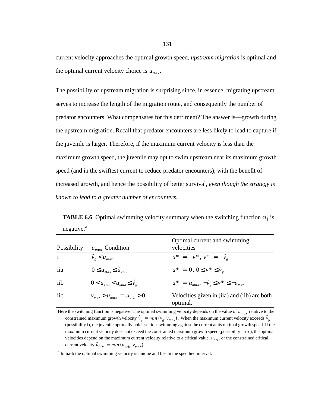current velocity approaches the optimal growth speed*, upstream migration* is optimal and the optimal current velocity choice is  $u_{max}$ .

The possibility of upstream migration is surprising since, in essence, migrating upstream serves to increase the length of the migration route, and consequently the number of predator encounters. What compensates for this detriment? The answer is—growth during the upstream migration. Recall that predator encounters are less likely to lead to capture if the juvenile is larger. Therefore, if the maximum current velocity is less than the maximum growth speed, the juvenile may opt to swim upstream near its maximum growth speed (and in the swiftest current to reduce predator encounters), with the benefit of increased growth, and hence the possibility of better survival, *even though the strategy is known to lead to a greater number of encounters.*

**TABLE 6.6** Optimal swimming velocity summary when the switching function  $\sigma_1$  is negative.<sup>a</sup>

| Possibility  | $u_{max}$ Condition                       | Optimal current and swimming<br>velocities               |
|--------------|-------------------------------------------|----------------------------------------------------------|
| $\mathbf{i}$ | $\tilde{v}_e < u_{max}$                   | $u^* = -v^*$ , $v^* = -\tilde{v}_0$                      |
| iia          | $0 \leq u_{max} \leq \tilde{u}_{crit}$    | $u^* = 0, 0 \le v^* \le \tilde{v}_e$                     |
| iib          | $0 < u_{crit} < u_{max} \leq \tilde{v}_e$ | $u^* = u_{max}, -\tilde{v}_g \le v^* \le -u_{max}$       |
| iic          | $v_{max} > u_{max} = u_{crit} > 0$        | Velocities given in (iia) and (iib) are both<br>optimal. |

Here the switching function is negative. The optimal swimming velocity depends on the value of  $u_{max}$  relative to the constrained maximum growth velocity  $\tilde{v}_g = min(v_g, v_{max})$ . When the maximum current velocity exceeds  $\tilde{v}_g$ (possibility i), the juvenile optimally holds station swimming against the current at its optimal growth speed. If the maximum current velocity does not exceed the constrained maximum growth speed (possibility iia–c), the optimal velocities depend on the maximum current velocity relative to a critical value,  $u_{crit}$  or the constrained critical current velocity  $\tilde{u}_{crit} = min(u_{crit}, v_{max})$ .

<sup>a</sup> In iia-b the optimal swimming velocity is unique and lies in the specified interval.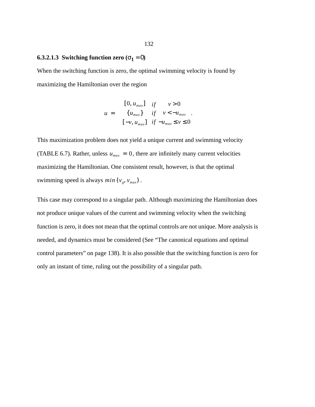# **6.3.2.1.3 Switching function zero (** $\sigma_1 = 0$ **)**

When the switching function is zero, the optimal swimming velocity is found by maximizing the Hamiltonian over the region

$$
u = \begin{cases} [0, u_{max}] & \text{if } v > 0 \\ \{u_{max}\} & \text{if } v < -u_{max} \\ [-v, u_{max}] & \text{if } -u_{max} \le v \le 0 \end{cases}.
$$

This maximization problem does not yield a unique current and swimming velocity (TABLE 6.7). Rather, unless  $u_{max} = 0$ , there are infinitely many current velocities maximizing the Hamiltonian. One consistent result, however, is that the optimal swimming speed is always  $min(v_g, v_{max})$ .

This case may correspond to a singular path. Although maximizing the Hamiltonian does not produce unique values of the current and swimming velocity when the switching function is zero, it does not mean that the optimal controls are not unique. More analysis is needed, and dynamics must be considered (See "The canonical equations and optimal control parameters" on page 138). It is also possible that the switching function is zero for only an instant of time, ruling out the possibility of a singular path.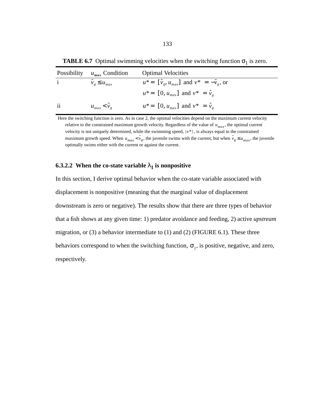| Possibility             | $u_{max}$ Condition        | <b>Optimal Velocities</b>                                    |
|-------------------------|----------------------------|--------------------------------------------------------------|
| $\mathbf{i}$            | $\tilde{v}_g \leq u_{max}$ | $u^* = [\tilde{v}_g, u_{max}]$ and $v^* = -\tilde{v}_g$ , or |
|                         |                            | $u^* = [0, u_{max}]$ and $v^* = \tilde{v}_e$                 |
| $\overline{\mathbf{1}}$ | $u_{max} < v_{e}$          | $u^* = [0, u_{max}]$ and $v^* = \tilde{v}_e$                 |

**TABLE 6.7** Optimal swimming velocities when the switching function  $\sigma_1$  is zero.

Here the switching function is zero. As in case 2, the optimal velocities depend on the maximum current velocity relative to the constrained maximum growth velocity. Regardless of the value of  $u_{max}$ , the optimal current velocity is not uniquely determined, while the swimming speed,  $|v^*|$ , is always equal to the constrained maximum growth speed. When  $u_{max} < \tilde{v}_g$ , the juvenile swims with the current, but when  $\tilde{v}_g \le u_{max}$ , the juvenile optimally swims either with the current or against the current.

## **6.3.2.2** When the co-state variable  $\lambda_1$  is nonpositive

In this section, I derive optimal behavior when the co-state variable associated with displacement is nonpositive (meaning that the marginal value of displacement downstream is zero or negative). The results show that there are three types of behavior that a fish shows at any given time: 1) predator avoidance and feeding, 2) active *upstream* migration, or (3) a behavior intermediate to (1) and (2) (FIGURE 6.1). These three behaviors correspond to when the switching function,  $\sigma_2$ , is positive, negative, and zero, respectively.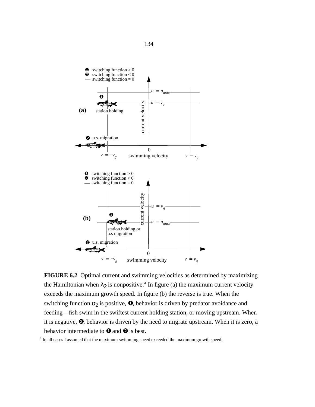



<sup>a</sup> In all cases I assumed that the maximum swimming speed exceeded the maximum growth speed.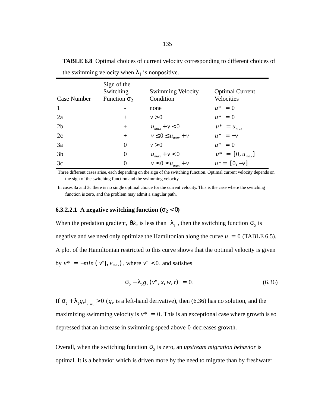| Case Number    | Sign of the<br>Switching<br>Function $\sigma_2$ | <b>Swimming Velocity</b><br>Condition | <b>Optimal Current</b><br>Velocities |
|----------------|-------------------------------------------------|---------------------------------------|--------------------------------------|
| $\mathbf{1}$   |                                                 | none                                  | $u^* = 0$                            |
| 2a             | $^{+}$                                          | v > 0                                 | $u^* = 0$                            |
| 2 <sub>b</sub> | $^{+}$                                          | $u_{max} + v < 0$                     | $u^* = u_{max}$                      |
| 2c             | $^{+}$                                          | $v \leq 0 \leq u_{max} + v$           | $u^* = -v$                           |
| 3a             | $\Omega$                                        | v > 0                                 | $u^* = 0$                            |
| 3 <sub>b</sub> | $\Omega$                                        | $u_{max} + v < 0$                     | $u^* = [0, u_{max}]$                 |
| 3c             | $\theta$                                        | $v \leq 0 \leq u_{max} + v$           | $u^* = [0, -v]$                      |

**TABLE 6.8** Optimal choices of current velocity corresponding to different choices of the swimming velocity when  $\lambda_1$  is nonpositive.

Three different cases arise, each depending on the sign of the switching function. Optimal current velocity depends on the sign of the switching function and the swimming velocity.

In cases 3a and 3c there is no single optimal choice for the current velocity. This is the case where the switching function is zero, and the problem may admit a singular path.

# **6.3.2.2.1** A negative switching function  $(\sigma_2 < 0)$

When the predation gradient,  $\theta k$ , is less than  $|\lambda_1|$ , then the switching function  $\sigma_2$  is negative and we need only optimize the Hamiltonian along the curve  $u = 0$  (TABLE 6.5). A plot of the Hamiltonian restricted to this curve shows that the optimal velocity is given by  $v^* = -min(|v''|, v_{max})$ , where  $v'' < 0$ , and satisfies

$$
\sigma_2 + \lambda_2 g_v(v'', x, w, t) = 0. \tag{6.36}
$$

If  $\sigma_2 + \lambda_2 g_v|_{v=0} > 0$  ( $g_v$  is a left-hand derivative), then (6.36) has no solution, and the maximizing swimming velocity is  $v^* = 0$ . This is an exceptional case where growth is so depressed that an increase in swimming speed above 0 decreases growth.

Overall, when the switching function  $\sigma_2$  is zero, an *upstream migration behavior* is optimal. It is a behavior which is driven more by the need to migrate than by freshwater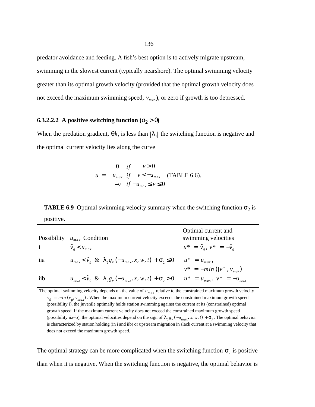predator avoidance and feeding. A fish's best option is to actively migrate upstream, swimming in the slowest current (typically nearshore). The optimal swimming velocity greater than its optimal growth velocity (provided that the optimal growth velocity does not exceed the maximum swimming speed,  $v_{max}$ ), or zero if growth is too depressed.

# **6.3.2.2.2** A positive switching function ( $\sigma_2 > 0$ )

When the predation gradient,  $\theta k$ , is less than  $|\lambda_1|$  the switching function is negative and the optimal current velocity lies along the curve

$$
u = \begin{cases} 0 & if & v > 0 \\ u_{max} & if & v < -u_{max} \\ -v & if & -u_{max} \le v \le 0 \end{cases}
$$
 (TABLE 6.6).

**TABLE 6.9** Optimal swimming velocity summary when the switching function  $\sigma_2$  is positive.

| <b>Possibility</b> | $u_{max}$ Condition                                                           | Optimal current and<br>swimming velocities |
|--------------------|-------------------------------------------------------------------------------|--------------------------------------------|
| $\mathbf{i}$       | $\tilde{v}_g < u_{max}$                                                       | $u^* = \tilde{v}_e, v^* = -\tilde{v}_e$    |
| iia                | $u_{max} < \tilde{v}_g \& \lambda_2 g_v(-u_{max}, x, w, t) + \sigma_2 \leq 0$ | $u^* = u_{max}$ ,                          |
|                    |                                                                               | $v^* = -min( v'' , v_{max})$               |
| iib                | $u_{max} < \tilde{v}_g \& \lambda_2 g_v(-u_{max}, x, w, t) + \sigma_2 > 0$    | $u^* = u_{max}, v^* = -u_{max}$            |

The optimal swimming velocity depends on the value of  $u_{max}$  relative to the constrained maximum growth velocity  $\tilde{v}_g = min(v_g, v_{max})$ . When the maximum current velocity exceeds the constrained maximum growth speed (possibility i), the juvenile optimally holds station swimming against the current at its (constrained) optimal growth speed. If the maximum current velocity does not exceed the constrained maximum growth speed (possibility iia–b), the optimal velocities depend on the sign of  $\lambda_2 g_y(-u_{max}, x, w, t) + \sigma_2$ . The optimal behavior is characterized by station holding (in i and iib) or upstream migration in slack current at a swimming velocity that does not exceed the maximum growth speed.

The optimal strategy can be more complicated when the switching function  $\sigma_2$  is positive than when it is negative. When the switching function is negative, the optimal behavior is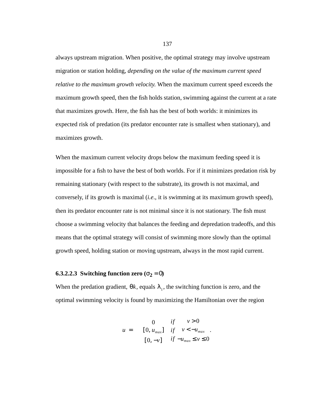always upstream migration. When positive, the optimal strategy may involve upstream migration or station holding, *depending on the value of the maximum current speed relative to the maximum growth velocity*. When the maximum current speed exceeds the maximum growth speed, then the fish holds station, swimming against the current at a rate that maximizes growth. Here, the fish has the best of both worlds: it minimizes its expected risk of predation (its predator encounter rate is smallest when stationary), and maximizes growth.

When the maximum current velocity drops below the maximum feeding speed it is impossible for a fish to have the best of both worlds. For if it minimizes predation risk by remaining stationary (with respect to the substrate), its growth is not maximal, and conversely, if its growth is maximal (*i.e*., it is swimming at its maximum growth speed), then its predator encounter rate is not minimal since it is not stationary. The fish must choose a swimming velocity that balances the feeding and depredation tradeoffs, and this means that the optimal strategy will consist of swimming more slowly than the optimal growth speed, holding station or moving upstream, always in the most rapid current.

# **6.3.2.2.3** Switching function zero  $(\sigma_2 = 0)$

When the predation gradient,  $\theta k$ , equals  $\lambda_1$ , the switching function is zero, and the optimal swimming velocity is found by maximizing the Hamiltonian over the region

$$
u = \begin{cases} 0 & if & v > 0 \\ [0, u_{max}] & if & v < -u_{max} \\ [0, -v] & if & -u_{max} \le v \le 0 \end{cases}.
$$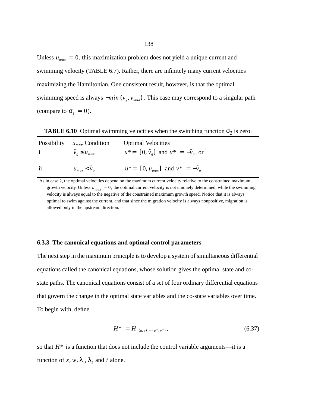Unless  $u_{max} = 0$ , this maximization problem does not yield a unique current and swimming velocity (TABLE 6.7). Rather, there are infinitely many current velocities maximizing the Hamiltonian. One consistent result, however, is that the optimal swimming speed is always  $-min(v_g, v_{max})$ . This case may correspond to a singular path (compare to  $\sigma_1 = 0$ ).

| Possibility   | $u_{max}$ Condition        | <b>Optimal Velocities</b>                              |
|---------------|----------------------------|--------------------------------------------------------|
| $i \sim$      | $\tilde{v}_e \leq u_{max}$ | $u^* = [0, \tilde{v}_e]$ and $v^* = -\tilde{v}_e$ , or |
| $\mathbf{ii}$ | $u_{max} < v_g$            | $u^* = [0, u_{max}]$ and $v^* = -\tilde{v}_e$          |

**TABLE 6.10** Optimal swimming velocities when the switching function  $\sigma_2$  is zero.

As in case 2, the optimal velocities depend on the maximum current velocity relative to the constrained maximum growth velocity. Unless  $u_{max} = 0$ , the optimal current velocity is not uniquely determined, while the swimming velocity is always equal to the negative of the constrained maximum growth speed. Notice that it is always optimal to swim against the current, and that since the migration velocity is always nonpositive, migration is allowed only in the upstream direction.

## **6.3.3 The canonical equations and optimal control parameters**

The next step in the maximum principle is to develop a system of simultaneous differential equations called the canonical equations, whose solution gives the optimal state and costate paths. The canonical equations consist of a set of four ordinary differential equations that govern the change in the optimal state variables and the co-state variables over time. To begin with, define

$$
H^* = H|_{(u,v)=(u^*,v^*)},\tag{6.37}
$$

so that  $H^*$  is a function that does not include the control variable arguments—it is a function of x, w,  $\lambda_1$ ,  $\lambda_2$  and t alone.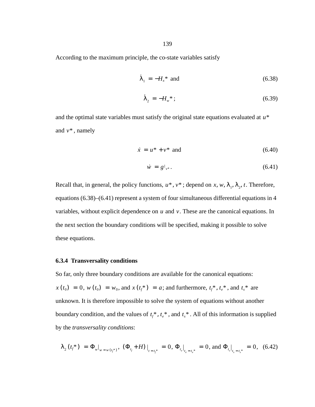According to the maximum principle, the co-state variables satisfy

$$
\dot{\lambda}_1 = -H_x^* \text{ and } \tag{6.38}
$$

$$
\dot{\lambda}_2 = -H_w^* \tag{6.39}
$$

and the optimal state variables must satisfy the original state equations evaluated at *u*\* and  $v^*$ , namely

$$
\dot{x} = u^* + v^* \quad \text{and} \tag{6.40}
$$

$$
\dot{w} = g|_{v^*}.
$$
\n(6.41)

Recall that, in general, the policy functions,  $u^*$ ,  $v^*$ ; depend on x, w,  $\lambda_1$ ,  $\lambda_2$ , t. Therefore, equations (6.38)–(6.41) represent a system of four simultaneous differential equations in 4 variables, without explicit dependence on  $u$  and  $v$ . These are the canonical equations. In the next section the boundary conditions will be specified, making it possible to solve these equations.

#### **6.3.4 Transversality conditions**

So far, only three boundary conditions are available for the canonical equations:  $f(x(t_0) = 0, w(t_0) = w_0, \text{ and } x(t_f^*) = a; \text{ and furthermore, } t_f^*, t_e^*, \text{ and } t_s^* \text{ are }$ unknown. It is therefore impossible to solve the system of equations without another boundary condition, and the values of  $t_f^*$ ,  $t_e^*$ , and  $t_s^*$ . All of this information is supplied by the *transversality conditions*:

$$
\lambda_2(t_f^*) = \Phi_{w|_{w=w(t_f^*)}}, \ (\Phi_{t_f} + H)|_{t=t_f^*} = 0, \ \Phi_{t_e|_{t_e=t_e^*}} = 0, \text{ and } \Phi_{t_s|_{t_s=t_s^*}} = 0, \tag{6.42}
$$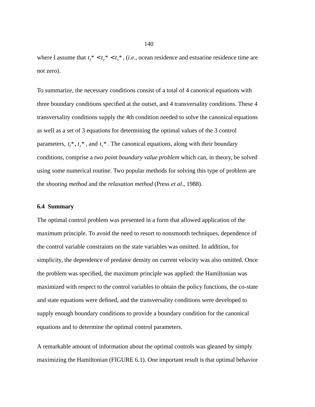where I assume that  $t_f^* < t_e^* < t_s^*$ , (*i.e.*, ocean residence and estuarine residence time are not zero).

To summarize, the necessary conditions consist of a total of 4 canonical equations with three boundary conditions specified at the outset, and 4 transversality conditions. These 4 transversality conditions supply the 4th condition needed to solve the canonical equations as well as a set of 3 equations for determining the optimal values of the 3 control parameters,  $t_f^*$ ,  $t_e^*$ , and  $t_s^*$ . The canonical equations, along with their boundary conditions, comprise a *two point boundary value problem* which can, in theory, be solved using some numerical routine. Two popular methods for solving this type of problem are the *shooting method* and the *relaxation method* (Press *et al*., 1988).

# **6.4 Summary**

The optimal control problem was presented in a form that allowed application of the maximum principle. To avoid the need to resort to nonsmooth techniques, dependence of the control variable constraints on the state variables was omitted. In addition, for simplicity, the dependence of predator density on current velocity was also omitted. Once the problem was specified, the maximum principle was applied: the Hamiltonian was maximized with respect to the control variables to obtain the policy functions, the co-state and state equations were defined, and the transversality conditions were developed to supply enough boundary conditions to provide a boundary condition for the canonical equations and to determine the optimal control parameters.

A remarkable amount of information about the optimal controls was gleaned by simply maximizing the Hamiltonian (FIGURE 6.1). One important result is that optimal behavior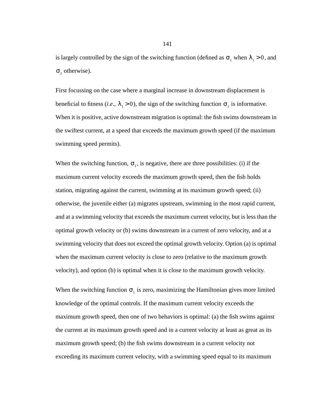is largely controlled by the sign of the switching function (defined as  $\sigma_1$  when  $\lambda_1 > 0$ , and  $\sigma$ <sub>2</sub> otherwise).

First focussing on the case where a marginal increase in downstream displacement is beneficial to fitness (*i.e.*,  $\lambda_1 > 0$ ), the sign of the switching function  $\sigma_1$  is informative. When it is positive, active downstream migration is optimal: the fish swims downstream in the swiftest current, at a speed that exceeds the maximum growth speed (if the maximum swimming speed permits).

When the switching function,  $\sigma_1$ , is negative, there are three possibilities: (i) if the maximum current velocity exceeds the maximum growth speed, then the fish holds station, migrating against the current, swimming at its maximum growth speed; (ii) otherwise, the juvenile either (a) migrates upstream, swimming in the most rapid current, and at a swimming velocity that exceeds the maximum current velocity, but is less than the optimal growth velocity or (b) swims downstream in a current of zero velocity, and at a swimming velocity that does not exceed the optimal growth velocity. Option (a) is optimal when the maximum current velocity is close to zero (relative to the maximum growth velocity), and option (b) is optimal when it is close to the maximum growth velocity.

When the switching function  $\sigma_1$  is zero, maximizing the Hamiltonian gives more limited knowledge of the optimal controls. If the maximum current velocity exceeds the maximum growth speed, then one of two behaviors is optimal: (a) the fish swims against the current at its maximum growth speed and in a current velocity at least as great as its maximum growth speed; (b) the fish swims downstream in a current velocity not exceeding its maximum current velocity, with a swimming speed equal to its maximum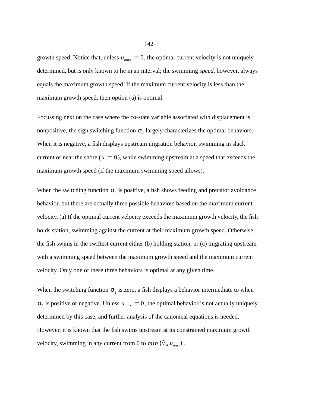growth speed. Notice that, unless  $u_{max} = 0$ , the optimal current velocity is not uniquely determined, but is only known to lie in an interval; the swimming *speed*, however, always equals the maximum growth speed. If the maximum current velocity is less than the maximum growth speed, then option (a) is optimal.

Focussing next on the case where the co-state variable associated with displacement is nonpositive, the sign switching function  $\sigma$ <sub>2</sub> largely characterizes the optimal behaviors. When it is negative, a fish displays upstream migration behavior, swimming in slack current or near the shore  $(u = 0)$ , while swimming upstream at a speed that exceeds the maximum growth speed (if the maximum swimming speed allows).

When the switching function  $\sigma_2$  is positive, a fish shows feeding and predator avoidance behavior, but there are actually three possible behaviors based on the maximum current velocity. (a) If the optimal current velocity exceeds the maximum growth velocity, the fish holds station, swimming against the current at their maximum growth speed. Otherwise, the fish swims in the swiftest current either (b) holding station, or (c) migrating upstream with a swimming speed between the maximum growth speed and the maximum current velocity. Only one of these three behaviors is optimal at any given time.

When the switching function  $\sigma_2$  is zero, a fish displays a behavior intermediate to when  $\sigma_2$  is positive or negative. Unless  $u_{max} = 0$ , the optimal behavior is not actually uniquely determined by this case, and further analysis of the canonical equations is needed. However, it is known that the fish swims upstream at its constrained maximum growth velocity, swimming in any current from 0 to  $min(\tilde{v}_g, u_{max})$ .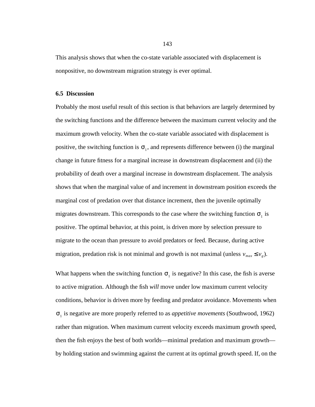This analysis shows that when the co-state variable associated with displacement is nonpositive, no downstream migration strategy is ever optimal.

#### **6.5 Discussion**

Probably the most useful result of this section is that behaviors are largely determined by the switching functions and the difference between the maximum current velocity and the maximum growth velocity. When the co-state variable associated with displacement is positive, the switching function is  $\sigma_1$ , and represents difference between (i) the marginal change in future fitness for a marginal increase in downstream displacement and (ii) the probability of death over a marginal increase in downstream displacement. The analysis shows that when the marginal value of and increment in downstream position exceeds the marginal cost of predation over that distance increment, then the juvenile optimally migrates downstream. This corresponds to the case where the switching function  $\sigma_1$  is positive. The optimal behavior, at this point, is driven more by selection pressure to migrate to the ocean than pressure to avoid predators or feed. Because, during active migration, predation risk is not minimal and growth is not maximal (unless  $v_{max} \le v_g$ ).

What happens when the switching function  $\sigma_1$  is negative? In this case, the fish is averse to active migration. Although the fish *will* move under low maximum current velocity conditions, behavior is driven more by feeding and predator avoidance. Movements when is negative are more properly referred to as *appetitive movements* (Southwood, 1962) σ1rather than migration. When maximum current velocity exceeds maximum growth speed, then the fish enjoys the best of both worlds—minimal predation and maximum growth by holding station and swimming against the current at its optimal growth speed. If, on the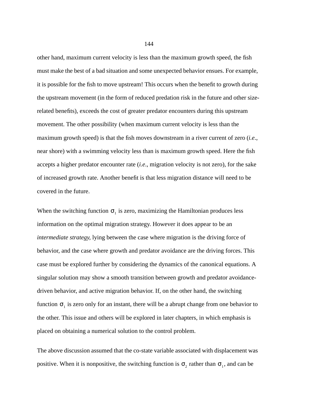other hand, maximum current velocity is less than the maximum growth speed, the fish must make the best of a bad situation and some unexpected behavior ensues. For example, it is possible for the fish to move upstream! This occurs when the benefit to growth during the upstream movement (in the form of reduced predation risk in the future and other sizerelated benefits), exceeds the cost of greater predator encounters during this upstream movement. The other possibility (when maximum current velocity is less than the maximum growth speed) is that the fish moves downstream in a river current of zero (*i.e*., near shore) with a swimming velocity less than is maximum growth speed. Here the fish accepts a higher predator encounter rate (*i.e*., migration velocity is not zero), for the sake of increased growth rate. Another benefit is that less migration distance will need to be covered in the future.

When the switching function  $\sigma_1$  is zero, maximizing the Hamiltonian produces less information on the optimal migration strategy. However it does appear to be an *intermediate strategy*, lying between the case where migration is the driving force of behavior, and the case where growth and predator avoidance are the driving forces. This case must be explored further by considering the dynamics of the canonical equations. A singular solution may show a smooth transition between growth and predator avoidancedriven behavior, and active migration behavior. If, on the other hand, the switching function  $\sigma_1$  is zero only for an instant, there will be a abrupt change from one behavior to the other. This issue and others will be explored in later chapters, in which emphasis is placed on obtaining a numerical solution to the control problem.

The above discussion assumed that the co-state variable associated with displacement was positive. When it is nonpositive, the switching function is  $\sigma_2$  rather than  $\sigma_1$ , and can be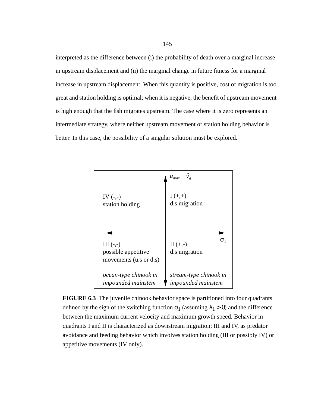interpreted as the difference between (i) the probability of death over a marginal increase in upstream displacement and (ii) the marginal change in future fitness for a marginal increase in upstream displacement. When this quantity is positive, cost of migration is too great and station holding is optimal; when it is negative, the benefit of upstream movement is high enough that the fish migrates upstream. The case where it is zero represents an intermediate strategy, where neither upstream movement or station holding behavior is better. In this case, the possibility of a singular solution must be explored.



**FIGURE 6.3** The juvenile chinook behavior space is partitioned into four quadrants defined by the sign of the switching function  $\sigma_1$  (assuming  $\lambda_1 > 0$ ) and the difference between the maximum current velocity and maximum growth speed. Behavior in quadrants I and II is characterized as downstream migration; III and IV, as predator avoidance and feeding behavior which involves station holding (III or possibly IV) or appetitive movements (IV only).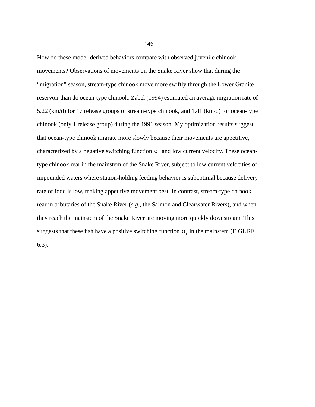How do these model-derived behaviors compare with observed juvenile chinook movements? Observations of movements on the Snake River show that during the "migration" season, stream-type chinook move more swiftly through the Lower Granite reservoir than do ocean-type chinook. Zabel (1994) estimated an average migration rate of 5.22 (km/d) for 17 release groups of stream-type chinook, and 1.41 (km/d) for ocean-type chinook (only 1 release group) during the 1991 season. My optimization results suggest that ocean-type chinook migrate more slowly because their movements are appetitive, characterized by a negative switching function  $\sigma_1$  and low current velocity. These oceantype chinook rear in the mainstem of the Snake River, subject to low current velocities of impounded waters where station-holding feeding behavior is suboptimal because delivery rate of food is low, making appetitive movement best. In contrast, stream-type chinook rear in tributaries of the Snake River (*e.g*., the Salmon and Clearwater Rivers), and when they reach the mainstem of the Snake River are moving more quickly downstream. This suggests that these fish have a positive switching function  $\sigma_1$  in the mainstem (FIGURE

6.3).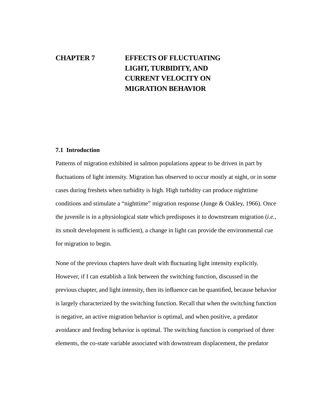# **CHAPTER 7 EFFECTS OF FLUCTUATING LIGHT, TURBIDITY, AND CURRENT VELOCITY ON MIGRATION BEHAVIOR**

# **7.1 Introduction**

Patterns of migration exhibited in salmon populations appear to be driven in part by fluctuations of light intensity. Migration has observed to occur mostly at night, or in some cases during freshets when turbidity is high. High turbidity can produce nighttime conditions and stimulate a "nighttime" migration response (Junge & Oakley, 1966). Once the juvenile is in a physiological state which predisposes it to downstream migration (*i.e.*, its smolt development is sufficient), a change in light can provide the environmental cue for migration to begin.

None of the previous chapters have dealt with fluctuating light intensity explicitly. However, if I can establish a link between the switching function, discussed in the previous chapter, and light intensity, then its influence can be quantified, because behavior is largely characterized by the switching function. Recall that when the switching function is negative, an active migration behavior is optimal, and when positive, a predator avoidance and feeding behavior is optimal. The switching function is comprised of three elements, the co-state variable associated with downstream displacement, the predator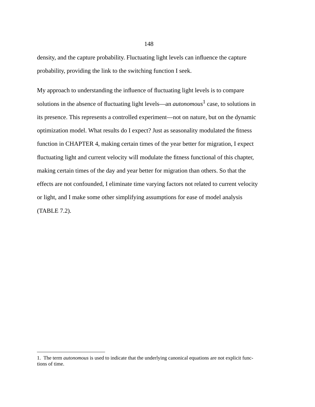density, and the capture probability. Fluctuating light levels can influence the capture probability, providing the link to the switching function I seek.

My approach to understanding the influence of fluctuating light levels is to compare solutions in the absence of fluctuating light levels—an *autonomous*<sup>1</sup> case, to solutions in its presence. This represents a controlled experiment—not on nature, but on the dynamic optimization model. What results do I expect? Just as seasonality modulated the fitness function in CHAPTER 4, making certain times of the year better for migration, I expect fluctuating light and current velocity will modulate the fitness functional of this chapter, making certain times of the day and year better for migration than others. So that the effects are not confounded, I eliminate time varying factors not related to current velocity or light, and I make some other simplifying assumptions for ease of model analysis (TABLE 7.2).

<sup>1.</sup> The term *autonomous* is used to indicate that the underlying canonical equations are not explicit functions of time.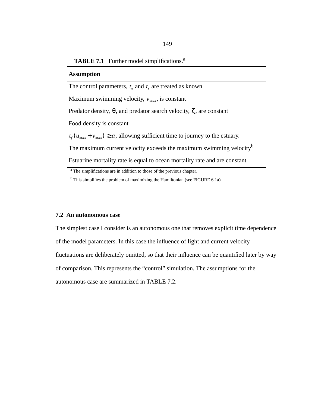### **TABLE 7.1** Further model simplifications.<sup>a</sup>

#### **Assumption**

The control parameters,  $t_e$  and  $t_s$  are treated as known Maximum swimming velocity,  $v_{max}$ , is constant Predator density,  $\theta$ , and predator search velocity,  $\zeta$ , are constant Food density is constant  $t_f(u_{max} + v_{max}) \ge a$ , allowing sufficient time to journey to the estuary. The maximum current velocity exceeds the maximum swimming velocity<sup>b</sup> Estuarine mortality rate is equal to ocean mortality rate and are constant

#### **7.2 An autonomous case**

The simplest case I consider is an autonomous one that removes explicit time dependence of the model parameters. In this case the influence of light and current velocity fluctuations are deliberately omitted, so that their influence can be quantified later by way of comparison. This represents the "control" simulation. The assumptions for the autonomous case are summarized in TABLE 7.2.

<sup>&</sup>lt;sup>a</sup> The simplifications are in addition to those of the previous chapter.

<sup>&</sup>lt;sup>b</sup> This simplifies the problem of maximizing the Hamiltonian (see FIGURE 6.1a).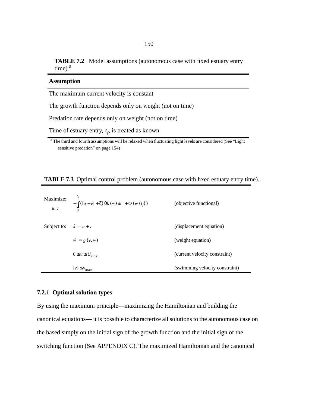**TABLE 7.2** Model assumptions (autonomous case with fixed estuary entry  $time$ ). $a$ 

| <b>Assumption</b>                                                                                                                                                                                                                                              |
|----------------------------------------------------------------------------------------------------------------------------------------------------------------------------------------------------------------------------------------------------------------|
| The maximum current velocity is constant                                                                                                                                                                                                                       |
| The growth function depends only on weight (not on time)                                                                                                                                                                                                       |
| Predation rate depends only on weight (not on time)                                                                                                                                                                                                            |
| Time of estuary entry, $t_f$ , is treated as known                                                                                                                                                                                                             |
| 9.771.11.1.0<br>$\mathbf{u}$<br>and the contract of the contract of the contract of the contract of the contract of the contract of the contract of the contract of the contract of the contract of the contract of the contract of the contract of the contra |

<sup>a</sup> The third and fourth assumptions will be relaxed when fluctuating light levels are considered (See "Light sensitive predation" on page 154)

## **TABLE 7.3** Optimal control problem (autonomous case with fixed estuary entry time).

| Maximize:<br>u, v             | $-\int ( u + v  + \zeta) \theta k(w) dt + \Phi(w(t_f))$ | (objective functional)         |
|-------------------------------|---------------------------------------------------------|--------------------------------|
| Subject to: $\dot{x} = u + v$ |                                                         | (displacement equation)        |
|                               | $\dot{w} = g(v, w)$                                     | (weight equation)              |
|                               | $0 \le u \le U_{max}$                                   | (current velocity constraint)  |
|                               | $ v  \leq v_{max}$                                      | (swimming velocity constraint) |

# **7.2.1 Optimal solution types**

By using the maximum principle—maximizing the Hamiltonian and building the canonical equations— it is possible to characterize all solutions to the autonomous case on the based simply on the initial sign of the growth function and the initial sign of the switching function (See APPENDIX C). The maximized Hamiltonian and the canonical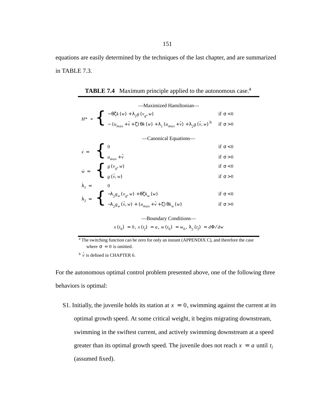equations are easily determined by the techniques of the last chapter, and are summarized in TABLE 7.3.

|                                                                | -Maximized Hamiltonian-                                                                                                                                                                                                                                                                                                           |                 |
|----------------------------------------------------------------|-----------------------------------------------------------------------------------------------------------------------------------------------------------------------------------------------------------------------------------------------------------------------------------------------------------------------------------|-----------------|
|                                                                |                                                                                                                                                                                                                                                                                                                                   | if $\sigma$ < 0 |
|                                                                | $\label{eq:hamiltonian} H^* \;=\; \left\{ \begin{array}{l} \;-\,\theta\zeta k\left(\,w\right)\,+\,\lambda_2 g\left(\,v_g,\,w\right)\\[2mm] \;-\,\left(\,u_{max}+\,\tilde{v}+\zeta\right)\theta k\left(w\right)\,+\,\lambda_1\left(u_{max}+\,\tilde{v}\right)\,+\,\lambda_2 g\left(\,\tilde{v},\,w\right)\,^b \end{array} \right.$ | if $\sigma > 0$ |
|                                                                | Canonical Equations—                                                                                                                                                                                                                                                                                                              |                 |
|                                                                |                                                                                                                                                                                                                                                                                                                                   | if $\sigma$ < 0 |
| $\dot{x} = \begin{cases} 0 \\ u_{max} + \tilde{v} \end{cases}$ |                                                                                                                                                                                                                                                                                                                                   | if $\sigma > 0$ |
|                                                                |                                                                                                                                                                                                                                                                                                                                   | if $\sigma$ < 0 |
|                                                                | $\dot{w} = \begin{cases} g(v_g, w) \\ g(\tilde{v}, w) \end{cases}$                                                                                                                                                                                                                                                                | if $\sigma > 0$ |
|                                                                |                                                                                                                                                                                                                                                                                                                                   |                 |
|                                                                |                                                                                                                                                                                                                                                                                                                                   | if $\sigma$ < 0 |
|                                                                | $\lambda_2 = \begin{cases} -\lambda_2 g_w(v_g, w) + \theta \zeta k_w(w) \\ -\lambda_2 g_w(\tilde{v}, w) + (u_{max} + \tilde{v} + \zeta) \theta k_w(w) \end{cases}$                                                                                                                                                                | if $\sigma > 0$ |
|                                                                |                                                                                                                                                                                                                                                                                                                                   |                 |

**TABLE 7.4** Maximum principle applied to the autonomous case.<sup>a</sup>

—Boundary Conditions—

 $x(t_0) = 0, x(t_f) = a, w(t_0) = w_0, \lambda_2(t_f) = d\Phi/dw$ 

<sup>a</sup> The switching function can be zero for only an instant (APPENDIX C), and therefore the case where  $\sigma = 0$  is omitted.

 $\stackrel{\circ}{\nu}$  is defined in CHAPTER 6.

For the autonomous optimal control problem presented above, one of the following three behaviors is optimal:

S1. Initially, the juvenile holds its station at  $x = 0$ , swimming against the current at its optimal growth speed. At some critical weight, it begins migrating downstream, swimming in the swiftest current, and actively swimming downstream at a speed greater than its optimal growth speed. The juvenile does not reach  $x = a$  until  $t_f$ (assumed fixed).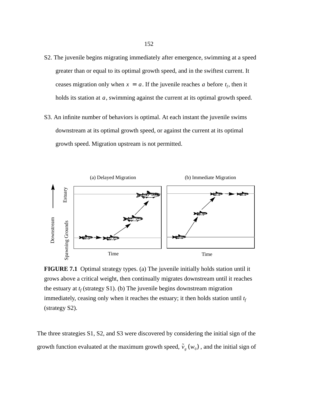- S2. The juvenile begins migrating immediately after emergence, swimming at a speed greater than or equal to its optimal growth speed, and in the swiftest current. It ceases migration only when  $x = a$ . If the juvenile reaches a before  $t_f$ , then it holds its station at  $a$ , swimming against the current at its optimal growth speed.
- S3. An infinite number of behaviors is optimal. At each instant the juvenile swims downstream at its optimal growth speed, or against the current at its optimal growth speed. Migration upstream is not permitted.



**FIGURE 7.1** Optimal strategy types. (a) The juvenile initially holds station until it grows above a critical weight, then continually migrates downstream until it reaches the estuary at  $t_f$  (strategy S1). (b) The juvenile begins downstream migration immediately, ceasing only when it reaches the estuary; it then holds station until  $t_f$ (strategy S2).

The three strategies S1, S2, and S3 were discovered by considering the initial sign of the growth function evaluated at the maximum growth speed,  $\tilde{v}_g(w_0)$ , and the initial sign of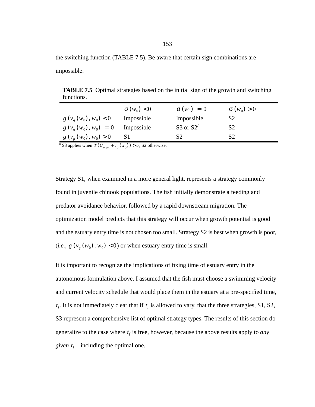the switching function (TABLE 7.5). Be aware that certain sign combinations are impossible.

**TABLE 7.5** Optimal strategies based on the initial sign of the growth and switching functions.

|                                | $\sigma(w_0) < 0$ | $\sigma(w_0) = 0$ | $\sigma(w_0) > 0$ |
|--------------------------------|-------------------|-------------------|-------------------|
| $g(v_{\varrho}(w_0), w_0) < 0$ | Impossible        | Impossible        | S <sub>2</sub>    |
| $g(v_g(w_0), w_0) = 0$         | Impossible        | S3 or $S2^a$      | S <sub>2</sub>    |
| $g(v_g(w_0), w_0) > 0$         |                   | S2                | S2                |
|                                | ___               |                   |                   |

 $\frac{a}{a}$  S3 applies when  $T(U_{max} + v_g(w_0)) > a$ , S2 otherwise.

Strategy S1, when examined in a more general light, represents a strategy commonly found in juvenile chinook populations. The fish initially demonstrate a feeding and predator avoidance behavior, followed by a rapid downstream migration. The optimization model predicts that this strategy will occur when growth potential is good and the estuary entry time is not chosen too small. Strategy S2 is best when growth is poor,  $(i.e., g(v<sub>g</sub>(w<sub>0</sub>), w<sub>0</sub>) < 0$  or when estuary entry time is small.

It is important to recognize the implications of fixing time of estuary entry in the autonomous formulation above. I assumed that the fish must choose a swimming velocity and current velocity schedule that would place them in the estuary at a pre-specified time,  $t_f$ . It is not immediately clear that if  $t_f$  is allowed to vary, that the three strategies, S1, S2, S3 represent a comprehensive list of optimal strategy types. The results of this section do generalize to the case where  $t_f$  is free, however, because the above results apply to *any given*  $t_f$ —including the optimal one.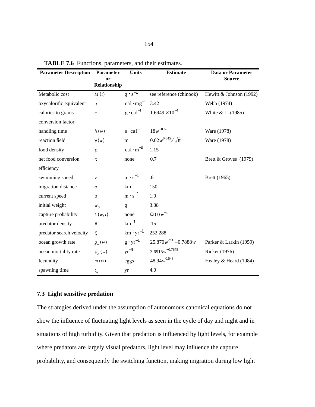| <b>Parameter Description</b> | <b>Parameter</b>              | <b>Units</b>                 | <b>Estimate</b>            | <b>Data or Parameter</b> |
|------------------------------|-------------------------------|------------------------------|----------------------------|--------------------------|
|                              | <sub>or</sub><br>Relationship |                              |                            | <b>Source</b>            |
| Metabolic cost               | M(t)                          | $g \cdot s^{-1}$             | see reference (chinook)    | Hewitt & Johnson (1992)  |
| oxycalorific equivalent      | q                             | cal $\cdot$ mg <sup>-1</sup> | 3.42                       | Webb (1974)              |
| calories to grams            | $\mathcal{C}$                 | $g \cdot caI^{-1}$           | $1.6949 \times 10^{-4}$    | White & Li (1985)        |
| conversion factor            |                               |                              |                            |                          |
| handling time                | h(w)                          | $s \cdot cal^{-1}$           | $18w^{-0.69}$              | Ware (1978)              |
| reaction field               | $\gamma(w)$                   | ${\bf m}$                    | $0.02w^{0.345}/\sqrt{\pi}$ | Ware (1978)              |
| food density                 | ρ                             | $cal \cdot m^{-2}$           | 1.15                       |                          |
| net food conversion          | τ                             | none                         | 0.7                        | Brett & Groves (1979)    |
| efficiency                   |                               |                              |                            |                          |
| swimming speed               | $\mathcal{V}$                 | $m \cdot s^{-1}$             | .6                         | Brett (1965)             |
| migration distance           | $\mathfrak{a}$                | km                           | 150                        |                          |
| current speed                | $\boldsymbol{u}$              | $m \cdot s^{-1}$             | 1.0                        |                          |
| initial weight               | $w_0$                         | g                            | 3.38                       |                          |
| capture probability          | k(w, t)                       | none                         | $\Omega(t) w^{-1}$         |                          |
| predator density             | $\theta$                      | $km^{-1}$                    | .15                        |                          |
| predator search velocity     | $\zeta$                       | $km \cdot yr^{-1}$           | 252.288                    |                          |
| ocean growth rate            | $g_{\rho}(w)$                 | $g \cdot yr^{-1}$            | $25.870w^{2/3} - 0.7888w$  | Parker & Larkin (1959)   |
| ocean mortality rate         | $\mu$ <sub>o</sub> $(w)$      | $yr^{-1}$                    | $3.6915w^{-0.7675}$        | Ricker (1976)            |
| fecundity                    | m(w)                          | eggs                         | $48.94w^{0.548}$           | Healey & Heard (1984)    |
| spawning time                | $t_o$                         | yr                           | 4.0                        |                          |

**TABLE 7.6** Functions, parameters, and their estimates.

# **7.3 Light sensitive predation**

The strategies derived under the assumption of autonomous canonical equations do not show the influence of fluctuating light levels as seen in the cycle of day and night and in situations of high turbidity. Given that predation is influenced by light levels, for example where predators are largely visual predators, light level may influence the capture probability, and consequently the switching function, making migration during low light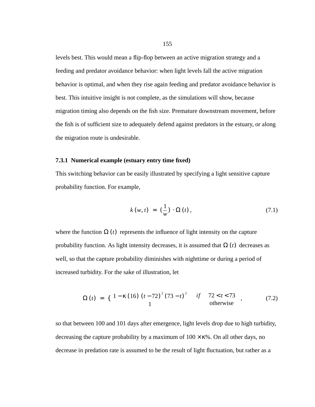levels best. This would mean a flip-flop between an active migration strategy and a feeding and predator avoidance behavior: when light levels fall the active migration behavior is optimal, and when they rise again feeding and predator avoidance behavior is best. This intuitive insight is not complete, as the simulations will show, because migration timing also depends on the fish size. Premature downstream movement, before the fish is of sufficient size to adequately defend against predators in the estuary, or along the migration route is undesirable.

#### **7.3.1 Numerical example (estuary entry time fixed)**

This switching behavior can be easily illustrated by specifying a light sensitive capture probability function. For example,

$$
k(w, t) = \left(\frac{1}{w}\right) \cdot \Omega(t), \qquad (7.1)
$$

where the function  $\Omega(t)$  represents the influence of light intensity on the capture probability function. As light intensity decreases, it is assumed that  $\Omega(t)$  decreases as well, so that the capture probability diminishes with nighttime or during a period of increased turbidity. For the sake of illustration, let

$$
\Omega(t) = \left\{ \begin{array}{ll} 1 - \kappa (16) (t - 72)^2 (73 - t)^2 & \text{if} \quad 72 < t < 73 \\ 1 & \text{otherwise} \end{array} \right., \tag{7.2}
$$

so that between 100 and 101 days after emergence, light levels drop due to high turbidity, decreasing the capture probability by a maximum of  $100 \times \kappa$ %. On all other days, no decrease in predation rate is assumed to be the result of light fluctuation, but rather as a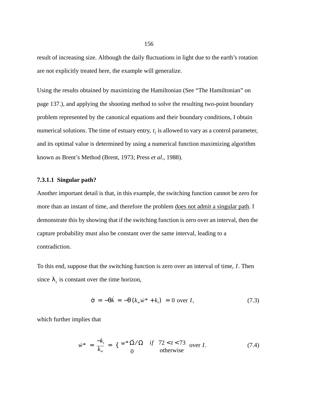result of increasing size. Although the daily fluctuations in light due to the earth's rotation are not explicitly treated here, the example will generalize.

Using the results obtained by maximizing the Hamiltonian (See "The Hamiltonian" on page 137.), and applying the shooting method to solve the resulting two-point boundary problem represented by the canonical equations and their boundary conditions, I obtain numerical solutions. The time of estuary entry,  $t_f$  is allowed to vary as a control parameter, and its optimal value is determined by using a numerical function maximizing algorithm known as Brent's Method (Brent, 1973; Press *et al.*, 1988).

## **7.3.1.1 Singular path?**

Another important detail is that, in this example, the switching function cannot be zero for more than an instant of time, and therefore the problem does not admit a singular path. I demonstrate this by showing that if the switching function is zero over an interval, then the capture probability must also be constant over the same interval, leading to a contradiction.

To this end, suppose that the switching function is zero over an interval of time, *I*. Then since  $\lambda_1$  is constant over the time horizon,

$$
\dot{\sigma} = -\theta \dot{k} = -\theta \left( k_w \dot{w}^* + k_t \right) = 0 \text{ over } I,
$$
\n(7.3)

which further implies that

$$
\dot{w}^* = \frac{-k_t}{k_w} = \left\{ \begin{array}{cc} w^* \dot{\Omega} / \Omega & \text{if} \quad 72 < t < 73 \\ 0 & \text{otherwise} \end{array} \right. \quad \text{over } I. \tag{7.4}
$$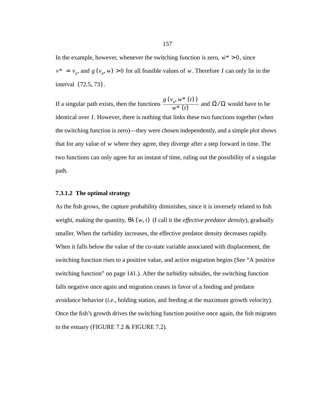In the example, however, whenever the switching function is zero,  $\dot{w}^* > 0$ , since  $v^* = v_g$ , and  $g(v_g, w) > 0$  for all feasible values of w. Therefore I can only lie in the interval  $(72.5, 73)$ .

If a singular path exists, then the functions  $\frac{g(v_g, w^*(t))}{g(v_g)}$  and  $\dot{\Omega}/\Omega$  would have to be identical over *I*. However, there is nothing that links these two functions together (when the switching function is zero)—they were chosen independently, and a simple plot shows that for any value of w where they agree, they diverge after a step forward in time. The two functions can only agree for an instant of time, ruling out the possibility of a singular path.  $\frac{f_g, W^+(t)}{W^* (t)}$  and  $\Omega / \Omega$ 

## **7.3.1.2 The optimal strategy**

As the fish grows, the capture probability diminishes, since it is inversely related to fish weight, making the quantity,  $θk(w, t)$  (I call it the *effective predator density*), gradually smaller. When the turbidity increases, the effective predator density decreases rapidly. When it falls below the value of the co-state variable associated with displacement, the switching function rises to a positive value, and active migration begins (See "A positive switching function" on page 141.). After the turbidity subsides, the switching function falls negative once again and migration ceases in favor of a feeding and predator avoidance behavior (*i.e*., holding station, and feeding at the maximum growth velocity). Once the fish's growth drives the switching function positive once again, the fish migrates to the estuary (FIGURE 7.2 & FIGURE 7.2).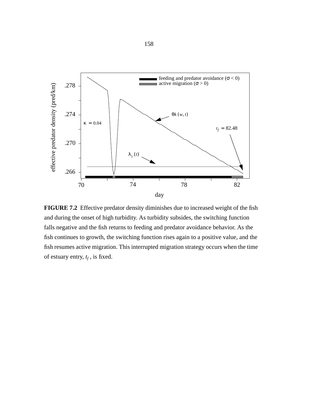

**FIGURE 7.2** Effective predator density diminishes due to increased weight of the fish and during the onset of high turbidity. As turbidity subsides, the switching function falls negative and the fish returns to feeding and predator avoidance behavior. As the fish continues to growth, the switching function rises again to a positive value, and the fish resumes active migration. This interrupted migration strategy occurs when the time of estuary entry,  $t_f$ , is fixed.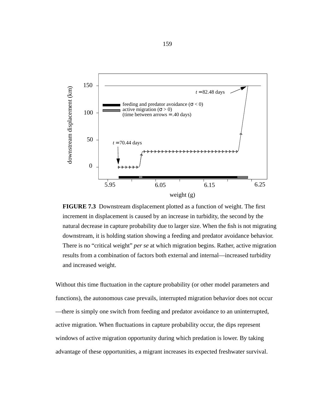



Without this time fluctuation in the capture probability (or other model parameters and functions), the autonomous case prevails, interrupted migration behavior does not occur —there is simply one switch from feeding and predator avoidance to an uninterrupted, active migration. When fluctuations in capture probability occur, the dips represent windows of active migration opportunity during which predation is lower. By taking advantage of these opportunities, a migrant increases its expected freshwater survival.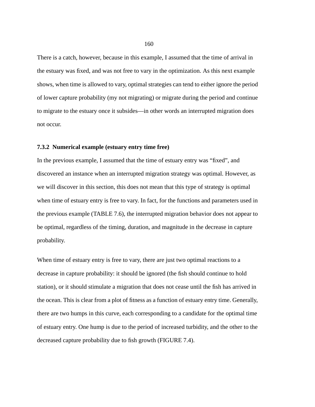There is a catch, however, because in this example, I assumed that the time of arrival in the estuary was fixed, and was not free to vary in the optimization. As this next example shows, when time is allowed to vary, optimal strategies can tend to either ignore the period of lower capture probability (my not migrating) or migrate during the period and continue to migrate to the estuary once it subsides—in other words an interrupted migration does not occur.

# **7.3.2 Numerical example (estuary entry time free)**

In the previous example, I assumed that the time of estuary entry was "fixed", and discovered an instance when an interrupted migration strategy was optimal. However, as we will discover in this section, this does not mean that this type of strategy is optimal when time of estuary entry is free to vary. In fact, for the functions and parameters used in the previous example (TABLE 7.6), the interrupted migration behavior does not appear to be optimal, regardless of the timing, duration, and magnitude in the decrease in capture probability.

When time of estuary entry is free to vary, there are just two optimal reactions to a decrease in capture probability: it should be ignored (the fish should continue to hold station), or it should stimulate a migration that does not cease until the fish has arrived in the ocean. This is clear from a plot of fitness as a function of estuary entry time. Generally, there are two humps in this curve, each corresponding to a candidate for the optimal time of estuary entry. One hump is due to the period of increased turbidity, and the other to the decreased capture probability due to fish growth (FIGURE 7.4).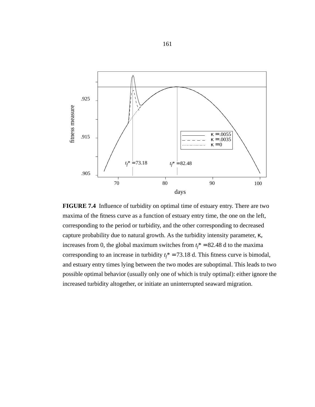

**FIGURE 7.4** Influence of turbidity on optimal time of estuary entry. There are two maxima of the fitness curve as a function of estuary entry time, the one on the left, corresponding to the period or turbidity, and the other corresponding to decreased capture probability due to natural growth. As the turbidity intensity parameter, κ, increases from 0, the global maximum switches from  $t_f^* = 82.48$  d to the maxima corresponding to an increase in turbidity  $t_f^* = 73.18$  d. This fitness curve is bimodal, and estuary entry times lying between the two modes are suboptimal. This leads to two possible optimal behavior (usually only one of which is truly optimal): either ignore the increased turbidity altogether, or initiate an uninterrupted seaward migration.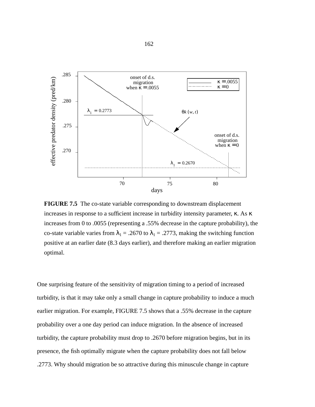

**FIGURE 7.5** The co-state variable corresponding to downstream displacement increases in response to a sufficient increase in turbidity intensity parameter, κ. As κ increases from 0 to .0055 (representing a .55% decrease in the capture probability), the co-state variable varies from  $\lambda_1 = .2670$  to  $\lambda_1 = .2773$ , making the switching function positive at an earlier date (8.3 days earlier), and therefore making an earlier migration optimal.

One surprising feature of the sensitivity of migration timing to a period of increased turbidity, is that it may take only a small change in capture probability to induce a much earlier migration. For example, FIGURE 7.5 shows that a .55% decrease in the capture probability over a one day period can induce migration. In the absence of increased turbidity, the capture probability must drop to .2670 before migration begins, but in its presence, the fish optimally migrate when the capture probability does not fall below .2773. Why should migration be so attractive during this minuscule change in capture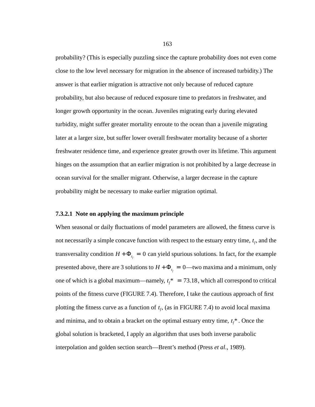probability? (This is especially puzzling since the capture probability does not even come close to the low level necessary for migration in the absence of increased turbidity.) The answer is that earlier migration is attractive not only because of reduced capture probability, but also because of reduced exposure time to predators in freshwater, and longer growth opportunity in the ocean. Juveniles migrating early during elevated turbidity, might suffer greater mortality enroute to the ocean than a juvenile migrating later at a larger size, but suffer lower overall freshwater mortality because of a shorter freshwater residence time, and experience greater growth over its lifetime. This argument hinges on the assumption that an earlier migration is not prohibited by a large decrease in ocean survival for the smaller migrant. Otherwise, a larger decrease in the capture probability might be necessary to make earlier migration optimal.

#### **7.3.2.1 Note on applying the maximum principle**

When seasonal or daily fluctuations of model parameters are allowed, the fitness curve is not necessarily a simple concave function with respect to the estuary entry time,  $t_f$ , and the transversality condition  $H + \Phi_{t_f} = 0$  can yield spurious solutions. In fact, for the example presented above, there are 3 solutions to  $H + \Phi_{t_f} = 0$ —two maxima and a minimum, only one of which is a global maximum—namely,  $t_f^* = 73.18$ , which all correspond to critical points of the fitness curve (FIGURE 7.4). Therefore, I take the cautious approach of first plotting the fitness curve as a function of  $t_f$ , (as in FIGURE 7.4) to avoid local maxima and minima, and to obtain a bracket on the optimal estuary entry time,  $t_f^*$ . Once the global solution is bracketed, I apply an algorithm that uses both inverse parabolic interpolation and golden section search—Brent's method (Press *et al*., 1989).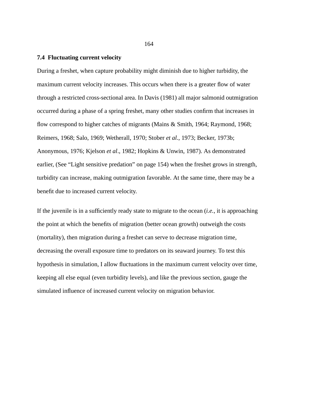# **7.4 Fluctuating current velocity**

During a freshet, when capture probability might diminish due to higher turbidity, the maximum current velocity increases. This occurs when there is a greater flow of water through a restricted cross-sectional area. In Davis (1981) all major salmonid outmigration occurred during a phase of a spring freshet, many other studies confirm that increases in flow correspond to higher catches of migrants (Mains & Smith, 1964; Raymond, 1968; Reimers, 1968; Salo, 1969; Wetherall, 1970; Stober *et al.*, 1973; Becker, 1973b; Anonymous, 1976; Kjelson *et al*., 1982; Hopkins & Unwin, 1987). As demonstrated earlier, (See "Light sensitive predation" on page 154) when the freshet grows in strength, turbidity can increase, making outmigration favorable. At the same time, there may be a benefit due to increased current velocity.

If the juvenile is in a sufficiently ready state to migrate to the ocean (*i.e.*, it is approaching the point at which the benefits of migration (better ocean growth) outweigh the costs (mortality), then migration during a freshet can serve to decrease migration time, decreasing the overall exposure time to predators on its seaward journey. To test this hypothesis in simulation, I allow fluctuations in the maximum current velocity over time, keeping all else equal (even turbidity levels), and like the previous section, gauge the simulated influence of increased current velocity on migration behavior.

164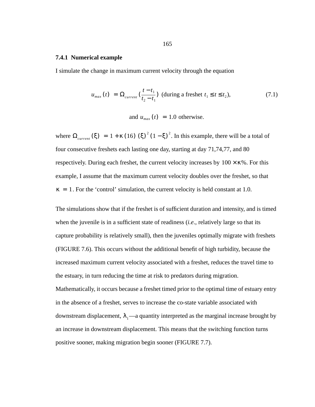## **7.4.1 Numerical example**

I simulate the change in maximum current velocity through the equation

$$
u_{max}(t) = \Omega_{current}\left(\frac{t - t_1}{t_2 - t_1}\right) \text{ (during a freshet } t_1 \le t \le t_2\text{)},\tag{7.1}
$$

and  $u_{max}(t) = 1.0$  otherwise.

where  $\Omega_{\text{current}}(\xi) = 1 + \kappa (16) (\xi)^2 (1 - \xi)^2$ . In this example, there will be a total of four consecutive freshets each lasting one day, starting at day 71,74,77, and 80 respectively. During each freshet, the current velocity increases by  $100 \times \kappa$ %. For this example, I assume that the maximum current velocity doubles over the freshet, so that  $\kappa = 1$ . For the 'control' simulation, the current velocity is held constant at 1.0.

The simulations show that if the freshet is of sufficient duration and intensity, and is timed when the juvenile is in a sufficient state of readiness (*i.e*., relatively large so that its capture probability is relatively small), then the juveniles optimally migrate with freshets (FIGURE 7.6). This occurs without the additional benefit of high turbidity, because the increased maximum current velocity associated with a freshet, reduces the travel time to the estuary, in turn reducing the time at risk to predators during migration. Mathematically, it occurs because a freshet timed prior to the optimal time of estuary entry in the absence of a freshet, serves to increase the co-state variable associated with downstream displacement,  $\lambda_1$ —a quantity interpreted as the marginal increase brought by an increase in downstream displacement. This means that the switching function turns positive sooner, making migration begin sooner (FIGURE 7.7).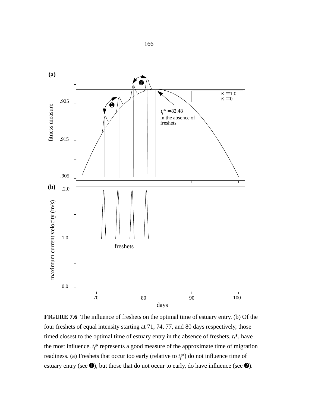

**FIGURE 7.6** The influence of freshets on the optimal time of estuary entry. (b) Of the four freshets of equal intensity starting at 71, 74, 77, and 80 days respectively, those timed closest to the optimal time of estuary entry in the absence of freshets,  $t_f^*$ , have the most influence.  $t_f^*$  represents a good measure of the approximate time of migration readiness. (a) Freshets that occur too early (relative to  $t_f^*$ ) do not influence time of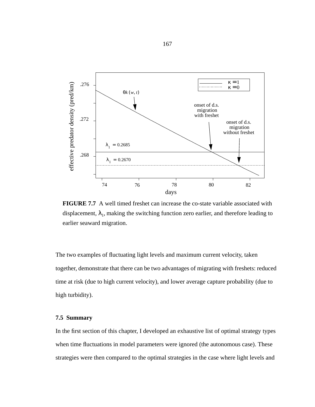

**FIGURE 7.7** A well timed freshet can increase the co-state variable associated with displacement,  $\lambda_1$ , making the switching function zero earlier, and therefore leading to earlier seaward migration.

The two examples of fluctuating light levels and maximum current velocity, taken together, demonstrate that there can be two advantages of migrating with freshets: reduced time at risk (due to high current velocity), and lower average capture probability (due to high turbidity).

# **7.5 Summary**

In the first section of this chapter, I developed an exhaustive list of optimal strategy types when time fluctuations in model parameters were ignored (the autonomous case). These strategies were then compared to the optimal strategies in the case where light levels and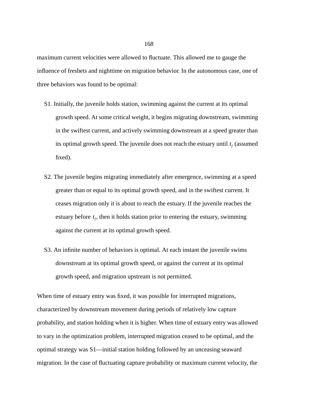maximum current velocities were allowed to fluctuate. This allowed me to gauge the influence of freshets and nighttime on migration behavior. In the autonomous case, one of three behaviors was found to be optimal:

- S1. Initially, the juvenile holds station, swimming against the current at its optimal growth speed. At some critical weight, it begins migrating downstream, swimming in the swiftest current, and actively swimming downstream at a speed greater than its optimal growth speed. The juvenile does not reach the estuary until  $t_f$  (assumed fixed).
- S2. The juvenile begins migrating immediately after emergence, swimming at a speed greater than or equal to its optimal growth speed, and in the swiftest current. It ceases migration only it is about to reach the estuary. If the juvenile reaches the estuary before  $t_f$ , then it holds station prior to entering the estuary, swimming against the current at its optimal growth speed.
- S3. An infinite number of behaviors is optimal. At each instant the juvenile swims downstream at its optimal growth speed, or against the current at its optimal growth speed, and migration upstream is not permitted.

When time of estuary entry was fixed, it was possible for interrupted migrations, characterized by downstream movement during periods of relatively low capture probability, and station holding when it is higher. When time of estuary entry was allowed to vary in the optimization problem, interrupted migration ceased to be optimal, and the optimal strategy was S1—initial station holding followed by an unceasing seaward migration. In the case of fluctuating capture probability or maximum current velocity, the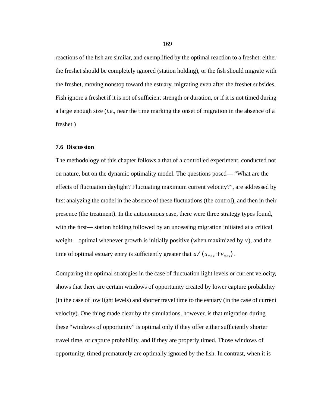reactions of the fish are similar, and exemplified by the optimal reaction to a freshet: either the freshet should be completely ignored (station holding), or the fish should migrate with the freshet, moving nonstop toward the estuary, migrating even after the freshet subsides. Fish ignore a freshet if it is not of sufficient strength or duration, or if it is not timed during a large enough size (*i.e*., near the time marking the onset of migration in the absence of a freshet.)

## **7.6 Discussion**

The methodology of this chapter follows a that of a controlled experiment, conducted not on nature, but on the dynamic optimality model. The questions posed— "What are the effects of fluctuation daylight? Fluctuating maximum current velocity?", are addressed by first analyzing the model in the absence of these fluctuations (the control), and then in their presence (the treatment). In the autonomous case, there were three strategy types found, with the first— station holding followed by an unceasing migration initiated at a critical weight—optimal whenever growth is initially positive (when maximized by  $v$ ), and the time of optimal estuary entry is sufficiently greater that  $a/(u_{max} + v_{max})$ .

Comparing the optimal strategies in the case of fluctuation light levels or current velocity, shows that there are certain windows of opportunity created by lower capture probability (in the case of low light levels) and shorter travel time to the estuary (in the case of current velocity). One thing made clear by the simulations, however, is that migration during these "windows of opportunity" is optimal only if they offer either sufficiently shorter travel time, or capture probability, and if they are properly timed. Those windows of opportunity, timed prematurely are optimally ignored by the fish. In contrast, when it is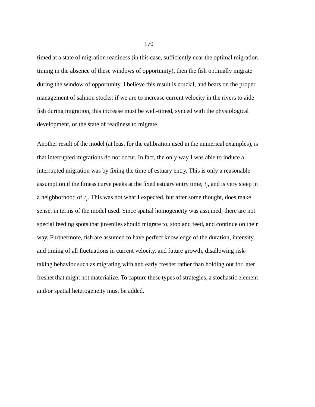timed at a state of migration readiness (in this case, sufficiently near the optimal migration timing in the absence of these windows of opportunity), then the fish optimally migrate during the window of opportunity. I believe this result is crucial, and bears on the proper management of salmon stocks: if we are to increase current velocity in the rivers to aide fish during migration, this increase must be well-timed, synced with the physiological development, or the state of readiness to migrate.

Another result of the model (at least for the calibration used in the numerical examples), is that interrupted migrations do not occur. In fact, the only way I was able to induce a interrupted migration was by fixing the time of estuary entry. This is only a reasonable assumption if the fitness curve peeks at the fixed estuary entry time,  $t_f$ , and is very steep in a neighborhood of  $t_f$ . This was not what I expected, but after some thought, does make sense, in terms of the model used. Since spatial homogeneity was assumed, there are not special feeding spots that juveniles should migrate to, stop and feed, and continue on their way. Furthermore, fish are assumed to have perfect knowledge of the duration, intensity, and timing of all fluctuations in current velocity, and future growth, disallowing risktaking behavior such as migrating with and early freshet rather than holding out for later freshet that might not materialize. To capture these types of strategies, a stochastic element and/or spatial heterogeneity must be added.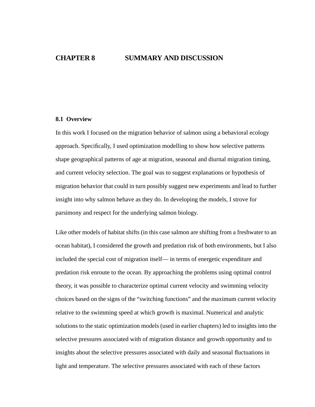# **CHAPTER 8 SUMMARY AND DISCUSSION**

#### **8.1 Overview**

In this work I focused on the migration behavior of salmon using a behavioral ecology approach. Specifically, I used optimization modelling to show how selective patterns shape geographical patterns of age at migration, seasonal and diurnal migration timing, and current velocity selection. The goal was to suggest explanations or hypothesis of migration behavior that could in turn possibly suggest new experiments and lead to further insight into why salmon behave as they do. In developing the models, I strove for parsimony and respect for the underlying salmon biology.

Like other models of habitat shifts (in this case salmon are shifting from a freshwater to an ocean habitat), I considered the growth and predation risk of both environments, but I also included the special cost of migration itself— in terms of energetic expenditure and predation risk enroute to the ocean. By approaching the problems using optimal control theory, it was possible to characterize optimal current velocity and swimming velocity choices based on the signs of the "switching functions" and the maximum current velocity relative to the swimming speed at which growth is maximal. Numerical and analytic solutions to the static optimization models (used in earlier chapters) led to insights into the selective pressures associated with of migration distance and growth opportunity and to insights about the selective pressures associated with daily and seasonal fluctuations in light and temperature. The selective pressures associated with each of these factors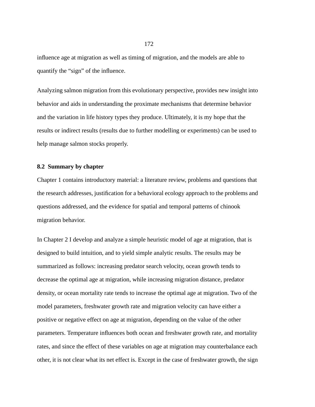influence age at migration as well as timing of migration, and the models are able to quantify the "sign" of the influence.

Analyzing salmon migration from this evolutionary perspective, provides new insight into behavior and aids in understanding the proximate mechanisms that determine behavior and the variation in life history types they produce. Ultimately, it is my hope that the results or indirect results (results due to further modelling or experiments) can be used to help manage salmon stocks properly.

## **8.2 Summary by chapter**

Chapter 1 contains introductory material: a literature review, problems and questions that the research addresses, justification for a behavioral ecology approach to the problems and questions addressed, and the evidence for spatial and temporal patterns of chinook migration behavior.

In Chapter 2 I develop and analyze a simple heuristic model of age at migration, that is designed to build intuition, and to yield simple analytic results. The results may be summarized as follows: increasing predator search velocity, ocean growth tends to decrease the optimal age at migration, while increasing migration distance, predator density, or ocean mortality rate tends to increase the optimal age at migration. Two of the model parameters, freshwater growth rate and migration velocity can have either a positive or negative effect on age at migration, depending on the value of the other parameters. Temperature influences both ocean and freshwater growth rate, and mortality rates, and since the effect of these variables on age at migration may counterbalance each other, it is not clear what its net effect is. Except in the case of freshwater growth, the sign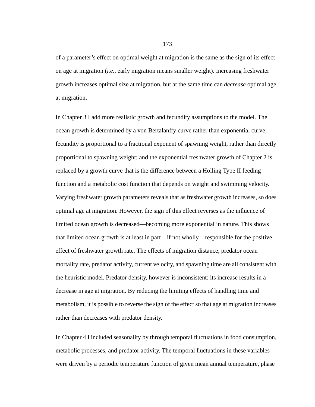of a parameter's effect on optimal weight at migration is the same as the sign of its effect on age at migration (*i.e*., early migration means smaller weight). Increasing freshwater growth increases optimal size at migration, but at the same time can *decrease* optimal age at migration.

In Chapter 3 I add more realistic growth and fecundity assumptions to the model. The ocean growth is determined by a von Bertalanffy curve rather than exponential curve; fecundity is proportional to a fractional exponent of spawning weight, rather than directly proportional to spawning weight; and the exponential freshwater growth of Chapter 2 is replaced by a growth curve that is the difference between a Holling Type II feeding function and a metabolic cost function that depends on weight and swimming velocity. Varying freshwater growth parameters reveals that as freshwater growth increases, so does optimal age at migration. However, the sign of this effect reverses as the influence of limited ocean growth is decreased—becoming more exponential in nature. This shows that limited ocean growth is at least in part—if not wholly—responsible for the positive effect of freshwater growth rate. The effects of migration distance, predator ocean mortality rate, predator activity, current velocity, and spawning time are all consistent with the heuristic model. Predator density, however is inconsistent: its increase results in a decrease in age at migration. By reducing the limiting effects of handling time and metabolism, it is possible to reverse the sign of the effect so that age at migration increases rather than decreases with predator density.

In Chapter 4 I included seasonality by through temporal fluctuations in food consumption, metabolic processes, and predator activity. The temporal fluctuations in these variables were driven by a periodic temperature function of given mean annual temperature, phase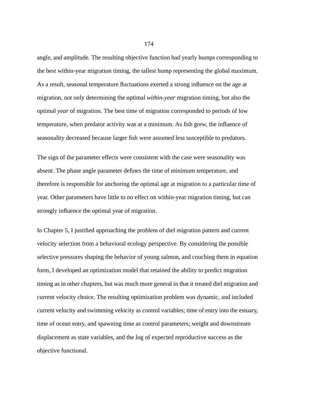angle, and amplitude. The resulting objective function had yearly humps corresponding to the best within-year migration timing, the tallest hump representing the global maximum. As a result, seasonal temperature fluctuations exerted a strong influence on the age at migration, not only determining the optimal *within-year* migration timing, but also the optimal *year* of migration. The best time of migration corresponded to periods of low temperature, when predator activity was at a minimum. As fish grew, the influence of seasonality decreased because larger fish were assumed less susceptible to predators.

The sign of the parameter effects were consistent with the case were seasonality was absent. The phase angle parameter defines the time of minimum temperature, and therefore is responsible for anchoring the optimal age at migration to a particular time of year. Other parameters have little to no effect on within-year migration timing, but can strongly influence the optimal year of migration.

In Chapter 5, I justified approaching the problem of diel migration pattern and current velocity selection from a behavioral ecology perspective. By considering the possible selective pressures shaping the behavior of young salmon, and couching them in equation form, I developed an optimization model that retained the ability to predict migration timing as in other chapters, but was much more general in that it treated diel migration and current velocity choice. The resulting optimization problem was dynamic, and included current velocity and swimming velocity as control variables; time of entry into the estuary, time of ocean entry, and spawning time as control parameters; weight and downstream displacement as state variables, and the log of expected reproductive success as the objective functional.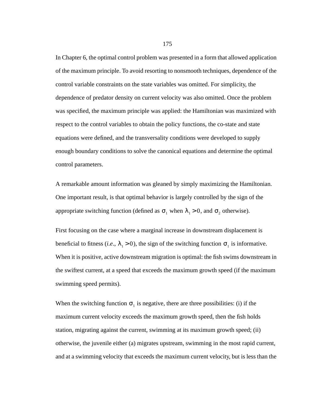In Chapter 6, the optimal control problem was presented in a form that allowed application of the maximum principle. To avoid resorting to nonsmooth techniques, dependence of the control variable constraints on the state variables was omitted. For simplicity, the dependence of predator density on current velocity was also omitted. Once the problem was specified, the maximum principle was applied: the Hamiltonian was maximized with respect to the control variables to obtain the policy functions, the co-state and state equations were defined, and the transversality conditions were developed to supply enough boundary conditions to solve the canonical equations and determine the optimal control parameters.

A remarkable amount information was gleaned by simply maximizing the Hamiltonian. One important result, is that optimal behavior is largely controlled by the sign of the appropriate switching function (defined as  $\sigma_1$  when  $\lambda_1 > 0$ , and  $\sigma_2$  otherwise).

First focusing on the case where a marginal increase in downstream displacement is beneficial to fitness (*i.e.*,  $\lambda_1 > 0$ ), the sign of the switching function  $\sigma_1$  is informative. When it is positive, active downstream migration is optimal: the fish swims downstream in the swiftest current, at a speed that exceeds the maximum growth speed (if the maximum swimming speed permits).

When the switching function  $\sigma_1$  is negative, there are three possibilities: (i) if the maximum current velocity exceeds the maximum growth speed, then the fish holds station, migrating against the current, swimming at its maximum growth speed; (ii) otherwise, the juvenile either (a) migrates upstream, swimming in the most rapid current, and at a swimming velocity that exceeds the maximum current velocity, but is less than the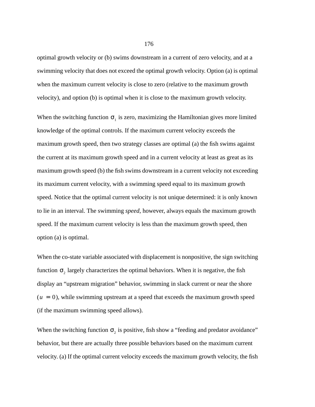optimal growth velocity or (b) swims downstream in a current of zero velocity, and at a swimming velocity that does not exceed the optimal growth velocity. Option (a) is optimal when the maximum current velocity is close to zero (relative to the maximum growth velocity), and option (b) is optimal when it is close to the maximum growth velocity.

When the switching function  $\sigma_1$  is zero, maximizing the Hamiltonian gives more limited knowledge of the optimal controls. If the maximum current velocity exceeds the maximum growth speed, then two strategy classes are optimal (a) the fish swims against the current at its maximum growth speed and in a current velocity at least as great as its maximum growth speed (b) the fish swims downstream in a current velocity not exceeding its maximum current velocity, with a swimming speed equal to its maximum growth speed. Notice that the optimal current velocity is not unique determined: it is only known to lie in an interval. The swimming *speed*, however, always equals the maximum growth speed. If the maximum current velocity is less than the maximum growth speed, then option (a) is optimal.

When the co-state variable associated with displacement is nonpositive, the sign switching function  $\sigma_2$  largely characterizes the optimal behaviors. When it is negative, the fish display an "upstream migration" behavior, swimming in slack current or near the shore  $(u = 0)$ , while swimming upstream at a speed that exceeds the maximum growth speed (if the maximum swimming speed allows).

When the switching function  $\sigma_2$  is positive, fish show a "feeding and predator avoidance" behavior, but there are actually three possible behaviors based on the maximum current velocity. (a) If the optimal current velocity exceeds the maximum growth velocity, the fish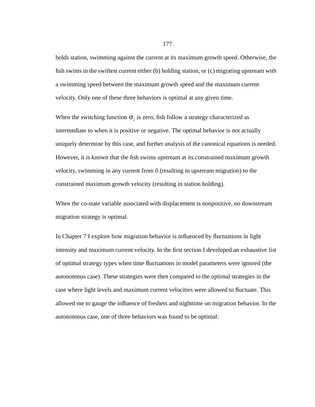holds station, swimming against the current at its maximum growth speed. Otherwise, the fish swims in the swiftest current either (b) holding station, or (c) migrating upstream with a swimming speed between the maximum growth speed and the maximum current velocity. Only one of these three behaviors is optimal at any given time.

When the switching function  $\sigma_2$  is zero, fish follow a strategy characterized as intermediate to when it is positive or negative. The optimal behavior is not actually uniquely determine by this case, and further analysis of the canonical equations is needed. However, it is known that the fish swims upstream at its constrained maximum growth velocity, swimming in any current from 0 (resulting in upstream migration) to the constrained maximum growth velocity (resulting in station holding).

When the co-state variable associated with displacement is nonpositive, no downstream migration strategy is optimal.

In Chapter 7 I explore how migration behavior is influenced by fluctuations in light intensity and maximum current velocity. In the first section I developed an exhaustive list of optimal strategy types when time fluctuations in model parameters were ignored (the autonomous case). These strategies were then compared to the optimal strategies in the case where light levels and maximum current velocities were allowed to fluctuate. This allowed me to gauge the influence of freshets and nighttime on migration behavior. In the autonomous case, one of three behaviors was found to be optimal: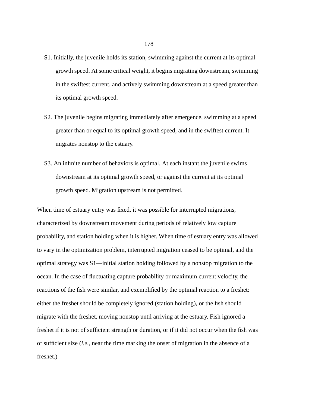- S1. Initially, the juvenile holds its station, swimming against the current at its optimal growth speed. At some critical weight, it begins migrating downstream, swimming in the swiftest current, and actively swimming downstream at a speed greater than its optimal growth speed.
- S2. The juvenile begins migrating immediately after emergence, swimming at a speed greater than or equal to its optimal growth speed, and in the swiftest current. It migrates nonstop to the estuary.
- S3. An infinite number of behaviors is optimal. At each instant the juvenile swims downstream at its optimal growth speed, or against the current at its optimal growth speed. Migration upstream is not permitted.

When time of estuary entry was fixed, it was possible for interrupted migrations, characterized by downstream movement during periods of relatively low capture probability, and station holding when it is higher. When time of estuary entry was allowed to vary in the optimization problem, interrupted migration ceased to be optimal, and the optimal strategy was S1—initial station holding followed by a nonstop migration to the ocean. In the case of fluctuating capture probability or maximum current velocity, the reactions of the fish were similar, and exemplified by the optimal reaction to a freshet: either the freshet should be completely ignored (station holding), or the fish should migrate with the freshet, moving nonstop until arriving at the estuary. Fish ignored a freshet if it is not of sufficient strength or duration, or if it did not occur when the fish was of sufficient size (*i.e.*, near the time marking the onset of migration in the absence of a freshet.)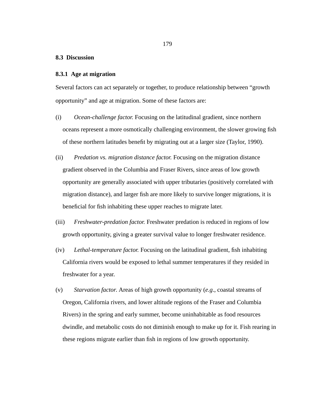#### **8.3 Discussion**

#### **8.3.1 Age at migration**

Several factors can act separately or together, to produce relationship between "growth opportunity" and age at migration. Some of these factors are:

- (i) *Ocean-challenge factor.* Focusing on the latitudinal gradient, since northern oceans represent a more osmotically challenging environment, the slower growing fish of these northern latitudes benefit by migrating out at a larger size (Taylor, 1990).
- (ii) *Predation vs. migration distance factor.* Focusing on the migration distance gradient observed in the Columbia and Fraser Rivers, since areas of low growth opportunity are generally associated with upper tributaries (positively correlated with migration distance), and larger fish are more likely to survive longer migrations, it is beneficial for fish inhabiting these upper reaches to migrate later.
- (iii) *Freshwater-predation factor.* Freshwater predation is reduced in regions of low growth opportunity, giving a greater survival value to longer freshwater residence.
- (iv) *Lethal-temperature factor.* Focusing on the latitudinal gradient, fish inhabiting California rivers would be exposed to lethal summer temperatures if they resided in freshwater for a year.
- (v) *Starvation factor*. Areas of high growth opportunity (*e.g*., coastal streams of Oregon, California rivers, and lower altitude regions of the Fraser and Columbia Rivers) in the spring and early summer, become uninhabitable as food resources dwindle, and metabolic costs do not diminish enough to make up for it. Fish rearing in these regions migrate earlier than fish in regions of low growth opportunity.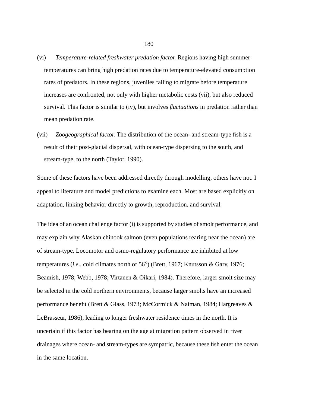- (vi) *Temperature-related freshwater predation factor.* Regions having high summer temperatures can bring high predation rates due to temperature-elevated consumption rates of predators. In these regions, juveniles failing to migrate before temperature increases are confronted, not only with higher metabolic costs (vii), but also reduced survival. This factor is similar to (iv), but involves *fluctuations* in predation rather than mean predation rate.
- (vii) *Zoogeographical factor.* The distribution of the ocean- and stream-type fish is a result of their post-glacial dispersal, with ocean-type dispersing to the south, and stream-type, to the north (Taylor, 1990).

Some of these factors have been addressed directly through modelling, others have not. I appeal to literature and model predictions to examine each. Most are based explicitly on adaptation, linking behavior directly to growth, reproduction, and survival.

The idea of an ocean challenge factor (i) is supported by studies of smolt performance, and may explain why Alaskan chinook salmon (even populations rearing near the ocean) are of stream-type. Locomotor and osmo-regulatory performance are inhibited at low temperatures (*i.e*., cold climates north of 56°) (Brett, 1967; Knutsson & Garv, 1976; Beamish, 1978; Webb, 1978; Virtanen & Oikari, 1984). Therefore, larger smolt size may be selected in the cold northern environments, because larger smolts have an increased performance benefit (Brett & Glass, 1973; McCormick & Naiman, 1984; Hargreaves & LeBrasseur, 1986), leading to longer freshwater residence times in the north. It is uncertain if this factor has bearing on the age at migration pattern observed in river drainages where ocean- and stream-types are sympatric, because these fish enter the ocean in the same location.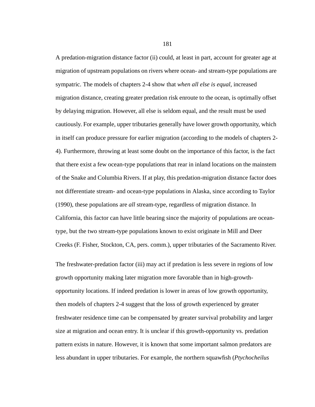A predation-migration distance factor (ii) could, at least in part, account for greater age at migration of upstream populations on rivers where ocean- and stream-type populations are sympatric. The models of chapters 2-4 show that *when all else is equal*, increased migration distance, creating greater predation risk enroute to the ocean, is optimally offset by delaying migration. However, all else is seldom equal, and the result must be used cautiously. For example, upper tributaries generally have lower growth opportunity, which in itself can produce pressure for earlier migration (according to the models of chapters 2- 4). Furthermore, throwing at least some doubt on the importance of this factor, is the fact that there exist a few ocean-type populations that rear in inland locations on the mainstem of the Snake and Columbia Rivers. If at play, this predation-migration distance factor does not differentiate stream- and ocean-type populations in Alaska, since according to Taylor (1990), these populations are *all* stream-type, regardless of migration distance. In California, this factor can have little bearing since the majority of populations are oceantype, but the two stream-type populations known to exist originate in Mill and Deer Creeks (F. Fisher, Stockton, CA, pers. comm.), upper tributaries of the Sacramento River.

The freshwater-predation factor (iii) may act if predation is less severe in regions of low growth opportunity making later migration more favorable than in high-growthopportunity locations. If indeed predation is lower in areas of low growth opportunity, then models of chapters 2-4 suggest that the loss of growth experienced by greater freshwater residence time can be compensated by greater survival probability and larger size at migration and ocean entry. It is unclear if this growth-opportunity vs. predation pattern exists in nature. However, it is known that some important salmon predators are less abundant in upper tributaries. For example, the northern squawfish (*Ptychocheilus*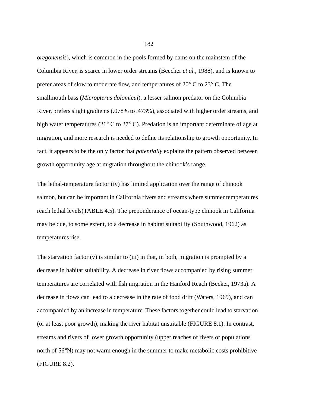*oregonensis*), which is common in the pools formed by dams on the mainstem of the Columbia River, is scarce in lower order streams (Beecher *et al.*, 1988), and is known to prefer areas of slow to moderate flow, and temperatures of 20° C to 23° C. The smallmouth bass (*Micropterus dolomieui*), a lesser salmon predator on the Columbia River, prefers slight gradients (.078% to .473%), associated with higher order streams, and high water temperatures (21° C to 27° C). Predation is an important determinate of age at migration, and more research is needed to define its relationship to growth opportunity. In fact, it appears to be the only factor that *potentially* explains the pattern observed between growth opportunity age at migration throughout the chinook's range.

The lethal-temperature factor (iv) has limited application over the range of chinook salmon, but can be important in California rivers and streams where summer temperatures reach lethal levels(TABLE 4.5). The preponderance of ocean-type chinook in California may be due, to some extent, to a decrease in habitat suitability (Southwood, 1962) as temperatures rise.

The starvation factor (v) is similar to (iii) in that, in both, migration is prompted by a decrease in habitat suitability. A decrease in river flows accompanied by rising summer temperatures are correlated with fish migration in the Hanford Reach (Becker, 1973a). A decrease in flows can lead to a decrease in the rate of food drift (Waters, 1969), and can accompanied by an increase in temperature. These factors together could lead to starvation (or at least poor growth), making the river habitat unsuitable (FIGURE 8.1). In contrast, streams and rivers of lower growth opportunity (upper reaches of rivers or populations north of 56°N) may not warm enough in the summer to make metabolic costs prohibitive (FIGURE 8.2).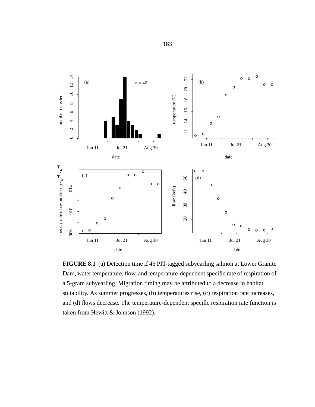

**FIGURE 8.1** (a) Detection time if 46 PIT-tagged subyearling salmon at Lower Granite Dam, water temperature, flow, and temperature-dependent specific rate of respiration of a 5-gram subyearling. Migration timing may be attributed to a decrease in habitat suitability. As summer progresses, (b) temperatures rise, (c) respiration rate increases, and (d) flows decrease. The temperature-dependent specific respiration rate function is taken from Hewitt & Johnson (1992).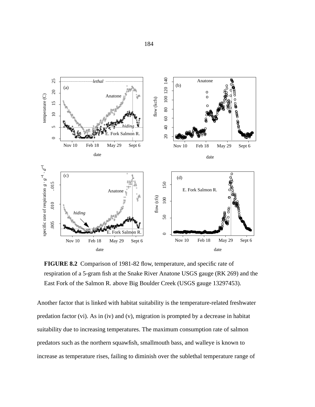

**FIGURE 8.2** Comparison of 1981-82 flow, temperature, and specific rate of respiration of a 5-gram fish at the Snake River Anatone USGS gauge (RK 269) and the East Fork of the Salmon R. above Big Boulder Creek (USGS gauge 13297453).

Another factor that is linked with habitat suitability is the temperature-related freshwater predation factor (vi). As in (iv) and (v), migration is prompted by a decrease in habitat suitability due to increasing temperatures. The maximum consumption rate of salmon predators such as the northern squawfish, smallmouth bass, and walleye is known to increase as temperature rises, failing to diminish over the sublethal temperature range of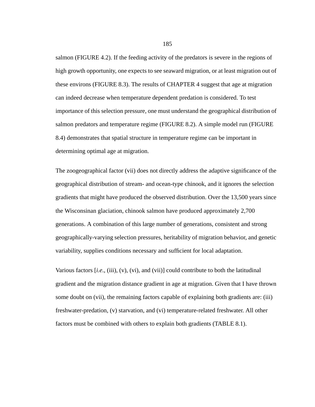salmon (FIGURE 4.2). If the feeding activity of the predators is severe in the regions of high growth opportunity, one expects to see seaward migration, or at least migration out of these environs (FIGURE 8.3). The results of CHAPTER 4 suggest that age at migration can indeed decrease when temperature dependent predation is considered. To test importance of this selection pressure, one must understand the geographical distribution of salmon predators and temperature regime (FIGURE 8.2). A simple model run (FIGURE 8.4) demonstrates that spatial structure in temperature regime can be important in determining optimal age at migration.

The zoogeographical factor (vii) does not directly address the adaptive significance of the geographical distribution of stream- and ocean-type chinook, and it ignores the selection gradients that might have produced the observed distribution. Over the 13,500 years since the Wisconsinan glaciation, chinook salmon have produced approximately 2,700 generations. A combination of this large number of generations, consistent and strong geographically-varying selection pressures, heritability of migration behavior, and genetic variability, supplies conditions necessary and sufficient for local adaptation.

Various factors [*i.e*., (iii), (v), (vi), and (vii)] could contribute to both the latitudinal gradient and the migration distance gradient in age at migration. Given that I have thrown some doubt on (vii), the remaining factors capable of explaining both gradients are: (iii) freshwater-predation, (v) starvation, and (vi) temperature-related freshwater. All other factors must be combined with others to explain both gradients (TABLE 8.1).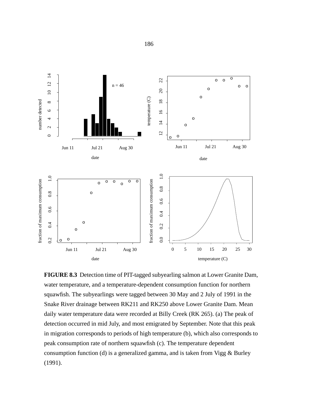

**FIGURE 8.3** Detection time of PIT-tagged subyearling salmon at Lower Granite Dam, water temperature, and a temperature-dependent consumption function for northern squawfish. The subyearlings were tagged between 30 May and 2 July of 1991 in the Snake River drainage between RK211 and RK250 above Lower Granite Dam. Mean daily water temperature data were recorded at Billy Creek (RK 265). (a) The peak of detection occurred in mid July, and most emigrated by September. Note that this peak in migration corresponds to periods of high temperature (b), which also corresponds to peak consumption rate of northern squawfish (c). The temperature dependent consumption function (d) is a generalized gamma, and is taken from Vigg  $&$  Burley (1991).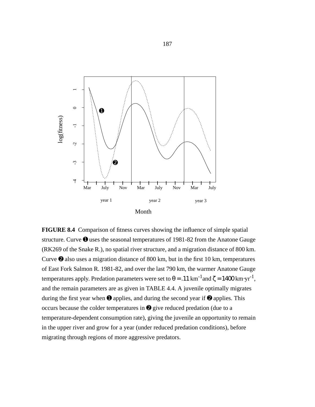

**FIGURE 8.4** Comparison of fitness curves showing the influence of simple spatial structure. Curve  $\bullet$  uses the seasonal temperatures of 1981-82 from the Anatone Gauge (RK269 of the Snake R.), no spatial river structure, and a migration distance of 800 km. Curve ➋ also uses a migration distance of 800 km, but in the first 10 km, temperatures of East Fork Salmon R. 1981-82, and over the last 790 km, the warmer Anatone Gauge temperatures apply. Predation parameters were set to  $\theta = .11 \text{ km}^{-1}$  and  $\zeta = 1400 \text{ km} \cdot \text{yr}^{-1}$ , and the remain parameters are as given in TABLE 4.4. A juvenile optimally migrates during the first year when  $\bullet$  applies, and during the second year if  $\bullet$  applies. This occurs because the colder temperatures in ➋ give reduced predation (due to a temperature-dependent consumption rate), giving the juvenile an opportunity to remain in the upper river and grow for a year (under reduced predation conditions), before migrating through regions of more aggressive predators.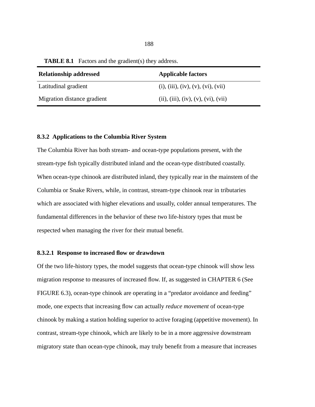| $\frac{1}{2}$ and $\frac{1}{2}$ are $\frac{1}{2}$ and $\frac{1}{2}$ and $\frac{1}{2}$ and $\frac{1}{2}$ and $\frac{1}{2}$ |                                     |
|---------------------------------------------------------------------------------------------------------------------------|-------------------------------------|
| <b>Relationship addressed</b>                                                                                             | <b>Applicable factors</b>           |
| Latitudinal gradient                                                                                                      | (i), (iii), (iv), (v), (vi), (vii)  |
| Migration distance gradient                                                                                               | (ii), (iii), (iv), (v), (vi), (vii) |

**TABLE 8.1** Factors and the gradient(s) they address.

### **8.3.2 Applications to the Columbia River System**

The Columbia River has both stream- and ocean-type populations present, with the stream-type fish typically distributed inland and the ocean-type distributed coastally. When ocean-type chinook are distributed inland, they typically rear in the mainstem of the Columbia or Snake Rivers, while, in contrast, stream-type chinook rear in tributaries which are associated with higher elevations and usually, colder annual temperatures. The fundamental differences in the behavior of these two life-history types that must be respected when managing the river for their mutual benefit.

## **8.3.2.1 Response to increased flow or drawdown**

Of the two life-history types, the model suggests that ocean-type chinook will show less migration response to measures of increased flow. If, as suggested in CHAPTER 6 (See FIGURE 6.3), ocean-type chinook are operating in a "predator avoidance and feeding" mode, one expects that increasing flow can actually *reduce movement* of ocean-type chinook by making a station holding superior to active foraging (appetitive movement). In contrast, stream-type chinook, which are likely to be in a more aggressive downstream migratory state than ocean-type chinook, may truly benefit from a measure that increases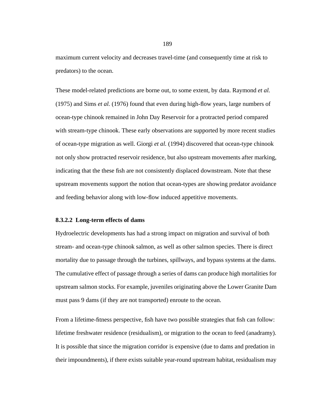maximum current velocity and decreases travel-time (and consequently time at risk to predators) to the ocean.

These model-related predictions are borne out, to some extent, by data. Raymond *et al.* (1975) and Sims *et al.* (1976) found that even during high-flow years, large numbers of ocean-type chinook remained in John Day Reservoir for a protracted period compared with stream-type chinook. These early observations are supported by more recent studies of ocean-type migration as well. Giorgi *et al.* (1994) discovered that ocean-type chinook not only show protracted reservoir residence, but also upstream movements after marking, indicating that the these fish are not consistently displaced downstream. Note that these upstream movements support the notion that ocean-types are showing predator avoidance and feeding behavior along with low-flow induced appetitive movements.

## **8.3.2.2 Long-term effects of dams**

Hydroelectric developments has had a strong impact on migration and survival of both stream- and ocean-type chinook salmon, as well as other salmon species. There is direct mortality due to passage through the turbines, spillways, and bypass systems at the dams. The cumulative effect of passage through a series of dams can produce high mortalities for upstream salmon stocks. For example, juveniles originating above the Lower Granite Dam must pass 9 dams (if they are not transported) enroute to the ocean.

From a lifetime-fitness perspective, fish have two possible strategies that fish can follow: lifetime freshwater residence (residualism), or migration to the ocean to feed (anadramy). It is possible that since the migration corridor is expensive (due to dams and predation in their impoundments), if there exists suitable year-round upstream habitat, residualism may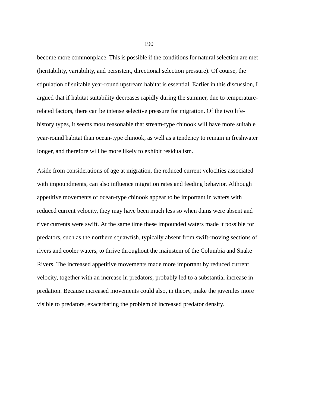become more commonplace. This is possible if the conditions for natural selection are met (heritability, variability, and persistent, directional selection pressure). Of course, the stipulation of suitable year-round upstream habitat is essential. Earlier in this discussion, I argued that if habitat suitability decreases rapidly during the summer, due to temperaturerelated factors, there can be intense selective pressure for migration. Of the two lifehistory types, it seems most reasonable that stream-type chinook will have more suitable year-round habitat than ocean-type chinook, as well as a tendency to remain in freshwater longer, and therefore will be more likely to exhibit residualism.

Aside from considerations of age at migration, the reduced current velocities associated with impoundments, can also influence migration rates and feeding behavior. Although appetitive movements of ocean-type chinook appear to be important in waters with reduced current velocity, they may have been much less so when dams were absent and river currents were swift. At the same time these impounded waters made it possible for predators, such as the northern squawfish, typically absent from swift-moving sections of rivers and cooler waters, to thrive throughout the mainstem of the Columbia and Snake Rivers. The increased appetitive movements made more important by reduced current velocity, together with an increase in predators, probably led to a substantial increase in predation. Because increased movements could also, in theory, make the juveniles more visible to predators, exacerbating the problem of increased predator density.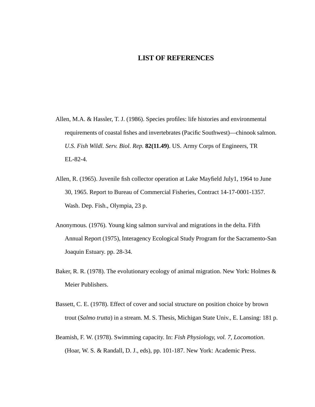# **LIST OF REFERENCES**

- Allen, M.A. & Hassler, T. J. (1986). Species profiles: life histories and environmental requirements of coastal fishes and invertebrates (Pacific Southwest)—chinook salmon. *U.S. Fish Wildl. Serv. Biol. Rep.* **82(11.49)**. US. Army Corps of Engineers, TR EL-82-4.
- Allen, R. (1965). Juvenile fish collector operation at Lake Mayfield July1, 1964 to June 30, 1965. Report to Bureau of Commercial Fisheries, Contract 14-17-0001-1357. Wash. Dep. Fish., Olympia, 23 p.
- Anonymous. (1976). Young king salmon survival and migrations in the delta. Fifth Annual Report (1975), Interagency Ecological Study Program for the Sacramento-San Joaquin Estuary. pp. 28-34.
- Baker, R. R. (1978). The evolutionary ecology of animal migration. New York: Holmes & Meier Publishers.
- Bassett, C. E. (1978). Effect of cover and social structure on position choice by brown trout (*Salmo trutta*) in a stream. M. S. Thesis, Michigan State Univ., E. Lansing: 181 p.
- Beamish, F. W. (1978). Swimming capacity. In: *Fish Physiology*, *vol. 7*, *Locomotion*. (Hoar, W. S. & Randall, D. J., eds), pp. 101-187. New York: Academic Press.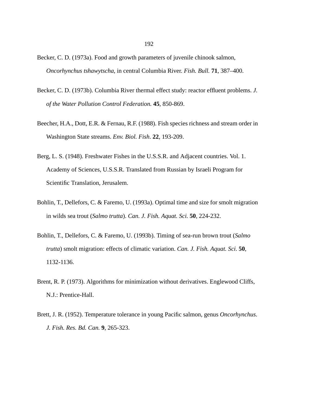- Becker, C. D. (1973a). Food and growth parameters of juvenile chinook salmon, *Oncorhynchus tshawytscha*, in central Columbia River. *Fish. Bull.* **71**, 387–400.
- Becker, C. D. (1973b). Columbia River thermal effect study: reactor effluent problems. *J. of the Water Pollution Control Federation.* **45**, 850-869.
- Beecher, H.A., Dott, E.R. & Fernau, R.F. (1988). Fish species richness and stream order in Washington State streams. *Env. Biol. Fish*. **22**, 193-209.
- Berg, L. S. (1948). Freshwater Fishes in the U.S.S.R. and Adjacent countries. Vol. 1. Academy of Sciences, U.S.S.R. Translated from Russian by Israeli Program for Scientific Translation, Jerusalem.
- Bohlin, T., Dellefors, C. & Faremo, U. (1993a). Optimal time and size for smolt migration in wilds sea trout (*Salmo trutta*). *Can. J. Fish. Aquat. Sci.* **50***,* 224-232.
- Bohlin, T., Dellefors, C. & Faremo, U. (1993b). Timing of sea-run brown trout (*Salmo trutta*) smolt migration: effects of climatic variation. *Can. J. Fish. Aquat. Sci*. **50**, 1132-1136.
- Brent, R. P. (1973). Algorithms for minimization without derivatives. Englewood Cliffs, N.J.: Prentice-Hall.
- Brett, J. R. (1952). Temperature tolerance in young Pacific salmon, genus *Oncorhynchus*. *J. Fish. Res. Bd. Can.* **9**, 265-323.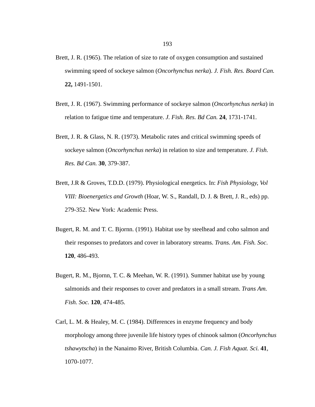- Brett, J. R. (1965). The relation of size to rate of oxygen consumption and sustained swimming speed of sockeye salmon (*Oncorhynchus nerka*). *J. Fish. Res. Board Can.* **22,** 1491-1501.
- Brett, J. R. (1967). Swimming performance of sockeye salmon (*Oncorhynchus nerka*) in relation to fatigue time and temperature. *J. Fish. Res. Bd Can.* **24**, 1731-1741.
- Brett, J. R. & Glass, N. R. (1973). Metabolic rates and critical swimming speeds of sockeye salmon (*Oncorhynchus nerka*) in relation to size and temperature. *J. Fish. Res. Bd Can.* **30**, 379-387.
- Brett, J.R & Groves, T.D.D. (1979). Physiological energetics. In: *Fish Physiology, Vol VIII: Bioenergetics and Growth* (Hoar, W. S., Randall, D. J. & Brett, J. R., eds) pp. 279-352. New York: Academic Press.
- Bugert, R. M. and T. C. Bjornn. (1991). Habitat use by steelhead and coho salmon and their responses to predators and cover in laboratory streams. *Trans. Am. Fish. Soc*. **120**, 486-493.
- Bugert, R. M., Bjornn, T. C. & Meehan, W. R. (1991). Summer habitat use by young salmonids and their responses to cover and predators in a small stream. *Trans Am. Fish. Soc.* **120**, 474-485.
- Carl, L. M. & Healey, M. C. (1984). Differences in enzyme frequency and body morphology among three juvenile life history types of chinook salmon (*Oncorhynchus tshawytscha*) in the Nanaimo River, British Columbia. *Can. J. Fish Aquat. Sci.* **41**, 1070-1077.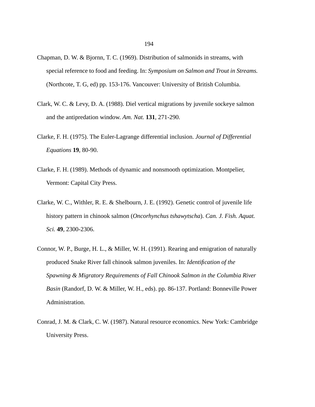- Chapman, D. W. & Bjornn, T. C. (1969). Distribution of salmonids in streams, with special reference to food and feeding. In: *Symposium on Salmon and Trout in Streams.* (Northcote, T. G, ed) pp. 153-176. Vancouver: University of British Columbia.
- Clark, W. C. & Levy, D. A. (1988). Diel vertical migrations by juvenile sockeye salmon and the antipredation window. *Am. Nat.* **131**, 271-290.
- Clarke, F. H. (1975). The Euler-Lagrange differential inclusion. *Journal of Differential Equations* **19**, 80-90.
- Clarke, F. H. (1989). Methods of dynamic and nonsmooth optimization. Montpelier, Vermont: Capital City Press.
- Clarke, W. C., Withler, R. E. & Shelbourn, J. E. (1992). Genetic control of juvenile life history pattern in chinook salmon (*Oncorhynchus tshawytscha*). *Can. J. Fish. Aquat. Sci.* **49**, 2300-2306.
- Connor, W. P., Burge, H. L., & Miller, W. H. (1991). Rearing and emigration of naturally produced Snake River fall chinook salmon juveniles. In: *Identification of the Spawning & Migratory Requirements of Fall Chinook Salmon in the Columbia River Basin* (Randorf, D. W. & Miller, W. H., eds). pp. 86-137. Portland: Bonneville Power Administration.
- Conrad, J. M. & Clark, C. W. (1987). Natural resource economics. New York: Cambridge University Press.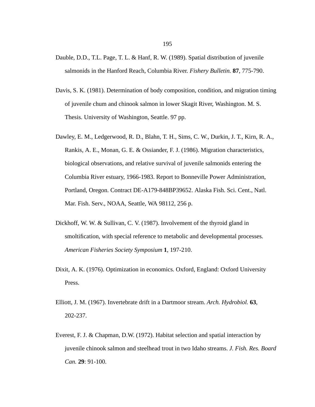- Dauble, D.D., T.L. Page, T. L. & Hanf, R. W. (1989). Spatial distribution of juvenile salmonids in the Hanford Reach, Columbia River. *Fishery Bulletin.* **87**, 775-790.
- Davis, S. K. (1981). Determination of body composition, condition, and migration timing of juvenile chum and chinook salmon in lower Skagit River, Washington. M. S. Thesis. University of Washington, Seattle. 97 pp.
- Dawley, E. M., Ledgerwood, R. D., Blahn, T. H., Sims, C. W., Durkin, J. T., Kirn, R. A., Rankis, A. E., Monan, G. E. & Ossiander, F. J. (1986). Migration characteristics, biological observations, and relative survival of juvenile salmonids entering the Columbia River estuary, 1966-1983. Report to Bonneville Power Administration, Portland, Oregon. Contract DE-A179-848BP39652. Alaska Fish. Sci. Cent., Natl. Mar. Fish. Serv., NOAA, Seattle, WA 98112, 256 p.
- Dickhoff, W. W. & Sullivan, C. V. (1987). Involvement of the thyroid gland in smoltification, with special reference to metabolic and developmental processes. *American Fisheries Society Symposium* **1**, 197-210.
- Dixit, A. K. (1976). Optimization in economics. Oxford, England: Oxford University Press.
- Elliott, J. M. (1967). Invertebrate drift in a Dartmoor stream. *Arch. Hydrobiol.* **63**, 202-237.
- Everest, F. J. & Chapman, D.W. (1972). Habitat selection and spatial interaction by juvenile chinook salmon and steelhead trout in two Idaho streams. *J. Fish. Res. Board Can.* **29**: 91-100.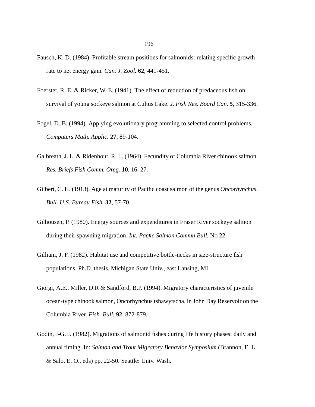- Fausch, K. D. (1984). Profitable stream positions for salmonids: relating specific growth rate to net energy gain*. Can. J. Zool.* **62**, 441-451.
- Foerster, R. E. & Ricker, W. E. (1941). The effect of reduction of predaceous fish on survival of young sockeye salmon at Cultus Lake. *J. Fish Res. Board Can.* **5**, 315-336.
- Fogel, D. B. (1994). Applying evolutionary programming to selected control problems. *Computers Math. Applic.* **27**, 89-104.
- Galbreath, J. L. & Ridenhour, R. L. (1964). Fecundity of Columbia River chinook salmon. *Res. Briefs Fish Comm. Oreg.* **10**, 16–27.
- Gilbert, C. H. (1913). Age at maturity of Pacific coast salmon of the genus *Oncorhynchus*. *Bull. U.S. Bureau Fish.* **32**, 57-70.
- Gilhousen, P. (1980). Energy sources and expenditures in Fraser River sockeye salmon during their spawning migration. *Int. Pacfic Salmon Commn Bull.* No **22**.
- Gilliam, J. F. (1982). Habitat use and competitive bottle-necks in size-structure fish populations. Ph.D. thesis. Michigan State Univ., east Lansing, MI.
- Giorgi, A.E., Miller, D.R & Sandford, B.P. (1994). Migratory characteristics of juvenile ocean-type chinook salmon, Oncorhynchus tshawytscha, in John Day Reservoir on the Columbia River. *Fish. Bull.* **92**, 872-879.
- Godin, J-G. J. (1982). Migrations of salmonid fishes during life history phases: daily and annual timing. In: *Salmon and Trout Migratory Behavior Symposium* (Brannon, E. L. & Salo, E. O., eds) pp. 22-50. Seattle: Univ. Wash.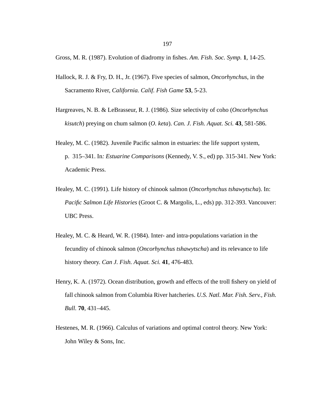Gross, M. R. (1987). Evolution of diadromy in fishes. *Am. Fish. Soc. Symp.* **1**, 14-25.

- Hallock, R. J. & Fry, D. H., Jr. (1967). Five species of salmon, *Oncorhynchus*, in the Sacramento River, *California. Calif. Fish Game* **53**, 5-23.
- Hargreaves, N. B. & LeBrasseur, R. J. (1986). Size selectivity of coho (*Oncorhynchus kisutch*) preying on chum salmon (*O. keta*). *Can. J. Fish. Aquat. Sci.* **43**, 581-586.
- Healey, M. C. (1982). Juvenile Pacific salmon in estuaries: the life support system, p. 315–341. In*: Estuarine Comparisons* (Kennedy, V. S., ed) pp. 315-341. New York: Academic Press.
- Healey, M. C. (1991). Life history of chinook salmon (*Oncorhynchus tshawytscha*). In: *Pacific Salmon Life Histories* (Groot C. & Margolis, L., eds) pp. 312-393. Vancouver: UBC Press.
- Healey, M. C. & Heard, W. R. (1984). Inter- and intra-populations variation in the fecundity of chinook salmon (*Oncorhynchus tshawytscha*) and its relevance to life history theory. *Can J. Fish. Aquat. Sci.* **41**, 476-483.
- Henry, K. A. (1972). Ocean distribution, growth and effects of the troll fishery on yield of fall chinook salmon from Columbia River hatcheries. *U.S. Natl. Mar. Fish. Serv., Fish. Bull.* **70**, 431–445.
- Hestenes, M. R. (1966). Calculus of variations and optimal control theory. New York: John Wiley & Sons, Inc.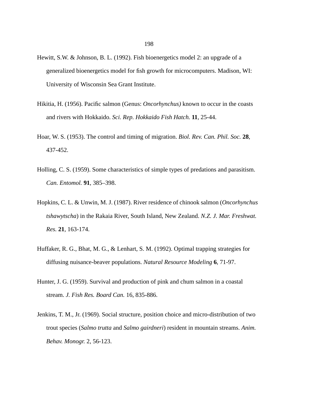- Hewitt, S.W. & Johnson, B. L. (1992). Fish bioenergetics model 2: an upgrade of a generalized bioenergetics model for fish growth for microcomputers. Madison, WI: University of Wisconsin Sea Grant Institute.
- Hikitia, H. (1956). Pacific salmon (Genus: *Oncorhynchus)* known to occur in the coasts and rivers with Hokkaido. *Sci. Rep. Hokkaido Fish Hatch.* **11**, 25-44.
- Hoar, W. S. (1953). The control and timing of migration. *Biol. Rev. Can. Phil. Soc.* **28**, 437-452.
- Holling, C. S. (1959). Some characteristics of simple types of predations and parasitism. *Can. Entomol.* **91**, 385–398.
- Hopkins, C. L. & Unwin, M. J. (1987). River residence of chinook salmon (*Oncorhynchus tshawytscha*) in the Rakaia River, South Island, New Zealand. *N.Z. J. Mar. Freshwat. Res.* **21**, 163-174.
- Huffaker, R. G., Bhat, M. G., & Lenhart, S. M. (1992). Optimal trapping strategies for diffusing nuisance-beaver populations. *Natural Resource Modeling* **6**, 71-97.
- Hunter, J. G. (1959). Survival and production of pink and chum salmon in a coastal stream. *J. Fish Res. Board Can.* 16, 835-886.
- Jenkins, T. M., Jr. (1969). Social structure, position choice and micro-distribution of two trout species (*Salmo trutta* and *Salmo gairdneri*) resident in mountain streams. *Anim. Behav. Monogr.* 2, 56-123.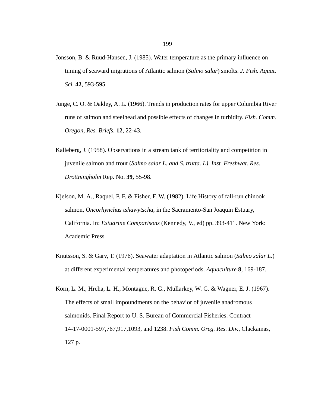- Jonsson, B. & Ruud-Hansen, J. (1985). Water temperature as the primary influence on timing of seaward migrations of Atlantic salmon (*Salmo salar*) smolts. *J. Fish. Aquat. Sci.* **42**, 593-595.
- Junge, C. O. & Oakley, A. L. (1966). Trends in production rates for upper Columbia River runs of salmon and steelhead and possible effects of changes in turbidity. *Fish. Comm. Oregon, Res. Briefs.* **12**, 22-43.
- Kalleberg, J. (1958). Observations in a stream tank of territoriality and competition in juvenile salmon and trout (*Salmo salar L. and S. trutta. L)*. *Inst. Freshwat. Res. Drottningholm* Rep. No. **39,** 55-98.
- Kjelson, M. A., Raquel, P. F. & Fisher, F. W. (1982). Life History of fall-run chinook salmon, *Oncorhynchus tshawytscha*, in the Sacramento-San Joaquin Estuary, California. In: *Estuarine Comparisons* (Kennedy, V., ed) pp. 393-411. New York: Academic Press.
- Knutsson, S. & Garv, T. (1976). Seawater adaptation in Atlantic salmon (*Salmo salar L*.) at different experimental temperatures and photoperiods. *Aquaculture* **8**, 169-187.
- Korn, L. M., Hreha, L. H., Montagne, R. G., Mullarkey, W. G. & Wagner, E. J. (1967). The effects of small impoundments on the behavior of juvenile anadromous salmonids. Final Report to U. S. Bureau of Commercial Fisheries. Contract 14-17-0001-597,767,917,1093, and 1238. *Fish Comm. Oreg. Res. Div.*, Clackamas, 127 p.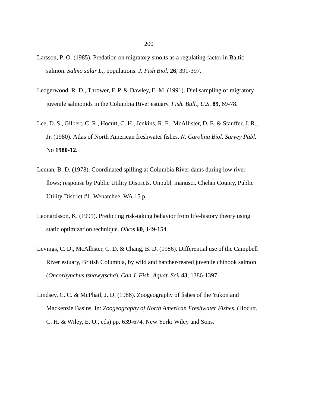- Larsson, P.-O. (1985). Predation on migratory smolts as a regulating factor in Baltic salmon. *Salmo salar L*., populations. *J. Fish Biol.* **26**, 391-397.
- Ledgerwood, R. D., Thrower, F. P. & Dawley, E. M. (1991). Diel sampling of migratory juvenile salmonids in the Columbia River estuary. *Fish. Bull., U.S*. **89**, 69-78.
- Lee, D. S., Gilbert, C. R., Hocutt, C. H., Jenkins, R. E., McAllister, D. E. & Stauffer, J. R., Jr. (1980). Atlas of North American freshwater fishes. *N. Carolina Biol. Survey Publ.* No **1980-12**.
- Leman, B. D. (1978). Coordinated spilling at Columbia River dams during low river flows; response by Public Utility Districts. Unpubl. manuscr. Chelan County, Public Utility District #1, Wenatchee, WA 15 p.
- Leonardsson, K. (1991). Predicting risk-taking behavior from life-history theory using static optimization technique. *Oikos* **60**, 149-154.
- Levings, C. D., McAllister, C. D. & Chang, B. D. (1986). Differential use of the Campbell River estuary, British Columbia, by wild and hatcher-reared juvenile chinook salmon (*Oncorhynchus tshawytscha*). *Can J. Fish. Aquat. Sci.* **43**, 1386-1397.
- Lindsey, C. C. & McPhail, J. D. (1986). Zoogeography of fishes of the Yukon and Mackenzie Basins. In: *Zoogeography of North American Freshwater Fishes.* (Hocutt, C. H. & Wiley, E. O., eds) pp. 639-674. New York: Wiley and Sons.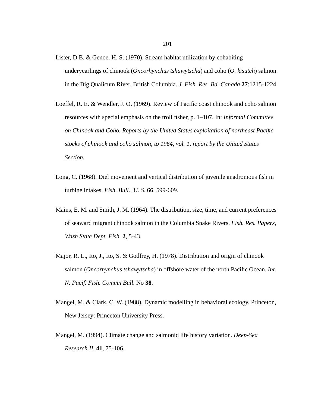- Lister, D.B. & Genoe. H. S. (1970). Stream habitat utilization by cohabiting underyearlings of chinook (*Oncorhynchus tshawytscha*) and coho (*O. kisutch*) salmon in the Big Qualicum River, British Columbia. *J. Fish. Res. Bd. Canada* **27**:1215-1224.
- Loeffel, R. E. & Wendler, J. O. (1969). Review of Pacific coast chinook and coho salmon resources with special emphasis on the troll fisher, p. 1–107. In: *Informal Committee on Chinook and Coho. Reports by the United States exploitation of northeast Pacific stocks of chinook and coho salmon, to 1964, vol. 1, report by the United States Section.*
- Long, C. (1968). Diel movement and vertical distribution of juvenile anadromous fish in turbine intakes. *Fish. Bull., U. S*. **66**, 599-609.
- Mains, E. M. and Smith, J. M. (1964). The distribution, size, time, and current preferences of seaward migrant chinook salmon in the Columbia Snake Rivers. *Fish. Res. Papers, Wash State Dept. Fish.* **2**, 5-43.
- Major, R. L., Ito, J., Ito, S. & Godfrey, H. (1978). Distribution and origin of chinook salmon (*Oncorhynchus tshawytscha*) in offshore water of the north Pacific Ocean. *Int. N. Pacif. Fish. Commn Bull.* No **38**.
- Mangel, M. & Clark, C. W. (1988). Dynamic modelling in behavioral ecology. Princeton, New Jersey: Princeton University Press.
- Mangel, M. (1994). Climate change and salmonid life history variation. *Deep-Sea Research II.* **41**, 75-106.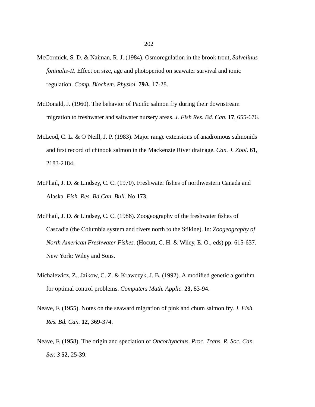- McCormick, S. D. & Naiman, R. J. (1984). Osmoregulation in the brook trout, *Salvelinus foninalis-II*. Effect on size, age and photoperiod on seawater survival and ionic regulation. *Comp. Biochem. Physiol*. **79A**, 17-28.
- McDonald, J. (1960). The behavior of Pacific salmon fry during their downstream migration to freshwater and saltwater nursery areas. *J. Fish Res. Bd. Can.* **17**, 655-676.
- McLeod, C. L. & O'Neill, J. P. (1983). Major range extensions of anadromous salmonids and first record of chinook salmon in the Mackenzie River drainage. *Can. J. Zool.* **61**, 2183-2184.
- McPhail, J. D. & Lindsey, C. C. (1970). Freshwater fishes of northwestern Canada and Alaska. *Fish. Res. Bd Can. Bull.* No **173**.
- McPhail, J. D. & Lindsey, C. C. (1986). Zoogeography of the freshwater fishes of Cascadia (the Columbia system and rivers north to the Stikine). In: *Zoogeography of North American Freshwater Fishes.* (Hocutt, C. H. & Wiley, E. O., eds) pp. 615-637. New York: Wiley and Sons.
- Michalewicz, Z., Jaikow, C. Z. & Krawczyk, J. B. (1992). A modified genetic algorithm for optimal control problems. *Computers Math. Applic.* **23,** 83-94.
- Neave, F. (1955). Notes on the seaward migration of pink and chum salmon fry. *J. Fish. Res. Bd. Can.* **12**, 369-374.
- Neave, F. (1958). The origin and speciation of *Oncorhynchus*. *Proc. Trans. R. Soc. Can. Ser. 3* **52**, 25-39.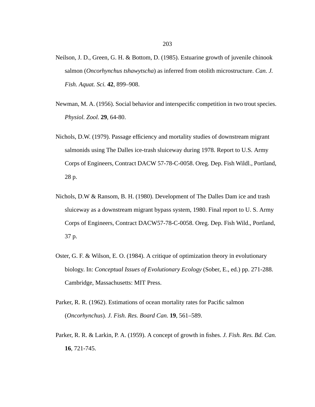- Neilson, J. D., Green, G. H. & Bottom, D. (1985). Estuarine growth of juvenile chinook salmon (*Oncorhynchus tshawytscha*) as inferred from otolith microstructure. *Can. J. Fish. Aquat. Sci.* **42**, 899–908.
- Newman, M. A. (1956). Social behavior and interspecific competition in two trout species. *Physiol. Zool.* **29**, 64-80.
- Nichols, D.W. (1979). Passage efficiency and mortality studies of downstream migrant salmonids using The Dalles ice-trash sluiceway during 1978. Report to U.S. Army Corps of Engineers, Contract DACW 57-78-C-0058. Oreg. Dep. Fish Wildl., Portland, 28 p.
- Nichols, D.W & Ransom, B. H. (1980). Development of The Dalles Dam ice and trash sluiceway as a downstream migrant bypass system, 1980. Final report to U. S. Army Corps of Engineers, Contract DACW57-78-C-0058. Oreg. Dep. Fish Wild., Portland, 37 p.
- Oster, G. F. & Wilson, E. O. (1984). A critique of optimization theory in evolutionary biology. In: *Conceptual Issues of Evolutionary Ecology* (Sober, E., ed.) pp. 271-288. Cambridge, Massachusetts: MIT Press.
- Parker, R. R. (1962). Estimations of ocean mortality rates for Pacific salmon (*Oncorhynchus*). *J. Fish. Res. Board Can.* **19**, 561–589.
- Parker, R. R. & Larkin, P. A. (1959). A concept of growth in fishes. *J. Fish. Res. Bd. Can.* **16**, 721-745.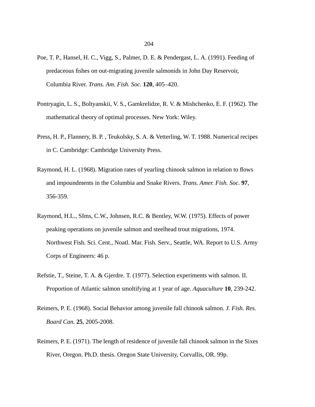- Poe, T. P., Hansel, H. C., Vigg, S., Palmer, D. E. & Pendergast, L. A. (1991). Feeding of predaceous fishes on out-migrating juvenile salmonids in John Day Reservoir, Columbia River. *Trans. Am. Fish. Soc.* **120**, 405–420.
- Pontryagin, L. S., Boltyanskii, V. S., Gamkrelidze, R. V. & Mishchenko, E. F. (1962). The mathematical theory of optimal processes. New York: Wiley.
- Press, H. P., Flannery, B. P. , Teukolsky, S. A. & Vetterling, W. T. 1988. Numerical recipes in C. Cambridge: Cambridge University Press.
- Raymond, H. L. (1968). Migration rates of yearling chinook salmon in relation to flows and impoundments in the Columbia and Snake Rivers. *Trans. Amer. Fish. Soc.* **97**, 356-359.
- Raymond, H.L., SIms, C.W., Johnsen, R.C. & Bentley, W.W. (1975). Effects of power peaking operations on juvenile salmon and steelhead trout migrations, 1974. Northwest Fish. Sci. Cent., Noatl. Mar. Fish. Serv., Seattle, WA. Report to U.S. Army Corps of Engineers: 46 p.
- Refstie, T., Steine, T. A. & Gjerdre. T. (1977). Selection experiments with salmon. II. Proportion of Atlantic salmon smoltifying at 1 year of age. *Aquaculture* **10**, 239-242.
- Reimers, P. E. (1968). Social Behavior among juvenile fall chinook salmon. *J. Fish. Res. Board Can.* **25**, 2005-2008.
- Reimers, P. E. (1971). The length of residence of juvenile fall chinook salmon in the Sixes River, Oregon. Ph.D. thesis. Oregon State University, Corvallis, OR. 99p.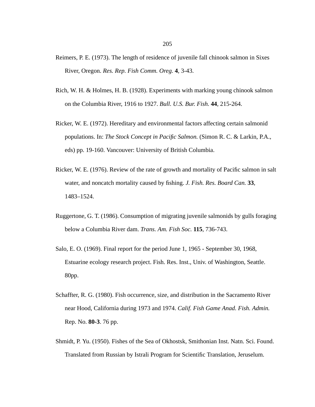- Reimers, P. E. (1973). The length of residence of juvenile fall chinook salmon in Sixes River, Oregon. *Res. Rep. Fish Comm. Oreg.* **4**, 3-43.
- Rich, W. H. & Holmes, H. B. (1928). Experiments with marking young chinook salmon on the Columbia River, 1916 to 1927. *Bull. U.S. Bur. Fish.* **44**, 215-264.
- Ricker, W. E. (1972). Hereditary and environmental factors affecting certain salmonid populations. In: *The Stock Concept in Pacific Salmon.* (Simon R. C. & Larkin, P.A., eds) pp. 19-160. Vancouver: University of British Columbia.
- Ricker, W. E. (1976). Review of the rate of growth and mortality of Pacific salmon in salt water, and noncatch mortality caused by fishing. *J. Fish. Res. Board Can.* **33**, 1483–1524.
- Ruggertone, G. T. (1986). Consumption of migrating juvenile salmonids by gulls foraging below a Columbia River dam. *Trans. Am. Fish Soc.* **115**, 736-743.
- Salo, E. O. (1969). Final report for the period June 1, 1965 September 30, 1968, Estuarine ecology research project. Fish. Res. Inst., Univ. of Washington, Seattle. 80pp.
- Schaffter, R. G. (1980). Fish occurrence, size, and distribution in the Sacramento River near Hood, California during 1973 and 1974. *Calif. Fish Game Anad. Fish. Admin.* Rep. No. **80-3**. 76 pp.
- Shmidt, P. Yu. (1950). Fishes of the Sea of Okhostsk, Smithonian Inst. Natn. Sci. Found. Translated from Russian by Istrali Program for Scientific Translation, Jeruselum.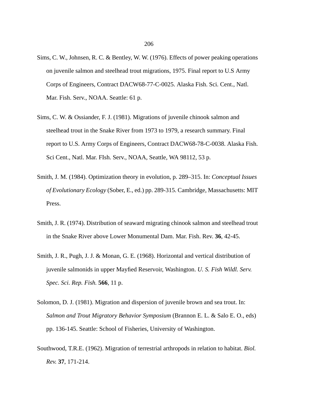- Sims, C. W., Johnsen, R. C. & Bentley, W. W. (1976). Effects of power peaking operations on juvenile salmon and steelhead trout migrations, 1975. Final report to U.S Army Corps of Engineers, Contract DACW68-77-C-0025. Alaska Fish. Sci. Cent., Natl. Mar. Fish. Serv., NOAA. Seattle: 61 p.
- Sims, C. W. & Ossiander, F. J. (1981). Migrations of juvenile chinook salmon and steelhead trout in the Snake River from 1973 to 1979, a research summary. Final report to U.S. Army Corps of Engineers, Contract DACW68-78-C-0038. Alaska Fish. Sci Cent., Natl. Mar. FIsh. Serv., NOAA, Seattle, WA 98112, 53 p.
- Smith, J. M. (1984). Optimization theory in evolution, p. 289–315. In: *Conceptual Issues of Evolutionary Ecology* (Sober, E., ed.) pp. 289-315. Cambridge, Massachusetts: MIT Press.
- Smith, J. R. (1974). Distribution of seaward migrating chinook salmon and steelhead trout in the Snake River above Lower Monumental Dam. Mar. Fish. Rev. **36**, 42-45.
- Smith, J. R., Pugh, J. J. & Monan, G. E. (1968). Horizontal and vertical distribution of juvenile salmonids in upper Mayfied Reservoir, Washington. *U. S. Fish Wildl. Serv. Spec. Sci. Rep. Fish.* **566**, 11 p.
- Solomon, D. J. (1981). Migration and dispersion of juvenile brown and sea trout. In: *Salmon and Trout Migratory Behavior Symposium* (Brannon E. L. & Salo E. O., eds) pp. 136-145. Seattle: School of Fisheries, University of Washington.
- Southwood, T.R.E. (1962). Migration of terrestrial arthropods in relation to habitat. *Biol. Rev.* **37**, 171-214.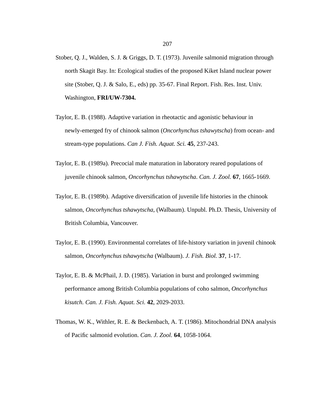- Stober, Q. J., Walden, S. J. & Griggs, D. T. (1973). Juvenile salmonid migration through north Skagit Bay. In: Ecological studies of the proposed Kiket Island nuclear power site (Stober, Q. J. & Salo, E., eds) pp. 35-67. Final Report. Fish. Res. Inst. Univ. Washington, **FRI/UW-7304.**
- Taylor, E. B. (1988). Adaptive variation in rheotactic and agonistic behaviour in newly-emerged fry of chinook salmon (*Oncorhynchus tshawytscha*) from ocean- and stream-type populations. *Can J. Fish. Aquat. Sci.* **45**, 237-243.
- Taylor, E. B. (1989a). Precocial male maturation in laboratory reared populations of juvenile chinook salmon, *Oncorhynchus tshawytscha*. *Can. J. Zool.* **67**, 1665-1669.
- Taylor, E. B. (1989b). Adaptive diversification of juvenile life histories in the chinook salmon, *Oncorhynchus tshawytscha*, (Walbaum). Unpubl. Ph.D. Thesis, University of British Columbia, Vancouver.
- Taylor, E. B. (1990). Environmental correlates of life-history variation in juvenil chinook salmon, *Oncorhynchus tshawytscha* (Walbaum). *J. Fish. Biol.* **37**, 1-17.
- Taylor, E. B. & McPhail, J. D. (1985). Variation in burst and prolonged swimming performance among British Columbia populations of coho salmon, *Oncorhynchus kisutch. Can. J. Fish. Aquat. Sci.* **42**, 2029-2033.
- Thomas, W. K., Withler, R. E. & Beckenbach, A. T. (1986). Mitochondrial DNA analysis of Pacific salmonid evolution. *Can. J. Zool.* **64**, 1058-1064.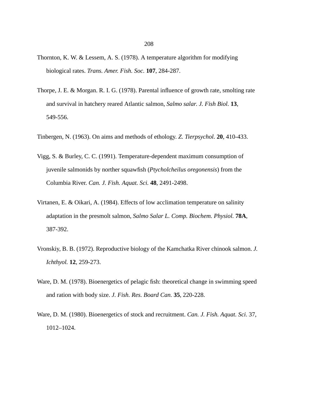- Thornton, K. W. & Lessem, A. S. (1978). A temperature algorithm for modifying biological rates. *Trans. Amer. Fish. Soc.* **107**, 284-287.
- Thorpe, J. E. & Morgan. R. I. G. (1978). Parental influence of growth rate, smolting rate and survival in hatchery reared Atlantic salmon, *Salmo salar*. *J. Fish Biol.* **13**, 549-556.
- Tinbergen, N. (1963). On aims and methods of ethology. *Z. Tierpsychol.* **20**, 410-433.
- Vigg, S. & Burley, C. C. (1991). Temperature-dependent maximum consumption of juvenile salmonids by norther squawfish (*Ptycholcheilus oregonensis*) from the Columbia River. *Can. J. Fish. Aquat. Sci.* **48**, 2491-2498.
- Virtanen, E. & Oikari, A. (1984). Effects of low acclimation temperature on salinity adaptation in the presmolt salmon, *Salmo Salar L. Comp. Biochem. Physiol.* **78A**, 387-392.
- Vronskiy, B. B. (1972). Reproductive biology of the Kamchatka River chinook salmon. *J. Ichthyol.* **12**, 259-273.
- Ware, D. M. (1978). Bioenergetics of pelagic fish: theoretical change in swimming speed and ration with body size. *J. Fish. Res. Board Can.* **35**, 220-228.
- Ware, D. M. (1980). Bioenergetics of stock and recruitment. *Can. J. Fish. Aquat. Sci*. 37, 1012–1024.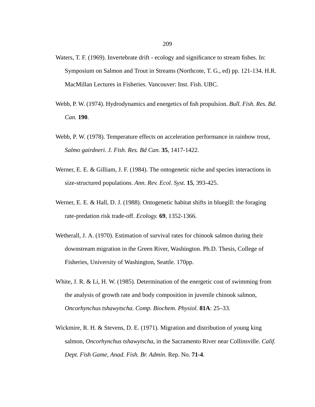- Waters, T. F. (1969). Invertebrate drift ecology and significance to stream fishes. In: Symposium on Salmon and Trout in Streams (Northcote, T. G., ed) pp. 121-134. H.R. MacMillan Lectures in Fisheries. Vancouver: Inst. Fish. UBC.
- Webb, P. W. (1974). Hydrodynamics and energetics of fish propulsion. *Bull. Fish. Res. Bd. Can.* **190**.
- Webb, P. W. (1978). Temperature effects on acceleration performance in rainbow trout, *Salmo gairdneri. J. Fish. Res. Bd Can.* **35**, 1417-1422.
- Werner, E. E. & Gilliam, J. F. (1984). The ontogenetic niche and species interactions in size-structured populations. *Ann. Rev. Ecol. Syst.* **15**, 393-425.
- Werner, E. E. & Hall, D. J. (1988). Ontogenetic habitat shifts in bluegill: the foraging rate-predation risk trade-off. *Ecology.* **69**, 1352-1366.
- Wetherall, J. A. (1970). Estimation of survival rates for chinook salmon during their downstream migration in the Green River, Washington. Ph.D. Thesis, College of Fisheries, University of Washington, Seattle. 170pp.
- White, J. R. & Li, H. W. (1985). Determination of the energetic cost of swimming from the analysis of growth rate and body composition in juvenile chinook salmon, *Oncorhynchus tshawytscha. Comp. Biochem. Physiol.* **81A**: 25–33.
- Wickmire, R. H. & Stevens, D. E. (1971). Migration and distribution of young king salmon, *Oncorhynchus tshawytscha*, in the Sacramento River near Collinsville. *Calif. Dept. Fish Game, Anad. Fish. Br. Admin.* Rep. No. **71-4**.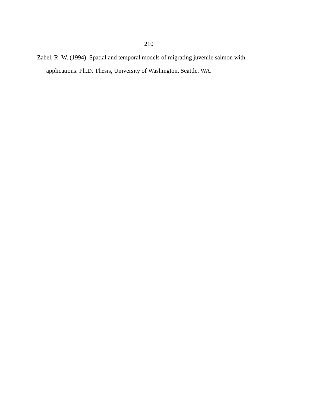Zabel, R. W. (1994). Spatial and temporal models of migrating juvenile salmon with applications. Ph.D. Thesis, University of Washington, Seattle, WA.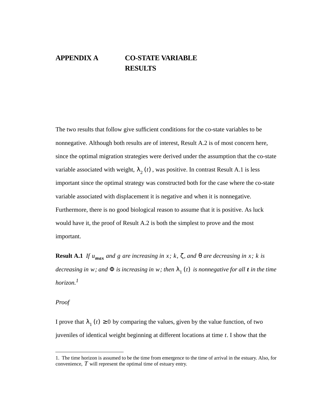# **APPENDIX A CO-STATE VARIABLE RESULTS**

The two results that follow give sufficient conditions for the co-state variables to be nonnegative. Although both results are of interest, Result A.2 is of most concern here, since the optimal migration strategies were derived under the assumption that the co-state variable associated with weight,  $\lambda_2(t)$ , was positive. In contrast Result A.1 is less important since the optimal strategy was constructed both for the case where the co-state variable associated with displacement it is negative and when it is nonnegative. Furthermore, there is no good biological reason to assume that it is positive. As luck would have it, the proof of Result A.2 is both the simplest to prove and the most important.

**Result A.1** *If*  $u_{max}$  and g are increasing in x; k,  $\zeta$ , and  $\theta$  are decreasing in x; k is  $decreasing$  in w; and  $\Phi$  is increasing in w; then  $\lambda_{1}(t)$  is nonnegative for all  $t$  in the time *horizon.1*

*Proof*

I prove that  $\lambda_1(t) \ge 0$  by comparing the values, given by the value function, of two juveniles of identical weight beginning at different locations at time . I show that the *t*

<sup>1.</sup> The time horizon is assumed to be the time from emergence to the time of arrival in the estuary. Also, for convenience,  $\hat{T}$  will represent the optimal time of estuary entry.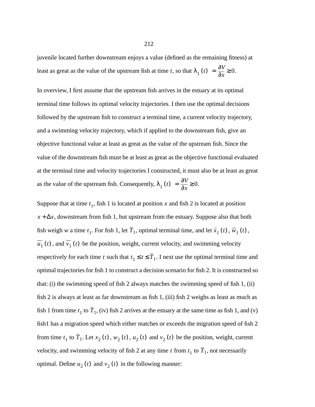juvenile located further downstream enjoys a value (defined as the remaining fitness) at least as great as the value of the upstream fish at time *t*, so that  $\lambda_1(t) = \frac{\partial V}{\partial x} \ge 0$ .

In overview, I first assume that the upstream fish arrives in the estuary at its optimal terminal time follows its optimal velocity trajectories. I then use the optimal decisions followed by the upstream fish to construct a terminal time, a current velocity trajectory, and a swimming velocity trajectory, which if applied to the downstream fish, give an objective functional value at least as great as the value of the upstream fish. Since the value of the downstream fish must be at least as great as the objective functional evaluated at the terminal time and velocity trajectories I constructed, it must also be at least as great as the value of the upstream fish. Consequently,  $\lambda_1(t) = \frac{\partial V}{\partial x} \ge 0$ .

Suppose that at time  $t_1$ , fish 1 is located at position x and fish 2 is located at position , downstream from fish 1, but upstream from the estuary. Suppose also that both *x* + ∆*x* fish weigh w a time  $t_1$ . For fish 1, let  $T_1$ , optimal terminal time, and let  $\bar{x}_1(t)$ ,  $\bar{w}_1(t)$ ,  $u_1(t)$ , and  $v_1(t)$  be the position, weight, current velocity, and swimming velocity respectively for each time t such that  $t_1 \le t \le T_1$ . I next use the optimal terminal time and optimal trajectories for fish 1 to construct a decision scenario for fish 2. It is constructed so that: (i) the swimming speed of fish 2 always matches the swimming speed of fish 1, (ii) fish 2 is always at least as far downstream as fish 1, (iii) fish 2 weighs as least as much as fish 1 from time  $t_1$  to  $T_1$ , (iv) fish 2 arrives at the estuary at the same time as fish 1, and (v) fish1 has a migration speed which either matches or exceeds the migration speed of fish 2 from time  $t_1$  to  $T_1$ . Let  $x_2(t)$ ,  $w_2(t)$ ,  $u_2(t)$  and  $v_2(t)$  be the position, weight, current velocity, and swimming velocity of fish 2 at any time t from  $t_1$  to  $T_1$ , not necessarily optimal. Define  $u_2(t)$  and  $v_2(t)$  in the following manner: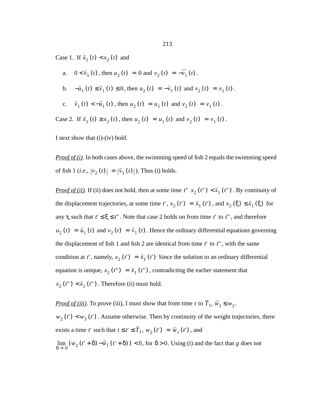Case 1. If  $\bar{x}_1(t) < x_2(t)$  and

a.  $0 < \bar{v}_1(t)$ , then  $u_2(t) = 0$  and  $v_2(t) = -v_1(t)$ . **b**.  $-\bar{u}_1(t) \le \bar{v}_1(t) \le 0$ , then  $u_2(t) = -\bar{v}_1(t)$  and  $v_2(t) = v_1(t)$ . *v*<sub>1</sub> (*t*)  $\langle -\bar{u}_1(t) \rangle = u_1(t)$ , then  $u_2(t) = u_1(t)$  and  $v_2(t) = v_1(t)$ . Case 2. If  $\bar{x}_1(t) \ge x_2(t)$ , then  $u_2(t) = u_1(t)$  and  $v_2(t) = v_1(t)$ .

I next show that (i)-(iv) hold.

*Proof of (i)*. In both cases above, the swimming speed of fish 2 equals the swimming speed of fish 1 (*i.e.*,  $|v_2(t)| = |\bar{v}_1(t)|$ ). Thus (i) holds.

*Proof of (ii)*. If (ii) does not hold, then at some time  $t''(x_2(t'')) < \overline{x}_1(t'')$ . By continuity of the displacement trajectories, at some time  $t'$ ,  $x_2(t') = \bar{x}_1(t')$ , and  $x_2(\xi) \leq \bar{x}_1(\xi)$  for any  $\xi$  such that  $t' \leq \xi \leq t''$ . Note that case 2 holds on from time  $t'$  to  $t''$ , and therefore  $u_2(t) = \bar{u}_1(t)$  and  $v_2(t) = \bar{v}_1(t)$ . Hence the ordinary differential equations governing the displacement of fish 1 and fish 2 are identical from time  $t'$  to  $t''$ , with the same condition at t', namely,  $x_2(t') = \bar{x}_1(t')$  Since the solution to an ordinary differential equation is unique,  $x_2(t'') = \bar{x}_1(t'')$ , contradicting the earlier statement that  $x_2(t'') < \bar{x}_1(t'')$ . Therefore (ii) must hold.

*Proof of (iii)*. To prove (iii), I must show that from time t to  $T_1$ ,  $\overline{w}_1 \leq w_2$ .  $w_2(t') < w_3(t')$ . Assume otherwise. Then by continuity of the weight trajectories, there exists a time t' such that  $t \le t' \le T_1$ ,  $w_2(t') = \overline{w}_1(t')$ , and  $\lim_{\delta \to 0} (\dot{w}_2(t' + \delta) - \dot{\overline{w}}_1(t' + \delta)) < 0$ , for  $\delta > 0$ . Using (i) and the fact that g does not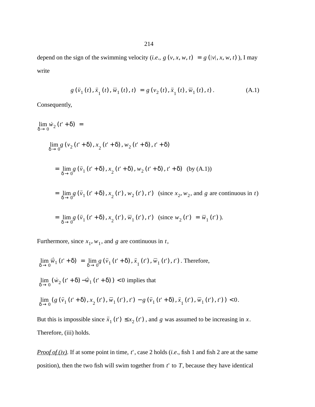depend on the sign of the swimming velocity (*i.e.*,  $g(v, x, w, t) = g(v|x, x, w, t)$ ), I may write

$$
g(\bar{v}_1(t), \bar{x}_1(t), \bar{w}_1(t), t) = g(v_2(t), \bar{x}_1(t), \bar{w}_1(t), t).
$$
 (A.1)

Consequently,

$$
\lim_{\delta \to 0} \dot{w}_2(t' + \delta) =
$$
\n
$$
\lim_{\delta \to 0} g(v_2(t' + \delta), x_2(t' + \delta), w_2(t' + \delta), t' + \delta)
$$
\n
$$
= \lim_{\delta \to 0} g(\bar{v}_1(t' + \delta), x_2(t' + \delta), w_2(t' + \delta), t' + \delta) \text{ (by (A.1))}
$$
\n
$$
= \lim_{\delta \to 0} g(\bar{v}_1(t' + \delta), x_2(t'), w_2(t'), t') \text{ (since } x_2, w_2 \text{, and } g \text{ are continuous in } t)
$$
\n
$$
= \lim_{\delta \to 0} g(\bar{v}_1(t' + \delta), x_2(t'), \bar{w}_1(t'), t') \text{ (since } w_2(t') = \bar{w}_1(t').
$$

Furthermore, since  $x_1$ ,  $w_1$ , and g are continuous in t,

$$
\lim_{\delta \to 0} \vec{w}_1(t^* + \delta) = \lim_{\delta \to 0} g(\bar{v}_1(t^* + \delta), \bar{x}_1(t^*), \bar{w}_1(t^*), t^*)
$$
. Therefore,  

$$
\lim_{\delta \to 0} (\dot{w}_2(t^* + \delta) - \dot{\bar{w}}_1(t^* + \delta)) < 0
$$
 implies that  

$$
\lim_{\delta \to 0} (g(\bar{v}_1(t^* + \delta), x_2(t^*), \bar{w}_1(t^*), t^*) - g(\bar{v}_1(t^* + \delta), \bar{x}_1(t^*), \bar{w}_1(t^*), t^*)) < 0.
$$

But this is impossible since  $\bar{x}_1(t') \leq x_2(t')$ , and g was assumed to be increasing in x. Therefore, (iii) holds.

*Proof of (iv)*. If at some point in time,  $t'$ , case 2 holds (*i.e.*, fish 1 and fish 2 are at the same position), then the two fish will swim together from  $t'$  to  $T$ , because they have identical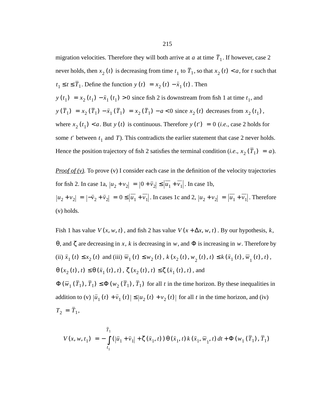migration velocities. Therefore they will both arrive at  $a$  at time  $T_1$ . If however, case 2 never holds, then  $x_2(t)$  is decreasing from time  $t_1$  to  $T_1$ , so that  $x_2(t) < a$ , for t such that  $t_1 \le t \le T_1$ . Define the function  $y(t) = x_2(t) - \bar{x}_1(t)$ . Then  $y(t_1) = x_2(t_1) - \bar{x}_1(t_1) > 0$  since fish 2 is downstream from fish 1 at time  $t_1$ , and  $y(T_1) = x_2(T_1) - \bar{x}_1(T_1) = x_2(T_1) - a < 0$  since  $x_2(t)$  decreases from  $x_2(t_1)$ , where  $x_2(t_1) < a$ . But  $y(t)$  is continuous. Therefore  $y(t') = 0$  (*i.e.*, case 2 holds for some *t*' between  $t_1$  and *T*). This contradicts the earlier statement that case 2 never holds. Hence the position trajectory of fish 2 satisfies the terminal condition (*i.e.*,  $x_2(T_1) = a$ ).

*Proof of (v)*. To prove (v) I consider each case in the definition of the velocity trajectories for fish 2. In case 1a,  $|u_2 + v_2| = |0 + \bar{v}_2| \le |u_1 + v_1|$ . In case 1b,  $|u_2 + v_2| = |-\bar{v}_2 + \bar{v}_2| = 0 \le |u_1 + v_1|$ . In cases 1c and 2,  $|u_2 + v_2| = |u_1 + v_1|$ . Therefore (v) holds.

Fish 1 has value  $V(x, w, t)$ , and fish 2 has value  $V(x + \Delta x, w, t)$ . By our hypothesis, k, θ, and ζ are decreasing in x, k is decreasing in w, and Φ is increasing in w. Therefore by (ii)  $\bar{x}_1(t) \le x_2(t)$  and (iii)  $\bar{w}_1(t) \le w_2(t)$ ,  $k(x_2(t), w_2(t), t) \le k(\bar{x}_1(t), \bar{w}_1(t), t)$ ,  $\theta$  (*x*<sub>2</sub> (*t*), *t*)  $\leq \theta$  (*x*<sub>1</sub> (*t*), *t*),  $\zeta$  (*x*<sub>2</sub> (*t*), *t*)  $\leq \zeta$  (*x*<sub>1</sub> (*t*), *t*), and  $\Phi(\overline{w}_1(T_1), T_1) \leq \Phi(w_2(T_1), T_1)$  for all *t* in the time horizon. By these inequalities in addition to (v)  $|\bar{u}_1(t) + \bar{v}_1(t)| \leq |u_2(t) + v_2(t)|$  for all t in the time horizon, and (iv)

$$
T_2 = \overline{T}_1,
$$

$$
V(x, w, t_1) = -\int_{t_1}^{\bar{T}_1} (|\bar{u}_1 + \bar{v}_1| + \zeta(\bar{x}_1, t)) \Theta(\bar{x}_1, t) k(\bar{x}_1, \bar{w}_1, t) dt + \Phi(w_1(\bar{T}_1), \bar{T}_1)
$$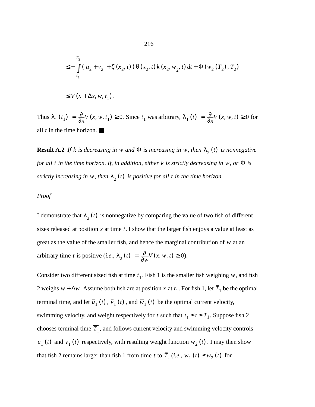$$
\leq -\int_{t_1}^{T_2} (|u_2 + v_2| + \zeta(x_2, t)) \theta(x_2, t) k(x_2, w_2, t) dt + \Phi(w_2(T_2), T_2)
$$

$$
\leq V(x + \Delta x, w, t_1).
$$

Thus  $\lambda_1(t_1) = \frac{\partial}{\partial x} V(x, w, t_1) \ge 0$ . Since  $t_1$  was arbitrary,  $\lambda_1(t) = \frac{\partial}{\partial x} V(x, w, t) \ge 0$  for all  $t$  in the time horizon.  $\blacksquare$ 

**Result A.2** If k is decreasing in w and  $\Phi$  is increasing in w, then  $\lambda_2(t)$  is nonnegative *for all t in the time horizon. If, in addition, either k is strictly decreasing in w, or*  $\Phi$  *is strictly increasing in w, then*  $\lambda_2(t)$  *is positive for all t in the time horizon.* 

#### *Proof*

I demonstrate that  $\lambda_2(t)$  is nonnegative by comparing the value of two fish of different sizes released at position  $x$  at time  $t$ . I show that the larger fish enjoys a value at least as great as the value of the smaller fish, and hence the marginal contribution of  $w$  at an arbitrary time *t* is positive (*i.e.*,  $\lambda_2(t) = \frac{\partial}{\partial w} V(x, w, t) \ge 0$ ).

Consider two different sized fish at time  $t_1$ . Fish 1 is the smaller fish weighing w, and fish 2 weighs  $w + \Delta w$ . Assume both fish are at position x at  $t_1$ . For fish 1, let  $T_1$  be the optimal terminal time, and let  $\bar{u}_1(t)$ ,  $\bar{v}_1(t)$ , and  $\bar{w}_1(t)$  be the optimal current velocity, swimming velocity, and weight respectively for t such that  $t_1 \le t \le T_1$ . Suppose fish 2 chooses terminal time  $T_1$ , and follows current velocity and swimming velocity controls  $\bar{u}_1(t)$  and  $\bar{v}_1(t)$  respectively, with resulting weight function  $w_2(t)$ . I may then show that fish 2 remains larger than fish 1 from time t to T,  $(i.e., \overline{w}_1(t) \le w_2(t)$  for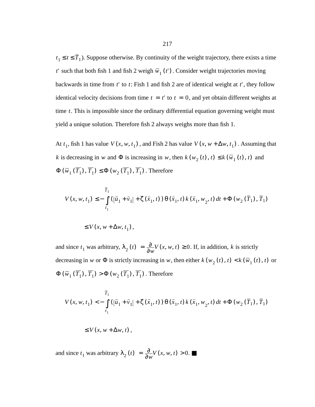$t_1 \le t \le T_1$ ). Suppose otherwise. By continuity of the weight trajectory, there exists a time *t*' such that both fish 1 and fish 2 weigh  $\overline{w}_1(t')$ . Consider weight trajectories moving backwards in time from  $t'$  to  $t$ : Fish 1 and fish 2 are of identical weight at  $t'$ , they follow identical velocity decisions from time  $t = t'$  to  $t = 0$ , and yet obtain different weights at time  $t$ . This is impossible since the ordinary differential equation governing weight must yield a unique solution. Therefore fish 2 always weighs more than fish 1.

At  $t_1$ , fish 1 has value  $V(x, w, t_1)$ , and Fish 2 has value  $V(x, w + \Delta w, t_1)$ . Assuming that *k* is decreasing in w and  $\Phi$  is increasing in w, then  $k(w_2(t), t) \leq k(\overline{w}_1(t), t)$  and  $\Phi\left(\overline{w}_1\left(T_1\right), T_1\right) \leq \Phi\left(w_2\left(T_1\right), T_1\right)$ . Therefore

$$
V(x, w, t_1) \le -\int_{t_1}^{\overline{T}_1} (|\overline{u}_1 + \overline{v}_1| + \zeta(\overline{x}_1, t)) \theta(\overline{x}_1, t) k(\overline{x}_1, w_2, t) dt + \Phi(w_2(\overline{T}_1), \overline{T}_1)
$$

$$
\leq V(x, w + \Delta w, t_1),
$$

and since  $t_1$  was arbitrary,  $\lambda_2(t) = \frac{\partial}{\partial w} V(x, w, t) \ge 0$ . If, in addition, k is strictly decreasing in w or  $\Phi$  is strictly increasing in w, then either  $k(w_2(t), t) < k(\overline{w}_1(t), t)$  or  $\Phi\left(\bar{w}_1\left(T_1\right), T_1\right) > \Phi\left(w_2\left(T_1\right), T_1\right)$ . Therefore

$$
V(x, w, t_1) < -\int_{t_1}^{\bar{T}_1} (|\bar{u}_1 + \bar{v}_1| + \zeta(\bar{x}_1, t)) \theta(\bar{x}_1, t) k(\bar{x}_1, w_2, t) dt + \Phi(w_2(\bar{T}_1), \bar{T}_1)
$$

$$
\leq V(x, w + \Delta w, t),
$$

and since  $t_1$  was arbitrary  $\lambda_2(t) = \frac{\partial}{\partial w} V(x, w, t) > 0$ .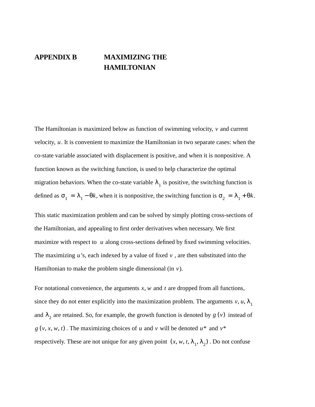# **APPENDIX B MAXIMIZING THE HAMILTONIAN**

The Hamiltonian is maximized below as function of swimming velocity,  $\nu$  and current velocity, u. It is convenient to maximize the Hamiltonian in two separate cases: when the co-state variable associated with displacement is positive, and when it is nonpositive. A function known as the switching function, is used to help characterize the optimal migration behaviors. When the co-state variable  $\lambda_1$  is positive, the switching function is defined as  $\sigma_1 = \lambda_1 - \theta k$ , when it is nonpositive, the switching function is  $\sigma_2 = \lambda_1 + \theta k$ .

This static maximization problem and can be solved by simply plotting cross-sections of the Hamiltonian, and appealing to first order derivatives when necessary. We first maximize with respect to  $u$  along cross-sections defined by fixed swimming velocities. The maximizing  $u$ 's, each indexed by a value of fixed  $v$ , are then substituted into the Hamiltonian to make the problem single dimensional (in  $v$ ).

For notational convenience, the arguments  $x$ ,  $w$  and  $t$  are dropped from all functions, since they do not enter explicitly into the maximization problem. The arguments  $v, u, \lambda_1$ and  $\lambda_2$  are retained. So, for example, the growth function is denoted by  $g(v)$  instead of  $g(v, x, w, t)$ . The maximizing choices of u and v will be denoted  $u^*$  and  $v^*$ respectively. These are not unique for any given point  $(x, w, t, \lambda_1, \lambda_2)$ . Do not confuse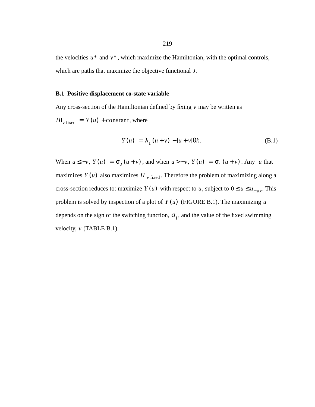the velocities  $u^*$  and  $v^*$ , which maximize the Hamiltonian, with the optimal controls, which are paths that maximize the objective functional *J*.

#### **B.1 Positive displacement co-state variable**

Any cross-section of the Hamiltonian defined by fixing v may be written as

 $H|_{v \text{ fixed}} = Y(u) + \text{const}$  there

$$
Y(u) = \lambda_1 (u + v) - |u + v| \theta k. \tag{B.1}
$$

When  $u \le -v$ ,  $Y(u) = \sigma_2(u + v)$ , and when  $u > -v$ ,  $Y(u) = \sigma_1(u + v)$ . Any u that maximizes  $Y(u)$  also maximizes  $H|_{v \text{ fixed}}$ . Therefore the problem of maximizing along a cross-section reduces to: maximize  $Y(u)$  with respect to  $u$ , subject to  $0 \le u \le u_{max}$ . This problem is solved by inspection of a plot of  $Y(u)$  (FIGURE B.1). The maximizing u depends on the sign of the switching function,  $\sigma_1$ , and the value of the fixed swimming velocity,  $\nu$  (TABLE B.1).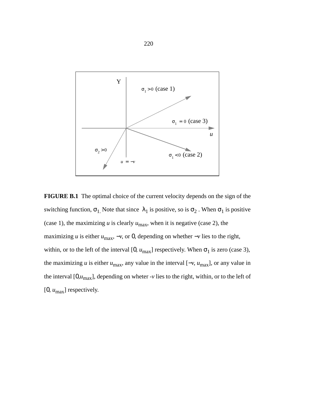

**FIGURE B.1** The optimal choice of the current velocity depends on the sign of the switching function,  $\sigma_1$ . Note that since  $\lambda_1$  is positive, so is  $\sigma_2$ . When  $\sigma_1$  is positive (case 1), the maximizing  $u$  is clearly  $u_{\text{max}}$ , when it is negative (case 2), the maximizing *u* is either  $u_{\text{max}}$ ,  $-v$ , or 0, depending on whether  $-v$  lies to the right, within, or to the left of the interval [0,  $u_{\text{max}}$ ] respectively. When  $\sigma_1$  is zero (case 3), the maximizing *u* is either  $u_{\text{max}}$ , any value in the interval  $[-v, u_{\text{max}}]$ , or any value in the interval  $[0, u_{\text{max}}]$ , depending on wheter -*v* lies to the right, within, or to the left of [0, *u*max] respectively.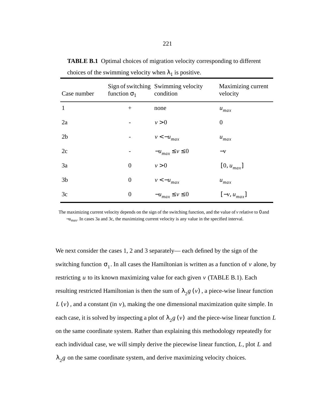| Case number    | function $\sigma_1$ | Sign of switching Swimming velocity<br>condition | Maximizing current<br>velocity |
|----------------|---------------------|--------------------------------------------------|--------------------------------|
| $\mathbf{1}$   | $+$                 | none                                             | $u_{max}$                      |
| 2a             |                     | v > 0                                            | $\overline{0}$                 |
| 2 <sub>b</sub> |                     | $v < -u_{max}$                                   | $u_{max}$                      |
| 2c             |                     | $-u_{max} \le v \le 0$                           | $-\nu$                         |
| 3a             | $\boldsymbol{0}$    | v > 0                                            | $[0, u_{max}]$                 |
| 3 <sub>b</sub> | $\boldsymbol{0}$    | $v < -u_{max}$                                   | $u_{max}$                      |
| 3c             | $\boldsymbol{0}$    | $-u_{max} \le v \le 0$                           | $[-v, u_{max}]$                |

**TABLE B.1** Optimal choices of migration velocity corresponding to different choices of the swimming velocity when  $\lambda_1$  is positive.

The maximizing current velocity depends on the sign of the switching function, and the value of *v* relative to 0 and −*u*max. In cases 3a and 3c, the maximizing current velocity is any value in the specified interval.

We next consider the cases 1, 2 and 3 separately— each defined by the sign of the switching function  $\sigma_1$ . In all cases the Hamiltonian is written as a function of v alone, by restricting  $u$  to its known maximizing value for each given  $v$  (TABLE B.1). Each resulting restricted Hamiltonian is then the sum of  $\lambda_2 g(v)$  , a piece-wise linear function  $L(v)$ , and a constant (in  $v$ ), making the one dimensional maximization quite simple. In each case, it is solved by inspecting a plot of  $\lambda_2 g(v)$  and the piece-wise linear function L on the same coordinate system. Rather than explaining this methodology repeatedly for each individual case, we will simply derive the piecewise linear function, L, plot L and  $\lambda_2$ *g* on the same coordinate system, and derive maximizing velocity choices.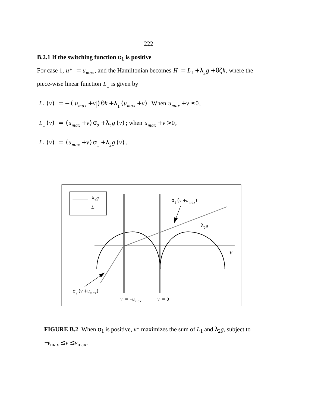# **B.2.1 If the switching function**  $\sigma_1$  is positive

For case 1,  $u^* = u_{max}$ , and the Hamiltonian becomes  $H = L_1 + \lambda_2 g + \theta \zeta k$ , where the piece-wise linear function  $L_1$  is given by

$$
L_1(v) = -(|u_{max} + v|) \theta k + \lambda_1 (u_{max} + v)
$$
. When  $u_{max} + v \le 0$ ,

$$
L_1(v) = (u_{max} + v) \sigma_2 + \lambda_2 g(v) \text{; when } u_{max} + v > 0,
$$

$$
L_1(v) = (u_{max} + v) \sigma_1 + \lambda_2 g(v).
$$



**FIGURE B.2** When  $\sigma_1$  is positive,  $v^*$  maximizes the sum of  $L_1$  and  $\lambda_2 g$ , subject to  $-v_{\text{max}} \le v \le v_{\text{max}}.$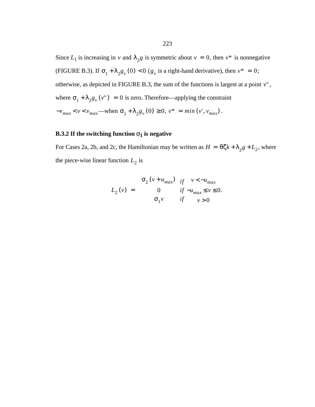Since  $L_1$  is increasing in v and  $\lambda_2 g$  is symmetric about  $v = 0$ , then  $v^*$  is nonnegative (FIGURE B.3). If  $\sigma_1 + \lambda_2 g_v(0) < 0$  ( $g_v$  is a right-hand derivative), then  $v^* = 0$ ; otherwise, as depicted in FIGURE B.3, the sum of the functions is largest at a point  $v''$ , where  $\sigma_1 + \lambda_2 g_v(v'') = 0$  is zero. Therefore—applying the constraint  $-v_{max} < v < v_{max}$ —when  $\sigma_1 + \lambda_2 g_v(0) \ge 0$ ,  $v^* = min(v', v_{max})$ .

## **B.3.2** If the switching function  $\sigma_1$  is negative

For Cases 2a, 2b, and 2c, the Hamiltonian may be written as  $H = \theta \zeta k + \lambda_2 g + L_2$ , where the piece-wise linear function  $L_2$  is

$$
L_2(v) = \begin{cases} \sigma_2(v + u_{max}) & \text{if } v < -u_{max} \\ 0 & \text{if } -u_{max} \le v \le 0. \\ \sigma_1 v & \text{if } v > 0 \end{cases}
$$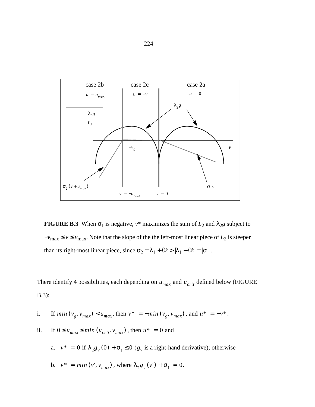

**FIGURE B.3** When  $\sigma_1$  is negative,  $v^*$  maximizes the sum of  $L_2$  and  $\lambda_2 g$  subject to  $-v_{\text{max}} \le v \le v_{\text{max}}$ . Note that the slope of the the left-most linear piece of  $L_2$  is steeper than its right-most linear piece, since  $\sigma_2 = \lambda_1 + \theta k > |\lambda_1 - \theta k| = |\sigma_1|$ .

There identify 4 possibilities, each depending on  $u_{max}$  and  $u_{crit}$  defined below (FIGURE B.3):

*i*. If  $min(v_g, v_{max}) < u_{max}$ , then  $v^* = -min(v_g, v_{max})$ , and  $u^* = -v^*$ .

\n- ii. If 
$$
0 \le u_{max} \le \min(u_{crit}, v_{max})
$$
, then  $u^* = 0$  and
\n- a.  $v^* = 0$  if  $\lambda_2 g_v(0) + \sigma_1 \le 0$  ( $g_v$  is a right-hand derivative); otherwise
\n- b.  $v^* = \min(v', v_{max})$ , where  $\lambda_2 g_v(v') + \sigma_1 = 0$ .
\n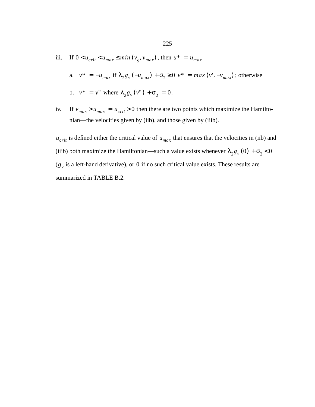iii. If  $0 < u_{crit} < u_{max} \le \min(v_g, v_{max})$ , then  $u^* = u_{max}$ 

a. 
$$
v^* = -u_{max}
$$
 if  $\lambda_2 g_v(-u_{max}) + \sigma_2 \ge 0$   $v^* = max(v', -v_{max})$ ; otherwise

b. 
$$
v^* = v^*
$$
 where  $\lambda_2 g_v(v^*) + \sigma_2 = 0$ .

iv. If  $v_{max} > u_{max} = u_{crit} > 0$  then there are two points which maximize the Hamiltonian—the velocities given by (iib), and those given by (iiib).

 $u_{crit}$  is defined either the critical value of  $u_{max}$  that ensures that the velocities in (iib) and (iiib) both maximize the Hamiltonian—such a value exists whenever  $\lambda_2 g_v(0) + \sigma_2 < 0$  $(g<sub>v</sub>$  is a left-hand derivative), or 0 if no such critical value exists. These results are summarized in TABLE B.2.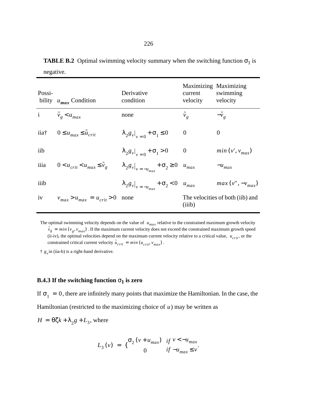**TABLE B.2** Optimal swimming velocity summary when the switching function  $\sigma_1$  is negative.

| Possi- | bility $u_{max}$ Condition                          | Derivative<br>condition                                      | Maximizing Maximizing<br>current<br>velocity | swimming<br>velocity             |
|--------|-----------------------------------------------------|--------------------------------------------------------------|----------------------------------------------|----------------------------------|
|        | i $\tilde{v}_g < u_{max}$                           | none                                                         | $\tilde{v}_g$                                | $-\tilde{v}_e$                   |
|        | iia <sup>†</sup> 0 ≤ $u_{max}$ ≤ $\tilde{u}_{crit}$ | $\lambda_2 g_v _{v=0} + \sigma_1 \leq 0$                     | $\theta$                                     | 0                                |
| iib    |                                                     | $\lambda_2 g_v _{v=0} + \sigma_1 > 0$                        | $\overline{0}$                               | $min(v', v_{max})$               |
| iiia   | $0 < u_{crit} < u_{max} \leq \tilde{v}_e$           | $\lambda_2 g_{v} _{v = -u_{max}} + \sigma_2 \ge 0$ $u_{max}$ |                                              | $-u_{max}$                       |
| iiib   |                                                     | $\lambda_2 g_{v} _{v=-u_{max}} + \sigma_2 < 0$ $u_{max}$     |                                              | $max(v'', -v_{max})$             |
| iv     | $v_{max} > u_{max} = u_{crit} > 0$                  | none                                                         | (iiib)                                       | The velocities of both (iib) and |

The optimal swimming velocity depends on the value of  $u_{max}$  relative to the constrained maximum growth velocity  $\tilde{v}_g = min(v_g, v_{max})$ . If the maximum current velocity does not exceed the constrained maximum growth speed  $(i$ i-iv), the optimal velocities depend on the maximum current velocity relative to a critical value,  $u_{crit}$ , or the constrained critical current velocity  $\tilde{u}_{crit} = min (u_{crit}, v_{max})$ .

 $\dagger g_v$  in (iia-b) is a right-hand derivative.

### **B.4.3 If the switching function**  $\sigma_1$  is zero

If  $\sigma_1 = 0$ , there are infinitely many points that maximize the Hamiltonian. In the case, the Hamiltonian (restricted to the maximizing choice of  $u$ ) may be written as

$$
H = \theta \zeta k + \lambda_2 g + L_3
$$
, where

$$
L_3(v) = \begin{cases} \sigma_2(v + u_{max}) & \text{if } v < -u_{max} \\ 0 & \text{if } -u_{max} \le v \end{cases}
$$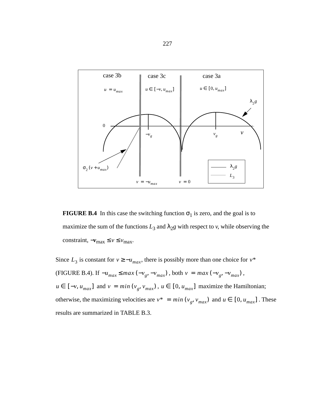

**FIGURE B.4** In this case the switching function  $\sigma_1$  is zero, and the goal is to maximize the sum of the functions  $L_3$  and  $\lambda_2 g$  with respect to *v*, while observing the constraint,  $-v_{\text{max}} \le v \le v_{\text{max}}$ .

Since  $L_3$  is constant for  $v \geq -u_{max}$ , there is possibly more than one choice for  $v^*$ (FIGURE B.4). If  $-u_{max}$  ≤  $max(-v_g, -v_{max})$ , both  $v = max(-v_g, -v_{max})$ ,  $u \in [-v, u_{max}]$  and  $v = min(v_g, v_{max})$ ,  $u \in [0, u_{max}]$  maximize the Hamiltonian; otherwise, the maximizing velocities are  $v^* = min(v_g, v_{max})$  and  $u \in [0, u_{max}]$ . These results are summarized in TABLE B.3.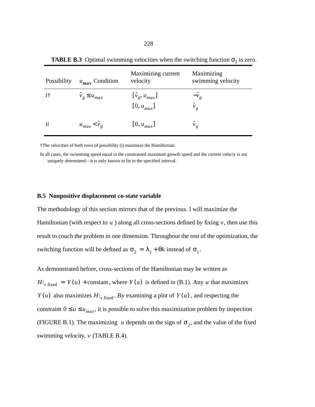| Possibility   | $u_{max}$ Condition        | Maximizing current<br>velocity             | Maximizing<br>swimming velocity |
|---------------|----------------------------|--------------------------------------------|---------------------------------|
| $i^{\dagger}$ | $\tilde{v}_g \leq u_{max}$ | $[\tilde{v}_g, u_{max}]$<br>$[0, u_{max}]$ | $-\bar{v}_g$<br>$v_g$           |
| $\mathbf{ii}$ | $u_{max} < v_g$            | $[0, u_{max}]$                             | $v_g$                           |

**TABLE B.3** Optimal swimming velocities when the switching function  $\sigma_1$  is zero.

†The velocities of both rows of possibility (i) maximize the Hamiltonian.

In all cases, the swimming speed equal to the constrained maximum growth speed and the current velociy is not uniquely determined—it is only known to lie in the specified interval.

#### **B.5 Nonpositive displacement co-state variable**

The methodology of this section mirrors that of the previous. I will maximize the Hamiltonian (with respect to  $u$ ) along all cross-sections defined by fixing  $v$ , then use this result to couch the problem in one dimension. Throughout the rest of the optimization, the switching function will be defined as  $\sigma_2 = \lambda_1 + \theta k$  instead of  $\sigma_1$ .

As demonstrated before, cross-sections of the Hamiltonian may be written as  $H|_{v \text{ fixed}} = Y(u) + \text{constant}$ , where  $Y(u)$  is defined in (B.1). Any u that maximizes  $Y(u)$  also maximizes  $H|_{v \text{ fixed}}$ . By examining a plot of  $Y(u)$ , and respecting the constraint  $0 \le u \le u_{max}$ , it is possible to solve this maximization problem by inspection (FIGURE B.1). The maximizing u depends on the sign of  $\sigma_2$ , and the value of the fixed swimming velocity,  $\nu$  (TABLE B.4).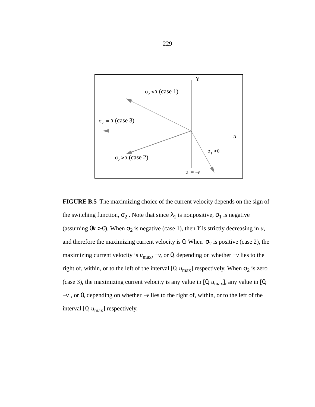

**FIGURE B.5** The maximizing choice of the current velocity depends on the sign of the switching function,  $\sigma_2$ . Note that since  $\lambda_1$  is nonpositive,  $\sigma_1$  is negative (assuming  $\theta$ *k* > 0). When  $\sigma_2$  is negative (case 1), then *Y* is strictly decreasing in *u*, and therefore the maximizing current velocity is 0. When  $\sigma_2$  is positive (case 2), the maximizing current velocity is  $u_{\text{max}}$ , −*v*, or 0, depending on whether −*v* lies to the right of, within, or to the left of the interval [0,  $u_{\text{max}}$ ] respectively. When  $\sigma_2$  is zero (case 3), the maximizing current velocity is any value in  $[0, u_{\text{max}}]$ , any value in  $[0,$ −*v*], or 0, depending on whether −*v* lies to the right of, within, or to the left of the interval [0, *u*max] respectively.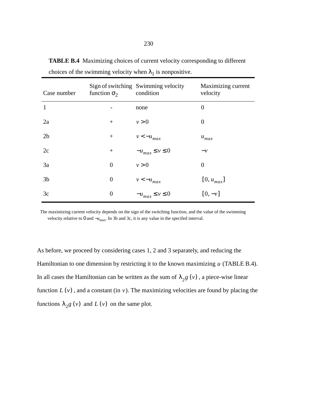| Case number    | function $\sigma_2$ | Sign of switching Swimming velocity<br>condition | Maximizing current<br>velocity |
|----------------|---------------------|--------------------------------------------------|--------------------------------|
| $\mathbf{1}$   |                     | none                                             | $\boldsymbol{0}$               |
| 2a             | $+$                 | v > 0                                            | $\overline{0}$                 |
| 2 <sub>b</sub> | $^{+}$              | $v < -u_{max}$                                   | $u_{max}$                      |
| 2c             | $+$                 | $-u_{max} \le v \le 0$                           | $-\nu$                         |
| 3a             | $\boldsymbol{0}$    | v > 0                                            | $\overline{0}$                 |
| 3 <sub>b</sub> | $\boldsymbol{0}$    | $v < -u_{max}$                                   | $[0, u_{max}]$                 |
| 3c             | $\overline{0}$      | $-u_{max} \le v \le 0$                           | $[0, -v]$                      |

**TABLE B.4** Maximizing choices of current velocity corresponding to different choices of the swimming velocity when  $\lambda_1$  is nonpositive.

The maximizing current velocity depends on the sign of the switching function, and the value of the swimming velocity relative to 0 and −*u*max. In 3b and 3c, it is any value in the specifed interval.

As before, we proceed by considering cases 1, 2 and 3 separately, and reducing the Hamiltonian to one dimension by restricting it to the known maximizing u (TABLE B.4). In all cases the Hamiltonian can be written as the sum of  $\lambda_2 g(v)$ , a piece-wise linear function  $L(v)$ , and a constant (in  $v$ ). The maximizing velocities are found by placing the functions  $\lambda_2 g(v)$  and  $L(v)$  on the same plot.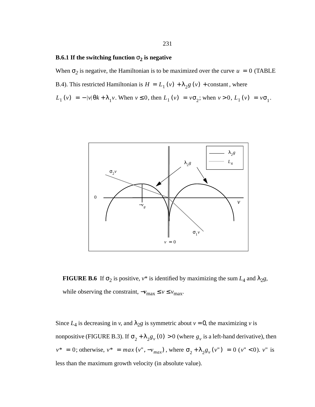### **B.6.1 If the switching function**  $\sigma_2$  is negative

When  $\sigma_2$  is negative, the Hamiltonian is to be maximized over the curve  $u = 0$  (TABLE B.4). This restricted Hamiltonian is  $H = L_1(v) + \lambda_2 g(v) + \text{constant}$ , where  $L_1(v) = -|v|\theta k + \lambda_1 v$ . When  $v \le 0$ , then  $L_1(v) = v\sigma_2$ ; when  $v > 0$ ,  $L_1(v) = v\sigma_1$ .



**FIGURE B.6** If  $\sigma_2$  is positive,  $v^*$  is identified by maximizing the sum  $L_4$  and  $\lambda_2 g$ , while observing the constraint,  $-v_{\text{max}} \le v \le v_{\text{max}}$ .

Since  $L_4$  is decreasing in *v*, and  $\lambda_2 g$  is symmetric about  $v = 0$ , the maximizing *v* is nonpositive (FIGURE B.3). If  $\sigma_2 + \lambda_2 g_v(0) > 0$  (where  $g_v$  is a left-hand derivative), then  $v^* = 0$ ; otherwise,  $v^* = max(v'', -v_{max})$ , where  $\sigma_2 + \lambda_2 g_v(v'') = 0$  ( $v'' < 0$ ).  $v''$  is less than the maximum growth velocity (in absolute value).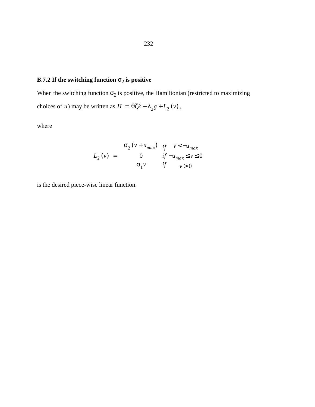# **B.7.2** If the switching function  $\sigma_2$  is positive

When the switching function  $\sigma_2$  is positive, the Hamiltonian (restricted to maximizing choices of *u*) may be written as  $H = \theta \zeta k + \lambda_2 g + L_2 (v)$ ,

where

$$
L_{2}(v) = \begin{cases} \sigma_{2}(v + u_{max}) & \text{if } v < -u_{max} \\ 0 & \text{if } -u_{max} \le v \le 0 \\ \sigma_{1}v & \text{if } v > 0 \end{cases}
$$

is the desired piece-wise linear function.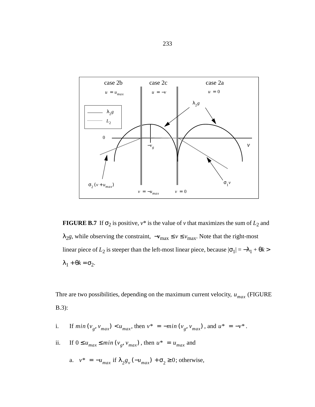

**FIGURE B.7** If  $\sigma_2$  is positive,  $v^*$  is the value of *v* that maximizes the sum of  $L_2$  and  $\lambda_2 g$ , while observing the constraint,  $-\nu_{\text{max}} \le v \le \nu_{\text{max}}$ . Note that the right-most linear piece of  $L_2$  is steeper than the left-most linear piece, because  $|\sigma_1| = -\lambda_1 + \theta k$  $λ_1 + θk = σ_2$ .

Thre are two possibilities, depending on the maximum current velocity,  $u_{max}$  (FIGURE B.3):

- *i*. If  $min(v_g, v_{max}) < u_{max}$ , then  $v^* = -min(v_g, v_{max})$ , and  $u^* = -v^*$ .
- ii. If  $0 \le u_{max} \le \min(v_g, v_{max})$ , then  $u^* = u_{max}$  and
	- a.  $v^* = -u_{max}$  if  $\lambda_2 g_v(-u_{max}) + \sigma_2 \ge 0$ ; otherwise,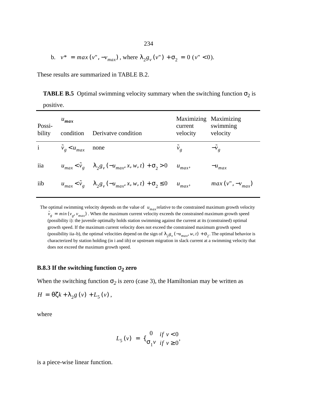b. 
$$
v^* = max(v'', -v_{max})
$$
, where  $\lambda_2 g_v(v'') + \sigma_2 = 0$  ( $v'' < 0$ ).

These results are summarized in TABLE B.2.

positive.

**TABLE B.5** Optimal swimming velocity summary when the switching function  $\sigma_2$  is

| Possi-<br>bility | $u_{max}$<br>condition         | Derivatve condition                                                                   | Maximizing Maximizing<br>current<br>velocity | swimming<br>velocity |
|------------------|--------------------------------|---------------------------------------------------------------------------------------|----------------------------------------------|----------------------|
|                  | i $\tilde{v}_g < u_{max}$ none |                                                                                       | $\tilde{v}_g$                                | $-\tilde{v}_o$       |
| iia              |                                | $u_{max} < \tilde{v}_g$ $\lambda_2 g_v(-u_{max}, x, w, t) + \sigma_2 > 0$ $u_{max}$ , |                                              | $-u_{max}$           |
| iib              |                                | $u_{max} < \tilde{v}_e$ $\lambda_2 g_v(-u_{max}, x, w, t) + \sigma_2 \le 0$           | $u_{max}$                                    | $max(v'', -v_{max})$ |

The optimal swimming velocity depends on the value of  $u_{max}$  relative to the constrained maximum growth velocity  $\tilde{v}_g = min(v_g, v_{max})$ . When the maximum current velocity exceeds the constrained maximum growth speed (possibility i): the juvenile optimally holds station swimming against the current at its (constrained) optimal growth speed. If the maximum current velocity does not exceed the constrained maximum growth speed (possibility iia–b), the optimal velocities depend on the sign of  $\lambda_2 g_y(-u_{max}, w, t) + \sigma_2$ . The optimal behavior is characterized by station holding (in i and iib) or upstream migration in slack current at a swimming velocity that does not exceed the maximum growth speed.

#### **B.8.3 If the switching function**  $\sigma_2$  zero

When the switching function  $\sigma_2$  is zero (case 3), the Hamiltonian may be written as

$$
H = \theta \zeta k + \lambda_2 g \left( v \right) + L_5 \left( v \right),
$$

where

$$
L_{5}(v) = \{ \begin{matrix} 0 & if \ v < 0 \\ \sigma_{1} v & if \ v \geq 0 \end{matrix}, \}
$$

is a piece-wise linear function.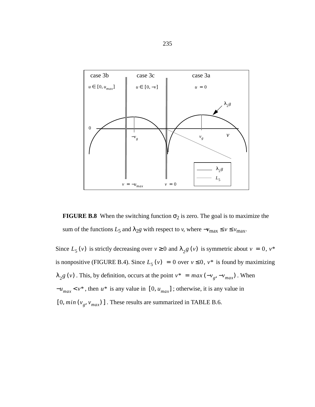

**FIGURE B.8** When the switching function  $\sigma_2$  is zero. The goal is to maximize the sum of the functions  $L_5$  and  $\lambda_{2}g$  with respect to *v*, where  $-v_{\text{max}} \le v \le v_{\text{max}}$ .

Since  $L_5(v)$  is strictly decreasing over  $v \ge 0$  and  $\lambda_2 g(v)$  is symmetric about  $v = 0$ ,  $v^*$ is nonpositive (FIGURE B.4). Since  $L_5(v) = 0$  over  $v \le 0$ ,  $v^*$  is found by maximizing  $\lambda_2 g(v)$ . This, by definition, occurs at the point  $v^* = max(-v_g, -v_{max})$ . When  $-u_{max} < v^*$ , then  $u^*$  is any value in [0,  $u_{max}$ ]; otherwise, it is any value in  $[0, min(v<sub>g</sub>, v<sub>max</sub>)]$ . These results are summarized in TABLE B.6.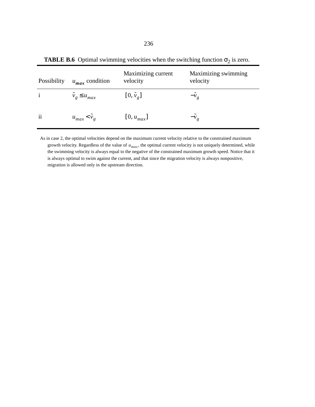| Possibility   | $u_{max}$ condition        | Maximizing current<br>velocity | Maximizing swimming<br>velocity |
|---------------|----------------------------|--------------------------------|---------------------------------|
| $\mathbf{i}$  | $\tilde{v}_g \leq u_{max}$ | $[0, \tilde{v}_g]$             | $-v_{\circ}$                    |
| $\mathbf{ii}$ | $u_{max} < \tilde{v}_e$    | $[0, u_{max}]$                 | $-vo$                           |

**TABLE B.6** Optimal swimming velocities when the switching function  $\sigma_2$  is zero.

As in case 2, the optimal velocities depend on the maximum current velocity relative to the constrained maximum growth velocity. Regardless of the value of  $u_{max}$ , the optimal current velocity is not uniquely determined, while the swimming velocity is always equal to the negative of the constrained maximum growth speed. Notice that it is always optimal to swim against the current, and that since the migration velocity is always nonpositive, migration is allowed only in the upstream direction.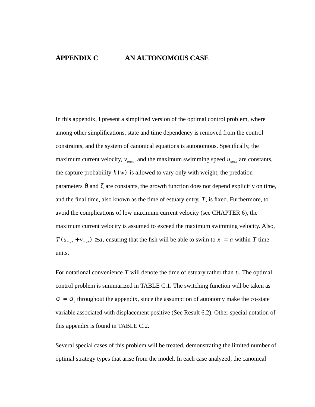# **APPENDIX C AN AUTONOMOUS CASE**

In this appendix, I present a simplified version of the optimal control problem, where among other simplifications, state and time dependency is removed from the control constraints, and the system of canonical equations is autonomous. Specifically, the maximum current velocity,  $v_{max}$ , and the maximum swimming speed  $u_{max}$  are constants, the capture probability  $k(w)$  is allowed to vary only with weight, the predation parameters  $\theta$  and  $\zeta$  are constants, the growth function does not depend explicitly on time, and the final time, also known as the time of estuary entry,  $T$ , is fixed. Furthermore, to avoid the complications of low maximum current velocity (see CHAPTER 6), the maximum current velocity is assumed to exceed the maximum swimming velocity. Also,  $T(u_{max} + v_{max}) \ge a$ , ensuring that the fish will be able to swim to  $x = a$  within T time units.

For notational convenience T will denote the time of estuary rather than  $t_f$ . The optimal control problem is summarized in TABLE C.1. The switching function will be taken as  $\sigma = \sigma_1$  throughout the appendix, since the assumption of autonomy make the co-state variable associated with displacement positive (See Result 6.2). Other special notation of this appendix is found in TABLE C.2.

Several special cases of this problem will be treated, demonstrating the limited number of optimal strategy types that arise from the model. In each case analyzed, the canonical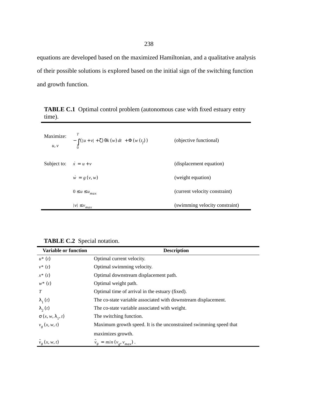equations are developed based on the maximized Hamiltonian, and a qualitative analysis of their possible solutions is explored based on the initial sign of the switching function and growth function.

| Maximize:<br>u, v             | $-\int \left( \left u+v\right +\zeta \right) \theta k\left( w\right) dt\ +\Phi \left( w\left( t_{f}\right) \right)$ | (objective functional)         |
|-------------------------------|---------------------------------------------------------------------------------------------------------------------|--------------------------------|
| Subject to: $\dot{x} = u + v$ |                                                                                                                     | (displacement equation)        |
|                               | $\dot{w} = g(v, w)$                                                                                                 | (weight equation)              |
|                               | $0\leq u\leq u_{max}$                                                                                               | (current velocity constraint)  |
|                               | $ \nu \leq v_{max}$                                                                                                 | (swimming velocity constraint) |

**TABLE C.1** Optimal control problem (autonomous case with fixed estuary entry time).

| <b>TABLE C.2</b> Special notation. |  |  |
|------------------------------------|--|--|
|------------------------------------|--|--|

| <b>Variable or function</b>  | <b>Description</b>                                                |  |  |
|------------------------------|-------------------------------------------------------------------|--|--|
| $u^*(t)$                     | Optimal current velocity.                                         |  |  |
| $v^*(t)$                     | Optimal swimming velocity.                                        |  |  |
| $x^*(t)$                     | Optimal downstream displacement path.                             |  |  |
| $w^*(t)$                     | Optimal weight path.                                              |  |  |
| T                            | Optimal time of arrival in the estuary (fixed).                   |  |  |
| $\lambda_1(t)$               | The co-state variable associated with downstream displacement.    |  |  |
| $\lambda_{2}(t)$             | The co-state variable associated with weight.                     |  |  |
| $\sigma(x, w, \lambda_1, t)$ | The switching function.                                           |  |  |
| $v_g(x, w, t)$               | Maximum growth speed. It is the unconstrained swimming speed that |  |  |
|                              | maximizes growth.                                                 |  |  |
| $\tilde{v}_g(x, w, t)$       | $\tilde{v}_g = min(v_g, v_{max})$ .                               |  |  |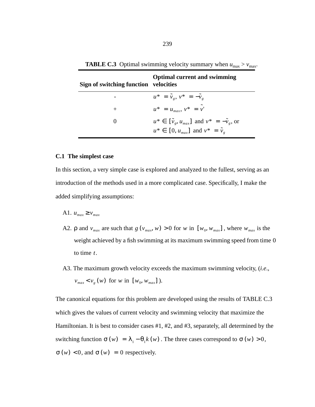| Sign of switching function velocities | <b>Optimal current and swimming</b>                            |
|---------------------------------------|----------------------------------------------------------------|
|                                       | $u^* = \tilde{v}_e, v^* = -\tilde{v}_e$                        |
| $^{+}$                                | $u^* = u_{max}, v^* = v'$                                      |
| $\theta$                              | $u^* \in [\tilde{v}_e, u_{max}]$ and $v^* = -\tilde{v}_e$ , or |
|                                       | $u^* \in [0, u_{max}]$ and $v^* = \tilde{v}_g$                 |

**TABLE C.3** Optimal swimming velocity summary when  $u_{\text{max}} > v_{\text{max}}$ .

#### **C.1 The simplest case**

In this section, a very simple case is explored and analyzed to the fullest, serving as an introduction of the methods used in a more complicated case. Specifically, I make the added simplifying assumptions:

- A1.  $u_{max} \ge v_{max}$
- A2.  $\rho$  and  $v_{max}$  are such that  $g(v_{max}, w) > 0$  for w in  $[w_0, w_{max}]$ , where  $w_{max}$  is the weight achieved by a fish swimming at its maximum swimming speed from time 0 to time  $t$ .
- A3. The maximum growth velocity exceeds the maximum swimming velocity, (*i.e*.,  $v_{max} < v_{g}(w)$  for *w* in [*w*<sub>0</sub>, *w<sub>max</sub>*]).

The canonical equations for this problem are developed using the results of TABLE C.3 which gives the values of current velocity and swimming velocity that maximize the Hamiltonian. It is best to consider cases #1, #2, and #3, separately, all determined by the switching function  $\sigma(w) = \lambda_1 - \theta_1 k(w)$ . The three cases correspond to  $\sigma(w) > 0$ ,  $\sigma(w) < 0$ , and  $\sigma(w) = 0$  respectively.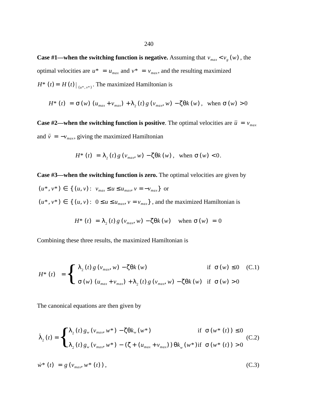**Case #1—when the switching function is negative.** Assuming that  $v_{max} < v_{g}(w)$ , the optimal velocities are  $u^* = u_{max}$  and  $v^* = v_{max}$ , and the resulting maximized  $H^*$  (*t*) =  $H(t)$  |  $_{(u^*, v^*)}$ . The maximized Hamiltonian is

$$
H^*(t) = \sigma(w) \left( u_{\text{max}} + v_{\text{max}} \right) + \lambda_2(t) g \left( v_{\text{max}}, w \right) - \zeta \theta k(w), \text{ when } \sigma(w) > 0
$$

**Case #2—when the switching function is positive**. The optimal velocities are  $\bar{u} = v_{max}$ and  $\bar{v} = -v_{max}$ , giving the maximized Hamiltonian

$$
H^*(t) = \lambda_2(t) g(v_{\text{max}}, w) - \zeta \theta k(w), \text{ when } \sigma(w) < 0.
$$

**Case #3—when the switching function is zero.** The optimal velocities are given by  $(u^*, v^*) \in \{ (u, v) : v_{max} \le u \le u_{max}, v = -v_{max} \}$  or  $(u^*, v^*) \in \{ (u, v): 0 \le u \le u_{max}, v = v_{max} \}$ , and the maximized Hamiltonian is

$$
H^*(t) = \lambda_2(t) g(v_{max}, w) - \zeta \theta k(w) \quad \text{when } \sigma(w) = 0
$$

Combining these three results, the maximized Hamiltonian is

$$
H^*(t) = \begin{cases} \n\lambda_2(t) g(v_{max}, w) - \zeta \theta k(w) & \text{if } \sigma(w) \le 0 \quad (C.1) \\ \n\sigma(w) (u_{max} + v_{max}) + \lambda_2(t) g(v_{max}, w) - \zeta \theta k(w) & \text{if } \sigma(w) > 0 \n\end{cases}
$$

The canonical equations are then given by

$$
\dot{\lambda}_{2}(t) = \begin{cases} \lambda_{2}(t) g_{w}(v_{max}, w^{*}) - \zeta \theta k_{w}(w^{*}) & \text{if } \sigma(w^{*}(t)) \le 0 \\ \lambda_{2}(t) g_{w}(v_{max}, w^{*}) - (\zeta + (u_{max} + v_{max})) \theta k_{w}(w^{*}) & \text{if } \sigma(w^{*}(t)) > 0 \end{cases}
$$
(C.2)

$$
\dot{w}^* (t) = g (v_{max}, w^* (t)), \qquad (C.3)
$$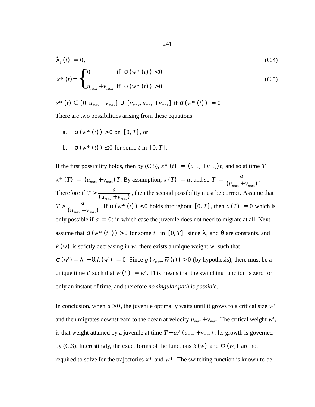$$
\dot{\lambda}_{1}(t) = 0,
$$
\n
$$
\dot{x}^{*}(t) = \begin{cases}\n0 & \text{if } \sigma(w^{*}(t)) < 0 \\
u_{max} + v_{max} & \text{if } \sigma(w^{*}(t)) > 0\n\end{cases}
$$
\n(C.5)

$$
\dot{x}^* (t) \in [0, u_{max} - v_{max}] \cup [v_{max}, u_{max} + v_{max}] \text{ if } \sigma(w^* (t)) = 0
$$

There are two possibilities arising from these equations:

- a.  $\sigma(w^*(t)) > 0$  on  $[0, T]$ , or
- b.  $\sigma(w^*(t)) \leq 0$  for some t in  $[0, T]$ .

If the first possibility holds, then by (C.5),  $x^*(t) = (u_{max} + v_{max})t$ , and so at time T  $x^*$  (*T*) = ( $u_{max} + v_{max}$ ) *T*. By assumption,  $x(T) = a$ , and so  $T = \frac{a}{(u_{max} + v_{max})}$ . Therefore if  $T > \frac{a}{(u_{max} + v_{max})}$ , then the second possibility must be correct. Assume that  $T > \frac{a}{(u_{max} + v_{max})}$ . If  $\sigma(w^*(t)) < 0$  holds throughout  $[0, T]$ , then  $x(T) = 0$  which is only possible if  $a = 0$ : in which case the juvenile does not need to migrate at all. Next assume that  $\sigma(w^*(t'')) > 0$  for some  $t''$  in  $[0, T]$ ; since  $\lambda_1$  and  $\theta$  are constants, and  $k(w)$  is strictly decreasing in w, there exists a unique weight w' such that  $\sigma(w') = \lambda_1 - \theta_1 k(w') = 0$ . Since  $g(v_{max}, \overline{w}(t)) > 0$  (by hypothesis), there must be a unique time t' such that  $\overline{w}(t') = w'$ . This means that the switching function is zero for only an instant of time, and therefore *no singular path is possible*.

In conclusion, when  $a > 0$ , the juvenile optimally waits until it grows to a critical size w' and then migrates downstream to the ocean at velocity  $u_{max} + v_{max}$ . The critical weight w', is that weight attained by a juvenile at time  $T - a / (u_{max} + v_{max})$ . Its growth is governed by (C.3). Interestingly, the exact forms of the functions  $k(w)$  and  $\Phi(w_T)$  are not required to solve for the trajectories  $x^*$  and  $w^*$ . The switching function is known to be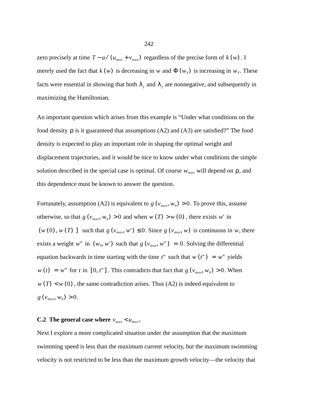zero precisely at time  $T - a / (u_{max} + v_{max})$  regardless of the precise form of  $k(w)$ . I merely used the fact that  $k(w)$  is decreasing in w and  $\Phi(w_T)$  is increasing in  $w_T$ . These facts were essential in showing that both  $\lambda_1$  and  $\lambda_2$  are nonnegative, and subsequently in maximizing the Hamiltonian.

An important question which arises from this example is "Under what conditions on the food density  $\rho$  is it guaranteed that assumptions (A2) and (A3) are satisfied?" The food density is expected to play an important role in shaping the optimal weight and displacement trajectories, and it would be nice to know under what conditions the simple solution described in the special case is optimal. Of course  $w_{max}$  will depend on  $\rho$ , and this dependence must be known to answer the question.

Fortunately, assumption (A2) is equivalent to  $g(v_{max}, w_0) > 0$ . To prove this, assume otherwise, so that  $g(v_{max}, w_0) > 0$  and when  $w(T) > w(0)$ , there exists w' in  $(w(0), w(T))$  such that  $g(v_{max}, w') \leq 0$ . Since  $g(v_{max}, w)$  is continuous in w, there exists a weight w" in  $(w_0, w')$  such that  $g(v_{max}, w'') = 0$ . Solving the differential equation backwards in time starting with the time  $t''$  such that  $w(t'') = w''$  yields  $w(t) = w''$  for t in [0, t"]. This contradicts that fact that  $g(v_{max}, w_0) > 0$ . When  $w(T) < w(0)$ , the same contradiction arises. Thus (A2) is indeed equivalent to  $g(v_{max}, w_0) > 0.$ 

### **C.2** The general case where  $v_{max} < u_{max}$ .

Next I explore a more complicated situation under the assumption that the maximum swimming speed is less than the maximum current velocity, but the maximum swimming velocity is not restricted to be less than the maximum growth velocity—the velocity that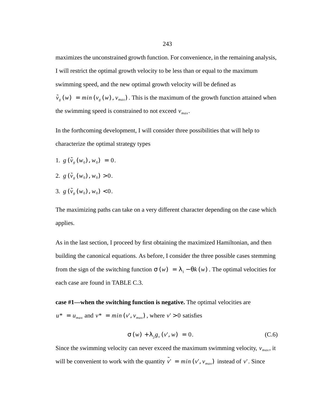maximizes the unconstrained growth function. For convenience, in the remaining analysis, I will restrict the optimal growth velocity to be less than or equal to the maximum swimming speed, and the new optimal growth velocity will be defined as  $\tilde{v}_g(w) = min(v_g(w), v_{max})$ . This is the maximum of the growth function attained when the swimming speed is constrained to not exceed  $v_{max}$ .

In the forthcoming development, I will consider three possibilities that will help to characterize the optimal strategy types

- 1.  $g(\tilde{v}_g(w_0), w_0) = 0.$
- 2.  $g(\tilde{v}_g(w_0), w_0) > 0$ .
- 3.  $g(\tilde{v}_g(w_0), w_0) < 0$ .

The maximizing paths can take on a very different character depending on the case which applies.

As in the last section, I proceed by first obtaining the maximized Hamiltonian, and then building the canonical equations. As before, I consider the three possible cases stemming from the sign of the switching function  $\sigma(w) = \lambda_1 - \theta k(w)$ . The optimal velocities for each case are found in TABLE C.3.

# **case #1—when the switching function is negative.** The optimal velocities are

 $u^* = u_{max}$  and  $v^* = min(v', v_{max})$ , where  $v' > 0$  satisfies

$$
\sigma(w) + \lambda_2 g_v(v', w) = 0. \tag{C.6}
$$

Since the swimming velocity can never exceed the maximum swimming velocity,  $v_{max}$ , it will be convenient to work with the quantity  $\tilde{v}' = min(v', v_{max})$  instead of v'. Since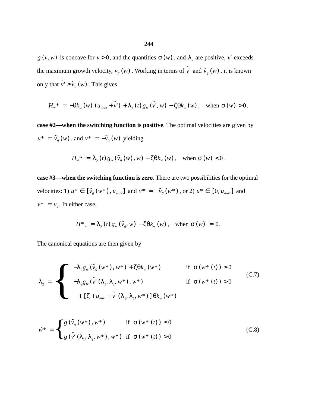$g(v, w)$  is concave for  $v > 0$ , and the quantities  $\sigma(w)$ , and  $\lambda_2$  are positive, v' exceeds the maximum growth velocity,  $v_g(w)$ . Working in terms of  $\tilde{v}'$  and  $\tilde{v}_g(w)$ , it is known only that  $\tilde{v}' \ge \tilde{v}_g(w)$ . This gives

$$
H_w^* = -\theta k_w(w) \left( u_{max} + \tilde{v}' \right) + \lambda_2(t) g_w(\tilde{v}', w) - \zeta \theta k_w(w), \quad \text{when } \sigma(w) > 0.
$$

**case #2—when the switching function is positive**. The optimal velocities are given by  $u^* = \tilde{v}_g(w)$ , and  $v^* = -\tilde{v}_g(w)$  yielding

$$
H_w^* = \lambda_2(t) g_w(\tilde{v}_g(w), w) - \zeta \theta k_w(w), \quad \text{when } \sigma(w) < 0.
$$

**case #3**—**when the switching function is zero**. There are two possibilities for the optimal *velocities:* 1)  $u^*$  ∈ [ $\tilde{v}_g(w^*)$ ,  $u_{max}$ ] and  $v^* = -\tilde{v}_g(w^*)$ , or 2)  $u^*$  ∈ [0,  $u_{max}$ ] and  $v^* = v_g$ . In either case,

$$
H^*_{w} = \lambda_2(t) g_w(\tilde{v}_g, w) - \zeta \theta k_w(w), \quad \text{when } \sigma(w) = 0.
$$

The canonical equations are then given by

$$
\dot{\lambda}_2 = \begin{cases}\n-\lambda_2 g_w(\tilde{v}_g(w^*), w^*) + \zeta \theta k_w(w^*) & \text{if } \sigma(w^*(t)) \le 0 \\
-\lambda_2 g_w(\tilde{v}'(\lambda_1, \lambda_2, w^*), w^*) & \text{if } \sigma(w^*(t)) > 0 \\
+ [\zeta + u_{max} + \tilde{v}'(\lambda_1, \lambda_2, w^*)] \theta k_w(w^*)\n\end{cases}
$$
\n(C.7)

$$
\dot{w}^* = \begin{cases} g(\tilde{v}_g(w^*), w^*) & \text{if } \sigma(w^*(t)) \le 0 \\ g(\tilde{v}'(\lambda_1, \lambda_2, w^*), w^*) & \text{if } \sigma(w^*(t)) > 0 \end{cases}
$$
 (C.8)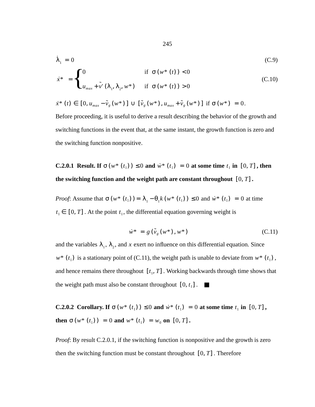$$
\dot{\lambda}_1 = 0
$$
\n
$$
\dot{x}^* = \begin{cases}\n0 & \text{if } \sigma(w^*(t)) < 0 \\
u_{max} + \tilde{v}^*(\lambda_1, \lambda_2, w^*) & \text{if } \sigma(w^*(t)) > 0\n\end{cases}
$$
\n(C.10)

$$
\dot{x}^*(t) \in [0, u_{\text{max}} - \tilde{v}_g(w^*)] \cup [\tilde{v}_g(w^*), u_{\text{max}} + \tilde{v}_g(w^*)] \text{ if } \sigma(w^*) = 0.
$$

Before proceeding, it is useful to derive a result describing the behavior of the growth and switching functions in the event that, at the same instant, the growth function is zero and the switching function nonpositive.

**C.2.0.1** Result. If  $\sigma(w^*(t_1)) \leq 0$  and  $\dot{w}^*(t_1) = 0$  at some time  $t_1$  in  $[0, T]$ , then the switching function and the weight path are constant throughout  $[0, T]$ .

*Proof*: Assume that  $\sigma(w^*(t_1)) = \lambda_1 - \theta_1 k(w^*(t_1)) \le 0$  and  $\dot{w}^*(t_1) = 0$  at time  $t_1 \in [0, T]$ . At the point  $t_1$ , the differential equation governing weight is

$$
\dot{w}^* = g\left(\tilde{v}_g(w^*), w^*\right) \tag{C.11}
$$

and the variables  $\lambda_1$ ,  $\lambda_2$ , and x exert no influence on this differential equation. Since  $w^*$  ( $t_1$ ) is a stationary point of (C.11), the weight path is unable to deviate from  $w^*$  ( $t_1$ ), and hence remains there throughout  $[t_1, T]$ . Working backwards through time shows that the weight path must also be constant throughout  $[0, t_1]$ .

**C.2.0.2** Corollary. If  $\sigma(w^*(t_1)) \leq 0$  and  $\dot{w}^*(t_1) = 0$  at some time  $t_1$  in  $[0, T]$ , **then**  $\sigma(w^*(t_1)) = 0$  and  $w^*(t_1) = w_0$  on  $[0, T]$ .

*Proof*: By result C.2.0.1, if the switching function is nonpositive and the growth is zero then the switching function must be constant throughout  $[0, T]$ . Therefore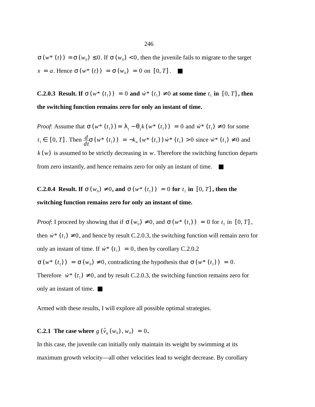$\sigma(w^*(t)) = \sigma(w_0) \leq 0$ . If  $\sigma(w_0) < 0$ , then the juvenile fails to migrate to the target  $x = a$ . Hence  $\sigma(w^*(t)) = \sigma(w_0) = 0$  on  $[0, T]$ .

**C.2.0.3** Result. If  $\sigma(w^*(t_1)) = 0$  and  $\dot{w}^*(t_1) \neq 0$  at some time  $t_1$  in  $[0, T]$ , then **the switching function remains zero for only an instant of time.**

*Proof*: Assume that  $\sigma(w^*(t_1)) = \lambda_1 - \theta_1 k(w^*(t_1)) = 0$  and  $\dot{w}^*(t_1) \neq 0$  for some  $t_1 \in [0, T]$ . Then  $\frac{d}{dt}\sigma(w^*(t_1)) = -k_w(w^*(t_1))w^*(t_1) > 0$  since  $\dot{w}^*(t_1) \neq 0$  and  $k(w)$  is assumed to be strictly decreasing in  $w$ . Therefore the switching function departs from zero instantly, and hence remains zero for only an instant of time. ■

**C.2.0.4** Result. If  $\sigma(w_0) \neq 0$ , and  $\sigma(w^*(t_1)) = 0$  for  $t_1$  in  $[0, T]$ , then the **switching function remains zero for only an instant of time.**

*Proof*: I proceed by showing that if  $\sigma(w_0) \neq 0$ , and  $\sigma(w^*(t_1)) = 0$  for  $t_1$  in  $[0, T]$ , then  $\dot{w}^*$  ( $t_1$ )  $\neq$  0, and hence by result C.2.0.3, the switching function will remain zero for only an instant of time. If  $\dot{w}^*$  ( $t_1$ ) = 0, then by corollary C.2.0.2  $\sigma(w^*(t_1)) = \sigma(w_0) \neq 0$ , contradicting the hypothesis that  $\sigma(w^*(t_1)) = 0$ . Therefore  $\dot{w}^*$  ( $t_1$ )  $\neq$  0, and by result C.2.0.3, the switching function remains zero for only an instant of time. ■

Armed with these results, I will explore all possible optimal strategies.

# **C.2.1** The case where  $g(\tilde{v}_g(w_0), w_0) = 0$ .

In this case, the juvenile can initially only maintain its weight by swimming at its maximum growth velocity—all other velocities lead to weight decrease. By corollary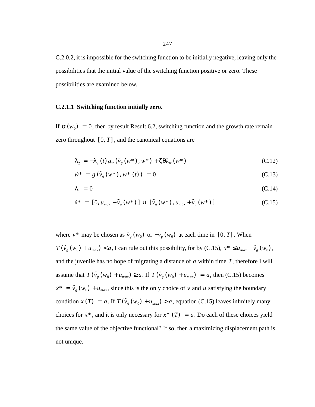C.2.0.2, it is impossible for the switching function to be initially negative, leaving only the possibilities that the initial value of the switching function positive or zero. These possibilities are examined below.

#### **C.2.1.1 Switching function initially zero.**

If  $\sigma(w_0) = 0$ , then by result Result 6.2, switching function and the growth rate remain zero throughout  $[0, T]$ , and the canonical equations are

$$
\dot{\lambda}_2 = -\lambda_2(t) g_w(\tilde{v}_g(w^*), w^*) + \zeta \theta k_w(w^*)
$$
\n(C.12)

$$
\dot{w}^* = g(\tilde{v}_g(w^*), w^*(t)) = 0 \tag{C.13}
$$

$$
\dot{\lambda}_1 = 0 \tag{C.14}
$$

$$
\dot{x}^* = [0, u_{max} - \tilde{v}_g(w^*)] \cup [\tilde{v}_g(w^*), u_{max} + \tilde{v}_g(w^*)]
$$
\n(C.15)

where  $v^*$  may be chosen as  $\tilde{v}_g(w_0)$  or  $-\tilde{v}_g(w_0)$  at each time in [0, *T*]. When  $T(\tilde{v}_g(w_0) + u_{max}) < a$ , I can rule out this possibility, for by (C.15),  $\dot{x}^* \le u_{max} + \tilde{v}_g(w_0)$ , and the juvenile has no hope of migrating a distance of  $a$  within time  $T$ , therefore I will assume that  $T(\tilde{v}_g(w_0) + u_{max}) \ge a$ . If  $T(\tilde{v}_g(w_0) + u_{max}) = a$ , then (C.15) becomes  $\tilde{x}^* = \tilde{v}_g(w_0) + u_{max}$ , since this is the only choice of v and u satisfying the boundary condition  $x(T) = a$ . If  $T(\tilde{v}_g(w_0) + u_{max}) > a$ , equation (C.15) leaves infinitely many choices for  $\dot{x}^*$ , and it is only necessary for  $x^*$  (*T*) = *a*. Do each of these choices yield the same value of the objective functional? If so, then a maximizing displacement path is not unique.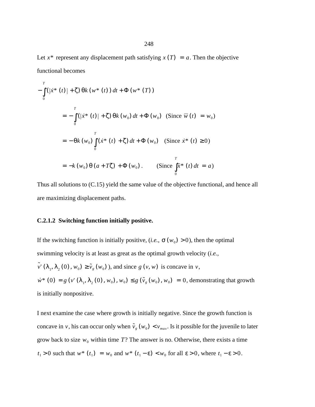Let  $x^*$  represent any displacement path satisfying  $x(T) = a$ . Then the objective functional becomes

$$
-\int_{0}^{T} (|\dot{x}^{*}(t)| + \zeta) \, \theta k \, (w^{*}(t)) \, dt + \Phi(w^{*}(T))
$$
\n
$$
= -\int_{0}^{T} (|\dot{x}^{*}(t)| + \zeta) \, \theta k \, (w_{0}) \, dt + \Phi(w_{0}) \quad \text{(Since } \overline{w}(t) = w_{0})
$$
\n
$$
= -\theta k \, (w_{0}) \int_{0}^{T} (\dot{x}^{*}(t) + \zeta) \, dt + \Phi(w_{0}) \quad \text{(Since } \dot{x}^{*}(t) \ge 0)
$$
\n
$$
= -k (w_{0}) \, \theta \, (a + T\zeta) + \Phi(w_{0}) \, . \qquad \text{(Since } \int_{0}^{T} \dot{x}^{*}(t) \, dt = a)
$$

Thus all solutions to (C.15) yield the same value of the objective functional, and hence all are maximizing displacement paths.

### **C.2.1.2 Switching function initially positive.**

If the switching function is initially positive, (*i.e.*,  $\sigma(w_0) > 0$ ), then the optimal swimming velocity is at least as great as the optimal growth velocity (*i.e.*,  $\tilde{v}(\lambda_1, \lambda_2(0), w_0) \ge \tilde{v}_g(w_0)$ , and since  $g(v, w)$  is concave in  $v$ ,  $\dot{w}^*$  (0) =  $g(v'(\lambda_1, \lambda_2(0), w_0), w_0) \leq g(\tilde{v}_g(w_0), w_0) = 0$ , demonstrating that growth is initially nonpositive.

I next examine the case where growth is initially negative. Since the growth function is concave in v, his can occur only when  $\tilde{v}_g(w_0) < v_{max}$ . Is it possible for the juvenile to later grow back to size  $w_0$  within time T? The answer is no. Otherwise, there exists a time  $t_1 > 0$  such that  $w^*$  ( $t_1$ ) =  $w_0$  and  $w^*$  ( $t_1 - \varepsilon$ ) <  $w_0$  for all  $\varepsilon > 0$ , where  $t_1 - \varepsilon > 0$ .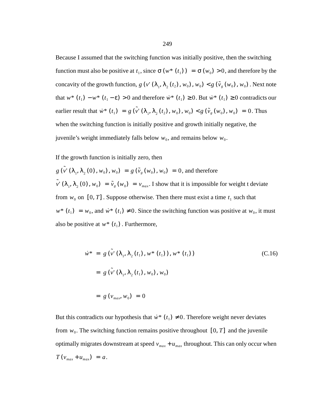Because I assumed that the switching function was initially positive, then the switching function must also be positive at  $t_1$ , since  $\sigma(w^*(t_1)) = \sigma(w_0) > 0$ , and therefore by the concavity of the growth function,  $g(v'(\lambda_1, \lambda_2(t_2), w_0), w_0) < g(\tilde{v}_g(w_0), w_0)$ . Next note that  $w^*$   $(t_1) - w^*$   $(t_1 - \varepsilon) > 0$  and therefore  $\dot{w}^*$   $(t_1) \ge 0$ . But  $\dot{w}^*$   $(t_1) \ge 0$  contradicts our earlier result that  $\dot{w}^* (t_1) = g(\tilde{v}'(\lambda_1, \lambda_2(t_2), w_0), w_0) < g(\tilde{v}_g(w_0), w_0) = 0$ . Thus when the switching function is initially positive and growth initially negative, the juvenile's weight immediately falls below  $w_0$ , and remains below  $w_0$ .

If the growth function is initially zero, then

 $g(\tilde{v}^{\prime}(\lambda_1, \lambda_2(0), w_0), w_0) = g(\tilde{v}_g(w_0), w_0) = 0$ , and therefore  $\tilde{v}(\lambda_1, \lambda_2(0), w_0) = \tilde{v}_g(w_0) = v_{max}$ . I show that it is impossible for weight t deviate from  $w_0$  on  $[0, T]$ . Suppose otherwise. Then there must exist a time  $t_1$  such that  $w^*$  ( $t_1$ ) =  $w_0$ , and  $\dot{w}^*$  ( $t_1$ )  $\neq 0$ . Since the switching function was positive at  $w_0$ , it must also be positive at  $w^*$  ( $t_1$ ). Furthermore,

$$
\dot{w}^* = g(\tilde{v}'(\lambda_1, \lambda_2(t_1), w^*(t_1)), w^*(t_1))
$$
\n(C.16)\n  
\n
$$
= g(\tilde{v}'(\lambda_1, \lambda_2(t_1), w_0), w_0)
$$
\n
$$
= g(v_{max}, w_0) = 0
$$

But this contradicts our hypothesis that  $\dot{w}^*$  ( $t_1$ )  $\neq$  0. Therefore weight never deviates from  $w_0$ . The switching function remains positive throughout  $[0, T]$  and the juvenile optimally migrates downstream at speed  $v_{max} + u_{max}$  throughout. This can only occur when  $T(v_{max} + u_{max}) = a.$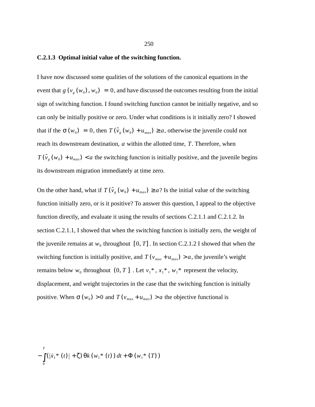#### **C.2.1.3 Optimal initial value of the switching function.**

I have now discussed some qualities of the solutions of the canonical equations in the event that  $g(v_g(w_0), w_0) = 0$ , and have discussed the outcomes resulting from the initial sign of switching function. I found switching function cannot be initially negative, and so can only be initially positive or zero. Under what conditions is it initially zero? I showed that if the  $\sigma(w_0) = 0$ , then  $T(\tilde{v}_g(w_0) + u_{max}) \ge a$ , otherwise the juvenile could not reach its downstream destination, a within the allotted time, T. Therefore, when  $T(\tilde{v}_g(w_0) + u_{max}) < a$  the switching function is initially positive, and the juvenile begins its downstream migration immediately at time zero.

On the other hand, what if  $T(\tilde{v}_g(w_0) + u_{max}) \ge a$ ? Is the initial value of the switching function initially zero, or is it positive? To answer this question, I appeal to the objective function directly, and evaluate it using the results of sections C.2.1.1 and C.2.1.2. In section C.2.1.1, I showed that when the switching function is initially zero, the weight of the juvenile remains at  $w_0$  throughout  $[0, T]$ . In section C.2.1.2 I showed that when the switching function is initially positive, and  $T(v_{max} + u_{max}) > a$ , the juvenile's weight remains below  $w_0$  throughout  $(0, T]$ . Let  $v_1^*, x_1^*, w_1^*$  represent the velocity, displacement, and weight trajectories in the case that the switching function is initially positive. When  $\sigma(w_0) > 0$  and  $T(v_{max} + u_{max}) > a$  the objective functional is

$$
-\int_{0}^{T} (|\dot{x}_{1}^{*}(t)| + \zeta) \, \theta k \left(w_{1}^{*}(t)\right) dt + \Phi\left(w_{1}^{*}(T)\right)
$$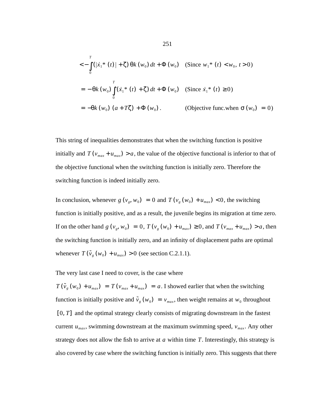$$
\langle -\int_{0}^{T} (|\dot{x}_{1}^{*}(t)| + \zeta) \theta k(w_{0}) dt + \Phi(w_{0}) \quad \text{(Since } w_{1}^{*}(t) < w_{0}, t > 0)
$$
\n
$$
= -\theta k(w_{0}) \int_{0}^{T} (\dot{x}_{1}^{*}(t) + \zeta) dt + \Phi(w_{0}) \quad \text{(Since } \dot{x}_{1}^{*}(t) \ge 0)
$$
\n
$$
= -\theta k(w_{0}) (a + T\zeta) + \Phi(w_{0}). \qquad \text{(Objective func. when } \sigma(w_{0}) = 0)
$$

This string of inequalities demonstrates that when the switching function is positive initially and  $T(v_{max} + u_{max}) > a$ , the value of the objective functional is inferior to that of the objective functional when the switching function is initially zero. Therefore the switching function is indeed initially zero.

In conclusion, whenever  $g(v_g, w_0) = 0$  and  $T(v_g(w_0) + u_{max}) < 0$ , the switching function is initially positive, and as a result, the juvenile begins its migration at time zero. If on the other hand  $g(v_g, w_0) = 0$ ,  $T(v_g(w_0) + u_{max}) \ge 0$ , and  $T(v_{max} + u_{max}) > a$ , then the switching function is initially zero, and an infinity of displacement paths are optimal whenever  $T(\tilde{v}_g(w_0) + u_{max}) > 0$  (see section C.2.1.1).

The very last case I need to cover, is the case where

 $T(\tilde{v}_g(w_0) + u_{max}) = T(v_{max} + u_{max}) = a$ . I showed earlier that when the switching function is initially positive and  $\tilde{v}_g(w_0) = v_{max}$ , then weight remains at  $w_0$  throughout  $[0, T]$  and the optimal strategy clearly consists of migrating downstream in the fastest current  $u_{max}$ , swimming downstream at the maximum swimming speed,  $v_{max}$ . Any other strategy does not allow the fish to arrive at  $a$  within time  $T$ . Interestingly, this strategy is also covered by case where the switching function is initially zero. This suggests that there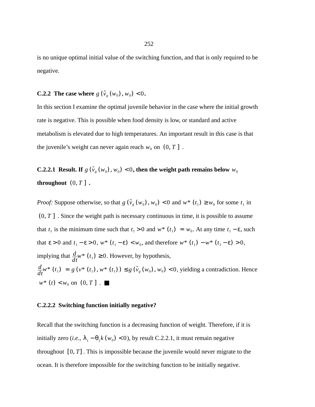is no unique optimal initial value of the switching function, and that is only required to be negative.

# **C.2.2** The case where  $g(\tilde{v}_g(w_0), w_0) < 0$ .

In this section I examine the optimal juvenile behavior in the case where the initial growth rate is negative. This is possible when food density is low, or standard and active metabolism is elevated due to high temperatures. An important result in this case is that the juvenile's weight can never again reach  $w_0$  on  $(0, T]$ .

**C.2.2.1** Result. If  $g(\tilde{v}_g(w_0), w_0) < 0$ , then the weight path remains below  $w_0$ **throughout**  $(0, T]$ .

*Proof:* Suppose otherwise, so that  $g(\tilde{v}_g(w_0), w_0) < 0$  and  $w^*(t_1) \geq w_0$  for some  $t_1$  in  $(0, T]$ . Since the weight path is necessary continuous in time, it is possible to assume that  $t_1$  is the minimum time such that  $t_1 > 0$  and  $w^*$  ( $t_1$ ) =  $w_0$ . At any time  $t_1 - \varepsilon$ , such that  $\varepsilon > 0$  and  $t_1 - \varepsilon > 0$ ,  $w^*$   $(t_1 - \varepsilon) < w_0$ , and therefore  $w^*$   $(t_1) - w^*$   $(t_1 - \varepsilon) > 0$ , implying that  $\frac{d}{dt}w^*$  ( $t_1$ )  $\geq$  0. However, by hypothesis,  $\frac{d}{dt}w^*$  ( $t_1$ ) =  $g(v^*(t_1), w^*(t_1)) \leq g(\tilde{v}_g(w_0), w_0) < 0$ , yielding a contradiction. Hence  $w^*$  (*t*) <  $w_0$  on (0, *T* ].

#### **C.2.2.2 Switching function initially negative?**

Recall that the switching function is a decreasing function of weight. Therefore, if it is initially zero (*i.e.*,  $\lambda_1 - \theta_1 k(w_0) < 0$ ), by result C.2.2.1, it must remain negative throughout  $[0, T]$ . This is impossible because the juvenile would never migrate to the ocean. It is therefore impossible for the switching function to be initially negative.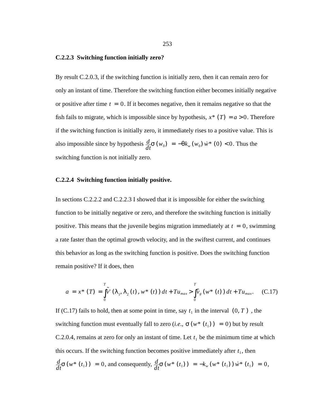#### **C.2.2.3 Switching function initially zero?**

By result C.2.0.3, if the switching function is initially zero, then it can remain zero for only an instant of time. Therefore the switching function either becomes initially negative or positive after time  $t = 0$ . If it becomes negative, then it remains negative so that the fish fails to migrate, which is impossible since by hypothesis,  $x^*$  (*T*) =  $a > 0$ . Therefore if the switching function is initially zero, it immediately rises to a positive value. This is also impossible since by hypothesis  $\frac{d}{dt}\sigma(w_0) = -\theta k_w(w_0) \dot{w}^*(0) < 0$ . Thus the switching function is not initially zero.

#### **C.2.2.4 Switching function initially positive.**

In sections C.2.2.2 and C.2.2.3 I showed that it is impossible for either the switching function to be initially negative or zero, and therefore the switching function is initially positive. This means that the juvenile begins migration immediately at  $t = 0$ , swimming a rate faster than the optimal growth velocity, and in the swiftest current, and continues this behavior as long as the switching function is positive. Does the switching function remain positive? If it does, then

$$
a = x^* (T) = \int_0^T \tilde{v}^* (\lambda_1, \lambda_2(t), w^*(t)) dt + T u_{max} > \int_0^T \tilde{v}_g(w^*(t)) dt + T u_{max}. \quad (C.17)
$$

If (C.17) fails to hold, then at some point in time, say  $t_1$  in the interval  $(0, T)$ , the switching function must eventually fall to zero (*i.e.*,  $\sigma(w^*(t_1)) = 0$ ) but by result C.2.0.4, remains at zero for only an instant of time. Let  $t_1$  be the minimum time at which this occurs. If the switching function becomes positive immediately after  $t_1$ , then  $\frac{d}{dt}\sigma(w^*(t_1)) = 0$ , and consequently,  $\frac{d}{dt}\sigma(w^*(t_1)) = -k_w(w^*(t_1))\dot{w}^*(t_1) = 0$ ,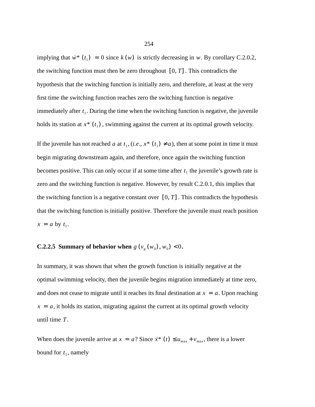implying that  $\dot{w}^*$  ( $t_1$ ) = 0 since  $k(w)$  is strictly decreasing in w. By corollary C.2.0.2, the switching function must then be zero throughout  $[0, T]$ . This contradicts the hypothesis that the switching function is initially zero, and therefore, at least at the very first time the switching function reaches zero the switching function is negative immediately after  $t_1$ . During the time when the switching function is negative, the juvenile holds its station at  $x^*$  ( $t_1$ ), swimming against the current at its optimal growth velocity.

If the juvenile has not reached a at  $t_1$ ,  $(i.e., x^*(t_1) \neq a)$ , then at some point in time it must begin migrating downstream again, and therefore, once again the switching function becomes positive. This can only occur if at some time after  $t_1$  the juvenile's growth rate is zero and the switching function is negative. However, by result C.2.0.1, this implies that the switching function is a negative constant over  $[0, T]$ . This contradicts the hypothesis that the switching function is initially positive. Therefore the juvenile must reach position  $x = a$  by  $t_1$ .

### **C.2.2.5 Summary of behavior when**  $g(v_g(w_0), w_0) < 0$ .

In summary, it was shown that when the growth function is initially negative at the optimal swimming velocity, then the juvenile begins migration immediately at time zero, and does not cease to migrate until it reaches its final destination at  $x = a$ . Upon reaching  $x = a$ , it holds its station, migrating against the current at its optimal growth velocity until time  $T$ .

When does the juvenile arrive at  $x = a$ ? Since  $\dot{x}^*(t) \le u_{max} + v_{max}$ , there is a lower bound for  $t_1$ , namely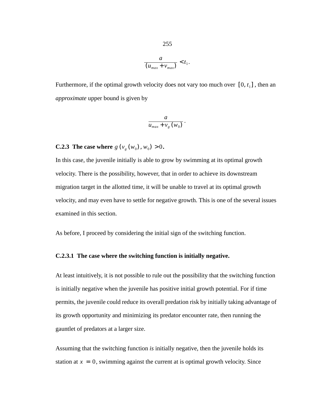$$
\frac{a}{(u_{max}+v_{max})} < t_1.
$$

Furthermore, if the optimal growth velocity does not vary too much over  $[0, t<sub>1</sub>]$ , then an *approximate* upper bound is given by

$$
\frac{a}{u_{max} + v_g(w_0)}
$$

.

**C.2.3** The case where  $g(v_g(w_0), w_0) > 0$ .

In this case, the juvenile initially is able to grow by swimming at its optimal growth velocity. There is the possibility, however, that in order to achieve its downstream migration target in the allotted time, it will be unable to travel at its optimal growth velocity, and may even have to settle for negative growth. This is one of the several issues examined in this section.

As before, I proceed by considering the initial sign of the switching function.

#### **C.2.3.1 The case where the switching function is initially negative.**

At least intuitively, it is not possible to rule out the possibility that the switching function is initially negative when the juvenile has positive initial growth potential. For if time permits, the juvenile could reduce its overall predation risk by initially taking advantage of its growth opportunity and minimizing its predator encounter rate, then running the gauntlet of predators at a larger size.

Assuming that the switching function *is* initially negative, then the juvenile holds its station at  $x = 0$ , swimming against the current at is optimal growth velocity. Since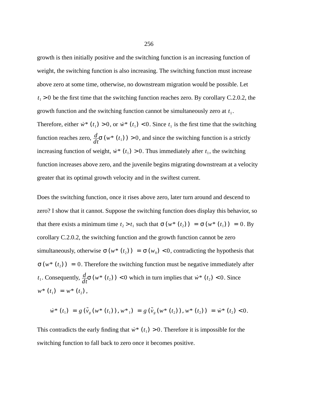growth is then initially positive and the switching function is an increasing function of weight, the switching function is also increasing. The switching function must increase above zero at some time, otherwise, no downstream migration would be possible. Let  $t_1 > 0$  be the first time that the switching function reaches zero. By corollary C.2.0.2, the growth function and the switching function cannot be simultaneously zero at  $t_1$ .

Therefore, either  $\dot{w}^*$  ( $t_1$ ) > 0, or  $\dot{w}^*$  ( $t_1$ ) < 0. Since  $t_1$  is the first time that the switching function reaches zero,  $\frac{d}{dt}\sigma(w^*(t_1)) > 0$ , and since the switching function is a strictly increasing function of weight,  $\dot{w}^*$  ( $t_1$ ) > 0. Thus immediately after  $t_1$ , the switching function increases above zero, and the juvenile begins migrating downstream at a velocity greater that its optimal growth velocity and in the swiftest current.

Does the switching function, once it rises above zero, later turn around and descend to zero? I show that it cannot. Suppose the switching function does display this behavior, so that there exists a minimum time  $t_2 > t_1$  such that  $\sigma(w^*(t_2)) = \sigma(w^*(t_1)) = 0$ . By corollary C.2.0.2, the switching function and the growth function cannot be zero simultaneously, otherwise  $\sigma(w^*(t_2)) = \sigma(w_0) < 0$ , contradicting the hypothesis that  $\sigma(w^*(t_2)) = 0$ . Therefore the switching function must be negative immediately after *t*<sub>1</sub>. Consequently,  $\frac{d}{dt}\sigma(w^*(t_2)) < 0$  which in turn implies that  $\dot{w}^*(t_2) < 0$ . Since  $w^* (t_1) = w^* (t_2),$ 

$$
\dot{w}^* (t_1) = g(\tilde{v}_g(w^* (t_1)), w^*_{1}) = g(\tilde{v}_g(w^* (t_2)), w^* (t_2)) = \dot{w}^* (t_2) < 0.
$$

This contradicts the early finding that  $\dot{w}^*$  ( $t_1$ ) > 0. Therefore it is impossible for the switching function to fall back to zero once it becomes positive.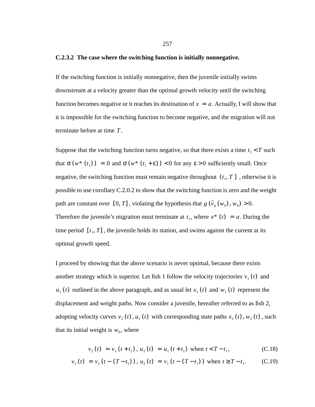#### **C.2.3.2 The case where the switching function is initially nonnegative.**

If the switching function is initially nonnegative, then the juvenile initially swims downstream at a velocity greater than the optimal growth velocity until the switching function becomes negative or it reaches its destination of  $x = a$ . Actually, I will show that it is impossible for the switching function to become negative, and the migration will not terminate before at time T.

Suppose that the switching function turns negative, so that there exists a time  $t_1 < T$  such that  $\sigma(w^*(t_1)) = 0$  and  $\sigma(w^*(t_1 + \varepsilon)) < 0$  for any  $\varepsilon > 0$  sufficiently small. Once negative, the switching function must remain negative throughout  $(t_1, T]$ , otherwise it is possible to use corollary C.2.0.2 to show that the switching function is zero and the weight path are constant over  $[0, T]$ , violating the hypothesis that  $g(\tilde{v}_g(w_0), w_0) > 0$ . Therefore the juvenile's migration must terminate at  $t_1$ , where  $x^*$  ( $t$ ) =  $a$ . During the time period  $[t_1, T]$ , the juvenile holds its station, and swims against the current at its optimal growth speed.

I proceed by showing that the above scenario is never optimal, because there exists another strategy which is superior. Let fish 1 follow the velocity trajectories  $v_1(t)$  and  $u_1(t)$  outlined in the above paragraph, and as usual let  $x_1(t)$  and  $w_1(t)$  represent the displacement and weight paths. Now consider a juvenile, hereafter referred to as fish 2, adopting velocity curves  $v_2(t)$ ,  $u_2(t)$  with corresponding state paths  $x_2(t)$ ,  $w_2(t)$ , such that its initial weight is  $w_0$ , where

$$
v_2(t) = v_1(t + t_1), u_2(t) = u_1(t + t_1) \text{ when } t < T - t_1,
$$
 (C.18)

$$
v_2(t) = v_1(t - (T - t_1))
$$
,  $u_2(t) = v_1(t - (T - t_1))$  when  $t \ge T - t_1$ . (C.19)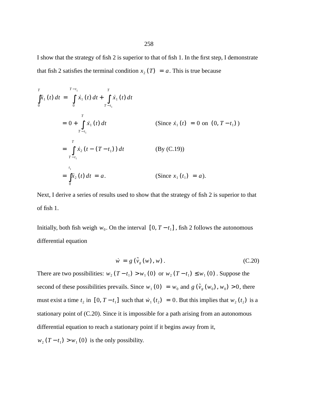I show that the strategy of fish 2 is superior to that of fish 1. In the first step, I demonstrate that fish 2 satisfies the terminal condition  $x_2(T) = a$ . This is true because

$$
\int_{0}^{T} \dot{x}_{1}(t) dt = \int_{0}^{T-t_{1}} \dot{x}_{1}(t) dt + \int_{T-t_{1}}^{T} \dot{x}_{1}(t) dt
$$
\n
$$
= 0 + \int_{T-t_{1}}^{T} \dot{x}_{1}(t) dt \qquad \text{(Since } \dot{x}_{1}(t) = 0 \text{ on } (0, T-t_{1}))
$$
\n
$$
= \int_{T-t_{1}}^{T} \dot{x}_{2}(t - (T-t_{1})) dt \qquad \text{(By (C.19))}
$$
\n
$$
= \int_{0}^{t_{1}} \dot{x}_{2}(t) dt = a. \qquad \text{(Since } x_{1}(t_{1}) = a).
$$

Next, I derive a series of results used to show that the strategy of fish 2 is superior to that of fish 1.

Initially, both fish weigh  $w_0$ . On the interval  $[0, T - t_1]$ , fish 2 follows the autonomous differential equation

$$
\dot{w} = g\left(\tilde{v}_g(w), w\right). \tag{C.20}
$$

There are two possibilities:  $w_2(T - t_1) > w_1(0)$  or  $w_2(T - t_1) \leq w_1(0)$ . Suppose the second of these possibilities prevails. Since  $w_1(0) = w_0$  and  $g(\tilde{v}_g(w_0), w_0) > 0$ , there must exist a time  $t_2$  in  $[0, T - t_1]$  such that  $\dot{w}_1(t_2) = 0$ . But this implies that  $w_2(t_2)$  is a stationary point of (C.20). Since it is impossible for a path arising from an autonomous differential equation to reach a stationary point if it begins away from it,  $w_2(T - t_1) > w_1(0)$  is the only possibility.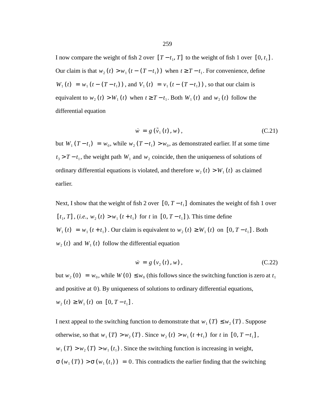I now compare the weight of fish 2 over  $[T - t_1, T]$  to the weight of fish 1 over  $[0, t_1]$ . Our claim is that  $w_2(t) > w_1(t - (T - t_1))$  when  $t \geq T - t_1$ . For convenience, define  $W_1(t) = w_1(t - (T - t_1))$ , and  $V_1(t) = v_1(t - (T - t_1))$ , so that our claim is equivalent to  $w_2(t) > W_1(t)$  when  $t \geq T - t_1$ . Both  $W_1(t)$  and  $w_2(t)$  follow the differential equation

$$
\dot{w} = g\left(\tilde{v}_1(t), w\right),\tag{C.21}
$$

but  $W_1(T - t_1) = w_0$ , while  $w_2(T - t_1) > w_0$ , as demonstrated earlier. If at some time  $t_3$  >  $T - t_1$ , the weight path  $W_1$  and  $W_2$  coincide, then the uniqueness of solutions of ordinary differential equations is violated, and therefore  $w_2(t) > W_1(t)$  as claimed earlier.

Next, I show that the weight of fish 2 over  $[0, T - t_1]$  dominates the weight of fish 1 over  $[t_1, T]$ ,  $(i.e., w_2(t) > w_1(t + t_1)$  for t in  $[0, T - t_1]$ ). This time define  $W_1(t) = w_1(t + t_1)$ . Our claim is equivalent to  $w_2(t) \ge W_1(t)$  on  $[0, T - t_1]$ . Both  $w_2(t)$  and  $W_1(t)$  follow the differential equation

$$
\dot{w} = g(v_2(t), w), \tag{C.22}
$$

but  $w_2(0) = w_0$ , while  $W(0) \leq w_0$  (this follows since the switching function is zero at  $t_1$ and positive at 0). By uniqueness of solutions to ordinary differential equations,  $w_2(t) \geq W_1(t)$  on  $[0, T-t_1]$ .

I next appeal to the switching function to demonstrate that  $w_1(T) \leq w_2(T)$ . Suppose otherwise, so that  $w_1(T) > w_2(T)$ . Since  $w_2(t) > w_1(t + t_1)$  for t in  $[0, T - t_1]$ ,  $w_1(T) > w_2(T) > w_1(t_1)$ . Since the switching function is increasing in weight,  $\sigma(w_1(T)) > \sigma(w_1(t_1)) = 0$ . This contradicts the earlier finding that the switching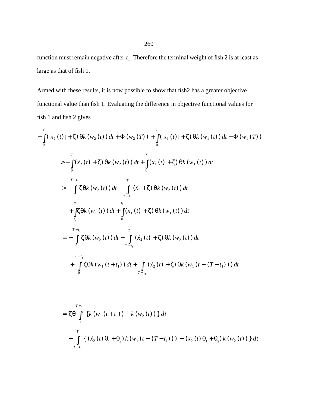function must remain negative after  $t_1$ . Therefore the terminal weight of fish 2 is at least as large as that of fish 1.

Armed with these results, it is now possible to show that fish2 has a greater objective functional value than fish 1. Evaluating the difference in objective functional values for fish 1 and fish 2 gives

$$
-\int_{0}^{T} (|\dot{x}_{2}(t)| + \zeta) \theta k(w_{2}(t)) dt + \Phi(w_{2}(T)) + \int_{0}^{T} (|\dot{x}_{1}(t)| + \zeta) \theta k(w_{1}(t)) dt - \Phi(w_{1}(T))
$$
  
\n
$$
> - \int_{0}^{T} (\dot{x}_{2}(t) + \zeta) \theta k(w_{2}(t)) dt + \int_{0}^{T} (\dot{x}_{1}(t) + \zeta) \theta k(w_{1}(t)) dt
$$
  
\n
$$
> - \int_{0}^{T-t_{1}} \zeta \theta k(w_{2}(t)) dt - \int_{T-t_{1}}^{T} (\dot{x}_{2} + \zeta) \theta k(w_{2}(t)) dt
$$
  
\n
$$
+ \int_{t_{1}}^{T} \zeta \theta k(w_{1}(t)) dt + \int_{0}^{t_{1}} (\dot{x}_{1}(t) + \zeta) \theta k(w_{1}(t)) dt
$$
  
\n
$$
= - \int_{0}^{T-t_{1}} \zeta \theta k(w_{2}(t)) dt - \int_{T-t_{1}}^{T} (\dot{x}_{2}(t) + \zeta) \theta k(w_{2}(t)) dt
$$
  
\n
$$
+ \int_{0}^{T-t_{1}} \zeta \theta k(w_{1}(t + t_{1})) dt + \int_{T-t_{1}}^{T} (\dot{x}_{2}(t) + \zeta) \theta k(w_{1}(t - (T-t_{1}))) dt
$$

$$
= \zeta \theta \int_{0}^{T-t_{1}} \left\{ k \left( w_{1} \left( t+t_{1} \right) \right) - k \left( w_{2} \left( t \right) \right) \right\} dt
$$
  
+ 
$$
\int_{T-t_{1}}^{T} \left\{ \left( \dot{x}_{2} \left( t \right) \theta_{1} + \theta_{2} \right) k \left( w_{1} \left( t - \left( T-t_{1} \right) \right) \right) - \left( \dot{x}_{2} \left( t \right) \theta_{1} + \theta_{2} \right) k \left( w_{2} \left( t \right) \right) \right\} dt
$$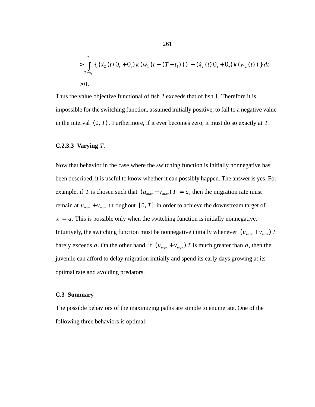$$
> \int_{T-t_1}^{T} \left\{ \left( \dot{x}_2(t) \theta_1 + \theta_2 \right) k \left( w_1 \left( t - (T - t_1) \right) \right) - \left( \dot{x}_2(t) \theta_1 + \theta_2 \right) k \left( w_2(t) \right) \right\} dt
$$
  
> 0.

Thus the value objective functional of fish 2 exceeds that of fish 1. Therefore it is impossible for the switching function, assumed initially positive, to fall to a negative value in the interval  $(0, T)$ . Furthermore, if it ever becomes zero, it must do so exactly at  $T$ .

#### **C.2.3.3 Varying** *T*.

Now that behavior in the case where the switching function is initially nonnegative has been described, it is useful to know whether it can possibly happen. The answer is yes. For example, if T is chosen such that  $(u_{max} + v_{max})T = a$ , then the migration rate must remain at  $u_{max} + v_{max}$  throughout [0, *T*] in order to achieve the downstream target of  $x = a$ . This is possible only when the switching function is initially nonnegative. Intuitively, the switching function must be nonnegative initially whenever  $(u_{max} + v_{max})$  *T* barely exceeds a. On the other hand, if  $(u_{max} + v_{max})T$  is much greater than a, then the juvenile can afford to delay migration initially and spend its early days growing at its optimal rate and avoiding predators.

#### **C.3 Summary**

The possible behaviors of the maximizing paths are simple to enumerate. One of the following three behaviors is optimal: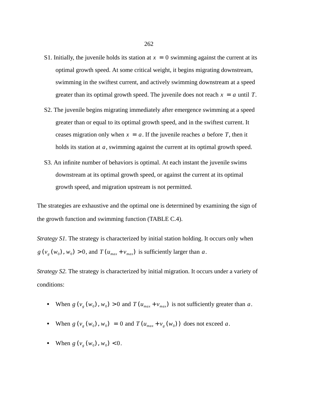- S1. Initially, the juvenile holds its station at  $x = 0$  swimming against the current at its optimal growth speed. At some critical weight, it begins migrating downstream, swimming in the swiftest current, and actively swimming downstream at a speed greater than its optimal growth speed. The juvenile does not reach  $x = a$  until T.
- S2. The juvenile begins migrating immediately after emergence swimming at a speed greater than or equal to its optimal growth speed, and in the swiftest current. It ceases migration only when  $x = a$ . If the juvenile reaches a before T, then it holds its station at  $a$ , swimming against the current at its optimal growth speed.
- S3. An infinite number of behaviors is optimal. At each instant the juvenile swims downstream at its optimal growth speed, or against the current at its optimal growth speed, and migration upstream is not permitted.

The strategies are exhaustive and the optimal one is determined by examining the sign of the growth function and swimming function (TABLE C.4).

*Strategy S1*. The strategy is characterized by initial station holding. It occurs only when  $g(v_g(w_0), w_0) > 0$ , and  $T(u_{max} + v_{max})$  is sufficiently larger than a.

*Strategy S2*. The strategy is characterized by initial migration. It occurs under a variety of conditions:

- When  $g(v_g(w_0), w_0) > 0$  and  $T(u_{max} + v_{max})$  is not sufficiently greater than a.
- When  $g(v_g(w_0), w_0) = 0$  and  $T(u_{max} + v_g(w_0))$  does not exceed a.
- When  $g(v_g(w_0), w_0) < 0$ .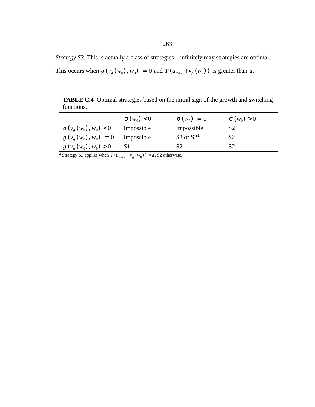*Strategy S3*. This is actually a class of strategies—infinitely may strategies are optimal.

This occurs when  $g(v_g(w_0), w_0) = 0$  and  $T(u_{max} + v_g(w_0))$  is greater than a.

**TABLE C.4** Optimal strategies based on the initial sign of the growth and switching functions.

|                                | $\sigma(w_0) < 0$ | $\sigma(w_0) = 0$ | $\sigma(w_0) > 0$ |
|--------------------------------|-------------------|-------------------|-------------------|
| $g(v_{\varrho}(w_0), w_0) < 0$ | Impossible        | Impossible        | S <sub>2</sub>    |
| $g(v_g(w_0), w_0) = 0$         | Impossible        | S3 or $S2^a$      | S <sub>2</sub>    |
| $g(v_g(w_0), w_0) > 0$         | -ST               | S <sub>2</sub>    | S2                |

<sup>a</sup> Strategy S3 applies when  $T(u_{max} + v_g(w_0)) > a$ , S2 otherwise.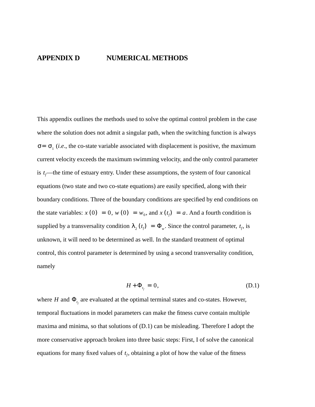# **APPENDIX D NUMERICAL METHODS**

This appendix outlines the methods used to solve the optimal control problem in the case where the solution does not admit a singular path, when the switching function is always  $\sigma = \sigma_1$  (*i.e.*, the co-state variable associated with displacement is positive, the maximum current velocity exceeds the maximum swimming velocity, and the only control parameter is  $t_f$ —the time of estuary entry. Under these assumptions, the system of four canonical equations (two state and two co-state equations) are easily specified, along with their boundary conditions. Three of the boundary conditions are specified by end conditions on the state variables:  $x(0) = 0$ ,  $w(0) = w_0$ , and  $x(t_f) = a$ . And a fourth condition is supplied by a transversality condition  $\lambda_2(t_f) = \Phi_w$ . Since the control parameter,  $t_f$ , is unknown, it will need to be determined as well. In the standard treatment of optimal control, this control parameter is determined by using a second transversality condition, namely

$$
H + \Phi_{t_f} = 0, \tag{D.1}
$$

where *H* and  $\Phi_{t_f}$  are evaluated at the optimal terminal states and co-states. However, temporal fluctuations in model parameters can make the fitness curve contain multiple maxima and minima, so that solutions of (D.1) can be misleading. Therefore I adopt the more conservative approach broken into three basic steps: First, I of solve the canonical equations for many fixed values of  $t_f$ , obtaining a plot of how the value of the fitness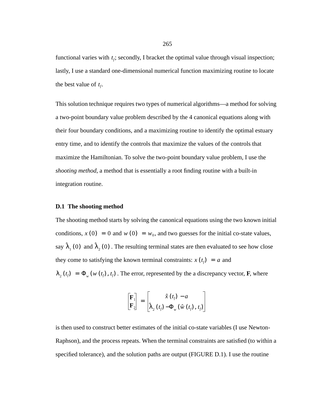functional varies with  $t_f$ ; secondly, I bracket the optimal value through visual inspection; lastly, I use a standard one-dimensional numerical function maximizing routine to locate the best value of  $t_f$ .

This solution technique requires two types of numerical algorithms—a method for solving a two-point boundary value problem described by the 4 canonical equations along with their four boundary conditions, and a maximizing routine to identify the optimal estuary entry time, and to identify the controls that maximize the values of the controls that maximize the Hamiltonian. To solve the two-point boundary value problem, I use the *shooting method*, a method that is essentially a root finding routine with a built-in integration routine.

## **D.1 The shooting method**

The shooting method starts by solving the canonical equations using the two known initial conditions,  $x(0) = 0$  and  $w(0) = w_0$ , and two guesses for the initial co-state values, say  $\hat{\lambda}_1(0)$  and  $\hat{\lambda}_2(0)$ . The resulting terminal states are then evaluated to see how close they come to satisfying the known terminal constraints:  $x(t_f) = a$  and  $\lambda_2(t_f) = \Phi_w(w(t_f), t_f)$ . The error, represented by the a discrepancy vector, **F**, where

$$
\begin{bmatrix} \mathbf{F}_1 \\ \mathbf{F}_2 \end{bmatrix} = \begin{bmatrix} \hat{x}(t_f) - a \\ \hat{\lambda}_2(t_f) - \Phi_w(\hat{w}(t_f), t_f) \end{bmatrix}
$$

is then used to construct better estimates of the initial co-state variables (I use Newton-Raphson), and the process repeats. When the terminal constraints are satisfied (to within a specified tolerance), and the solution paths are output (FIGURE D.1). I use the routine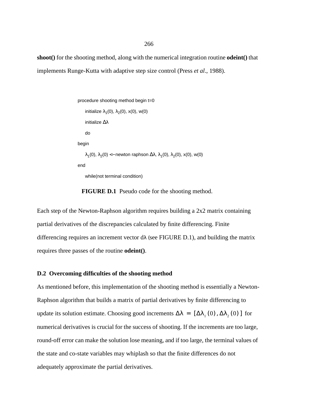**shoot()** for the shooting method, along with the numerical integration routine **odeint()** that implements Runge-Kutta with adaptive step size control (Press *et al*., 1988).

```
procedure shooting method begin t=0
    initialize \lambda_1(0), \lambda_2(0), x(0), w(0)
    initialize ∆λ
    do
begin
    \lambda_1(0), \lambda_2(0) <− newton raphson \Delta\lambda, \lambda_1(0), \lambda_2(0), x(0), w(0)
end
    while(not terminal condition)
```
**FIGURE D.1** Pseudo code for the shooting method.

Each step of the Newton-Raphson algorithm requires building a 2x2 matrix containing partial derivatives of the discrepancies calculated by finite differencing. Finite differencing requires an increment vector  $d\lambda$  (see FIGURE D.1), and building the matrix requires three passes of the routine **odeint()**.

#### **D.2 Overcoming difficulties of the shooting method**

As mentioned before, this implementation of the shooting method is essentially a Newton-Raphson algorithm that builds a matrix of partial derivatives by finite differencing to update its solution estimate. Choosing good increments  $\Delta \lambda = [\Delta \lambda_1 (0), \Delta \lambda_2 (0)]$  for numerical derivatives is crucial for the success of shooting. If the increments are too large, round-off error can make the solution lose meaning, and if too large, the terminal values of the state and co-state variables may whiplash so that the finite differences do not adequately approximate the partial derivatives.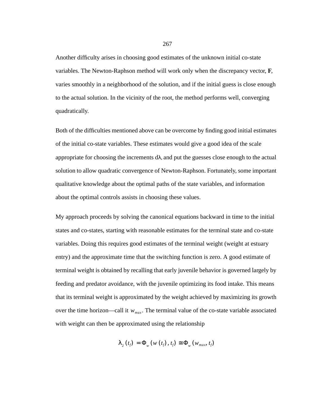Another difficulty arises in choosing good estimates of the unknown initial co-state variables. The Newton-Raphson method will work only when the discrepancy vector, **F**, varies smoothly in a neighborhood of the solution, and if the initial guess is close enough to the actual solution. In the vicinity of the root, the method performs well, converging quadratically.

Both of the difficulties mentioned above can be overcome by finding good initial estimates of the initial co-state variables. These estimates would give a good idea of the scale appropriate for choosing the increments  $d\lambda$ , and put the guesses close enough to the actual solution to allow quadratic convergence of Newton-Raphson. Fortunately, some important qualitative knowledge about the optimal paths of the state variables, and information about the optimal controls assists in choosing these values.

My approach proceeds by solving the canonical equations backward in time to the initial states and co-states, starting with reasonable estimates for the terminal state and co-state variables. Doing this requires good estimates of the terminal weight (weight at estuary entry) and the approximate time that the switching function is zero. A good estimate of terminal weight is obtained by recalling that early juvenile behavior is governed largely by feeding and predator avoidance, with the juvenile optimizing its food intake. This means that its terminal weight is approximated by the weight achieved by maximizing its growth over the time horizon—call it  $w_{max}$ . The terminal value of the co-state variable associated with weight can then be approximated using the relationship

$$
\lambda_{2}\left(t_{f}\right)=\Phi_{w}\left(w\left(t_{f}\right), t_{f}\right)\cong \Phi_{w}\left(w_{max}, t_{f}\right)
$$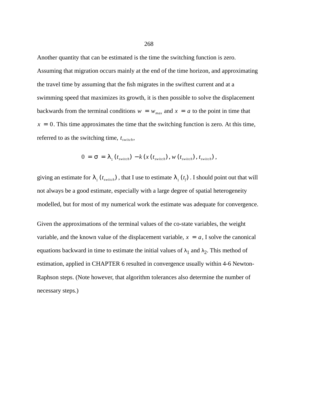Another quantity that can be estimated is the time the switching function is zero. Assuming that migration occurs mainly at the end of the time horizon, and approximating the travel time by assuming that the fish migrates in the swiftest current and at a swimming speed that maximizes its growth, it is then possible to solve the displacement backwards from the terminal conditions  $w = w_{max}$  and  $x = a$  to the point in time that  $x = 0$ . This time approximates the time that the switching function is zero. At this time, referred to as the switching time,  $t_{switch}$ ,

$$
0 = \sigma = \lambda_1(t_{switch}) - k(x(t_{switch}), w(t_{switch}), t_{switch}),
$$

giving an estimate for  $\lambda_1$  ( $t_{switch}$ ), that I use to estimate  $\lambda_1$  ( $t_f$ ). I should point out that will not always be a good estimate, especially with a large degree of spatial heterogeneity modelled, but for most of my numerical work the estimate was adequate for convergence.

Given the approximations of the terminal values of the co-state variables, the weight variable, and the known value of the displacement variable,  $x = a$ , I solve the canonical equations backward in time to estimate the initial values of  $\lambda_1$  and  $\lambda_2$ . This method of estimation, applied in CHAPTER 6 resulted in convergence usually within 4-6 Newton-Raphson steps. (Note however, that algorithm tolerances also determine the number of necessary steps.)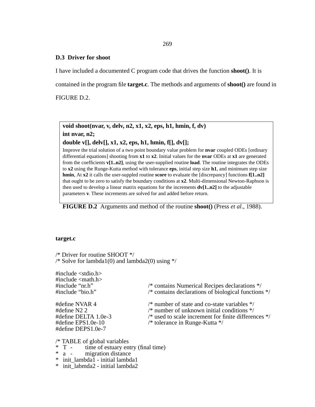269

### **D.3 Driver for shoot**

I have included a documented C program code that drives the function **shoot()**. It is

contained in the program file **target.c**. The methods and arguments of **shoot()** are found in

FIGURE D.2.

**void shoot(nvar, v, delv, n2, x1, x2, eps, h1, hmin, f, dv) int nvar, n2;**

**double v[], delv[], x1, x2, eps, h1, hmin, f[], dv[];**

Improve the trial solution of a two point boundary value problem for **nvar** coupled ODEs [ordinary differential equations] shooting from **x1** to **x2**. Initial values for the **nvar** ODEs at **x1** are generated from the coefficients **v[1..n2]**, using the user-supplied routine **load**. The routine integrates the ODEs to **x2** using the Runge-Kutta method with tolerance **eps**, initial step size **h1**, and minimum step size **hmin**, At **x2** it calls the user-suppled routine **score** to evaluate the [discrepancy] functions **f[1..n2]** that ought to be zero to satisfy the boundary conditions at **x2**. Multi-dimensional Newton-Raphson is then used to develop a linear matrix equations for the increments  $dv[1..n2]$  to the adjustable parameters **v**. These increments are solved for and added before return.

**FIGURE D.2** Arguments and method of the routine **shoot()** (Press *et al*., 1988).

#### **target.c**

/\* Driver for routine SHOOT \*/  $/*$  Solve for lambda1(0) and lambda2(0) using  $*/$ 

#include <stdio.h> #include <math.h><br>#include "nr.h"

#include "nr.h" /\* contains Numerical Recipes declarations \*/<br>#include "bio.h" /\* contains declarations of biological functions  $/*$  contains declarations of biological functions  $*/$ 

#define N2 2 <br>
#define DELTA 1.0e-3 /\* number of unknown initial conditions \*/<br>
#define DELTA 1.0e-3 /\* used to scale increment for finite different #define DELTA 1.0e-3 /\* used to scale increment for finite differences \*/<br>#define EPS1.0e-10 /\* tolerance in Runge-Kutta \*/ #define DEPS1.0e-7

#define NVAR 4 /\* number of state and co-state variables \*/<br>#define N2 2 /\* number of unknown initial conditions \*/

/\* tolerance in Runge-Kutta  $*/$ 

- /\* TABLE of global variables<br>\* T time of estuary en  $*$  T - time of estuary entry (final time)<br> $*$  a - migration distance
- migration distance

\* init\_lambda1 - initial lambda1

\* init\_labmda2 - initial lambda2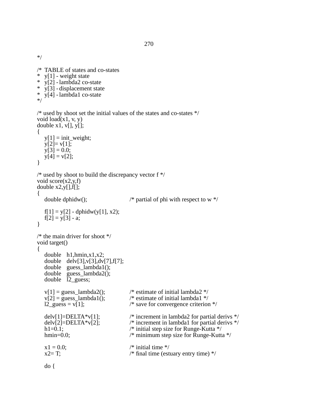\*/

/\* TABLE of states and co-states<br>\*  $v[1]$  - weight state  $y[1]$  - weight state  $\frac{\text{y}}{\text{y}}$  y[2] - lambda2 co-state y[3] - displacement state \* y[4] - lambda1 co-state \*/ /\* used by shoot set the initial values of the states and co-states \*/ void load(x1, v, y) double  $x1, v[], y[]$ ; {  $y[1] = init\_weight;$  $y[2] = v[1];$  $y[3] = 0.0;$  $y[4] = v[2];$ }

```
\prime\ast used by shoot to build the discrepancy vector f \ast/void score(x2,y,f)
double x2,y[],f[];
\left\{ \right.double dphidw(); /* partial of phi with respect to w */
   f[1] = y[2] - \text{dphidw}(y[1], x2);f[2] = y[3] - a;}
/* the main driver for shoot */
void target()
{
   double h1,hmin,x1,x2;
   double delv[3],v[3],dv[7],f[7];
   double guess_lambda1();
    double guess_lambda2();
    double l2_guess;
   v[1] = guess_lambda2(); \angle /* estimate of initial lambda2 */<br>v[2] = guess_lambda1(); \angle /* estimate of initial lambda1 */
   v[2] = \text{guess\_lambda1}(i); /* estimate of initial lambda1 */<br>12_guess = v[1]; /* save for convergence criterior
                                                 /* save for convergence criterion \frac{*}{ }delv[1]=DELTA*v[1]; /* increment in lambda2 for partial derivs */
    delv[2]=DELTA*v[2]; /* increment in lambda1 for partial derivs */
   h1=0.1; \frac{1}{2} /* initial step size for Runge-Kutta */
   hmin=0.0; \frac{1}{2} minimum step size for Runge-Kutta \frac{k}{2}x1 = 0.0; \frac{\text{m}}{\text{s}} initial time */
   x2= T; \frac{x2=}{x} \frac{x}{2} \frac{x}{2} \frac{x}{2} \frac{x}{2} \frac{x}{2} \frac{x}{2} \frac{x}{2} \frac{x}{2} \frac{x}{2} \frac{x}{2} \frac{x}{2} \frac{x}{2} \frac{x}{2} \frac{x}{2} \frac{x}{2} \frac{x}{2} \frac{x}{2} \frac{x}{2} \frac{x}{2} \frac{x}{2} \frac{x}{2} \frac{x}{2} \frac
```

$$
f_{\rm{max}}
$$

do {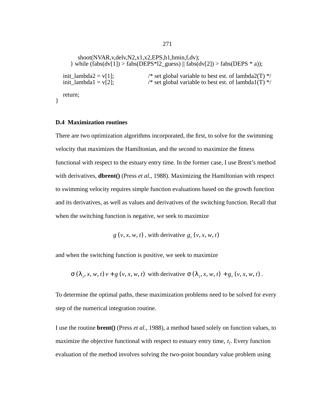```
shoot(NVAR,v,delv,N2,x1,x2,EPS,h1,hmin,f,dv);
         } while (fabs(dv[1]) > fabs(DEPS * 12\_guess) || fabs(dv[2]) > fabs(DEPS * a));init_lambda2 = v[1]; \frac{1}{2} = v[1]; \frac{1}{2} = \frac{1}{2}; \frac{1}{2} = \frac{1}{2}; \frac{1}{2} = \frac{1}{2}; \frac{1}{2} = \frac{1}{2}; \frac{1}{2} = \frac{1}{2}; \frac{1}{2} = \frac{1}{2}; \frac{1}{2} = \frac{1}{2}; \frac{1}{2} = \frac{1}{2}/* set global variable to best est. of lambda1(T) */
    return;
}
```
# **D.4 Maximization routines**

There are two optimization algorithms incorporated, the first, to solve for the swimming velocity that maximizes the Hamiltonian, and the second to maximize the fitness functional with respect to the estuary entry time. In the former case, I use Brent's method with derivatives, **dbrent()** (Press *et al*., 1988). Maximizing the Hamiltonian with respect to swimming velocity requires simple function evaluations based on the growth function and its derivatives, as well as values and derivatives of the switching function. Recall that when the switching function is negative, we seek to maximize

 $g(v, x, w, t)$ , with derivative  $g_v(v, x, w, t)$ 

and when the switching function is positive, we seek to maximize

 $\sigma(\lambda_1, x, w, t)$   $v + g(v, x, w, t)$  with derivative  $\sigma(\lambda_1, x, w, t) + g(v, x, w, t)$ .

To determine the optimal paths, these maximization problems need to be solved for every step of the numerical integration routine.

I use the routine **brent()** (Press *et al.*, 1988), a method based solely on function values, to maximize the objective functional with respect to estuary entry time,  $t_f$ . Every function evaluation of the method involves solving the two-point boundary value problem using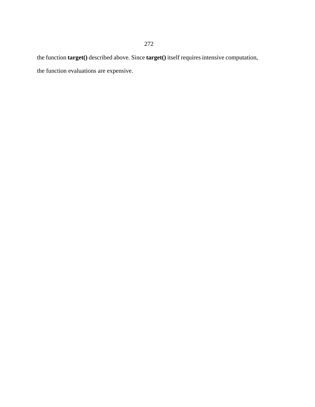the function **target()** described above. Since **target()** itself requires intensive computation, the function evaluations are expensive.